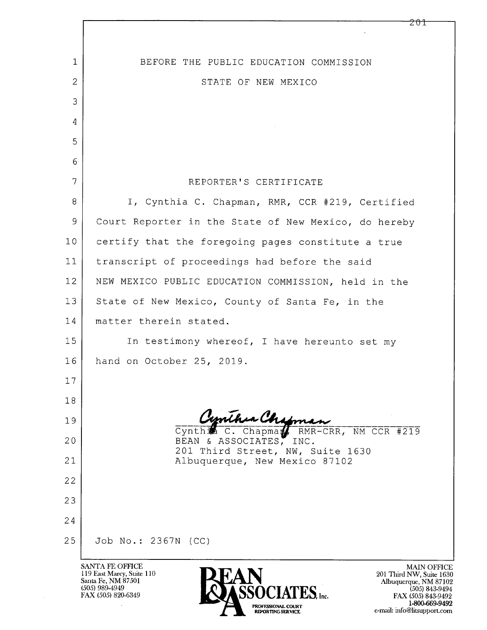|                     | <b>SANTA FE OFFICE</b><br>MAIN OF                                   |
|---------------------|---------------------------------------------------------------------|
| 25                  | Job No.: 2367N (CC)                                                 |
| 24                  |                                                                     |
| 23                  |                                                                     |
| 22                  |                                                                     |
| 21                  | 201 Third Street, NW, Suite 1630<br>Albuquerque, New Mexico 87102   |
| 20                  | RMR-CRR, NM CCR #219<br>Cynth。<br>Chapma<br>BEAN & ASSOCIATES, INC. |
| 19                  | Cynthia Chipman                                                     |
| 18                  |                                                                     |
| 17                  |                                                                     |
| 16                  | hand on October 25, 2019.                                           |
| 15                  | In testimony whereof, I have hereunto set my                        |
| 14                  | matter therein stated.                                              |
| 13                  | State of New Mexico, County of Santa Fe, in the                     |
| 12                  | NEW MEXICO PUBLIC EDUCATION COMMISSION, held in the                 |
| 11                  | transcript of proceedings had before the said                       |
| 10                  | certify that the foregoing pages constitute a true                  |
| 9                   | Court Reporter in the State of New Mexico, do hereby                |
| 8                   | I, Cynthia C. Chapman, RMR, CCR #219, Certified                     |
| 7                   | REPORTER'S CERTIFICATE                                              |
| 6                   |                                                                     |
| 5                   |                                                                     |
| 4                   |                                                                     |
| $\overline{2}$<br>3 | STATE OF NEW MEXICO                                                 |
| $\mathbf{1}$        | BEFORE THE PUBLIC EDUCATION COMMISSION                              |
|                     |                                                                     |
|                     |                                                                     |

119 East Marcy, Suite 110<br>Santa Fe, NM 87501<br>(505) 989-4949<br>FAX (505) 820-6349

 $\cdot$ 

 $\mathsf{l}$ 



**FFICE** MAIN OFFICE<br>
201 Third NW, Suite 1630<br>
Albuquerque, NM 87102<br>
(505) 843-9494<br>
FAX (505) 843-9492<br>
1-800-669-9492<br>
e-mail: info@litsupport.com

 $201$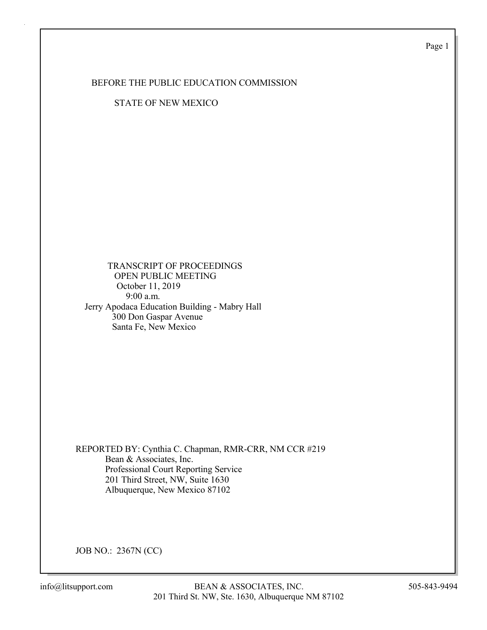Page 1

### BEFORE THE PUBLIC EDUCATION COMMISSION

STATE OF NEW MEXICO

### TRANSCRIPT OF PROCEEDINGS OPEN PUBLIC MEETING October 11, 2019 9:00 a.m. Jerry Apodaca Education Building - Mabry Hall 300 Don Gaspar Avenue Santa Fe, New Mexico

REPORTED BY: Cynthia C. Chapman, RMR-CRR, NM CCR #219 Bean & Associates, Inc. Professional Court Reporting Service 201 Third Street, NW, Suite 1630 Albuquerque, New Mexico 87102

JOB NO.: 2367N (CC)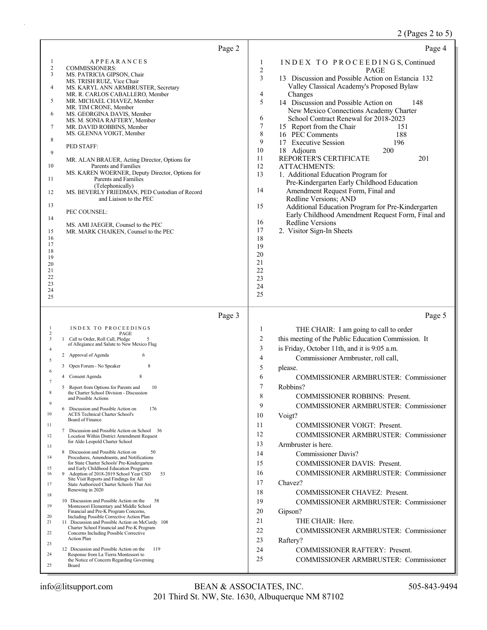# 2 (Pages 2 to 5)

| Page 2                                                                                                                                                                                                                                                                                                                                                                                                                                                                                                                                                                                                                                                                                                                                                                                                                                                                                                                                                                                                                                                                                                                                                                                                                                                                                                                                                                                                                                                                                                                                                                                                            | Page 4                                                                                                                                                                                                                                                                                                                                                                                                                                                                                                                                                                                                                                                                                                                                                                                                                                                                                                                                                                                                           |
|-------------------------------------------------------------------------------------------------------------------------------------------------------------------------------------------------------------------------------------------------------------------------------------------------------------------------------------------------------------------------------------------------------------------------------------------------------------------------------------------------------------------------------------------------------------------------------------------------------------------------------------------------------------------------------------------------------------------------------------------------------------------------------------------------------------------------------------------------------------------------------------------------------------------------------------------------------------------------------------------------------------------------------------------------------------------------------------------------------------------------------------------------------------------------------------------------------------------------------------------------------------------------------------------------------------------------------------------------------------------------------------------------------------------------------------------------------------------------------------------------------------------------------------------------------------------------------------------------------------------|------------------------------------------------------------------------------------------------------------------------------------------------------------------------------------------------------------------------------------------------------------------------------------------------------------------------------------------------------------------------------------------------------------------------------------------------------------------------------------------------------------------------------------------------------------------------------------------------------------------------------------------------------------------------------------------------------------------------------------------------------------------------------------------------------------------------------------------------------------------------------------------------------------------------------------------------------------------------------------------------------------------|
| <b>APPEARANCES</b><br>1<br>2<br><b>COMMISSIONERS:</b><br>3<br>MS. PATRICIA GIPSON, Chair<br>MS. TRISH RUIZ, Vice Chair<br>4<br>MS. KARYL ANN ARMBRUSTER, Secretary<br>MR. R. CARLOS CABALLERO, Member<br>5<br>MR. MICHAEL CHAVEZ, Member<br>MR. TIM CRONE, Member<br>6<br>MS. GEORGINA DAVIS, Member<br>MS. M. SONIA RAFTERY, Member<br>7<br>MR. DAVID ROBBINS, Member<br>MS. GLENNA VOIGT, Member<br>8<br>PED STAFF:<br>9<br>MR. ALAN BRAUER, Acting Director, Options for<br>10<br>Parents and Families<br>MS. KAREN WOERNER, Deputy Director, Options for<br>Parents and Families<br>11<br>(Telephonically)<br>MS. BEVERLY FRIEDMAN, PED Custodian of Record<br>12<br>and Liaison to the PEC<br>13<br>PEC COUNSEL:<br>14<br>MS. AMI JAEGER, Counsel to the PEC<br>15<br>MR. MARK CHAIKEN, Counsel to the PEC<br>16<br>17<br>18<br>19<br>20<br>21<br>22<br>23<br>24<br>25                                                                                                                                                                                                                                                                                                                                                                                                                                                                                                                                                                                                                                                                                                                                       | INDEX TO PROCEEDINGS, Continued<br>1<br>$\mathbf{2}$<br><b>PAGE</b><br>3<br>13 Discussion and Possible Action on Estancia 132<br>Valley Classical Academy's Proposed Bylaw<br>4<br>Changes<br>5<br>14 Discussion and Possible Action on<br>148<br>New Mexico Connections Academy Charter<br>6<br>School Contract Renewal for 2018-2023<br>$\tau$<br>15 Report from the Chair<br>151<br>$\,$ $\,$<br>16 PEC Comments<br>188<br>9<br>17 Executive Session<br>196<br>10<br>18 Adjourn<br>200<br>11<br>REPORTER'S CERTIFICATE<br>201<br>12<br><b>ATTACHMENTS:</b><br>13<br>1. Additional Education Program for<br>Pre-Kindergarten Early Childhood Education<br>14<br>Amendment Request Form, Final and<br>Redline Versions; AND<br>15<br>Additional Education Program for Pre-Kindergarten<br>Early Childhood Amendment Request Form, Final and<br>16<br><b>Redline Versions</b><br>17<br>2. Visitor Sign-In Sheets<br>18<br>19<br>20<br>21<br>22<br>23<br>24<br>25                                                 |
| Page 3<br>1<br>INDEX TO PROCEEDINGS<br>$\sqrt{2}$<br>PAGE<br>$\mathfrak z$<br>1 Call to Order, Roll Call, Pledge<br>of Allegiance and Salute to New Mexico Flag<br>4<br>6<br>2 Approval of Agenda<br>5<br>8<br>Open Forum - No Speaker<br>3<br>6<br>8<br>Consent Agenda<br>4<br>7<br>10<br>Report from Options for Parents and<br>8<br>the Charter School Division - Discussion<br>and Possible Actions<br>9<br>6 Discussion and Possible Action on<br>176<br>10<br><b>ACES Technical Charter School's</b><br>Board of Finance<br>11<br>7 Discussion and Possible Action on School 36<br>12<br>Location Within District Amendment Request<br>for Aldo Leopold Charter School<br>13<br>8 Discussion and Possible Action on<br>50<br>14<br>Procedures, Amendments, and Notifications<br>for State Charter Schools' Pre-Kindergarten<br>and Early Childhood Education Programs<br>15<br>9 Adoption of 2018-2019 School Year CSD<br>53<br>16<br>Site Visit Reports and Findings for All<br>State Authorized Charter Schools That Are<br>17<br>Renewing in 2020<br>18<br>10 Discussion and Possible Action on the<br>58<br>19<br>Montessori Elementary and Middle School<br>Financial and Pre-K Program Concerns,<br>20<br>Including Possible Corrective Action Plan<br>21<br>11 Discussion and Possible Action on McCurdy 108<br>Charter School Financial and Pre-K Program<br>Concerns Including Possible Corrective<br>22<br><b>Action Plan</b><br>23<br>12 Discussion and Possible Action on the<br>119<br>Response from La Tierra Montessori to<br>24<br>the Notice of Concern Regarding Governing<br>25<br>Board | Page 5<br>$\mathbf{1}$<br>THE CHAIR: I am going to call to order<br>2<br>this meeting of the Public Education Commission. It<br>3<br>is Friday, October 11th, and it is 9:05 a.m.<br>4<br>Commissioner Armbruster, roll call,<br>5<br>please.<br>6<br>COMMISSIONER ARMBRUSTER: Commissioner<br>7<br>Robbins?<br>8<br>COMMISSIONER ROBBINS: Present.<br>9<br><b>COMMISSIONER ARMBRUSTER: Commissioner</b><br>10<br>Voigt?<br>11<br><b>COMMISSIONER VOIGT: Present.</b><br>12<br>COMMISSIONER ARMBRUSTER: Commissioner<br>13<br>Armbruster is here.<br>14<br><b>Commissioner Davis?</b><br>15<br><b>COMMISSIONER DAVIS: Present.</b><br>16<br>COMMISSIONER ARMBRUSTER: Commissioner<br>17<br>Chavez?<br>18<br><b>COMMISSIONER CHAVEZ: Present.</b><br>19<br>COMMISSIONER ARMBRUSTER: Commissioner<br>20<br>Gipson?<br>21<br>THE CHAIR: Here.<br>22<br>COMMISSIONER ARMBRUSTER: Commissioner<br>23<br>Raftery?<br>24<br><b>COMMISSIONER RAFTERY: Present.</b><br>25<br><b>COMMISSIONER ARMBRUSTER: Commissioner</b> |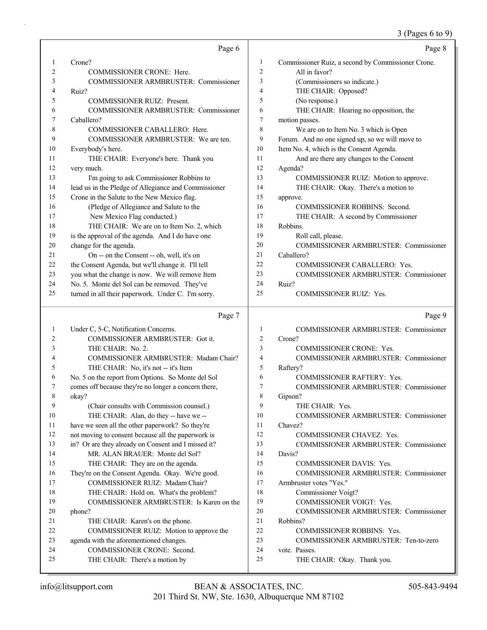#### 3 (Pages 6 to 9)

|    | Page 6                                               |                | Page 8                                             |
|----|------------------------------------------------------|----------------|----------------------------------------------------|
| 1  | Crone?                                               | 1              | Commissioner Ruiz, a second by Commissioner Crone. |
| 2  | <b>COMMISSIONER CRONE: Here.</b>                     | $\sqrt{2}$     | All in favor?                                      |
| 3  | COMMISSIONER ARMBRUSTER: Commissioner                | 3              | (Commissioners so indicate.)                       |
| 4  | Ruiz?                                                | 4              | THE CHAIR: Opposed?                                |
| 5  | <b>COMMISSIONER RUIZ: Present.</b>                   | 5              | (No response.)                                     |
| 6  | COMMISSIONER ARMBRUSTER: Commissioner                | 6              | THE CHAIR: Hearing no opposition, the              |
| 7  | Caballero?                                           | 7              | motion passes.                                     |
| 8  | COMMISSIONER CABALLERO: Here.                        | 8              | We are on to Item No. 3 which is Open              |
| 9  | COMMISSIONER ARMBRUSTER: We are ten.                 | 9              | Forum. And no one signed up, so we will move to    |
| 10 | Everybody's here.                                    | 10             | Item No. 4, which is the Consent Agenda.           |
| 11 | THE CHAIR: Everyone's here. Thank you                | 11             | And are there any changes to the Consent           |
| 12 | very much.                                           | 12             | Agenda?                                            |
| 13 | I'm going to ask Commissioner Robbins to             | 13             | COMMISSIONER RUIZ: Motion to approve.              |
| 14 | lead us in the Pledge of Allegiance and Commissioner | 14             | THE CHAIR: Okay. There's a motion to               |
| 15 | Crone in the Salute to the New Mexico flag.          | 15             | approve.                                           |
| 16 | (Pledge of Allegiance and Salute to the              | 16             | COMMISSIONER ROBBINS: Second.                      |
| 17 | New Mexico Flag conducted.)                          | 17             | THE CHAIR: A second by Commissioner                |
| 18 | THE CHAIR: We are on to Item No. 2, which            | 18             | Robbins.                                           |
| 19 | is the approval of the agenda. And I do have one     | 19             | Roll call, please.                                 |
| 20 | change for the agenda.                               | 20             | COMMISSIONER ARMBRUSTER: Commissioner              |
| 21 | On -- on the Consent -- oh, well, it's on            | 21             | Caballero?                                         |
| 22 | the Consent Agenda, but we'll change it. I'll tell   | 22             | COMMISSIONER CABALLERO: Yes.                       |
| 23 | you what the change is now. We will remove Item      | 23             | COMMISSIONER ARMBRUSTER: Commissioner              |
| 24 | No. 5. Monte del Sol can be removed. They've         | 24             | Ruiz?                                              |
| 25 | turned in all their paperwork. Under C. I'm sorry.   | 25             | COMMISSIONER RUIZ: Yes.                            |
|    | Page 7                                               |                | Page 9                                             |
| 1  | Under C, 5-C, Notification Concerns.                 | 1              | <b>COMMISSIONER ARMBRUSTER: Commissioner</b>       |
| 2  | COMMISSIONER ARMBRUSTER: Got it.                     | $\overline{c}$ | Crone?                                             |
| 3  | THE CHAIR: No. 2.                                    | 3              | <b>COMMISSIONER CRONE: Yes.</b>                    |
| 4  | COMMISSIONER ARMBRUSTER: Madam Chair?                | 4              | COMMISSIONER ARMBRUSTER: Commissioner              |
| 5  | THE CHAIR: No, it's not -- it's Item                 | 5              | Raftery?                                           |
| 6  | No. 5 on the report from Options. So Monte del Sol   | 6              | COMMISSIONER RAFTERY: Yes.                         |
| 7  | comes off because they're no longer a concern there, | 7              | COMMISSIONER ARMBRUSTER: Commissioner              |
| 8  | okay?                                                | $\,$ 8 $\,$    | Gipson?                                            |
| 9  | (Chair consults with Commission counsel.)            | 9              | THE CHAIR: Yes.                                    |
| 10 | THE CHAIR: Alan, do they -- have we --               | 10             | COMMISSIONER ARMBRUSTER: Commissioner              |
| 11 | have we seen all the other paperwork? So they're     | 11             | Chavez?                                            |
| 12 | not moving to consent because all the paperwork is   | 12             | COMMISSIONER CHAVEZ: Yes.                          |
| 13 | in? Or are they already on Consent and I missed it?  | 13             | COMMISSIONER ARMBRUSTER: Commissioner              |
| 14 | MR. ALAN BRAUER: Monte del Sol?                      | 14             | Davis?                                             |
| 15 | THE CHAIR: They are on the agenda.                   | 15             | COMMISSIONER DAVIS: Yes.                           |
| 16 | They're on the Consent Agenda. Okay. We're good.     | 16             | <b>COMMISSIONER ARMBRUSTER: Commissioner</b>       |
| 17 | COMMISSIONER RUIZ: Madam Chair?                      | 17             | Armbruster votes "Yes."                            |

18 THE CHAIR: Hold on. What's the problem? 19 COMMISSIONER ARMBRUSTER: Is Karen on the

22 COMMISSIONER RUIZ: Motion to approve the

21 THE CHAIR: Karen's on the phone.

23 agenda with the aforementioned changes. 24 COMMISSIONER CRONE: Second. 25 THE CHAIR: There's a motion by

20 phone?

18 Commissioner Voigt?

21 Robbins?

24 vote. Passes.

19 COMMISSIONER VOIGT: Yes.

22 COMMISSIONER ROBBINS: Yes.

25 THE CHAIR: Okay. Thank you.

20 COMMISSIONER ARMBRUSTER: Commissioner

23 COMMISSIONER ARMBRUSTER: Ten-to-zero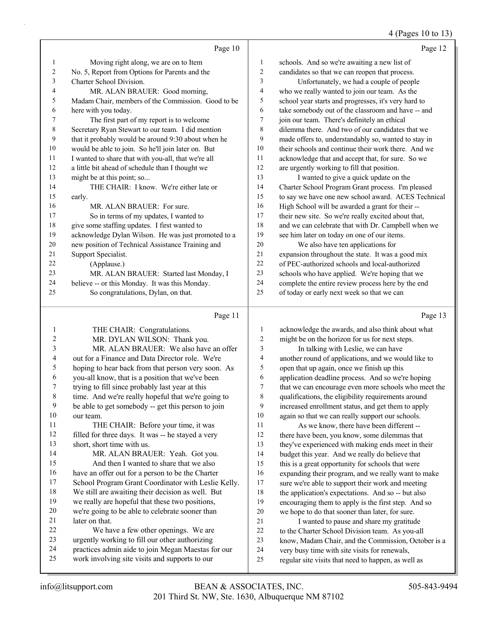# 4 (Pages 10 to 13)

|    | Page 10                                             |    | Page 12                                              |
|----|-----------------------------------------------------|----|------------------------------------------------------|
| 1  | Moving right along, we are on to Item               | 1  | schools. And so we're awaiting a new list of         |
| 2  | No. 5, Report from Options for Parents and the      | 2  | candidates so that we can reopen that process.       |
| 3  | Charter School Division.                            | 3  | Unfortunately, we had a couple of people             |
| 4  | MR. ALAN BRAUER: Good morning,                      | 4  | who we really wanted to join our team. As the        |
| 5  | Madam Chair, members of the Commission. Good to be  | 5  | school year starts and progresses, it's very hard to |
| 6  | here with you today.                                | 6  | take somebody out of the classroom and have -- and   |
| 7  | The first part of my report is to welcome           | 7  | join our team. There's definitely an ethical         |
| 8  | Secretary Ryan Stewart to our team. I did mention   | 8  | dilemma there. And two of our candidates that we     |
| 9  | that it probably would be around 9:30 about when he | 9  | made offers to, understandably so, wanted to stay in |
| 10 | would be able to join. So he'll join later on. But  | 10 | their schools and continue their work there. And we  |
| 11 | I wanted to share that with you-all, that we're all | 11 | acknowledge that and accept that, for sure. So we    |
| 12 | a little bit ahead of schedule than I thought we    | 12 | are urgently working to fill that position.          |
| 13 | might be at this point; so                          | 13 | I wanted to give a quick update on the               |
| 14 | THE CHAIR: I know. We're either late or             | 14 | Charter School Program Grant process. I'm pleased    |
| 15 | early.                                              | 15 | to say we have one new school award. ACES Technical  |
| 16 | MR. ALAN BRAUER: For sure.                          | 16 | High School will be awarded a grant for their --     |
| 17 | So in terms of my updates, I wanted to              | 17 | their new site. So we're really excited about that,  |
| 18 | give some staffing updates. I first wanted to       | 18 | and we can celebrate that with Dr. Campbell when we  |
| 19 | acknowledge Dylan Wilson. He was just promoted to a | 19 | see him later on today on one of our items.          |
| 20 | new position of Technical Assistance Training and   | 20 | We also have ten applications for                    |
| 21 | Support Specialist.                                 | 21 | expansion throughout the state. It was a good mix    |
| 22 | (Applause.)                                         | 22 | of PEC-authorized schools and local-authorized       |
| 23 | MR. ALAN BRAUER: Started last Monday, I             | 23 | schools who have applied. We're hoping that we       |
| 24 | believe -- or this Monday. It was this Monday.      | 24 | complete the entire review process here by the end   |
| 25 | So congratulations, Dylan, on that.                 | 25 | of today or early next week so that we can           |
|    | Page 11                                             |    | Page 13                                              |

### Page 11 |

|    | THE CHAIR: Congratulations.                         | 1  | acknowledge the awards, and also think about what    |
|----|-----------------------------------------------------|----|------------------------------------------------------|
| 2  | MR. DYLAN WILSON: Thank you.                        | 2  | might be on the horizon for us for next steps.       |
| 3  | MR. ALAN BRAUER: We also have an offer              | 3  | In talking with Leslie, we can have                  |
| 4  | out for a Finance and Data Director role. We're     | 4  | another round of applications, and we would like to  |
| 5  | hoping to hear back from that person very soon. As  | 5  | open that up again, once we finish up this           |
| 6  | you-all know, that is a position that we've been    | 6  | application deadline process. And so we're hoping    |
| 7  | trying to fill since probably last year at this     | 7  | that we can encourage even more schools who meet the |
| 8  | time. And we're really hopeful that we're going to  | 8  | qualifications, the eligibility requirements around  |
| 9  | be able to get somebody -- get this person to join  | 9  | increased enrollment status, and get them to apply   |
| 10 | our team.                                           | 10 | again so that we can really support our schools.     |
| 11 | THE CHAIR: Before your time, it was                 | 11 | As we know, there have been different --             |
| 12 | filled for three days. It was -- he stayed a very   | 12 | there have been, you know, some dilemmas that        |
| 13 | short, short time with us.                          | 13 | they've experienced with making ends meet in their   |
| 14 | MR. ALAN BRAUER: Yeah. Got you.                     | 14 | budget this year. And we really do believe that      |
| 15 | And then I wanted to share that we also             | 15 | this is a great opportunity for schools that were    |
| 16 | have an offer out for a person to be the Charter    | 16 | expanding their program, and we really want to make  |
| 17 | School Program Grant Coordinator with Leslie Kelly. | 17 | sure we're able to support their work and meeting    |
| 18 | We still are awaiting their decision as well. But   | 18 | the application's expectations. And so -- but also   |
| 19 | we really are hopeful that these two positions,     | 19 | encouraging them to apply is the first step. And so  |
| 20 | we're going to be able to celebrate sooner than     | 20 | we hope to do that sooner than later, for sure.      |
| 21 | later on that.                                      | 21 | I wanted to pause and share my gratitude             |
| 22 | We have a few other openings. We are                | 22 | to the Charter School Division team. As you-all      |
| 23 | urgently working to fill our other authorizing      | 23 | know, Madam Chair, and the Commission, October is a  |
| 24 | practices admin aide to join Megan Maestas for our  | 24 | very busy time with site visits for renewals,        |
| 25 | work involving site visits and supports to our      | 25 | regular site visits that need to happen, as well as  |
|    |                                                     |    |                                                      |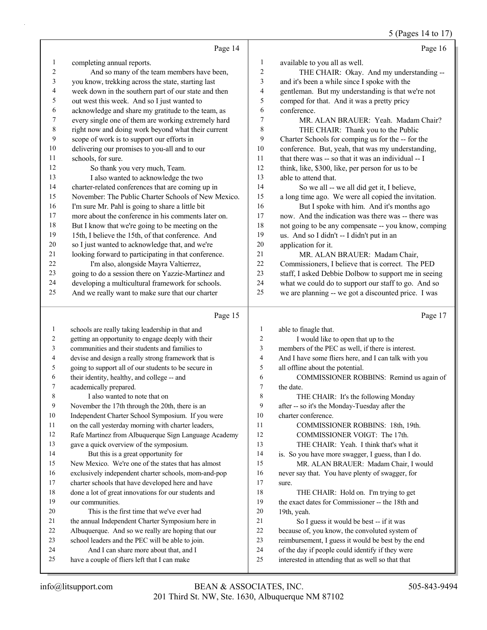|                |                                                      |                         | 5 (Pages 14 to 17)                                   |
|----------------|------------------------------------------------------|-------------------------|------------------------------------------------------|
|                | Page 14                                              |                         | Page 16                                              |
| $\mathbf{1}$   | completing annual reports.                           | $\mathbf{1}$            | available to you all as well.                        |
| 2              | And so many of the team members have been,           | $\overline{2}$          | THE CHAIR: Okay. And my understanding --             |
| $\mathfrak{Z}$ | you know, trekking across the state, starting last   | $\mathfrak{Z}$          | and it's been a while since I spoke with the         |
| 4              | week down in the southern part of our state and then | $\overline{4}$          | gentleman. But my understanding is that we're not    |
| 5              | out west this week. And so I just wanted to          | 5                       | comped for that. And it was a pretty pricy           |
| 6              | acknowledge and share my gratitude to the team, as   | 6                       | conference.                                          |
| 7              | every single one of them are working extremely hard  | 7                       | MR. ALAN BRAUER: Yeah. Madam Chair?                  |
| $\,$ 8 $\,$    | right now and doing work beyond what their current   | $\,$ 8 $\,$             | THE CHAIR: Thank you to the Public                   |
| 9              | scope of work is to support our efforts in           | 9                       | Charter Schools for comping us for the -- for the    |
| 10             | delivering our promises to you-all and to our        | 10                      | conference. But, yeah, that was my understanding,    |
| 11             | schools, for sure.                                   | 11                      | that there was -- so that it was an individual -- I  |
| 12             | So thank you very much, Team.                        | 12                      | think, like, \$300, like, per person for us to be    |
| 13             | I also wanted to acknowledge the two                 | 13                      | able to attend that.                                 |
| 14             | charter-related conferences that are coming up in    | 14                      | So we all -- we all did get it, I believe,           |
| 15             | November: The Public Charter Schools of New Mexico.  | 15                      | a long time ago. We were all copied the invitation.  |
| 16             | I'm sure Mr. Pahl is going to share a little bit     | 16                      | But I spoke with him. And it's months ago            |
| 17             | more about the conference in his comments later on.  | 17                      | now. And the indication was there was -- there was   |
| 18             | But I know that we're going to be meeting on the     | 18                      | not going to be any compensate -- you know, comping  |
| 19             | 15th, I believe the 15th, of that conference. And    | 19                      | us. And so I didn't -- I didn't put in an            |
| 20             | so I just wanted to acknowledge that, and we're      | 20                      | application for it.                                  |
| 21             | looking forward to participating in that conference. | 21                      | MR. ALAN BRAUER: Madam Chair,                        |
| 22             | I'm also, alongside Mayra Valtierrez,                | 22                      | Commissioners, I believe that is correct. The PED    |
| 23             | going to do a session there on Yazzie-Martinez and   | 23                      | staff, I asked Debbie Dolbow to support me in seeing |
| 24             | developing a multicultural framework for schools.    | 24                      | what we could do to support our staff to go. And so  |
| 25             | And we really want to make sure that our charter     | 25                      | we are planning -- we got a discounted price. I was  |
|                | Page 15                                              |                         | Page 17                                              |
| $\mathbf{1}$   | schools are really taking leadership in that and     | $\mathbf{1}$            | able to finagle that.                                |
| 2              | getting an opportunity to engage deeply with their   | $\overline{c}$          | I would like to open that up to the                  |
| 3              | communities and their students and families to       | 3                       | members of the PEC as well, if there is interest.    |
| 4              | devise and design a really strong framework that is  | $\overline{\mathbf{4}}$ | And I have some fliers here, and I can talk with you |
| 5              | going to support all of our students to be secure in | 5                       | all offline about the potential.                     |
| 6              | their identity, healthy, and college -- and          | 6                       | COMMISSIONER ROBBINS: Remind us again of             |
| Ί              | academically prepared.                               | 7                       | the date.                                            |
| 8              | I also wanted to note that on                        | $\,$ 8 $\,$             | THE CHAIR: It's the following Monday                 |
| 9              | November the 17th through the 20th, there is an      | 9                       | after -- so it's the Monday-Tuesday after the        |
| 10             | Independent Charter School Symposium. If you were    | 10                      | charter conference.                                  |
| 11             | on the call yesterday morning with charter leaders,  | 11                      | COMMISSIONER ROBBINS: 18th, 19th.                    |
| 12             | Rafe Martinez from Albuquerque Sign Language Academy | 12                      | COMMISSIONER VOIGT: The 17th.                        |
| 13             | gave a quick overview of the symposium.              | 13                      | THE CHAIR: Yeah. I think that's what it              |
| 14             | But this is a great opportunity for                  | 14                      | is. So you have more swagger, I guess, than I do.    |
| 15             | New Mexico. We're one of the states that has almost  | 15                      | MR. ALAN BRAUER: Madam Chair, I would                |
| 16             | exclusively independent charter schools, mom-and-pop | 16                      | never say that. You have plenty of swagger, for      |
| 17             | charter schools that have developed here and have    | 17                      | sure.                                                |
| 18             | done a lot of great innovations for our students and | 18                      | THE CHAIR: Hold on. I'm trying to get                |
| 19             | our communities.                                     | 19                      | the exact dates for Commissioner -- the 18th and     |
| 20             | This is the first time that we've ever had           | 20                      | 19th, yeah.                                          |
| 21             | the annual Independent Charter Symposium here in     | 21                      | So I guess it would be best -- if it was             |
| 22             | Albuquerque. And so we really are hoping that our    | 22                      | because of, you know, the convoluted system of       |
| 23             | school leaders and the PEC will be able to join.     | 23                      | reimbursement, I guess it would be best by the end   |
| 24             | And I can share more about that, and I               | 24                      | of the day if people could identify if they were     |
| 25             | have a couple of fliers left that I can make         | 25                      | interested in attending that as well so that that    |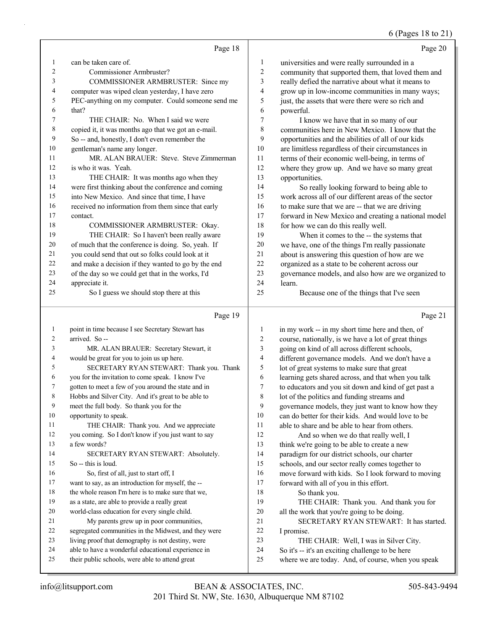### 6 (Pages 18 to 21)

|              | Page 18                                                                                         |                          | Page 20                                              |
|--------------|-------------------------------------------------------------------------------------------------|--------------------------|------------------------------------------------------|
| 1            | can be taken care of.                                                                           | 1                        | universities and were really surrounded in a         |
| 2            | Commissioner Armbruster?                                                                        | 2                        | community that supported them, that loved them and   |
| 3            | COMMISSIONER ARMBRUSTER: Since my                                                               | 3                        | really defied the narrative about what it means to   |
| 4            | computer was wiped clean yesterday, I have zero                                                 | 4                        | grow up in low-income communities in many ways;      |
| 5            | PEC-anything on my computer. Could someone send me                                              | 5                        | just, the assets that were there were so rich and    |
| 6            | that?                                                                                           | 6                        | powerful.                                            |
| 7            | THE CHAIR: No. When I said we were                                                              | 7                        | I know we have that in so many of our                |
| 8            | copied it, it was months ago that we got an e-mail.                                             | 8                        | communities here in New Mexico. I know that the      |
| 9            | So -- and, honestly, I don't even remember the                                                  | 9                        | opportunities and the abilities of all of our kids   |
| 10           | gentleman's name any longer.                                                                    | 10                       | are limitless regardless of their circumstances in   |
| 11           | MR. ALAN BRAUER: Steve. Steve Zimmerman                                                         | 11                       | terms of their economic well-being, in terms of      |
| 12           | is who it was. Yeah.                                                                            | 12                       | where they grow up. And we have so many great        |
| 13           | THE CHAIR: It was months ago when they                                                          | 13                       | opportunities.                                       |
| 14           | were first thinking about the conference and coming                                             | 14                       | So really looking forward to being able to           |
| 15           | into New Mexico. And since that time, I have                                                    | 15                       | work across all of our different areas of the sector |
| 16           | received no information from them since that early                                              | 16                       | to make sure that we are -- that we are driving      |
| 17           | contact.                                                                                        | 17                       | forward in New Mexico and creating a national model  |
| 18           | COMMISSIONER ARMBRUSTER: Okay.                                                                  | 18                       | for how we can do this really well.                  |
| 19           | THE CHAIR: So I haven't been really aware                                                       | 19                       | When it comes to the -- the systems that             |
| 20           | of much that the conference is doing. So, yeah. If                                              | $20\,$                   | we have, one of the things I'm really passionate     |
| 21           | you could send that out so folks could look at it                                               | 21                       | about is answering this question of how are we       |
| 22           | and make a decision if they wanted to go by the end                                             | 22                       | organized as a state to be coherent across our       |
| 23           | of the day so we could get that in the works, I'd                                               | 23                       | governance models, and also how are we organized to  |
| 24           | appreciate it.                                                                                  | 24                       | learn.                                               |
| 25           | So I guess we should stop there at this                                                         | 25                       | Because one of the things that I've seen             |
|              |                                                                                                 |                          |                                                      |
|              | Page 19                                                                                         |                          | Page 21                                              |
| $\mathbf{1}$ | point in time because I see Secretary Stewart has                                               | 1                        | in my work -- in my short time here and then, of     |
| 2            | arrived. So --                                                                                  | $\overline{c}$           | course, nationally, is we have a lot of great things |
| 3            | MR. ALAN BRAUER: Secretary Stewart, it                                                          | 3                        | going on kind of all across different schools,       |
| 4            | would be great for you to join us up here.                                                      | $\overline{\mathcal{A}}$ | different governance models. And we don't have a     |
| 5            | SECRETARY RYAN STEWART: Thank you. Thank                                                        | 5                        | lot of great systems to make sure that great         |
| 6            | you for the invitation to come speak. I know I've                                               | 6                        | learning gets shared across, and that when you talk  |
| 7            | gotten to meet a few of you around the state and in                                             | $\tau$                   | to educators and you sit down and kind of get past a |
| 8            | Hobbs and Silver City. And it's great to be able to                                             | $\,$ 8 $\,$              | lot of the politics and funding streams and          |
| 9            | meet the full body. So thank you for the                                                        | 9                        | governance models, they just want to know how they   |
| 10           | opportunity to speak.                                                                           | 10                       | can do better for their kids. And would love to be   |
| 11           | THE CHAIR: Thank you. And we appreciate                                                         | 11                       | able to share and be able to hear from others.       |
| 12           | you coming. So I don't know if you just want to say                                             | 12                       | And so when we do that really well, I                |
| 13           | a few words?                                                                                    | 13                       | think we're going to be able to create a new         |
| 14           | SECRETARY RYAN STEWART: Absolutely.                                                             | 14                       | paradigm for our district schools, our charter       |
| 15           | So -- this is loud.                                                                             | 15                       | schools, and our sector really comes together to     |
| 16           | So, first of all, just to start off, I                                                          | 16                       | move forward with kids. So I look forward to moving  |
| 17           | want to say, as an introduction for myself, the --                                              | 17                       | forward with all of you in this effort.              |
| 18<br>19     | the whole reason I'm here is to make sure that we,                                              | 18                       | So thank you.                                        |
| 20           | as a state, are able to provide a really great                                                  | 19<br>$20\,$             | THE CHAIR: Thank you. And thank you for              |
| 21           | world-class education for every single child.                                                   | 21                       | all the work that you're going to be doing.          |
| 22           | My parents grew up in poor communities,<br>segregated communities in the Midwest, and they were | 22                       | SECRETARY RYAN STEWART: It has started.              |
| 23           | living proof that demography is not destiny, were                                               | 23                       | I promise.<br>THE CHAIR: Well, I was in Silver City. |
| 24           | able to have a wonderful educational experience in                                              | 24                       | So it's -- it's an exciting challenge to be here     |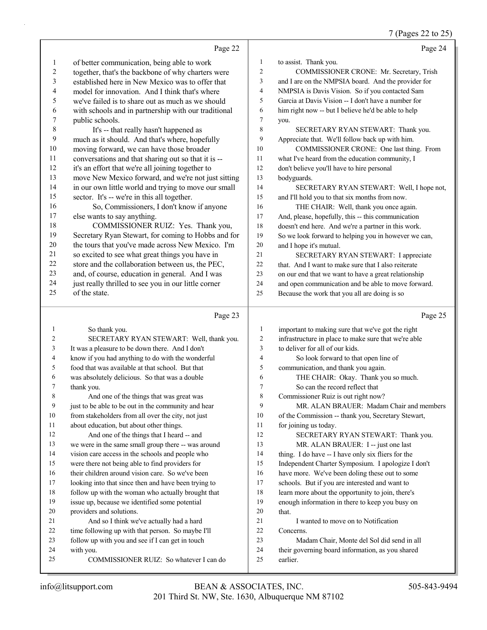7 (Pages 22 to 25)

|                |                                                                                                       |                | $(1 \text{ ages } 22 \text{ to } 29)$                                                   |
|----------------|-------------------------------------------------------------------------------------------------------|----------------|-----------------------------------------------------------------------------------------|
|                | Page 22                                                                                               |                | Page 24                                                                                 |
| 1              | of better communication, being able to work                                                           | 1              | to assist. Thank you.                                                                   |
| 2              | together, that's the backbone of why charters were                                                    | $\mathfrak{2}$ | COMMISSIONER CRONE: Mr. Secretary, Trish                                                |
| 3              | established here in New Mexico was to offer that                                                      | 3              | and I are on the NMPSIA board. And the provider for                                     |
| 4              | model for innovation. And I think that's where                                                        | 4              | NMPSIA is Davis Vision. So if you contacted Sam                                         |
| 5              | we've failed is to share out as much as we should                                                     | 5              | Garcia at Davis Vision -- I don't have a number for                                     |
| 6              | with schools and in partnership with our traditional                                                  | 6              | him right now -- but I believe he'd be able to help                                     |
| $\overline{7}$ | public schools.                                                                                       | 7              | you.                                                                                    |
| 8              | It's -- that really hasn't happened as                                                                | 8              | SECRETARY RYAN STEWART: Thank you.                                                      |
| 9              | much as it should. And that's where, hopefully                                                        | 9              | Appreciate that. We'll follow back up with him.                                         |
| 10             | moving forward, we can have those broader                                                             | 10             | COMMISSIONER CRONE: One last thing. From                                                |
| 11             | conversations and that sharing out so that it is --                                                   | 11             | what I've heard from the education community, I                                         |
| 12             | it's an effort that we're all joining together to                                                     | 12             | don't believe you'll have to hire personal                                              |
| 13             | move New Mexico forward, and we're not just sitting                                                   | 13             | bodyguards.                                                                             |
| 14             | in our own little world and trying to move our small                                                  | 14             | SECRETARY RYAN STEWART: Well, I hope not,                                               |
| 15             | sector. It's -- we're in this all together.                                                           | 15             | and I'll hold you to that six months from now.                                          |
| 16             | So, Commissioners, I don't know if anyone                                                             | 16             | THE CHAIR: Well, thank you once again.                                                  |
| 17             | else wants to say anything.                                                                           | 17             | And, please, hopefully, this -- this communication                                      |
| 18             | COMMISSIONER RUIZ: Yes. Thank you,                                                                    | 18             | doesn't end here. And we're a partner in this work.                                     |
| 19             | Secretary Ryan Stewart, for coming to Hobbs and for                                                   | 19             | So we look forward to helping you in however we can,                                    |
| $20\,$         | the tours that you've made across New Mexico. I'm                                                     | 20             | and I hope it's mutual.                                                                 |
| 21             | so excited to see what great things you have in                                                       | 21             | SECRETARY RYAN STEWART: I appreciate                                                    |
| $22\,$         | store and the collaboration between us, the PEC,                                                      | 22             | that. And I want to make sure that I also reiterate                                     |
| 23             | and, of course, education in general. And I was                                                       | 23             | on our end that we want to have a great relationship                                    |
| 24             | just really thrilled to see you in our little corner                                                  | 24             | and open communication and be able to move forward.                                     |
| 25             | of the state.                                                                                         | 25             | Because the work that you all are doing is so                                           |
|                |                                                                                                       |                |                                                                                         |
|                |                                                                                                       |                |                                                                                         |
|                | Page 23                                                                                               |                | Page 25                                                                                 |
| 1              |                                                                                                       | $\mathbf{1}$   |                                                                                         |
| 2              | So thank you.                                                                                         | $\sqrt{2}$     | important to making sure that we've got the right                                       |
| 3              | SECRETARY RYAN STEWART: Well, thank you.                                                              | 3              | infrastructure in place to make sure that we're able<br>to deliver for all of our kids. |
| 4              | It was a pleasure to be down there. And I don't                                                       | $\overline{4}$ |                                                                                         |
| 5              | know if you had anything to do with the wonderful<br>food that was available at that school. But that | 5              | So look forward to that open line of                                                    |
| 6              |                                                                                                       | 6              | communication, and thank you again.<br>THE CHAIR: Okay. Thank you so much.              |
| 7              | was absolutely delicious. So that was a double<br>thank you.                                          | $\overline{7}$ | So can the record reflect that                                                          |
| 8              | And one of the things that was great was                                                              | 8              | Commissioner Ruiz is out right now?                                                     |
| 9              | just to be able to be out in the community and hear                                                   | 9              | MR. ALAN BRAUER: Madam Chair and members                                                |
| 10             | from stakeholders from all over the city, not just                                                    | 10             | of the Commission -- thank you, Secretary Stewart,                                      |
| 11             | about education, but about other things.                                                              | 11             | for joining us today.                                                                   |
| 12             | And one of the things that I heard -- and                                                             | 12             | SECRETARY RYAN STEWART: Thank you.                                                      |
| 13             | we were in the same small group there -- was around                                                   | 13             | MR. ALAN BRAUER: I -- just one last                                                     |
| 14             | vision care access in the schools and people who                                                      | 14             | thing. I do have -- I have only six fliers for the                                      |
| 15             | were there not being able to find providers for                                                       | 15             | Independent Charter Symposium. I apologize I don't                                      |
| 16             | their children around vision care. So we've been                                                      | 16             | have more. We've been doling these out to some                                          |
| 17             | looking into that since then and have been trying to                                                  | 17             | schools. But if you are interested and want to                                          |
| 18             | follow up with the woman who actually brought that                                                    | 18             | learn more about the opportunity to join, there's                                       |
| 19             | issue up, because we identified some potential                                                        | 19             | enough information in there to keep you busy on                                         |
| 20             | providers and solutions.                                                                              | 20             | that.                                                                                   |
| 21             | And so I think we've actually had a hard                                                              | 21             | I wanted to move on to Notification                                                     |
| 22             | time following up with that person. So maybe I'll                                                     | 22             | Concerns.                                                                               |
| 23             | follow up with you and see if I can get in touch                                                      | 23             | Madam Chair, Monte del Sol did send in all                                              |
| 24             | with you.                                                                                             | 24             | their governing board information, as you shared                                        |
| 25             | COMMISSIONER RUIZ: So whatever I can do                                                               | 25             | earlier.                                                                                |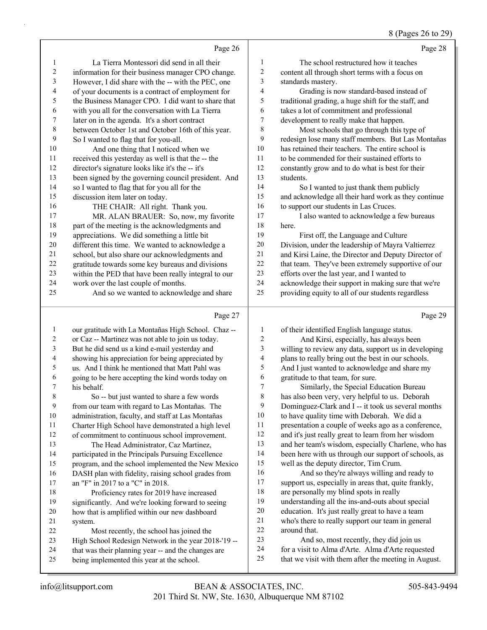# 8 (Pages 26 to 29)

|                | Page 26                                              |                  | Page 28                                              |
|----------------|------------------------------------------------------|------------------|------------------------------------------------------|
| 1              | La Tierra Montessori did send in all their           | 1                | The school restructured how it teaches               |
| 2              | information for their business manager CPO change.   | $\boldsymbol{2}$ | content all through short terms with a focus on      |
| $\mathfrak{Z}$ | However, I did share with the -- with the PEC, one   | 3                | standards mastery.                                   |
| 4              | of your documents is a contract of employment for    | 4                | Grading is now standard-based instead of             |
| 5              | the Business Manager CPO. I did want to share that   | 5                | traditional grading, a huge shift for the staff, and |
| 6              | with you all for the conversation with La Tierra     | 6                | takes a lot of commitment and professional           |
| $\tau$         | later on in the agenda. It's a short contract        | 7                | development to really make that happen.              |
| 8              | between October 1st and October 16th of this year.   | 8                | Most schools that go through this type of            |
| 9              | So I wanted to flag that for you-all.                | 9                | redesign lose many staff members. But Las Montañas   |
| 10             | And one thing that I noticed when we                 | 10               | has retained their teachers. The entire school is    |
| 11             | received this yesterday as well is that the -- the   | 11               | to be commended for their sustained efforts to       |
| 12             | director's signature looks like it's the -- it's     | 12               | constantly grow and to do what is best for their     |
| 13             | been signed by the governing council president. And  | 13               | students.                                            |
| 14             | so I wanted to flag that for you all for the         | 14               | So I wanted to just thank them publicly              |
| 15             | discussion item later on today.                      | 15               | and acknowledge all their hard work as they continue |
| 16             | THE CHAIR: All right. Thank you.                     | 16               | to support our students in Las Cruces.               |
| 17             | MR. ALAN BRAUER: So, now, my favorite                | 17               | I also wanted to acknowledge a few bureaus           |
| 18             | part of the meeting is the acknowledgments and       | 18               | here.                                                |
| 19             | appreciations. We did something a little bit         | 19               | First off, the Language and Culture                  |
| 20             | different this time. We wanted to acknowledge a      | 20               | Division, under the leadership of Mayra Valtierrez   |
| 21             | school, but also share our acknowledgments and       | 21               | and Kirsi Laine, the Director and Deputy Director of |
| 22             | gratitude towards some key bureaus and divisions     | 22               | that team. They've been extremely supportive of our  |
| 23             | within the PED that have been really integral to our | 23               | efforts over the last year, and I wanted to          |
| 24             | work over the last couple of months.                 | 24               | acknowledge their support in making sure that we're  |
| 25             | And so we wanted to acknowledge and share            | 25               | providing equity to all of our students regardless   |
|                | Page 27                                              |                  | Page 29                                              |
| 1              | our gratitude with La Montañas High School. Chaz --  | 1                | of their identified English language status.         |
| 2              | or Caz -- Martinez was not able to join us today.    | $\overline{c}$   | And Kirsi, especially, has always been               |
| 3              | But he did send us a kind e-mail yesterday and       | 3                | willing to review any data, support us in developing |

|                | 01 Ca2 -- Martinez was not able to join us today.    |                | And Kitsi, especially, has always occu-              |
|----------------|------------------------------------------------------|----------------|------------------------------------------------------|
| $\mathbf{3}$   | But he did send us a kind e-mail yesterday and       | 3              | willing to review any data, support us in developing |
| $\overline{4}$ | showing his appreciation for being appreciated by    | $\overline{4}$ | plans to really bring out the best in our schools.   |
| 5              | us. And I think he mentioned that Matt Pahl was      | 5              | And I just wanted to acknowledge and share my        |
| 6              | going to be here accepting the kind words today on   | 6              | gratitude to that team, for sure.                    |
| 7              | his behalf.                                          |                | Similarly, the Special Education Bureau              |
| 8              | So -- but just wanted to share a few words           | 8              | has also been very, very helpful to us. Deborah      |
| 9              | from our team with regard to Las Montañas. The       | 9              | Dominguez-Clark and I -- it took us several months   |
| 10             | administration, faculty, and staff at Las Montañas   | 10             | to have quality time with Deborah. We did a          |
| 11             | Charter High School have demonstrated a high level   | 11             | presentation a couple of weeks ago as a conference,  |
| 12             | of commitment to continuous school improvement.      | 12             | and it's just really great to learn from her wisdom  |
| 13             | The Head Administrator, Caz Martinez,                | 13             | and her team's wisdom, especially Charlene, who has  |
| 14             | participated in the Principals Pursuing Excellence   | 14             | been here with us through our support of schools, as |
| 15             | program, and the school implemented the New Mexico   | 15             | well as the deputy director, Tim Crum.               |
| 16             | DASH plan with fidelity, raising school grades from  | 16             | And so they're always willing and ready to           |
| 17             | an "F" in 2017 to a "C" in 2018.                     | 17             | support us, especially in areas that, quite frankly, |
| 18             | Proficiency rates for 2019 have increased            | 18             | are personally my blind spots in really              |
| 19             | significantly. And we're looking forward to seeing   | 19             | understanding all the ins-and-outs about special     |
| 20             | how that is amplified within our new dashboard       | 20             | education. It's just really great to have a team     |
| 21             | system.                                              | 21             | who's there to really support our team in general    |
| 22             | Most recently, the school has joined the             | 22             | around that.                                         |
| 23             | High School Redesign Network in the year 2018-'19 -- | 23             | And so, most recently, they did join us              |
| 24             | that was their planning year -- and the changes are  | 24             | for a visit to Alma d'Arte. Alma d'Arte requested    |
| 25             | being implemented this year at the school.           | 25             | that we visit with them after the meeting in August. |
|                |                                                      |                |                                                      |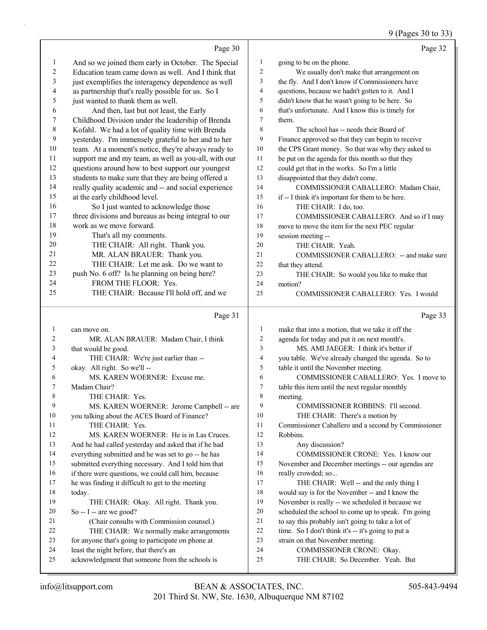# 9 (Pages 30 to 33)

|                         | Page 30                                                                                    |                          | Page 32                                                        |
|-------------------------|--------------------------------------------------------------------------------------------|--------------------------|----------------------------------------------------------------|
| $\mathbf{1}$            | And so we joined them early in October. The Special                                        | $\mathbf{1}$             | going to be on the phone.                                      |
| $\overline{c}$          | Education team came down as well. And I think that                                         | 2                        | We usually don't make that arrangement on                      |
| 3                       | just exemplifies the interagency dependence as well                                        | 3                        | the fly. And I don't know if Commissioners have                |
| $\overline{\mathbf{4}}$ | as partnership that's really possible for us. So I                                         | $\overline{\mathbf{4}}$  | questions, because we hadn't gotten to it. And I               |
| 5                       | just wanted to thank them as well.                                                         | 5                        | didn't know that he wasn't going to be here. So                |
| 6                       | And then, last but not least, the Early                                                    | 6                        | that's unfortunate. And I know this is timely for              |
| 7                       | Childhood Division under the leadership of Brenda                                          | $\overline{7}$           | them.                                                          |
| $\,$ $\,$               | Kofahl. We had a lot of quality time with Brenda                                           | 8                        | The school has -- needs their Board of                         |
| 9                       | yesterday. I'm immensely grateful to her and to her                                        | 9                        | Finance approved so that they can begin to receive             |
| 10                      | team. At a moment's notice, they're always ready to                                        | 10                       | the CPS Grant money. So that was why they asked to             |
| 11                      | support me and my team, as well as you-all, with our                                       | 11                       | be put on the agenda for this month so that they               |
| 12                      | questions around how to best support our youngest                                          | 12                       | could get that in the works. So I'm a little                   |
| 13                      | students to make sure that they are being offered a                                        | 13                       | disappointed that they didn't come.                            |
| 14                      | really quality academic and -- and social experience                                       | 14                       | COMMISSIONER CABALLERO: Madam Chair,                           |
| 15                      | at the early childhood level.                                                              | 15                       | if -- I think it's important for them to be here.              |
| 16                      | So I just wanted to acknowledge those                                                      | 16                       | THE CHAIR: I do, too.                                          |
| 17                      | three divisions and bureaus as being integral to our                                       | 17                       | COMMISSIONER CABALLERO: And so if I may                        |
| 18                      | work as we move forward.                                                                   | 18                       | move to move the item for the next PEC regular                 |
| 19                      | That's all my comments.                                                                    | 19                       | session meeting --                                             |
| 20                      | THE CHAIR: All right. Thank you.                                                           | 20                       | THE CHAIR: Yeah.                                               |
| 21                      | MR. ALAN BRAUER: Thank you.                                                                | 21                       | COMMISSIONER CABALLERO: -- and make sure                       |
| 22                      | THE CHAIR: Let me ask. Do we want to                                                       | 22                       | that they attend.                                              |
| 23                      | push No. 6 off? Is he planning on being here?                                              | 23                       | THE CHAIR: So would you like to make that                      |
| 24                      | FROM THE FLOOR: Yes.                                                                       | 24                       | motion?                                                        |
| 25                      | THE CHAIR: Because I'll hold off, and we                                                   | 25                       | COMMISSIONER CABALLERO: Yes. I would                           |
|                         |                                                                                            |                          |                                                                |
|                         |                                                                                            |                          |                                                                |
|                         | Page 31                                                                                    |                          | Page 33                                                        |
| $\mathbf{1}$            | can move on.                                                                               | $\mathbf{1}$             | make that into a motion, that we take it off the               |
| 2                       | MR. ALAN BRAUER: Madam Chair, I think                                                      | $\mathfrak{2}$           | agenda for today and put it on next month's.                   |
| 3                       | that would be good.                                                                        | 3                        | MS. AMI JAEGER: I think it's better if                         |
| 4                       | THE CHAIR: We're just earlier than --                                                      | $\overline{\mathcal{L}}$ | you table. We've already changed the agenda. So to             |
| 5                       | okay. All right. So we'll --                                                               | 5                        | table it until the November meeting.                           |
| 6                       | MS. KAREN WOERNER: Excuse me.                                                              | 6                        | COMMISSIONER CABALLERO: Yes. I move to                         |
| 7                       | Madam Chair?                                                                               | $\tau$                   | table this item until the next regular monthly                 |
| 8                       | THE CHAIR: Yes.                                                                            | $\,$ $\,$                | meeting.                                                       |
| 9                       | MS. KAREN WOERNER: Jerome Campbell -- are                                                  | 9                        | COMMISSIONER ROBBINS: I'll second.                             |
| 10                      | you talking about the ACES Board of Finance?                                               | 10                       | THE CHAIR: There's a motion by                                 |
| 11                      | THE CHAIR: Yes.                                                                            | 11                       | Commissioner Caballero and a second by Commissioner            |
| 12                      | MS. KAREN WOERNER: He is in Las Cruces.                                                    | 12                       | Robbins.                                                       |
| 13                      | And he had called yesterday and asked that if he had                                       | 13                       | Any discussion?                                                |
| 14                      | everything submitted and he was set to go -- he has                                        | 14                       | COMMISSIONER CRONE: Yes. I know our                            |
| 15                      | submitted everything necessary. And I told him that                                        | 15                       | November and December meetings -- our agendas are              |
| 16                      | if there were questions, we could call him, because                                        | 16                       | really crowded; so                                             |
| 17                      | he was finding it difficult to get to the meeting                                          | 17                       | THE CHAIR: Well -- and the only thing I                        |
| 18                      | today.                                                                                     | 18                       | would say is for the November -- and I know the                |
| 19                      | THE CHAIR: Okay. All right. Thank you.                                                     | 19                       | November is really -- we scheduled it because we               |
| 20                      | So -- I -- are we good?                                                                    | 20                       | scheduled the school to come up to speak. I'm going            |
| 21                      | (Chair consults with Commission counsel.)                                                  | 21                       | to say this probably isn't going to take a lot of              |
| 22                      | THE CHAIR: We normally make arrangements                                                   | 22                       | time. So I don't think it's -- it's going to put a             |
| 23                      | for anyone that's going to participate on phone at                                         | 23                       | strain on that November meeting.                               |
| 24<br>25                | least the night before, that there's an<br>acknowledgment that someone from the schools is | 24<br>25                 | COMMISSIONER CRONE: Okay.<br>THE CHAIR: So December. Yeah. But |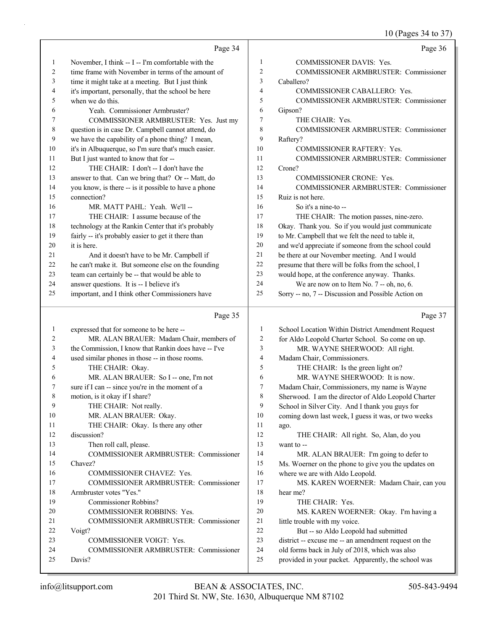10 (Pages 34 to 37)

|    | Page 34                                              |                | Page 36                                              |
|----|------------------------------------------------------|----------------|------------------------------------------------------|
| 1  | November, I think -- I -- I'm comfortable with the   | 1              | <b>COMMISSIONER DAVIS: Yes.</b>                      |
| 2  | time frame with November in terms of the amount of   | 2              | COMMISSIONER ARMBRUSTER: Commissioner                |
| 3  | time it might take at a meeting. But I just think    | 3              | Caballero?                                           |
| 4  | it's important, personally, that the school be here  | $\overline{4}$ | COMMISSIONER CABALLERO: Yes.                         |
| 5  | when we do this.                                     | 5              | <b>COMMISSIONER ARMBRUSTER: Commissioner</b>         |
| 6  | Yeah. Commissioner Armbruster?                       | 6              | Gipson?                                              |
| 7  | COMMISSIONER ARMBRUSTER: Yes. Just my                | 7              | THE CHAIR: Yes.                                      |
| 8  | question is in case Dr. Campbell cannot attend, do   | 8              | COMMISSIONER ARMBRUSTER: Commissioner                |
| 9  | we have the capability of a phone thing? I mean,     | 9              | Raftery?                                             |
| 10 | it's in Albuquerque, so I'm sure that's much easier. | 10             | <b>COMMISSIONER RAFTERY: Yes.</b>                    |
| 11 | But I just wanted to know that for --                | 11             | <b>COMMISSIONER ARMBRUSTER: Commissioner</b>         |
| 12 | THE CHAIR: I don't -- I don't have the               | 12             | Crone?                                               |
| 13 | answer to that. Can we bring that? Or -- Matt, do    | 13             | <b>COMMISSIONER CRONE: Yes.</b>                      |
| 14 | you know, is there -- is it possible to have a phone | 14             | <b>COMMISSIONER ARMBRUSTER: Commissioner</b>         |
| 15 | connection?                                          | 15             | Ruiz is not here.                                    |
| 16 | MR. MATT PAHL: Yeah. We'll --                        | 16             | So it's a nine-to $-$                                |
| 17 | THE CHAIR: I assume because of the                   | 17             | THE CHAIR: The motion passes, nine-zero.             |
| 18 | technology at the Rankin Center that it's probably   | 18             | Okay. Thank you. So if you would just communicate    |
| 19 | fairly -- it's probably easier to get it there than  | 19             | to Mr. Campbell that we felt the need to table it,   |
| 20 | it is here.                                          | 20             | and we'd appreciate if someone from the school could |
| 21 | And it doesn't have to be Mr. Campbell if            | 21             | be there at our November meeting. And I would        |
| 22 | he can't make it. But someone else on the founding   | 22             | presume that there will be folks from the school, I  |
| 23 | team can certainly be -- that would be able to       | 23             | would hope, at the conference anyway. Thanks.        |
| 24 | answer questions. It is -- I believe it's            | 24             | We are now on to Item No. $7 -$ oh, no, 6.           |
| 25 | important, and I think other Commissioners have      | 25             | Sorry -- no, 7 -- Discussion and Possible Action on  |

# Page 35

| -1 | expressed that for someone to be here --             | 1  | School Location Within District Amendment Request    |
|----|------------------------------------------------------|----|------------------------------------------------------|
| 2  | MR. ALAN BRAUER: Madam Chair, members of             | 2  | for Aldo Leopold Charter School. So come on up.      |
| 3  | the Commission, I know that Rankin does have -- I've | 3  | MR. WAYNE SHERWOOD: All right.                       |
| 4  | used similar phones in those -- in those rooms.      | 4  | Madam Chair, Commissioners.                          |
| 5  | THE CHAIR: Okay.                                     | 5  | THE CHAIR: Is the green light on?                    |
| 6  | MR. ALAN BRAUER: So I -- one, I'm not                | 6  | MR. WAYNE SHERWOOD: It is now.                       |
| 7  | sure if I can -- since you're in the moment of a     | 7  | Madam Chair, Commissioners, my name is Wayne         |
| 8  | motion, is it okay if I share?                       | 8  | Sherwood. I am the director of Aldo Leopold Charter  |
| 9  | THE CHAIR: Not really.                               | 9  | School in Silver City. And I thank you guys for      |
| 10 | MR. ALAN BRAUER: Okay.                               | 10 | coming down last week, I guess it was, or two weeks  |
| 11 | THE CHAIR: Okay. Is there any other                  | 11 | ago.                                                 |
| 12 | discussion?                                          | 12 | THE CHAIR: All right. So, Alan, do you               |
| 13 | Then roll call, please.                              | 13 | want to --                                           |
| 14 | COMMISSIONER ARMBRUSTER: Commissioner                | 14 | MR. ALAN BRAUER: I'm going to defer to               |
| 15 | Chavez?                                              | 15 | Ms. Woerner on the phone to give you the updates on  |
| 16 | <b>COMMISSIONER CHAVEZ: Yes.</b>                     | 16 | where we are with Aldo Leopold.                      |
| 17 | <b>COMMISSIONER ARMBRUSTER: Commissioner</b>         | 17 | MS. KAREN WOERNER: Madam Chair, can you              |
| 18 | Armbruster votes "Yes."                              | 18 | hear me?                                             |
| 19 | Commissioner Robbins?                                | 19 | THE CHAIR: Yes.                                      |
| 20 | <b>COMMISSIONER ROBBINS: Yes.</b>                    | 20 | MS. KAREN WOERNER: Okay. I'm having a                |
| 21 | <b>COMMISSIONER ARMBRUSTER: Commissioner</b>         | 21 | little trouble with my voice.                        |
| 22 | Voigt?                                               | 22 | But -- so Aldo Leopold had submitted                 |
| 23 | <b>COMMISSIONER VOIGT: Yes.</b>                      | 23 | district -- excuse me -- an amendment request on the |
| 24 | <b>COMMISSIONER ARMBRUSTER: Commissioner</b>         | 24 | old forms back in July of 2018, which was also       |
| 25 | Davis?                                               | 25 | provided in your packet. Apparently, the school was  |
|    |                                                      |    |                                                      |

Page 37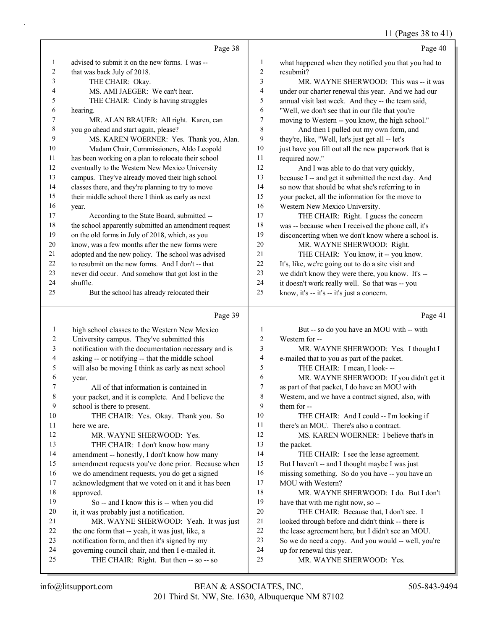|                | Page 38                                                                                    |                | Page 40                                                                          |
|----------------|--------------------------------------------------------------------------------------------|----------------|----------------------------------------------------------------------------------|
| 1              | advised to submit it on the new forms. I was --                                            | 1              | what happened when they notified you that you had to                             |
| $\overline{c}$ | that was back July of 2018.                                                                | $\overline{c}$ | resubmit?                                                                        |
| 3              | THE CHAIR: Okay.                                                                           | 3              | MR. WAYNE SHERWOOD: This was -- it was                                           |
| 4              | MS. AMI JAEGER: We can't hear.                                                             | 4              | under our charter renewal this year. And we had our                              |
| 5              | THE CHAIR: Cindy is having struggles                                                       | 5              | annual visit last week. And they -- the team said,                               |
| 6              | hearing.                                                                                   | 6              | "Well, we don't see that in our file that you're                                 |
| 7              | MR. ALAN BRAUER: All right. Karen, can                                                     | 7              | moving to Western -- you know, the high school."                                 |
| $\,$ $\,$      | you go ahead and start again, please?                                                      | 8              | And then I pulled out my own form, and                                           |
| 9              | MS. KAREN WOERNER: Yes. Thank you, Alan.                                                   | 9              | they're, like, "Well, let's just get all -- let's                                |
| 10             | Madam Chair, Commissioners, Aldo Leopold                                                   | 10             | just have you fill out all the new paperwork that is                             |
| 11             | has been working on a plan to relocate their school                                        | 11             | required now."                                                                   |
| 12             | eventually to the Western New Mexico University                                            | 12             | And I was able to do that very quickly,                                          |
| 13             | campus. They've already moved their high school                                            | 13             | because I -- and get it submitted the next day. And                              |
| 14             | classes there, and they're planning to try to move                                         | 14             | so now that should be what she's referring to in                                 |
| 15             | their middle school there I think as early as next                                         | 15             | your packet, all the information for the move to                                 |
| 16             | year.                                                                                      | 16             | Western New Mexico University.                                                   |
| 17             | According to the State Board, submitted --                                                 | 17             | THE CHAIR: Right. I guess the concern                                            |
| 18             | the school apparently submitted an amendment request                                       | 18             | was -- because when I received the phone call, it's                              |
| 19             | on the old forms in July of 2018, which, as you                                            | 19             | disconcerting when we don't know where a school is.                              |
| 20             | know, was a few months after the new forms were                                            | 20             | MR. WAYNE SHERWOOD: Right.                                                       |
| 21             | adopted and the new policy. The school was advised                                         | 21             | THE CHAIR: You know, it -- you know.                                             |
| 22             | to resubmit on the new forms. And I don't -- that                                          | 22             | It's, like, we're going out to do a site visit and                               |
| 23             | never did occur. And somehow that got lost in the                                          | 23             | we didn't know they were there, you know. It's --                                |
| 24             | shuffle.                                                                                   | 24             | it doesn't work really well. So that was -- you                                  |
| 25             | But the school has already relocated their                                                 | 25             | know, it's -- it's -- it's just a concern.                                       |
|                | Page 39                                                                                    |                | Page 41                                                                          |
| $\mathbf{1}$   | high school classes to the Western New Mexico                                              | 1              | But -- so do you have an MOU with -- with                                        |
| 2              | University campus. They've submitted this                                                  | 2              | Western for --                                                                   |
| 3              | notification with the documentation necessary and is                                       | 3              | MR. WAYNE SHERWOOD: Yes. I thought I                                             |
| 4              | asking -- or notifying -- that the middle school                                           | 4              | e-mailed that to you as part of the packet.                                      |
| 5              | will also be moving I think as early as next school                                        | 5              | THE CHAIR: I mean, I look---                                                     |
| 6              | year.                                                                                      | 6              | MR. WAYNE SHERWOOD: If you didn't get it                                         |
| 7              | All of that information is contained in                                                    | 7              | as part of that packet, I do have an MOU with                                    |
| 8              | your packet, and it is complete. And I believe the                                         | 8              | Western, and we have a contract signed, also, with                               |
| 9              | school is there to present.                                                                | 9              | them for --                                                                      |
| 10             | THE CHAIR: Yes. Okay. Thank you. So                                                        | $10\,$         | THE CHAIR: And I could -- I'm looking if                                         |
| 11             | here we are.                                                                               | 11             | there's an MOU. There's also a contract.                                         |
| 12             | MR. WAYNE SHERWOOD: Yes.                                                                   | $12\,$         | MS. KAREN WOERNER: I believe that's in                                           |
| 13             | THE CHAIR: I don't know how many                                                           | 13             | the packet.                                                                      |
| 14             | amendment -- honestly, I don't know how many                                               | 14             | THE CHAIR: I see the lease agreement.                                            |
| 15             | amendment requests you've done prior. Because when                                         | 15             | But I haven't -- and I thought maybe I was just                                  |
| 16             | we do amendment requests, you do get a signed                                              | 16             | missing something. So do you have -- you have an                                 |
| 17             | acknowledgment that we voted on it and it has been                                         | 17             | MOU with Western?                                                                |
| $18\,$         | approved.                                                                                  | $18\,$         | MR. WAYNE SHERWOOD: I do. But I don't                                            |
| 19             | So -- and I know this is -- when you did                                                   | 19             | have that with me right now, so --                                               |
| 20             | it, it was probably just a notification.                                                   | $20\,$         | THE CHAIR: Because that, I don't see. I                                          |
| 21             | MR. WAYNE SHERWOOD: Yeah. It was just                                                      | 21             | looked through before and didn't think -- there is                               |
| 22             | the one form that -- yeah, it was just, like, a                                            | 22             | the lease agreement here, but I didn't see an MOU.                               |
| 23<br>24       | notification form, and then it's signed by my                                              | $23\,$<br>24   | So we do need a copy. And you would -- well, you're<br>up for renewal this year. |
|                |                                                                                            |                |                                                                                  |
| 25             | governing council chair, and then I e-mailed it.<br>THE CHAIR: Right. But then -- so -- so | 25             | MR. WAYNE SHERWOOD: Yes.                                                         |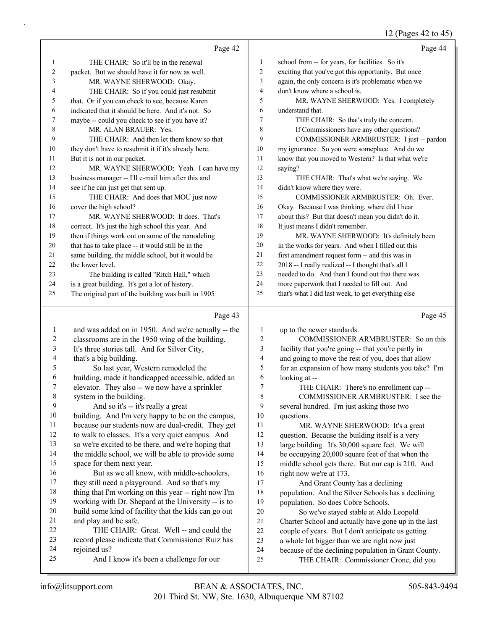#### 12 (Pages  $42$  to  $45$ )

|                  |                                                      |                | $12$ (rages 42 to 45                                |
|------------------|------------------------------------------------------|----------------|-----------------------------------------------------|
|                  | Page 42                                              |                | Page 44                                             |
| 1                | THE CHAIR: So it'll be in the renewal                | 1              | school from -- for years, for facilities. So it's   |
| 2                | packet. But we should have it for now as well.       | $\overline{2}$ | exciting that you've got this opportunity. But once |
| 3                | MR. WAYNE SHERWOOD: Okay.                            | 3              | again, the only concern is it's problematic when we |
| 4                | THE CHAIR: So if you could just resubmit             | 4              | don't know where a school is.                       |
| 5                | that. Or if you can check to see, because Karen      | 5              | MR. WAYNE SHERWOOD: Yes. I completely               |
| 6                | indicated that it should be here. And it's not. So   | 6              | understand that.                                    |
| 7                | maybe -- could you check to see if you have it?      | $\tau$         | THE CHAIR: So that's truly the concern.             |
| 8                | MR. ALAN BRAUER: Yes.                                | 8              | If Commissioners have any other questions?          |
| 9                | THE CHAIR: And then let them know so that            | 9              | COMMISSIONER ARMBRUSTER: I just -- pardon           |
| 10               | they don't have to resubmit it if it's already here. | 10             | my ignorance. So you were someplace. And do we      |
| 11               | But it is not in our packet.                         | 11             | know that you moved to Western? Is that what we're  |
| 12               | MR. WAYNE SHERWOOD: Yeah. I can have my              | 12             | saying?                                             |
| 13               | business manager -- I'll e-mail him after this and   | 13             | THE CHAIR: That's what we're saying. We             |
| 14               | see if he can just get that sent up.                 | 14             | didn't know where they were.                        |
| 15               | THE CHAIR: And does that MOU just now                | 15             | COMMISSIONER ARMBRUSTER: Oh. Ever.                  |
| 16               | cover the high school?                               | 16             | Okay. Because I was thinking, where did I hear      |
| 17               | MR. WAYNE SHERWOOD: It does. That's                  | 17             | about this? But that doesn't mean you didn't do it. |
| 18               | correct. It's just the high school this year. And    | 18             | It just means I didn't remember.                    |
| 19               | then if things work out on some of the remodeling    | 19             | MR. WAYNE SHERWOOD: It's definitely been            |
| 20               | that has to take place -- it would still be in the   | 20             | in the works for years. And when I filled out this  |
| 21               | same building, the middle school, but it would be    | 21             | first amendment request form -- and this was in     |
| 22               | the lower level.                                     | 22             | 2018 -- I really realized -- I thought that's all I |
| 23               | The building is called "Ritch Hall," which           | 23             | needed to do. And then I found out that there was   |
| 24               | is a great building. It's got a lot of history.      | 24             | more paperwork that I needed to fill out. And       |
| 25               | The original part of the building was built in 1905  | 25             | that's what I did last week, to get everything else |
|                  | Page 43                                              |                | Page 45                                             |
| 1                | and was added on in 1950. And we're actually -- the  | 1              | up to the newer standards.                          |
| $\boldsymbol{2}$ | classrooms are in the 1950 wing of the building.     | 2              | COMMISSIONER ARMBRUSTER: So on this                 |
| 3                | It's three stories tall. And for Silver City,        | 3              | facility that you're going -- that you're partly in |
| 4                | that's a big building.                               | 4              | and going to move the rest of you, does that allow  |
| 5                | So last year, Western remodeled the                  | 5              | for an expansion of how many students you take? I'm |

 for an expansion of how many students you take? I'm looking at --

7 THE CHAIR: There's no enrollment cap --

8 COMMISSIONER ARMBRUSTER: I see the several hundred. I'm just asking those two

questions.

11 MR. WAYNE SHERWOOD: It's a great question. Because the building itself is a very large building. It's 30,000 square feet. We will be occupying 20,000 square feet of that when the middle school gets there. But our cap is 210. And right now we're at 173. 17 And Grant County has a declining

 population. And the Silver Schools has a declining population. So does Cobre Schools.

20 So we've stayed stable at Aldo Leopold Charter School and actually have gone up in the last

couple of years. But I don't anticipate us getting

- a whole lot bigger than we are right now just
- because of the declining population in Grant County.
- 25 THE CHAIR: Commissioner Crone, did you

rejoined us?

 building, made it handicapped accessible, added an elevator. They also -- we now have a sprinkler

 building. And I'm very happy to be on the campus, because our students now are dual-credit. They get to walk to classes. It's a very quiet campus. And so we're excited to be there, and we're hoping that the middle school, we will be able to provide some

16 But as we all know, with middle-schoolers, they still need a playground. And so that's my thing that I'm working on this year -- right now I'm working with Dr. Shepard at the University -- is to build some kind of facility that the kids can go out

22 THE CHAIR: Great. Well -- and could the record please indicate that Commissioner Ruiz has

25 And I know it's been a challenge for our

system in the building.

space for them next year.

and play and be safe.

9 And so it's -- it's really a great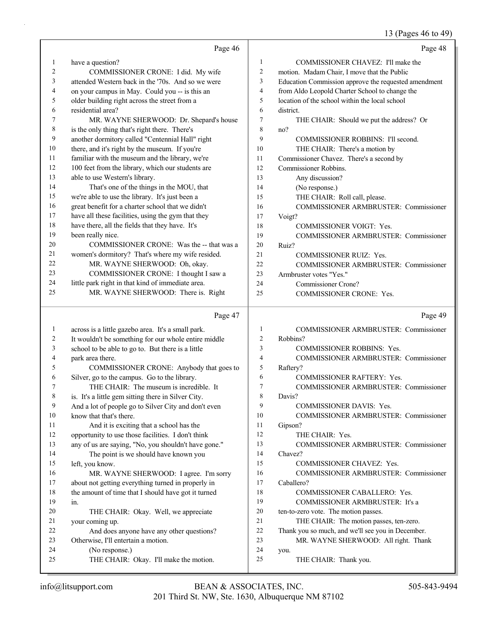# 13 (Pages 46 to 49)

|              | Page 46                                                               |                          | Page 48                                              |
|--------------|-----------------------------------------------------------------------|--------------------------|------------------------------------------------------|
| $\mathbf{1}$ | have a question?                                                      | 1                        | COMMISSIONER CHAVEZ: I'll make the                   |
| 2            | COMMISSIONER CRONE: I did. My wife                                    | $\overline{c}$           | motion. Madam Chair, I move that the Public          |
| 3            | attended Western back in the '70s. And so we were                     | 3                        | Education Commission approve the requested amendment |
| 4            | on your campus in May. Could you -- is this an                        | $\overline{\mathcal{L}}$ | from Aldo Leopold Charter School to change the       |
| 5            | older building right across the street from a                         | 5                        | location of the school within the local school       |
| 6            | residential area?                                                     | 6                        | district.                                            |
| 7            | MR. WAYNE SHERWOOD: Dr. Shepard's house                               | 7                        | THE CHAIR: Should we put the address? Or             |
| 8            | is the only thing that's right there. There's                         | 8                        | no?                                                  |
| 9            | another dormitory called "Centennial Hall" right                      | 9                        | COMMISSIONER ROBBINS: I'll second.                   |
| 10           | there, and it's right by the museum. If you're                        | 10                       | THE CHAIR: There's a motion by                       |
| 11           | familiar with the museum and the library, we're                       | 11                       | Commissioner Chavez. There's a second by             |
| 12           | 100 feet from the library, which our students are                     | 12                       | Commissioner Robbins.                                |
| 13           | able to use Western's library.                                        | 13                       | Any discussion?                                      |
| 14           | That's one of the things in the MOU, that                             | 14                       | (No response.)                                       |
| 15           | we're able to use the library. It's just been a                       | 15                       | THE CHAIR: Roll call, please.                        |
| 16           | great benefit for a charter school that we didn't                     | 16                       | COMMISSIONER ARMBRUSTER: Commissioner                |
| 17           | have all these facilities, using the gym that they                    | 17                       | Voigt?                                               |
| 18           | have there, all the fields that they have. It's                       | 18                       | <b>COMMISSIONER VOIGT: Yes.</b>                      |
| 19           | been really nice.                                                     | 19                       | COMMISSIONER ARMBRUSTER: Commissioner                |
| 20           | COMMISSIONER CRONE: Was the -- that was a                             | 20                       | Ruiz?                                                |
| 21           | women's dormitory? That's where my wife resided.                      | 21                       | <b>COMMISSIONER RUIZ: Yes.</b>                       |
| 22           | MR. WAYNE SHERWOOD: Oh, okay.                                         | 22                       | <b>COMMISSIONER ARMBRUSTER: Commissioner</b>         |
| 23           | COMMISSIONER CRONE: I thought I saw a                                 | 23                       | Armbruster votes "Yes."                              |
| 24           | little park right in that kind of immediate area.                     | 24                       | Commissioner Crone?                                  |
| 25           | MR. WAYNE SHERWOOD: There is. Right                                   | 25                       | COMMISSIONER CRONE: Yes.                             |
|              |                                                                       |                          |                                                      |
|              |                                                                       |                          |                                                      |
|              | Page 47                                                               |                          | Page 49                                              |
| $\mathbf{1}$ |                                                                       | $\mathbf{1}$             | COMMISSIONER ARMBRUSTER: Commissioner                |
| 2            | across is a little gazebo area. It's a small park.                    | 2                        | Robbins?                                             |
| 3            | It wouldn't be something for our whole entire middle                  | 3                        | <b>COMMISSIONER ROBBINS: Yes.</b>                    |
| 4            | school to be able to go to. But there is a little<br>park area there. | 4                        | COMMISSIONER ARMBRUSTER: Commissioner                |
| 5            | COMMISSIONER CRONE: Anybody that goes to                              | 5                        | Raftery?                                             |
| 6            | Silver, go to the campus. Go to the library.                          | 6                        | <b>COMMISSIONER RAFTERY: Yes.</b>                    |
| 7            | THE CHAIR: The museum is incredible. It                               | 7                        | <b>COMMISSIONER ARMBRUSTER: Commissioner</b>         |
| 8            | is. It's a little gem sitting there in Silver City.                   | 8                        | Davis?                                               |
| 9            | And a lot of people go to Silver City and don't even                  | 9                        | COMMISSIONER DAVIS: Yes.                             |
| 10           | know that that's there.                                               | 10                       | COMMISSIONER ARMBRUSTER: Commissioner                |
| 11           | And it is exciting that a school has the                              | 11                       | Gipson?                                              |
| 12           | opportunity to use those facilities. I don't think                    | 12                       | THE CHAIR: Yes.                                      |
| 13           | any of us are saying, "No, you shouldn't have gone."                  | 13                       | COMMISSIONER ARMBRUSTER: Commissioner                |
| 14           | The point is we should have known you                                 | 14                       | Chavez?                                              |
| 15           | left, you know.                                                       | 15                       | COMMISSIONER CHAVEZ: Yes.                            |
| 16           | MR. WAYNE SHERWOOD: I agree. I'm sorry                                | 16                       | COMMISSIONER ARMBRUSTER: Commissioner                |
| 17           | about not getting everything turned in properly in                    | 17                       | Caballero?                                           |
| 18           | the amount of time that I should have got it turned                   | 18                       | COMMISSIONER CABALLERO: Yes.                         |
| 19           | in.                                                                   | 19                       | COMMISSIONER ARMBRUSTER: It's a                      |
| 20           | THE CHAIR: Okay. Well, we appreciate                                  | $20\,$                   | ten-to-zero vote. The motion passes.                 |
| 21           | your coming up.                                                       | 21                       | THE CHAIR: The motion passes, ten-zero.              |
| 22           | And does anyone have any other questions?                             | $22\,$                   | Thank you so much, and we'll see you in December.    |
| 23           | Otherwise, I'll entertain a motion.                                   | 23                       | MR. WAYNE SHERWOOD: All right. Thank                 |
| 24<br>25     | (No response.)<br>THE CHAIR: Okay. I'll make the motion.              | 24<br>25                 | you.<br>THE CHAIR: Thank you.                        |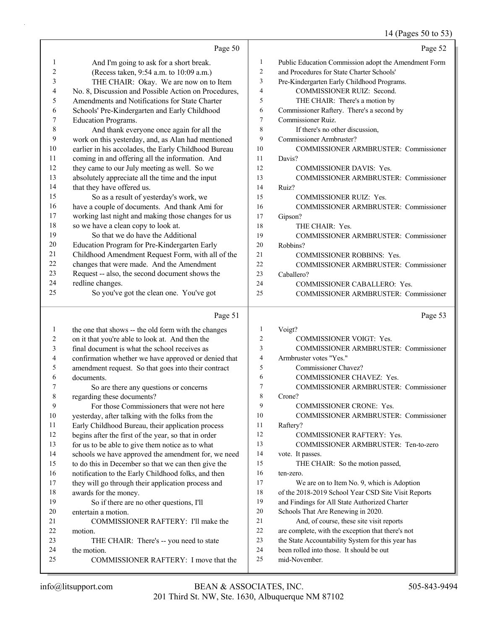# 14 (Pages 50 to 53)

|          | Page 50                                                         |                | Page 52                                                                        |
|----------|-----------------------------------------------------------------|----------------|--------------------------------------------------------------------------------|
| 1        | And I'm going to ask for a short break.                         | 1              | Public Education Commission adopt the Amendment Form                           |
| 2        | (Recess taken, 9:54 a.m. to 10:09 a.m.)                         | $\overline{c}$ | and Procedures for State Charter Schools'                                      |
| 3        | THE CHAIR: Okay. We are now on to Item                          | 3              | Pre-Kindergarten Early Childhood Programs.                                     |
| 4        | No. 8, Discussion and Possible Action on Procedures,            | $\overline{4}$ | COMMISSIONER RUIZ: Second.                                                     |
| 5        | Amendments and Notifications for State Charter                  | 5              | THE CHAIR: There's a motion by                                                 |
| 6        | Schools' Pre-Kindergarten and Early Childhood                   | 6              | Commissioner Raftery. There's a second by                                      |
| 7        | <b>Education Programs.</b>                                      | 7              | Commissioner Ruiz.                                                             |
| 8        | And thank everyone once again for all the                       | 8              | If there's no other discussion,                                                |
| 9        | work on this yesterday, and, as Alan had mentioned              | 9              | Commissioner Armbruster?                                                       |
| 10       | earlier in his accolades, the Early Childhood Bureau            | 10             | COMMISSIONER ARMBRUSTER: Commissioner                                          |
| 11       | coming in and offering all the information. And                 | 11             | Davis?                                                                         |
| 12       | they came to our July meeting as well. So we                    | 12             | COMMISSIONER DAVIS: Yes.                                                       |
| 13       | absolutely appreciate all the time and the input                | 13             | COMMISSIONER ARMBRUSTER: Commissioner                                          |
| 14       | that they have offered us.                                      | 14             | Ruiz?                                                                          |
| 15       | So as a result of yesterday's work, we                          | 15             | <b>COMMISSIONER RUIZ: Yes.</b>                                                 |
| 16       | have a couple of documents. And thank Ami for                   | 16             | COMMISSIONER ARMBRUSTER: Commissioner                                          |
| 17       | working last night and making those changes for us              | 17             | Gipson?                                                                        |
| 18       | so we have a clean copy to look at.                             | 18             | THE CHAIR: Yes.                                                                |
| 19       | So that we do have the Additional                               | 19             | COMMISSIONER ARMBRUSTER: Commissioner                                          |
| 20       | Education Program for Pre-Kindergarten Early                    | 20             | Robbins?                                                                       |
| 21       | Childhood Amendment Request Form, with all of the               | 21             | <b>COMMISSIONER ROBBINS: Yes.</b>                                              |
| 22       | changes that were made. And the Amendment                       | 22             | <b>COMMISSIONER ARMBRUSTER: Commissioner</b>                                   |
| 23       | Request -- also, the second document shows the                  | 23             | Caballero?                                                                     |
| 24       | redline changes.                                                | 24             | COMMISSIONER CABALLERO: Yes.                                                   |
| 25       | So you've got the clean one. You've got                         | 25             | COMMISSIONER ARMBRUSTER: Commissioner                                          |
|          |                                                                 |                |                                                                                |
|          | Page 51                                                         |                | Page 53                                                                        |
| 1        | the one that shows -- the old form with the changes             | 1              | Voigt?                                                                         |
| 2        | on it that you're able to look at. And then the                 | $\overline{2}$ | <b>COMMISSIONER VOIGT: Yes.</b>                                                |
| 3        | final document is what the school receives as                   | 3              | <b>COMMISSIONER ARMBRUSTER: Commissioner</b>                                   |
| 4        | confirmation whether we have approved or denied that            | 4              | Armbruster votes "Yes."                                                        |
| 5        | amendment request. So that goes into their contract             | 5              | Commissioner Chavez?                                                           |
| 6        | documents.                                                      | 6              | COMMISSIONER CHAVEZ: Yes.                                                      |
| 7        | So are there any questions or concerns                          | 7              | <b>COMMISSIONER ARMBRUSTER: Commissioner</b>                                   |
| 8        | regarding these documents?                                      | 8              | Crone?                                                                         |
| 9        | For those Commissioners that were not here                      | 9              | COMMISSIONER CRONE: Yes.                                                       |
| 10       | yesterday, after talking with the folks from the                | 10             | COMMISSIONER ARMBRUSTER: Commissioner                                          |
| 11       | Early Childhood Bureau, their application process               | 11             | Raftery?                                                                       |
| 12       | begins after the first of the year, so that in order            | 12             | COMMISSIONER RAFTERY: Yes.                                                     |
| 13       | for us to be able to give them notice as to what                | 13             | COMMISSIONER ARMBRUSTER: Ten-to-zero                                           |
| 14       | schools we have approved the amendment for, we need             | 14             | vote. It passes.                                                               |
| 15       | to do this in December so that we can then give the             | 15             | THE CHAIR: So the motion passed,                                               |
| 16       | notification to the Early Childhood folks, and then             | 16             | ten-zero.                                                                      |
| 17       | they will go through their application process and              | 17             | We are on to Item No. 9, which is Adoption                                     |
| 18       | awards for the money.                                           | 18<br>19       | of the 2018-2019 School Year CSD Site Visit Reports                            |
| 19       | So if there are no other questions, I'll<br>entertain a motion. | 20             | and Findings for All State Authorized Charter                                  |
| 20<br>21 | COMMISSIONER RAFTERY: I'll make the                             | 21             | Schools That Are Renewing in 2020.<br>And, of course, these site visit reports |
| 22       | motion.                                                         | $22\,$         | are complete, with the exception that there's not                              |
| 23       | THE CHAIR: There's -- you need to state                         | 23             | the State Accountability System for this year has                              |
| 24       | the motion.                                                     | 24             | been rolled into those. It should be out                                       |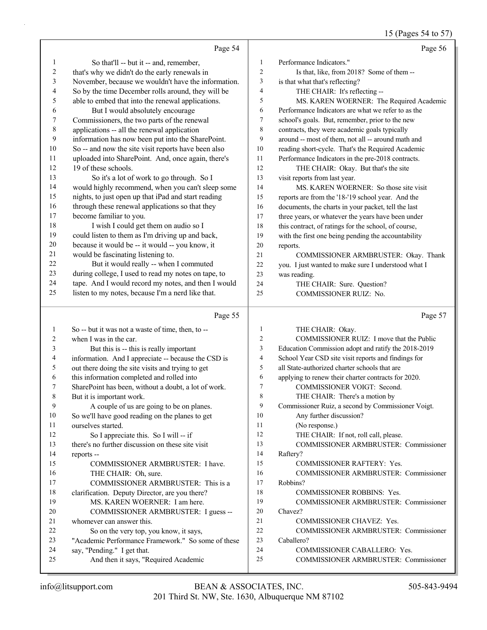# 15 (Pages 54 to 57)

|                | Page 54                                                             |                | Page 56                                                               |
|----------------|---------------------------------------------------------------------|----------------|-----------------------------------------------------------------------|
| 1              | So that'll -- but it -- and, remember,                              | $\mathbf{1}$   | Performance Indicators."                                              |
| $\sqrt{2}$     | that's why we didn't do the early renewals in                       | $\mathfrak{2}$ | Is that, like, from 2018? Some of them --                             |
| 3              | November, because we wouldn't have the information.                 | 3              | is that what that's reflecting?                                       |
| $\overline{4}$ | So by the time December rolls around, they will be                  | 4              | THE CHAIR: It's reflecting --                                         |
| 5              | able to embed that into the renewal applications.                   | 5              | MS. KAREN WOERNER: The Required Academic                              |
| 6              | But I would absolutely encourage                                    | 6              | Performance Indicators are what we refer to as the                    |
| 7              | Commissioners, the two parts of the renewal                         | 7              | school's goals. But, remember, prior to the new                       |
| $\,$ 8 $\,$    | applications -- all the renewal application                         | 8              | contracts, they were academic goals typically                         |
| 9              | information has now been put into the SharePoint.                   | 9              | around -- most of them, not all -- around math and                    |
| 10             | So -- and now the site visit reports have been also                 | 10             | reading short-cycle. That's the Required Academic                     |
| 11             | uploaded into SharePoint. And, once again, there's                  | 11             | Performance Indicators in the pre-2018 contracts.                     |
| 12             | 19 of these schools.                                                | 12             | THE CHAIR: Okay. But that's the site                                  |
| 13             | So it's a lot of work to go through. So I                           | 13             | visit reports from last year.                                         |
| 14             | would highly recommend, when you can't sleep some                   | 14             | MS. KAREN WOERNER: So those site visit                                |
| 15             | nights, to just open up that iPad and start reading                 | 15             | reports are from the '18-'19 school year. And the                     |
| 16             | through these renewal applications so that they                     | 16             | documents, the charts in your packet, tell the last                   |
| 17             | become familiar to you.                                             | 17             | three years, or whatever the years have been under                    |
| $18\,$         | I wish I could get them on audio so I                               | $18\,$         | this contract, of ratings for the school, of course,                  |
| 19             | could listen to them as I'm driving up and back,                    | 19             | with the first one being pending the accountability                   |
| 20             | because it would be -- it would -- you know, it                     | 20             | reports.                                                              |
| 21             | would be fascinating listening to.                                  | 21             | COMMISSIONER ARMBRUSTER: Okay. Thank                                  |
| 22             | But it would really -- when I commuted                              | 22             | you. I just wanted to make sure I understood what I                   |
| 23             | during college, I used to read my notes on tape, to                 | 23             | was reading.                                                          |
| 24             | tape. And I would record my notes, and then I would                 | 24             | THE CHAIR: Sure. Question?                                            |
| 25             | listen to my notes, because I'm a nerd like that.                   | 25             | COMMISSIONER RUIZ: No.                                                |
|                | Page 55                                                             |                | Page 57                                                               |
| $\mathbf{1}$   | So -- but it was not a waste of time, then, to --                   | 1              | THE CHAIR: Okay.                                                      |
| 2              | when I was in the car.                                              | 2              | COMMISSIONER RUIZ: I move that the Public                             |
| 3              | But this is -- this is really important                             | 3              | Education Commission adopt and ratify the 2018-2019                   |
| 4              | information. And I appreciate -- because the CSD is                 | 4              | School Year CSD site visit reports and findings for                   |
| 5              | out there doing the site visits and trying to get                   | 5              | all State-authorized charter schools that are                         |
| 6              | this information completed and rolled into                          | 6              | applying to renew their charter contracts for 2020.                   |
| 7              | SharePoint has been, without a doubt, a lot of work.                | 7              | COMMISSIONER VOIGT: Second.                                           |
| 8              | But it is important work.                                           | 8              | THE CHAIR: There's a motion by                                        |
| 9              | A couple of us are going to be on planes.                           | 9              | Commissioner Ruiz, a second by Commissioner Voigt.                    |
| 10             | So we'll have good reading on the planes to get                     | 10             | Any further discussion?                                               |
| 11             | ourselves started.                                                  | 11             | (No response.)                                                        |
| 12             |                                                                     |                | THE CHAIR: If not, roll call, please.                                 |
| 13             | So I appreciate this. So I will -- if                               | 12             |                                                                       |
|                | there's no further discussion on these site visit                   | 13             | COMMISSIONER ARMBRUSTER: Commissioner                                 |
| 14             | reports --                                                          | 14             | Raftery?                                                              |
| 15             | COMMISSIONER ARMBRUSTER: I have.                                    | 15             | COMMISSIONER RAFTERY: Yes.                                            |
| 16             | THE CHAIR: Oh, sure.                                                | 16             | COMMISSIONER ARMBRUSTER: Commissioner                                 |
| 17             | COMMISSIONER ARMBRUSTER: This is a                                  | 17             | Robbins?                                                              |
| 18             | clarification. Deputy Director, are you there?                      | 18             | COMMISSIONER ROBBINS: Yes.                                            |
| 19             | MS. KAREN WOERNER: I am here.                                       | 19             | COMMISSIONER ARMBRUSTER: Commissioner                                 |
| 20             | COMMISSIONER ARMBRUSTER: I guess --                                 | 20             | Chavez?                                                               |
| 21             | whomever can answer this.                                           | 21             | COMMISSIONER CHAVEZ: Yes.                                             |
| 22             | So on the very top, you know, it says,                              | 22             | COMMISSIONER ARMBRUSTER: Commissioner                                 |
| 23             | "Academic Performance Framework." So some of these                  | 23             | Caballero?                                                            |
| 24<br>25       | say, "Pending." I get that.<br>And then it says, "Required Academic | 24<br>25       | COMMISSIONER CABALLERO: Yes.<br>COMMISSIONER ARMBRUSTER: Commissioner |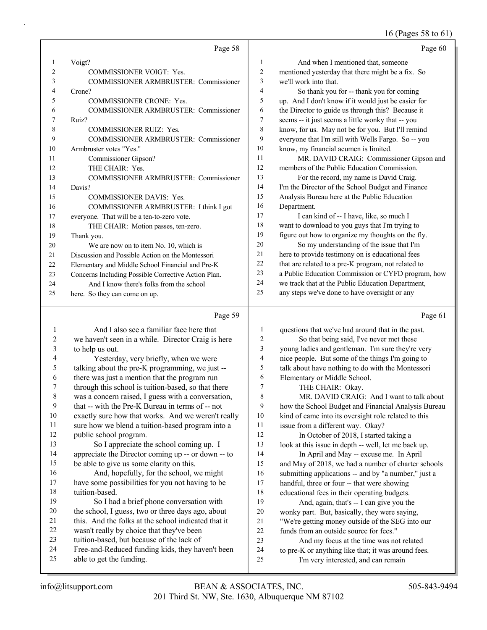# 16 (Pages 58 to 61)

|    | Page 58                                             |    | Page 60                                             |
|----|-----------------------------------------------------|----|-----------------------------------------------------|
| 1  | Voigt?                                              | 1  | And when I mentioned that, someone                  |
| 2  | <b>COMMISSIONER VOIGT: Yes.</b>                     | 2  | mentioned yesterday that there might be a fix. So   |
| 3  | <b>COMMISSIONER ARMBRUSTER: Commissioner</b>        | 3  | we'll work into that.                               |
| 4  | Crone?                                              | 4  | So thank you for -- thank you for coming            |
| 5  | <b>COMMISSIONER CRONE: Yes.</b>                     | 5  | up. And I don't know if it would just be easier for |
| 6  | <b>COMMISSIONER ARMBRUSTER: Commissioner</b>        | 6  | the Director to guide us through this? Because it   |
| 7  | Ruiz?                                               | 7  | seems -- it just seems a little wonky that -- you   |
| 8  | <b>COMMISSIONER RUIZ: Yes.</b>                      | 8  | know, for us. May not be for you. But I'll remind   |
| 9  | <b>COMMISSIONER ARMBRUSTER: Commissioner</b>        | 9  | everyone that I'm still with Wells Fargo. So -- you |
| 10 | Armbruster votes "Yes."                             | 10 | know, my financial acumen is limited.               |
| 11 | Commissioner Gipson?                                | 11 | MR. DAVID CRAIG: Commissioner Gipson and            |
| 12 | THE CHAIR: Yes.                                     | 12 | members of the Public Education Commission.         |
| 13 | <b>COMMISSIONER ARMBRUSTER: Commissioner</b>        | 13 | For the record, my name is David Craig.             |
| 14 | Davis?                                              | 14 | I'm the Director of the School Budget and Finance   |
| 15 | <b>COMMISSIONER DAVIS: Yes.</b>                     | 15 | Analysis Bureau here at the Public Education        |
| 16 | COMMISSIONER ARMBRUSTER: I think I got              | 16 | Department.                                         |
| 17 | everyone. That will be a ten-to-zero vote.          | 17 | I can kind of -- I have, like, so much I            |
| 18 | THE CHAIR: Motion passes, ten-zero.                 | 18 | want to download to you guys that I'm trying to     |
| 19 | Thank you.                                          | 19 | figure out how to organize my thoughts on the fly.  |
| 20 | We are now on to item No. 10, which is              | 20 | So my understanding of the issue that I'm           |
| 21 | Discussion and Possible Action on the Montessori    | 21 | here to provide testimony on is educational fees    |
| 22 | Elementary and Middle School Financial and Pre-K    | 22 | that are related to a pre-K program, not related to |
| 23 | Concerns Including Possible Corrective Action Plan. | 23 | a Public Education Commission or CYFD program, how  |
| 24 | And I know there's folks from the school            | 24 | we track that at the Public Education Department,   |
| 25 | here. So they can come on up.                       | 25 | any steps we've done to have oversight or any       |

### Page 59

|    | And I also see a familiar face here that            | 1  | questions that we've had around that in the past.    |
|----|-----------------------------------------------------|----|------------------------------------------------------|
| 2  | we haven't seen in a while. Director Craig is here  | 2  | So that being said, I've never met these             |
| 3  | to help us out.                                     | 3  | young ladies and gentleman. I'm sure they're very    |
| 4  | Yesterday, very briefly, when we were               | 4  | nice people. But some of the things I'm going to     |
| 5  | talking about the pre-K programming, we just --     | 5  | talk about have nothing to do with the Montessori    |
| 6  | there was just a mention that the program run       | 6  | Elementary or Middle School.                         |
| 7  | through this school is tuition-based, so that there | 7  | THE CHAIR: Okay.                                     |
| 8  | was a concern raised, I guess with a conversation,  | 8  | MR. DAVID CRAIG: And I want to talk about            |
| 9  | that -- with the Pre-K Bureau in terms of -- not    | 9  | how the School Budget and Financial Analysis Bureau  |
| 10 | exactly sure how that works. And we weren't really  | 10 | kind of came into its oversight role related to this |
| 11 | sure how we blend a tuition-based program into a    | 11 | issue from a different way. Okay?                    |
| 12 | public school program.                              | 12 | In October of 2018, I started taking a               |
| 13 | So I appreciate the school coming up. I             | 13 | look at this issue in depth -- well, let me back up. |
| 14 | appreciate the Director coming up -- or down -- to  | 14 | In April and May -- excuse me. In April              |
| 15 | be able to give us some clarity on this.            | 15 | and May of 2018, we had a number of charter schools  |
| 16 | And, hopefully, for the school, we might            | 16 | submitting applications -- and by "a number," just a |
| 17 | have some possibilities for you not having to be    | 17 | handful, three or four -- that were showing          |
| 18 | tuition-based.                                      | 18 | educational fees in their operating budgets.         |
| 19 | So I had a brief phone conversation with            | 19 | And, again, that's -- I can give you the             |
| 20 | the school, I guess, two or three days ago, about   | 20 | wonky part. But, basically, they were saying,        |
| 21 | this. And the folks at the school indicated that it | 21 | "We're getting money outside of the SEG into our     |
| 22 | wasn't really by choice that they've been           | 22 | funds from an outside source for fees."              |
| 23 | tuition-based, but because of the lack of           | 23 | And my focus at the time was not related             |
| 24 | Free-and-Reduced funding kids, they haven't been    | 24 | to pre-K or anything like that; it was around fees.  |
| 25 | able to get the funding.                            | 25 | I'm very interested, and can remain                  |
|    |                                                     |    |                                                      |

Page 61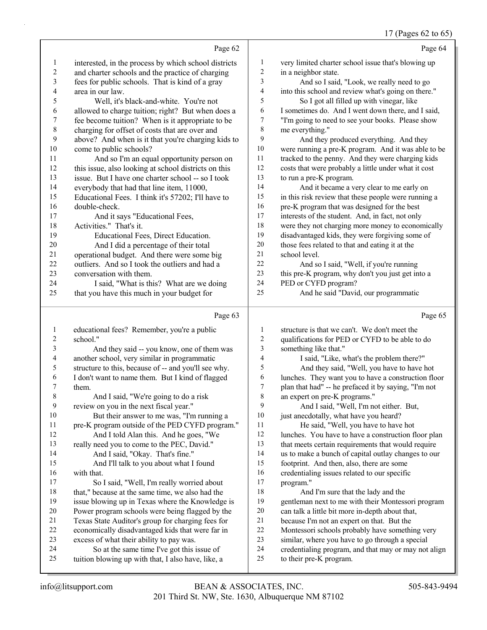### 17 (Pages 62 to 65)

|                          |                                                      |                  | $17$ (1 agos 02 to 02                                |
|--------------------------|------------------------------------------------------|------------------|------------------------------------------------------|
|                          | Page 62                                              |                  | Page 64                                              |
| $\mathbf{1}$             | interested, in the process by which school districts | 1                | very limited charter school issue that's blowing up  |
| $\overline{c}$           | and charter schools and the practice of charging     | $\boldsymbol{2}$ | in a neighbor state.                                 |
| 3                        | fees for public schools. That is kind of a gray      | 3                | And so I said, "Look, we really need to go           |
| $\overline{\mathcal{L}}$ | area in our law.                                     | 4                | into this school and review what's going on there."  |
| 5                        | Well, it's black-and-white. You're not               | 5                | So I got all filled up with vinegar, like            |
| 6                        | allowed to charge tuition; right? But when does a    | 6                | I sometimes do. And I went down there, and I said,   |
| 7                        | fee become tuition? When is it appropriate to be     | 7                | "I'm going to need to see your books. Please show    |
| 8                        | charging for offset of costs that are over and       | 8                | me everything."                                      |
| 9                        | above? And when is it that you're charging kids to   | 9                | And they produced everything. And they               |
| 10                       | come to public schools?                              | $10\,$           | were running a pre-K program. And it was able to be  |
| 11                       | And so I'm an equal opportunity person on            | 11               | tracked to the penny. And they were charging kids    |
| 12                       | this issue, also looking at school districts on this | 12               | costs that were probably a little under what it cost |
| 13                       | issue. But I have one charter school -- so I took    | 13               | to run a pre-K program.                              |
| 14                       | everybody that had that line item, 11000,            | 14               | And it became a very clear to me early on            |
| 15                       | Educational Fees. I think it's 57202; I'll have to   | 15               | in this risk review that these people were running a |
| 16                       | double-check.                                        | 16               | pre-K program that was designed for the best         |
| 17                       | And it says "Educational Fees,                       | 17               | interests of the student. And, in fact, not only     |
| 18                       | Activities." That's it.                              | 18               | were they not charging more money to economically    |
| 19                       | Educational Fees, Direct Education.                  | 19               | disadvantaged kids, they were forgiving some of      |
| $20\,$                   | And I did a percentage of their total                | $20\,$           | those fees related to that and eating it at the      |
| 21                       | operational budget. And there were some big          | 21               | school level.                                        |
| 22                       | outliers. And so I took the outliers and had a       | 22               | And so I said, "Well, if you're running              |
| 23                       | conversation with them.                              | 23               | this pre-K program, why don't you just get into a    |
| 24                       | I said, "What is this? What are we doing             | 24               | PED or CYFD program?                                 |
| 25                       | that you have this much in your budget for           | 25               | And he said "David, our programmatic                 |
|                          | Page 63                                              |                  | Page 65                                              |
| $\mathbf{1}$             | educational fees? Remember, you're a public          | 1                | structure is that we can't. We don't meet the        |
| $\overline{c}$           | school."                                             | 2                | qualifications for PED or CYFD to be able to do      |
| 3                        | And they said -- you know, one of them was           | 3                | something like that."                                |
| $\overline{\mathcal{A}}$ | another school, very similar in programmatic         | 4                | I said, "Like, what's the problem there?"            |
| 5                        | structure to this, because of -- and you'll see why. | 5                | And they said, "Well, you have to have hot           |
| 6                        | I don't want to name them. But I kind of flagged     | 6                | lunches. They want you to have a construction floor  |
| 7                        | them.                                                | $\overline{7}$   | plan that had" -- he prefaced it by saying, "I'm not |
| 8                        | And I said, "We're going to do a risk                | $\,8\,$          | an expert on pre-K programs."                        |
| 9                        | review on you in the next fiscal year."              | 9                | And I said, "Well, I'm not either. But,              |
| $10\,$                   | But their answer to me was, "I'm running a           | 10               | just anecdotally, what have you heard?               |
| 11                       | pre-K program outside of the PED CYFD program."      | 11               | He said, "Well, you have to have hot                 |
| 12                       | And I told Alan this. And he goes, "We               | 12               | lunches. You have to have a construction floor plan  |
| 13                       | really need you to come to the PEC, David."          | 13               | that meets certain requirements that would require   |
| 14                       | And I said, "Okay. That's fine."                     | 14               | us to make a bunch of capital outlay changes to our  |
| 15                       | And I'll talk to you about what I found              | 15               | footprint. And then, also, there are some            |
| 16                       | with that.                                           | 16               | credentialing issues related to our specific         |
| 17                       | So I said, "Well, I'm really worried about           | 17               | program."                                            |
| 18                       | that," because at the same time, we also had the     | 18               | And I'm sure that the lady and the                   |
| 19                       | issue blowing up in Texas where the Knowledge is     | 19               | gentleman next to me with their Montessori program   |
| $20\,$                   | Power program schools were being flagged by the      | $20\,$           | can talk a little bit more in-depth about that,      |

- because I'm not an expert on that. But the
- Montessori schools probably have something very
- similar, where you have to go through a special
- 24 credentialing program, and that may or may not align<br>25 to their pre-K program.
	- to their pre-K program.

 Texas State Auditor's group for charging fees for 22 economically disadvantaged kids that were far in<br>23 excess of what their ability to pay was. excess of what their ability to pay was. 24 So at the same time I've got this issue of<br>25 tuition blowing up with that. I also have, like, a tuition blowing up with that, I also have, like, a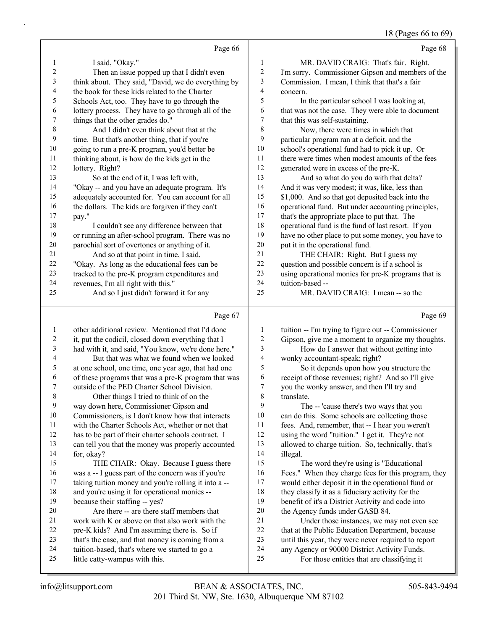#### 18 (Pages 66 to 69)

|    | Page 66                                             |                | Page 68                                             |
|----|-----------------------------------------------------|----------------|-----------------------------------------------------|
| 1  | I said, "Okay."                                     | 1              | MR. DAVID CRAIG: That's fair. Right.                |
| 2  | Then an issue popped up that I didn't even          | $\overline{c}$ | I'm sorry. Commissioner Gipson and members of the   |
| 3  | think about. They said, "David, we do everything by | 3              | Commission. I mean, I think that that's a fair      |
| 4  | the book for these kids related to the Charter      | 4              | concern.                                            |
| 5  | Schools Act, too. They have to go through the       | 5              | In the particular school I was looking at,          |
| 6  | lottery process. They have to go through all of the | 6              | that was not the case. They were able to document   |
| 7  | things that the other grades do."                   | 7              | that this was self-sustaining.                      |
| 8  | And I didn't even think about that at the           | 8              | Now, there were times in which that                 |
| 9  | time. But that's another thing, that if you're      | 9              | particular program ran at a deficit, and the        |
| 10 | going to run a pre-K program, you'd better be       | 10             | school's operational fund had to pick it up. Or     |
| 11 | thinking about, is how do the kids get in the       | 11             | there were times when modest amounts of the fees    |
| 12 | lottery. Right?                                     | 12             | generated were in excess of the pre-K.              |
| 13 | So at the end of it, I was left with,               | 13             | And so what do you do with that delta?              |
| 14 | "Okay -- and you have an adequate program. It's     | 14             | And it was very modest; it was, like, less than     |
| 15 | adequately accounted for. You can account for all   | 15             | \$1,000. And so that got deposited back into the    |
| 16 | the dollars. The kids are forgiven if they can't    | 16             | operational fund. But under accounting principles,  |
| 17 | pay."                                               | 17             | that's the appropriate place to put that. The       |
| 18 | I couldn't see any difference between that          | 18             | operational fund is the fund of last resort. If you |
| 19 | or running an after-school program. There was no    | 19             | have no other place to put some money, you have to  |
| 20 | parochial sort of overtones or anything of it.      | 20             | put it in the operational fund.                     |
| 21 | And so at that point in time, I said,               | 21             | THE CHAIR: Right. But I guess my                    |
| 22 | "Okay. As long as the educational fees can be       | 22             | question and possible concern is if a school is     |
| 23 | tracked to the pre-K program expenditures and       | 23             | using operational monies for pre-K programs that is |
| 24 | revenues, I'm all right with this."                 | 24             | tuition-based --                                    |
| 25 | And so I just didn't forward it for any             | 25             | MR. DAVID CRAIG: I mean -- so the                   |
|    | Page 67                                             |                | Page 69                                             |

 other additional review. Mentioned that I'd done it, put the codicil, closed down everything that I had with it, and said, "You know, we're done here." 4 But that was what we found when we looked at one school, one time, one year ago, that had one of these programs that was a pre-K program that was outside of the PED Charter School Division. 8 Other things I tried to think of on the way down here, Commissioner Gipson and Commissioners, is I don't know how that interacts with the Charter Schools Act, whether or not that has to be part of their charter schools contract. I can tell you that the money was properly accounted for, okay? 15 THE CHAIR: Okay. Because I guess there was a -- I guess part of the concern was if you're 17 taking tuition money and you're rolling it into a -- and you're using it for operational monies -- because their staffing -- yes? 20 Are there -- are there staff members that work with K or above on that also work with the pre-K kids? And I'm assuming there is. So if 23 that's the case, and that money is coming from a tuition-based, that's where we started to go a little catty-wampus with this. tuition -- I'm trying to figure out -- Commissioner Gipson, give me a moment to organize my thoughts. 3 How do I answer that without getting into wonky accountant-speak; right? 5 So it depends upon how you structure the receipt of those revenues; right? And so I'll give you the wonky answer, and then I'll try and translate. 9 The -- 'cause there's two ways that you can do this. Some schools are collecting those fees. And, remember, that -- I hear you weren't using the word "tuition." I get it. They're not allowed to charge tuition. So, technically, that's illegal. 15 The word they're using is "Educational Fees." When they charge fees for this program, they would either deposit it in the operational fund or they classify it as a fiduciary activity for the benefit of it's a District Activity and code into the Agency funds under GASB 84. 21 Under those instances, we may not even see 22 that at the Public Education Department, because until this year, they were never required to report any Agency or 90000 District Activity Funds. 25 For those entities that are classifying it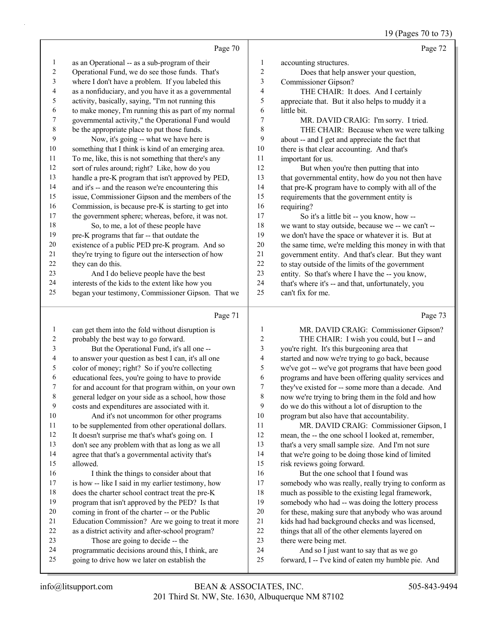#### 19 (Pages 70 to 73)

|                | Page 70                                              |                         | Page 72                                              |
|----------------|------------------------------------------------------|-------------------------|------------------------------------------------------|
| $\mathbf{1}$   | as an Operational -- as a sub-program of their       | 1                       | accounting structures.                               |
| $\overline{c}$ | Operational Fund, we do see those funds. That's      | $\boldsymbol{2}$        | Does that help answer your question,                 |
| 3              | where I don't have a problem. If you labeled this    | 3                       | Commissioner Gipson?                                 |
| 4              | as a nonfiduciary, and you have it as a governmental | $\overline{\mathbf{4}}$ | THE CHAIR: It does. And I certainly                  |
| 5              | activity, basically, saying, "I'm not running this   | 5                       | appreciate that. But it also helps to muddy it a     |
| 6              | to make money, I'm running this as part of my normal | 6                       | little bit.                                          |
| 7              | governmental activity," the Operational Fund would   | 7                       | MR. DAVID CRAIG: I'm sorry. I tried.                 |
| $\,$ 8 $\,$    | be the appropriate place to put those funds.         | $\,$ 8 $\,$             | THE CHAIR: Because when we were talking              |
| 9              | Now, it's going -- what we have here is              | 9                       | about -- and I get and appreciate the fact that      |
| 10             | something that I think is kind of an emerging area.  | 10                      | there is that clear accounting. And that's           |
| 11             | To me, like, this is not something that there's any  | 11                      | important for us.                                    |
| 12             | sort of rules around; right? Like, how do you        | 12                      | But when you're then putting that into               |
| 13             | handle a pre-K program that isn't approved by PED,   | 13                      | that governmental entity, how do you not then have   |
| 14             | and it's -- and the reason we're encountering this   | 14                      | that pre-K program have to comply with all of the    |
| 15             | issue, Commissioner Gipson and the members of the    | 15                      | requirements that the government entity is           |
| 16             | Commission, is because pre-K is starting to get into | 16                      | requiring?                                           |
| 17             | the government sphere; whereas, before, it was not.  | 17                      | So it's a little bit -- you know, how --             |
| 18             | So, to me, a lot of these people have                | $18\,$                  | we want to stay outside, because we -- we can't --   |
| 19             | pre-K programs that far -- that outdate the          | 19                      | we don't have the space or whatever it is. But at    |
| 20             | existence of a public PED pre-K program. And so      | 20                      | the same time, we're melding this money in with that |
| 21             | they're trying to figure out the intersection of how | 21                      | government entity. And that's clear. But they want   |
| 22             | they can do this.                                    | 22                      | to stay outside of the limits of the government      |
| 23             | And I do believe people have the best                | 23                      | entity. So that's where I have the -- you know,      |
| 24             | interests of the kids to the extent like how you     | 24                      | that's where it's -- and that, unfortunately, you    |
| 25             | began your testimony, Commissioner Gipson. That we   | 25                      | can't fix for me.                                    |
|                | Page 71                                              |                         | Page 73                                              |
| $\mathbf{1}$   | can get them into the fold without disruption is     | 1                       | MR. DAVID CRAIG: Commissioner Gipson?                |
| $\overline{c}$ | probably the best way to go forward.                 | $\boldsymbol{2}$        | THE CHAIR: I wish you could, but I -- and            |
| $\mathfrak{Z}$ | But the Operational Fund, it's all one --            | 3                       | you're right. It's this burgeoning area that         |
| 4              | to answer your question as best I can, it's all one  | 4                       | started and now we're trying to go back, because     |
| 5              | color of money; right? So if you're collecting       | 5                       | we've got -- we've got programs that have been good  |
| 6              | educational fees, you're going to have to provide    | 6                       | programs and have been offering quality services and |
| 7              | for and account for that program within, on your own | 7                       | they've existed for -- some more than a decade. And  |
| $\,8\,$        | general ledger on your side as a school, how those   | $\,$ 8 $\,$             | now we're trying to bring them in the fold and how   |
| 9              | costs and expenditures are associated with it.       | 9                       | do we do this without a lot of disruption to the     |
| $10\,$         | And it's not uncommon for other programs             | 10                      | program but also have that accountability.           |
| $11\,$         | to be supplemented from other operational dollars.   | $11\,$                  | MR. DAVID CRAIG: Commissioner Gipson, I              |
| 12             | It doesn't surprise me that's what's going on. I     | 12                      | mean, the -- the one school I looked at, remember,   |
| 13             | don't see any problem with that as long as we all    | 13                      | that's a very small sample size. And I'm not sure    |
| 14             | agree that that's a governmental activity that's     | 14                      | that we're going to be doing those kind of limited   |
| 15             | allowed.                                             | 15                      | risk reviews going forward.                          |
| 16             | I think the things to consider about that            | 16                      | But the one school that I found was                  |

16 I think the things to consider about that is how -- like I said in my earlier testimony, how does the charter school contract treat the pre-K program that isn't approved by the PED? Is that coming in front of the charter -- or the Public Education Commission? Are we going to treat it more as a district activity and after-school program? 23 Those are going to decide -- the

 programmatic decisions around this, I think, are going to drive how we later on establish the

 somebody who was really, really trying to conform as much as possible to the existing legal framework, somebody who had -- was doing the lottery process for these, making sure that anybody who was around kids had had background checks and was licensed, things that all of the other elements layered on

24 And so I just want to say that as we go forward, I -- I've kind of eaten my humble pie. And

there were being met.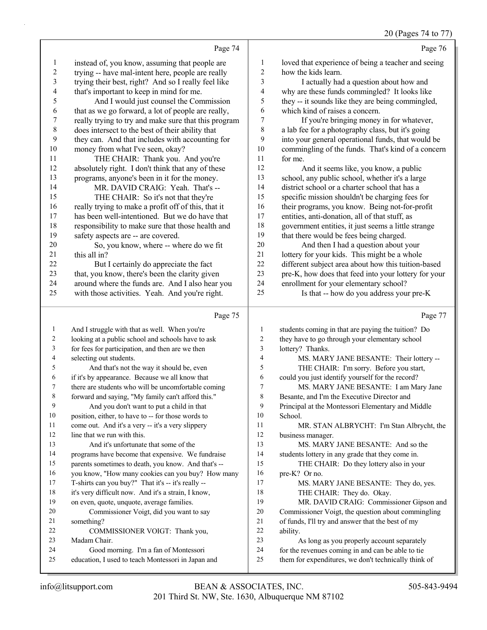| instead of, you know, assuming that people are<br>loved that experience of being a teacher and seeing<br>1<br>1<br>$\boldsymbol{2}$<br>trying -- have mal-intent here, people are really<br>2<br>how the kids learn.<br>3<br>trying their best, right? And so I really feel like<br>3<br>I actually had a question about how and<br>that's important to keep in mind for me.<br>4<br>why are these funds commingled? It looks like<br>4<br>5<br>they -- it sounds like they are being commingled,<br>5<br>And I would just counsel the Commission<br>6<br>6<br>that as we go forward, a lot of people are really,<br>which kind of raises a concern.<br>7<br>7<br>If you're bringing money in for whatever,<br>really trying to try and make sure that this program<br>$\,$ $\,$<br>$\,8\,$<br>does intersect to the best of their ability that<br>a lab fee for a photography class, but it's going<br>9<br>9<br>they can. And that includes with accounting for<br>into your general operational funds, that would be<br>10<br>money from what I've seen, okay?<br>$10\,$<br>commingling of the funds. That's kind of a concern<br>11<br>11<br>THE CHAIR: Thank you. And you're<br>for me.<br>12<br>12<br>absolutely right. I don't think that any of these<br>And it seems like, you know, a public<br>13<br>13<br>school, any public school, whether it's a large<br>programs, anyone's been in it for the money.<br>14<br>MR. DAVID CRAIG: Yeah. That's --<br>14<br>district school or a charter school that has a<br>15<br>15<br>THE CHAIR: So it's not that they're<br>specific mission shouldn't be charging fees for<br>16<br>really trying to make a profit off of this, that it<br>16<br>their programs, you know. Being not-for-profit<br>17<br>17<br>has been well-intentioned. But we do have that<br>entities, anti-donation, all of that stuff, as<br>18<br>18<br>government entities, it just seems a little strange<br>responsibility to make sure that those health and<br>19<br>19<br>that there would be fees being charged.<br>safety aspects are -- are covered.<br>$20\,$<br>$20\,$<br>So, you know, where -- where do we fit<br>And then I had a question about your<br>21<br>this all in?<br>21<br>lottery for your kids. This might be a whole<br>22<br>22<br>different subject area about how this tuition-based<br>But I certainly do appreciate the fact<br>23<br>23<br>pre-K, how does that feed into your lottery for your<br>that, you know, there's been the clarity given<br>24<br>24<br>around where the funds are. And I also hear you<br>enrollment for your elementary school?<br>Is that -- how do you address your pre-K<br>25<br>25<br>with those activities. Yeah. And you're right.<br>Page 75<br>Page 77<br>And I struggle with that as well. When you're<br>students coming in that are paying the tuition? Do<br>$\mathbf{1}$<br>1<br>looking at a public school and schools have to ask<br>they have to go through your elementary school<br>2<br>2<br>3<br>for fees for participation, and then are we then<br>3<br>lottery? Thanks.<br>4<br>selecting out students.<br>4<br>MS. MARY JANE BESANTE: Their lottery --<br>5<br>THE CHAIR: I'm sorry. Before you start,<br>5<br>And that's not the way it should be, even<br>if it's by appearance. Because we all know that<br>could you just identify yourself for the record?<br>6<br>6<br>7<br>there are students who will be uncomfortable coming<br>7<br>MS. MARY JANE BESANTE: I am Mary Jane<br>8<br>8<br>forward and saying, "My family can't afford this."<br>Besante, and I'm the Executive Director and<br>9<br>And you don't want to put a child in that<br>9<br>Principal at the Montessori Elementary and Middle<br>position, either, to have to -- for those words to<br>10<br>10<br>School.<br>11<br>come out. And it's a very -- it's a very slippery<br>11<br>MR. STAN ALBRYCHT: I'm Stan Albrycht, the<br>12<br>line that we run with this.<br>12<br>business manager.<br>13<br>And it's unfortunate that some of the<br>MS. MARY JANE BESANTE: And so the<br>13<br>14<br>14<br>programs have become that expensive. We fundraise<br>students lottery in any grade that they come in.<br>parents sometimes to death, you know. And that's --<br>15<br>15<br>THE CHAIR: Do they lottery also in your<br>you know, "How many cookies can you buy? How many<br>16<br>16<br>pre-K? Or no.<br>17<br>17<br>T-shirts can you buy?" That it's -- it's really --<br>MS. MARY JANE BESANTE: They do, yes.<br>18<br>18<br>it's very difficult now. And it's a strain, I know,<br>THE CHAIR: They do. Okay.<br>19<br>19<br>on even, quote, unquote, average families.<br>MR. DAVID CRAIG: Commissioner Gipson and<br>20<br>Commissioner Voigt, did you want to say<br>Commissioner Voigt, the question about commingling<br>20<br>21<br>of funds, I'll try and answer that the best of my<br>21<br>something?<br>22<br>22<br>COMMISSIONER VOIGT: Thank you,<br>ability.<br>23<br>23<br>As long as you properly account separately<br>Madam Chair.<br>24<br>Good morning. I'm a fan of Montessori<br>for the revenues coming in and can be able to tie<br>24<br>25<br>them for expenditures, we don't technically think of<br>25<br>education, I used to teach Montessori in Japan and | Page 74 | Page 76 |
|---------------------------------------------------------------------------------------------------------------------------------------------------------------------------------------------------------------------------------------------------------------------------------------------------------------------------------------------------------------------------------------------------------------------------------------------------------------------------------------------------------------------------------------------------------------------------------------------------------------------------------------------------------------------------------------------------------------------------------------------------------------------------------------------------------------------------------------------------------------------------------------------------------------------------------------------------------------------------------------------------------------------------------------------------------------------------------------------------------------------------------------------------------------------------------------------------------------------------------------------------------------------------------------------------------------------------------------------------------------------------------------------------------------------------------------------------------------------------------------------------------------------------------------------------------------------------------------------------------------------------------------------------------------------------------------------------------------------------------------------------------------------------------------------------------------------------------------------------------------------------------------------------------------------------------------------------------------------------------------------------------------------------------------------------------------------------------------------------------------------------------------------------------------------------------------------------------------------------------------------------------------------------------------------------------------------------------------------------------------------------------------------------------------------------------------------------------------------------------------------------------------------------------------------------------------------------------------------------------------------------------------------------------------------------------------------------------------------------------------------------------------------------------------------------------------------------------------------------------------------------------------------------------------------------------------------------------------------------------------------------------------------------------------------------------------------------------------------------------------------------------------------------------------------------------------------------------------------------------------------------------------------------------------------------------------------------------------------------------------------------------------------------------------------------------------------------------------------------------------------------------------------------------------------------------------------------------------------------------------------------------------------------------------------------------------------------------------------------------------------------------------------------------------------------------------------------------------------------------------------------------------------------------------------------------------------------------------------------------------------------------------------------------------------------------------------------------------------------------------------------------------------------------------------------------------------------------------------------------------------------------------------------------------------------------------------------------------------------------------------------------------------------------------------------------------------------------------------------------------------------------------------------------------------------------------------------------------------------------------------------------------------------------------------------------------------------------------------------------------------------------------------------------------------------------------------------------------------------------------------------------------------------------------------------------------------------------------------------------------------------------------------------------------------------------------------------------------------------------------------------------------------------------------------------------------------------------------------------------------------------------------------------------------------|---------|---------|
|                                                                                                                                                                                                                                                                                                                                                                                                                                                                                                                                                                                                                                                                                                                                                                                                                                                                                                                                                                                                                                                                                                                                                                                                                                                                                                                                                                                                                                                                                                                                                                                                                                                                                                                                                                                                                                                                                                                                                                                                                                                                                                                                                                                                                                                                                                                                                                                                                                                                                                                                                                                                                                                                                                                                                                                                                                                                                                                                                                                                                                                                                                                                                                                                                                                                                                                                                                                                                                                                                                                                                                                                                                                                                                                                                                                                                                                                                                                                                                                                                                                                                                                                                                                                                                                                                                                                                                                                                                                                                                                                                                                                                                                                                                                                                                                                                                                                                                                                                                                                                                                                                                                                                                                                                                                                                             |         |         |
|                                                                                                                                                                                                                                                                                                                                                                                                                                                                                                                                                                                                                                                                                                                                                                                                                                                                                                                                                                                                                                                                                                                                                                                                                                                                                                                                                                                                                                                                                                                                                                                                                                                                                                                                                                                                                                                                                                                                                                                                                                                                                                                                                                                                                                                                                                                                                                                                                                                                                                                                                                                                                                                                                                                                                                                                                                                                                                                                                                                                                                                                                                                                                                                                                                                                                                                                                                                                                                                                                                                                                                                                                                                                                                                                                                                                                                                                                                                                                                                                                                                                                                                                                                                                                                                                                                                                                                                                                                                                                                                                                                                                                                                                                                                                                                                                                                                                                                                                                                                                                                                                                                                                                                                                                                                                                             |         |         |
|                                                                                                                                                                                                                                                                                                                                                                                                                                                                                                                                                                                                                                                                                                                                                                                                                                                                                                                                                                                                                                                                                                                                                                                                                                                                                                                                                                                                                                                                                                                                                                                                                                                                                                                                                                                                                                                                                                                                                                                                                                                                                                                                                                                                                                                                                                                                                                                                                                                                                                                                                                                                                                                                                                                                                                                                                                                                                                                                                                                                                                                                                                                                                                                                                                                                                                                                                                                                                                                                                                                                                                                                                                                                                                                                                                                                                                                                                                                                                                                                                                                                                                                                                                                                                                                                                                                                                                                                                                                                                                                                                                                                                                                                                                                                                                                                                                                                                                                                                                                                                                                                                                                                                                                                                                                                                             |         |         |
|                                                                                                                                                                                                                                                                                                                                                                                                                                                                                                                                                                                                                                                                                                                                                                                                                                                                                                                                                                                                                                                                                                                                                                                                                                                                                                                                                                                                                                                                                                                                                                                                                                                                                                                                                                                                                                                                                                                                                                                                                                                                                                                                                                                                                                                                                                                                                                                                                                                                                                                                                                                                                                                                                                                                                                                                                                                                                                                                                                                                                                                                                                                                                                                                                                                                                                                                                                                                                                                                                                                                                                                                                                                                                                                                                                                                                                                                                                                                                                                                                                                                                                                                                                                                                                                                                                                                                                                                                                                                                                                                                                                                                                                                                                                                                                                                                                                                                                                                                                                                                                                                                                                                                                                                                                                                                             |         |         |
|                                                                                                                                                                                                                                                                                                                                                                                                                                                                                                                                                                                                                                                                                                                                                                                                                                                                                                                                                                                                                                                                                                                                                                                                                                                                                                                                                                                                                                                                                                                                                                                                                                                                                                                                                                                                                                                                                                                                                                                                                                                                                                                                                                                                                                                                                                                                                                                                                                                                                                                                                                                                                                                                                                                                                                                                                                                                                                                                                                                                                                                                                                                                                                                                                                                                                                                                                                                                                                                                                                                                                                                                                                                                                                                                                                                                                                                                                                                                                                                                                                                                                                                                                                                                                                                                                                                                                                                                                                                                                                                                                                                                                                                                                                                                                                                                                                                                                                                                                                                                                                                                                                                                                                                                                                                                                             |         |         |
|                                                                                                                                                                                                                                                                                                                                                                                                                                                                                                                                                                                                                                                                                                                                                                                                                                                                                                                                                                                                                                                                                                                                                                                                                                                                                                                                                                                                                                                                                                                                                                                                                                                                                                                                                                                                                                                                                                                                                                                                                                                                                                                                                                                                                                                                                                                                                                                                                                                                                                                                                                                                                                                                                                                                                                                                                                                                                                                                                                                                                                                                                                                                                                                                                                                                                                                                                                                                                                                                                                                                                                                                                                                                                                                                                                                                                                                                                                                                                                                                                                                                                                                                                                                                                                                                                                                                                                                                                                                                                                                                                                                                                                                                                                                                                                                                                                                                                                                                                                                                                                                                                                                                                                                                                                                                                             |         |         |
|                                                                                                                                                                                                                                                                                                                                                                                                                                                                                                                                                                                                                                                                                                                                                                                                                                                                                                                                                                                                                                                                                                                                                                                                                                                                                                                                                                                                                                                                                                                                                                                                                                                                                                                                                                                                                                                                                                                                                                                                                                                                                                                                                                                                                                                                                                                                                                                                                                                                                                                                                                                                                                                                                                                                                                                                                                                                                                                                                                                                                                                                                                                                                                                                                                                                                                                                                                                                                                                                                                                                                                                                                                                                                                                                                                                                                                                                                                                                                                                                                                                                                                                                                                                                                                                                                                                                                                                                                                                                                                                                                                                                                                                                                                                                                                                                                                                                                                                                                                                                                                                                                                                                                                                                                                                                                             |         |         |
|                                                                                                                                                                                                                                                                                                                                                                                                                                                                                                                                                                                                                                                                                                                                                                                                                                                                                                                                                                                                                                                                                                                                                                                                                                                                                                                                                                                                                                                                                                                                                                                                                                                                                                                                                                                                                                                                                                                                                                                                                                                                                                                                                                                                                                                                                                                                                                                                                                                                                                                                                                                                                                                                                                                                                                                                                                                                                                                                                                                                                                                                                                                                                                                                                                                                                                                                                                                                                                                                                                                                                                                                                                                                                                                                                                                                                                                                                                                                                                                                                                                                                                                                                                                                                                                                                                                                                                                                                                                                                                                                                                                                                                                                                                                                                                                                                                                                                                                                                                                                                                                                                                                                                                                                                                                                                             |         |         |
|                                                                                                                                                                                                                                                                                                                                                                                                                                                                                                                                                                                                                                                                                                                                                                                                                                                                                                                                                                                                                                                                                                                                                                                                                                                                                                                                                                                                                                                                                                                                                                                                                                                                                                                                                                                                                                                                                                                                                                                                                                                                                                                                                                                                                                                                                                                                                                                                                                                                                                                                                                                                                                                                                                                                                                                                                                                                                                                                                                                                                                                                                                                                                                                                                                                                                                                                                                                                                                                                                                                                                                                                                                                                                                                                                                                                                                                                                                                                                                                                                                                                                                                                                                                                                                                                                                                                                                                                                                                                                                                                                                                                                                                                                                                                                                                                                                                                                                                                                                                                                                                                                                                                                                                                                                                                                             |         |         |
|                                                                                                                                                                                                                                                                                                                                                                                                                                                                                                                                                                                                                                                                                                                                                                                                                                                                                                                                                                                                                                                                                                                                                                                                                                                                                                                                                                                                                                                                                                                                                                                                                                                                                                                                                                                                                                                                                                                                                                                                                                                                                                                                                                                                                                                                                                                                                                                                                                                                                                                                                                                                                                                                                                                                                                                                                                                                                                                                                                                                                                                                                                                                                                                                                                                                                                                                                                                                                                                                                                                                                                                                                                                                                                                                                                                                                                                                                                                                                                                                                                                                                                                                                                                                                                                                                                                                                                                                                                                                                                                                                                                                                                                                                                                                                                                                                                                                                                                                                                                                                                                                                                                                                                                                                                                                                             |         |         |
|                                                                                                                                                                                                                                                                                                                                                                                                                                                                                                                                                                                                                                                                                                                                                                                                                                                                                                                                                                                                                                                                                                                                                                                                                                                                                                                                                                                                                                                                                                                                                                                                                                                                                                                                                                                                                                                                                                                                                                                                                                                                                                                                                                                                                                                                                                                                                                                                                                                                                                                                                                                                                                                                                                                                                                                                                                                                                                                                                                                                                                                                                                                                                                                                                                                                                                                                                                                                                                                                                                                                                                                                                                                                                                                                                                                                                                                                                                                                                                                                                                                                                                                                                                                                                                                                                                                                                                                                                                                                                                                                                                                                                                                                                                                                                                                                                                                                                                                                                                                                                                                                                                                                                                                                                                                                                             |         |         |
|                                                                                                                                                                                                                                                                                                                                                                                                                                                                                                                                                                                                                                                                                                                                                                                                                                                                                                                                                                                                                                                                                                                                                                                                                                                                                                                                                                                                                                                                                                                                                                                                                                                                                                                                                                                                                                                                                                                                                                                                                                                                                                                                                                                                                                                                                                                                                                                                                                                                                                                                                                                                                                                                                                                                                                                                                                                                                                                                                                                                                                                                                                                                                                                                                                                                                                                                                                                                                                                                                                                                                                                                                                                                                                                                                                                                                                                                                                                                                                                                                                                                                                                                                                                                                                                                                                                                                                                                                                                                                                                                                                                                                                                                                                                                                                                                                                                                                                                                                                                                                                                                                                                                                                                                                                                                                             |         |         |
|                                                                                                                                                                                                                                                                                                                                                                                                                                                                                                                                                                                                                                                                                                                                                                                                                                                                                                                                                                                                                                                                                                                                                                                                                                                                                                                                                                                                                                                                                                                                                                                                                                                                                                                                                                                                                                                                                                                                                                                                                                                                                                                                                                                                                                                                                                                                                                                                                                                                                                                                                                                                                                                                                                                                                                                                                                                                                                                                                                                                                                                                                                                                                                                                                                                                                                                                                                                                                                                                                                                                                                                                                                                                                                                                                                                                                                                                                                                                                                                                                                                                                                                                                                                                                                                                                                                                                                                                                                                                                                                                                                                                                                                                                                                                                                                                                                                                                                                                                                                                                                                                                                                                                                                                                                                                                             |         |         |
|                                                                                                                                                                                                                                                                                                                                                                                                                                                                                                                                                                                                                                                                                                                                                                                                                                                                                                                                                                                                                                                                                                                                                                                                                                                                                                                                                                                                                                                                                                                                                                                                                                                                                                                                                                                                                                                                                                                                                                                                                                                                                                                                                                                                                                                                                                                                                                                                                                                                                                                                                                                                                                                                                                                                                                                                                                                                                                                                                                                                                                                                                                                                                                                                                                                                                                                                                                                                                                                                                                                                                                                                                                                                                                                                                                                                                                                                                                                                                                                                                                                                                                                                                                                                                                                                                                                                                                                                                                                                                                                                                                                                                                                                                                                                                                                                                                                                                                                                                                                                                                                                                                                                                                                                                                                                                             |         |         |
|                                                                                                                                                                                                                                                                                                                                                                                                                                                                                                                                                                                                                                                                                                                                                                                                                                                                                                                                                                                                                                                                                                                                                                                                                                                                                                                                                                                                                                                                                                                                                                                                                                                                                                                                                                                                                                                                                                                                                                                                                                                                                                                                                                                                                                                                                                                                                                                                                                                                                                                                                                                                                                                                                                                                                                                                                                                                                                                                                                                                                                                                                                                                                                                                                                                                                                                                                                                                                                                                                                                                                                                                                                                                                                                                                                                                                                                                                                                                                                                                                                                                                                                                                                                                                                                                                                                                                                                                                                                                                                                                                                                                                                                                                                                                                                                                                                                                                                                                                                                                                                                                                                                                                                                                                                                                                             |         |         |
|                                                                                                                                                                                                                                                                                                                                                                                                                                                                                                                                                                                                                                                                                                                                                                                                                                                                                                                                                                                                                                                                                                                                                                                                                                                                                                                                                                                                                                                                                                                                                                                                                                                                                                                                                                                                                                                                                                                                                                                                                                                                                                                                                                                                                                                                                                                                                                                                                                                                                                                                                                                                                                                                                                                                                                                                                                                                                                                                                                                                                                                                                                                                                                                                                                                                                                                                                                                                                                                                                                                                                                                                                                                                                                                                                                                                                                                                                                                                                                                                                                                                                                                                                                                                                                                                                                                                                                                                                                                                                                                                                                                                                                                                                                                                                                                                                                                                                                                                                                                                                                                                                                                                                                                                                                                                                             |         |         |
|                                                                                                                                                                                                                                                                                                                                                                                                                                                                                                                                                                                                                                                                                                                                                                                                                                                                                                                                                                                                                                                                                                                                                                                                                                                                                                                                                                                                                                                                                                                                                                                                                                                                                                                                                                                                                                                                                                                                                                                                                                                                                                                                                                                                                                                                                                                                                                                                                                                                                                                                                                                                                                                                                                                                                                                                                                                                                                                                                                                                                                                                                                                                                                                                                                                                                                                                                                                                                                                                                                                                                                                                                                                                                                                                                                                                                                                                                                                                                                                                                                                                                                                                                                                                                                                                                                                                                                                                                                                                                                                                                                                                                                                                                                                                                                                                                                                                                                                                                                                                                                                                                                                                                                                                                                                                                             |         |         |
|                                                                                                                                                                                                                                                                                                                                                                                                                                                                                                                                                                                                                                                                                                                                                                                                                                                                                                                                                                                                                                                                                                                                                                                                                                                                                                                                                                                                                                                                                                                                                                                                                                                                                                                                                                                                                                                                                                                                                                                                                                                                                                                                                                                                                                                                                                                                                                                                                                                                                                                                                                                                                                                                                                                                                                                                                                                                                                                                                                                                                                                                                                                                                                                                                                                                                                                                                                                                                                                                                                                                                                                                                                                                                                                                                                                                                                                                                                                                                                                                                                                                                                                                                                                                                                                                                                                                                                                                                                                                                                                                                                                                                                                                                                                                                                                                                                                                                                                                                                                                                                                                                                                                                                                                                                                                                             |         |         |
|                                                                                                                                                                                                                                                                                                                                                                                                                                                                                                                                                                                                                                                                                                                                                                                                                                                                                                                                                                                                                                                                                                                                                                                                                                                                                                                                                                                                                                                                                                                                                                                                                                                                                                                                                                                                                                                                                                                                                                                                                                                                                                                                                                                                                                                                                                                                                                                                                                                                                                                                                                                                                                                                                                                                                                                                                                                                                                                                                                                                                                                                                                                                                                                                                                                                                                                                                                                                                                                                                                                                                                                                                                                                                                                                                                                                                                                                                                                                                                                                                                                                                                                                                                                                                                                                                                                                                                                                                                                                                                                                                                                                                                                                                                                                                                                                                                                                                                                                                                                                                                                                                                                                                                                                                                                                                             |         |         |
|                                                                                                                                                                                                                                                                                                                                                                                                                                                                                                                                                                                                                                                                                                                                                                                                                                                                                                                                                                                                                                                                                                                                                                                                                                                                                                                                                                                                                                                                                                                                                                                                                                                                                                                                                                                                                                                                                                                                                                                                                                                                                                                                                                                                                                                                                                                                                                                                                                                                                                                                                                                                                                                                                                                                                                                                                                                                                                                                                                                                                                                                                                                                                                                                                                                                                                                                                                                                                                                                                                                                                                                                                                                                                                                                                                                                                                                                                                                                                                                                                                                                                                                                                                                                                                                                                                                                                                                                                                                                                                                                                                                                                                                                                                                                                                                                                                                                                                                                                                                                                                                                                                                                                                                                                                                                                             |         |         |
|                                                                                                                                                                                                                                                                                                                                                                                                                                                                                                                                                                                                                                                                                                                                                                                                                                                                                                                                                                                                                                                                                                                                                                                                                                                                                                                                                                                                                                                                                                                                                                                                                                                                                                                                                                                                                                                                                                                                                                                                                                                                                                                                                                                                                                                                                                                                                                                                                                                                                                                                                                                                                                                                                                                                                                                                                                                                                                                                                                                                                                                                                                                                                                                                                                                                                                                                                                                                                                                                                                                                                                                                                                                                                                                                                                                                                                                                                                                                                                                                                                                                                                                                                                                                                                                                                                                                                                                                                                                                                                                                                                                                                                                                                                                                                                                                                                                                                                                                                                                                                                                                                                                                                                                                                                                                                             |         |         |
|                                                                                                                                                                                                                                                                                                                                                                                                                                                                                                                                                                                                                                                                                                                                                                                                                                                                                                                                                                                                                                                                                                                                                                                                                                                                                                                                                                                                                                                                                                                                                                                                                                                                                                                                                                                                                                                                                                                                                                                                                                                                                                                                                                                                                                                                                                                                                                                                                                                                                                                                                                                                                                                                                                                                                                                                                                                                                                                                                                                                                                                                                                                                                                                                                                                                                                                                                                                                                                                                                                                                                                                                                                                                                                                                                                                                                                                                                                                                                                                                                                                                                                                                                                                                                                                                                                                                                                                                                                                                                                                                                                                                                                                                                                                                                                                                                                                                                                                                                                                                                                                                                                                                                                                                                                                                                             |         |         |
|                                                                                                                                                                                                                                                                                                                                                                                                                                                                                                                                                                                                                                                                                                                                                                                                                                                                                                                                                                                                                                                                                                                                                                                                                                                                                                                                                                                                                                                                                                                                                                                                                                                                                                                                                                                                                                                                                                                                                                                                                                                                                                                                                                                                                                                                                                                                                                                                                                                                                                                                                                                                                                                                                                                                                                                                                                                                                                                                                                                                                                                                                                                                                                                                                                                                                                                                                                                                                                                                                                                                                                                                                                                                                                                                                                                                                                                                                                                                                                                                                                                                                                                                                                                                                                                                                                                                                                                                                                                                                                                                                                                                                                                                                                                                                                                                                                                                                                                                                                                                                                                                                                                                                                                                                                                                                             |         |         |
|                                                                                                                                                                                                                                                                                                                                                                                                                                                                                                                                                                                                                                                                                                                                                                                                                                                                                                                                                                                                                                                                                                                                                                                                                                                                                                                                                                                                                                                                                                                                                                                                                                                                                                                                                                                                                                                                                                                                                                                                                                                                                                                                                                                                                                                                                                                                                                                                                                                                                                                                                                                                                                                                                                                                                                                                                                                                                                                                                                                                                                                                                                                                                                                                                                                                                                                                                                                                                                                                                                                                                                                                                                                                                                                                                                                                                                                                                                                                                                                                                                                                                                                                                                                                                                                                                                                                                                                                                                                                                                                                                                                                                                                                                                                                                                                                                                                                                                                                                                                                                                                                                                                                                                                                                                                                                             |         |         |
|                                                                                                                                                                                                                                                                                                                                                                                                                                                                                                                                                                                                                                                                                                                                                                                                                                                                                                                                                                                                                                                                                                                                                                                                                                                                                                                                                                                                                                                                                                                                                                                                                                                                                                                                                                                                                                                                                                                                                                                                                                                                                                                                                                                                                                                                                                                                                                                                                                                                                                                                                                                                                                                                                                                                                                                                                                                                                                                                                                                                                                                                                                                                                                                                                                                                                                                                                                                                                                                                                                                                                                                                                                                                                                                                                                                                                                                                                                                                                                                                                                                                                                                                                                                                                                                                                                                                                                                                                                                                                                                                                                                                                                                                                                                                                                                                                                                                                                                                                                                                                                                                                                                                                                                                                                                                                             |         |         |
|                                                                                                                                                                                                                                                                                                                                                                                                                                                                                                                                                                                                                                                                                                                                                                                                                                                                                                                                                                                                                                                                                                                                                                                                                                                                                                                                                                                                                                                                                                                                                                                                                                                                                                                                                                                                                                                                                                                                                                                                                                                                                                                                                                                                                                                                                                                                                                                                                                                                                                                                                                                                                                                                                                                                                                                                                                                                                                                                                                                                                                                                                                                                                                                                                                                                                                                                                                                                                                                                                                                                                                                                                                                                                                                                                                                                                                                                                                                                                                                                                                                                                                                                                                                                                                                                                                                                                                                                                                                                                                                                                                                                                                                                                                                                                                                                                                                                                                                                                                                                                                                                                                                                                                                                                                                                                             |         |         |
|                                                                                                                                                                                                                                                                                                                                                                                                                                                                                                                                                                                                                                                                                                                                                                                                                                                                                                                                                                                                                                                                                                                                                                                                                                                                                                                                                                                                                                                                                                                                                                                                                                                                                                                                                                                                                                                                                                                                                                                                                                                                                                                                                                                                                                                                                                                                                                                                                                                                                                                                                                                                                                                                                                                                                                                                                                                                                                                                                                                                                                                                                                                                                                                                                                                                                                                                                                                                                                                                                                                                                                                                                                                                                                                                                                                                                                                                                                                                                                                                                                                                                                                                                                                                                                                                                                                                                                                                                                                                                                                                                                                                                                                                                                                                                                                                                                                                                                                                                                                                                                                                                                                                                                                                                                                                                             |         |         |
|                                                                                                                                                                                                                                                                                                                                                                                                                                                                                                                                                                                                                                                                                                                                                                                                                                                                                                                                                                                                                                                                                                                                                                                                                                                                                                                                                                                                                                                                                                                                                                                                                                                                                                                                                                                                                                                                                                                                                                                                                                                                                                                                                                                                                                                                                                                                                                                                                                                                                                                                                                                                                                                                                                                                                                                                                                                                                                                                                                                                                                                                                                                                                                                                                                                                                                                                                                                                                                                                                                                                                                                                                                                                                                                                                                                                                                                                                                                                                                                                                                                                                                                                                                                                                                                                                                                                                                                                                                                                                                                                                                                                                                                                                                                                                                                                                                                                                                                                                                                                                                                                                                                                                                                                                                                                                             |         |         |
|                                                                                                                                                                                                                                                                                                                                                                                                                                                                                                                                                                                                                                                                                                                                                                                                                                                                                                                                                                                                                                                                                                                                                                                                                                                                                                                                                                                                                                                                                                                                                                                                                                                                                                                                                                                                                                                                                                                                                                                                                                                                                                                                                                                                                                                                                                                                                                                                                                                                                                                                                                                                                                                                                                                                                                                                                                                                                                                                                                                                                                                                                                                                                                                                                                                                                                                                                                                                                                                                                                                                                                                                                                                                                                                                                                                                                                                                                                                                                                                                                                                                                                                                                                                                                                                                                                                                                                                                                                                                                                                                                                                                                                                                                                                                                                                                                                                                                                                                                                                                                                                                                                                                                                                                                                                                                             |         |         |
|                                                                                                                                                                                                                                                                                                                                                                                                                                                                                                                                                                                                                                                                                                                                                                                                                                                                                                                                                                                                                                                                                                                                                                                                                                                                                                                                                                                                                                                                                                                                                                                                                                                                                                                                                                                                                                                                                                                                                                                                                                                                                                                                                                                                                                                                                                                                                                                                                                                                                                                                                                                                                                                                                                                                                                                                                                                                                                                                                                                                                                                                                                                                                                                                                                                                                                                                                                                                                                                                                                                                                                                                                                                                                                                                                                                                                                                                                                                                                                                                                                                                                                                                                                                                                                                                                                                                                                                                                                                                                                                                                                                                                                                                                                                                                                                                                                                                                                                                                                                                                                                                                                                                                                                                                                                                                             |         |         |
|                                                                                                                                                                                                                                                                                                                                                                                                                                                                                                                                                                                                                                                                                                                                                                                                                                                                                                                                                                                                                                                                                                                                                                                                                                                                                                                                                                                                                                                                                                                                                                                                                                                                                                                                                                                                                                                                                                                                                                                                                                                                                                                                                                                                                                                                                                                                                                                                                                                                                                                                                                                                                                                                                                                                                                                                                                                                                                                                                                                                                                                                                                                                                                                                                                                                                                                                                                                                                                                                                                                                                                                                                                                                                                                                                                                                                                                                                                                                                                                                                                                                                                                                                                                                                                                                                                                                                                                                                                                                                                                                                                                                                                                                                                                                                                                                                                                                                                                                                                                                                                                                                                                                                                                                                                                                                             |         |         |
|                                                                                                                                                                                                                                                                                                                                                                                                                                                                                                                                                                                                                                                                                                                                                                                                                                                                                                                                                                                                                                                                                                                                                                                                                                                                                                                                                                                                                                                                                                                                                                                                                                                                                                                                                                                                                                                                                                                                                                                                                                                                                                                                                                                                                                                                                                                                                                                                                                                                                                                                                                                                                                                                                                                                                                                                                                                                                                                                                                                                                                                                                                                                                                                                                                                                                                                                                                                                                                                                                                                                                                                                                                                                                                                                                                                                                                                                                                                                                                                                                                                                                                                                                                                                                                                                                                                                                                                                                                                                                                                                                                                                                                                                                                                                                                                                                                                                                                                                                                                                                                                                                                                                                                                                                                                                                             |         |         |
|                                                                                                                                                                                                                                                                                                                                                                                                                                                                                                                                                                                                                                                                                                                                                                                                                                                                                                                                                                                                                                                                                                                                                                                                                                                                                                                                                                                                                                                                                                                                                                                                                                                                                                                                                                                                                                                                                                                                                                                                                                                                                                                                                                                                                                                                                                                                                                                                                                                                                                                                                                                                                                                                                                                                                                                                                                                                                                                                                                                                                                                                                                                                                                                                                                                                                                                                                                                                                                                                                                                                                                                                                                                                                                                                                                                                                                                                                                                                                                                                                                                                                                                                                                                                                                                                                                                                                                                                                                                                                                                                                                                                                                                                                                                                                                                                                                                                                                                                                                                                                                                                                                                                                                                                                                                                                             |         |         |
|                                                                                                                                                                                                                                                                                                                                                                                                                                                                                                                                                                                                                                                                                                                                                                                                                                                                                                                                                                                                                                                                                                                                                                                                                                                                                                                                                                                                                                                                                                                                                                                                                                                                                                                                                                                                                                                                                                                                                                                                                                                                                                                                                                                                                                                                                                                                                                                                                                                                                                                                                                                                                                                                                                                                                                                                                                                                                                                                                                                                                                                                                                                                                                                                                                                                                                                                                                                                                                                                                                                                                                                                                                                                                                                                                                                                                                                                                                                                                                                                                                                                                                                                                                                                                                                                                                                                                                                                                                                                                                                                                                                                                                                                                                                                                                                                                                                                                                                                                                                                                                                                                                                                                                                                                                                                                             |         |         |
|                                                                                                                                                                                                                                                                                                                                                                                                                                                                                                                                                                                                                                                                                                                                                                                                                                                                                                                                                                                                                                                                                                                                                                                                                                                                                                                                                                                                                                                                                                                                                                                                                                                                                                                                                                                                                                                                                                                                                                                                                                                                                                                                                                                                                                                                                                                                                                                                                                                                                                                                                                                                                                                                                                                                                                                                                                                                                                                                                                                                                                                                                                                                                                                                                                                                                                                                                                                                                                                                                                                                                                                                                                                                                                                                                                                                                                                                                                                                                                                                                                                                                                                                                                                                                                                                                                                                                                                                                                                                                                                                                                                                                                                                                                                                                                                                                                                                                                                                                                                                                                                                                                                                                                                                                                                                                             |         |         |
|                                                                                                                                                                                                                                                                                                                                                                                                                                                                                                                                                                                                                                                                                                                                                                                                                                                                                                                                                                                                                                                                                                                                                                                                                                                                                                                                                                                                                                                                                                                                                                                                                                                                                                                                                                                                                                                                                                                                                                                                                                                                                                                                                                                                                                                                                                                                                                                                                                                                                                                                                                                                                                                                                                                                                                                                                                                                                                                                                                                                                                                                                                                                                                                                                                                                                                                                                                                                                                                                                                                                                                                                                                                                                                                                                                                                                                                                                                                                                                                                                                                                                                                                                                                                                                                                                                                                                                                                                                                                                                                                                                                                                                                                                                                                                                                                                                                                                                                                                                                                                                                                                                                                                                                                                                                                                             |         |         |
|                                                                                                                                                                                                                                                                                                                                                                                                                                                                                                                                                                                                                                                                                                                                                                                                                                                                                                                                                                                                                                                                                                                                                                                                                                                                                                                                                                                                                                                                                                                                                                                                                                                                                                                                                                                                                                                                                                                                                                                                                                                                                                                                                                                                                                                                                                                                                                                                                                                                                                                                                                                                                                                                                                                                                                                                                                                                                                                                                                                                                                                                                                                                                                                                                                                                                                                                                                                                                                                                                                                                                                                                                                                                                                                                                                                                                                                                                                                                                                                                                                                                                                                                                                                                                                                                                                                                                                                                                                                                                                                                                                                                                                                                                                                                                                                                                                                                                                                                                                                                                                                                                                                                                                                                                                                                                             |         |         |
|                                                                                                                                                                                                                                                                                                                                                                                                                                                                                                                                                                                                                                                                                                                                                                                                                                                                                                                                                                                                                                                                                                                                                                                                                                                                                                                                                                                                                                                                                                                                                                                                                                                                                                                                                                                                                                                                                                                                                                                                                                                                                                                                                                                                                                                                                                                                                                                                                                                                                                                                                                                                                                                                                                                                                                                                                                                                                                                                                                                                                                                                                                                                                                                                                                                                                                                                                                                                                                                                                                                                                                                                                                                                                                                                                                                                                                                                                                                                                                                                                                                                                                                                                                                                                                                                                                                                                                                                                                                                                                                                                                                                                                                                                                                                                                                                                                                                                                                                                                                                                                                                                                                                                                                                                                                                                             |         |         |
|                                                                                                                                                                                                                                                                                                                                                                                                                                                                                                                                                                                                                                                                                                                                                                                                                                                                                                                                                                                                                                                                                                                                                                                                                                                                                                                                                                                                                                                                                                                                                                                                                                                                                                                                                                                                                                                                                                                                                                                                                                                                                                                                                                                                                                                                                                                                                                                                                                                                                                                                                                                                                                                                                                                                                                                                                                                                                                                                                                                                                                                                                                                                                                                                                                                                                                                                                                                                                                                                                                                                                                                                                                                                                                                                                                                                                                                                                                                                                                                                                                                                                                                                                                                                                                                                                                                                                                                                                                                                                                                                                                                                                                                                                                                                                                                                                                                                                                                                                                                                                                                                                                                                                                                                                                                                                             |         |         |
|                                                                                                                                                                                                                                                                                                                                                                                                                                                                                                                                                                                                                                                                                                                                                                                                                                                                                                                                                                                                                                                                                                                                                                                                                                                                                                                                                                                                                                                                                                                                                                                                                                                                                                                                                                                                                                                                                                                                                                                                                                                                                                                                                                                                                                                                                                                                                                                                                                                                                                                                                                                                                                                                                                                                                                                                                                                                                                                                                                                                                                                                                                                                                                                                                                                                                                                                                                                                                                                                                                                                                                                                                                                                                                                                                                                                                                                                                                                                                                                                                                                                                                                                                                                                                                                                                                                                                                                                                                                                                                                                                                                                                                                                                                                                                                                                                                                                                                                                                                                                                                                                                                                                                                                                                                                                                             |         |         |
|                                                                                                                                                                                                                                                                                                                                                                                                                                                                                                                                                                                                                                                                                                                                                                                                                                                                                                                                                                                                                                                                                                                                                                                                                                                                                                                                                                                                                                                                                                                                                                                                                                                                                                                                                                                                                                                                                                                                                                                                                                                                                                                                                                                                                                                                                                                                                                                                                                                                                                                                                                                                                                                                                                                                                                                                                                                                                                                                                                                                                                                                                                                                                                                                                                                                                                                                                                                                                                                                                                                                                                                                                                                                                                                                                                                                                                                                                                                                                                                                                                                                                                                                                                                                                                                                                                                                                                                                                                                                                                                                                                                                                                                                                                                                                                                                                                                                                                                                                                                                                                                                                                                                                                                                                                                                                             |         |         |
|                                                                                                                                                                                                                                                                                                                                                                                                                                                                                                                                                                                                                                                                                                                                                                                                                                                                                                                                                                                                                                                                                                                                                                                                                                                                                                                                                                                                                                                                                                                                                                                                                                                                                                                                                                                                                                                                                                                                                                                                                                                                                                                                                                                                                                                                                                                                                                                                                                                                                                                                                                                                                                                                                                                                                                                                                                                                                                                                                                                                                                                                                                                                                                                                                                                                                                                                                                                                                                                                                                                                                                                                                                                                                                                                                                                                                                                                                                                                                                                                                                                                                                                                                                                                                                                                                                                                                                                                                                                                                                                                                                                                                                                                                                                                                                                                                                                                                                                                                                                                                                                                                                                                                                                                                                                                                             |         |         |
|                                                                                                                                                                                                                                                                                                                                                                                                                                                                                                                                                                                                                                                                                                                                                                                                                                                                                                                                                                                                                                                                                                                                                                                                                                                                                                                                                                                                                                                                                                                                                                                                                                                                                                                                                                                                                                                                                                                                                                                                                                                                                                                                                                                                                                                                                                                                                                                                                                                                                                                                                                                                                                                                                                                                                                                                                                                                                                                                                                                                                                                                                                                                                                                                                                                                                                                                                                                                                                                                                                                                                                                                                                                                                                                                                                                                                                                                                                                                                                                                                                                                                                                                                                                                                                                                                                                                                                                                                                                                                                                                                                                                                                                                                                                                                                                                                                                                                                                                                                                                                                                                                                                                                                                                                                                                                             |         |         |
|                                                                                                                                                                                                                                                                                                                                                                                                                                                                                                                                                                                                                                                                                                                                                                                                                                                                                                                                                                                                                                                                                                                                                                                                                                                                                                                                                                                                                                                                                                                                                                                                                                                                                                                                                                                                                                                                                                                                                                                                                                                                                                                                                                                                                                                                                                                                                                                                                                                                                                                                                                                                                                                                                                                                                                                                                                                                                                                                                                                                                                                                                                                                                                                                                                                                                                                                                                                                                                                                                                                                                                                                                                                                                                                                                                                                                                                                                                                                                                                                                                                                                                                                                                                                                                                                                                                                                                                                                                                                                                                                                                                                                                                                                                                                                                                                                                                                                                                                                                                                                                                                                                                                                                                                                                                                                             |         |         |
|                                                                                                                                                                                                                                                                                                                                                                                                                                                                                                                                                                                                                                                                                                                                                                                                                                                                                                                                                                                                                                                                                                                                                                                                                                                                                                                                                                                                                                                                                                                                                                                                                                                                                                                                                                                                                                                                                                                                                                                                                                                                                                                                                                                                                                                                                                                                                                                                                                                                                                                                                                                                                                                                                                                                                                                                                                                                                                                                                                                                                                                                                                                                                                                                                                                                                                                                                                                                                                                                                                                                                                                                                                                                                                                                                                                                                                                                                                                                                                                                                                                                                                                                                                                                                                                                                                                                                                                                                                                                                                                                                                                                                                                                                                                                                                                                                                                                                                                                                                                                                                                                                                                                                                                                                                                                                             |         |         |
|                                                                                                                                                                                                                                                                                                                                                                                                                                                                                                                                                                                                                                                                                                                                                                                                                                                                                                                                                                                                                                                                                                                                                                                                                                                                                                                                                                                                                                                                                                                                                                                                                                                                                                                                                                                                                                                                                                                                                                                                                                                                                                                                                                                                                                                                                                                                                                                                                                                                                                                                                                                                                                                                                                                                                                                                                                                                                                                                                                                                                                                                                                                                                                                                                                                                                                                                                                                                                                                                                                                                                                                                                                                                                                                                                                                                                                                                                                                                                                                                                                                                                                                                                                                                                                                                                                                                                                                                                                                                                                                                                                                                                                                                                                                                                                                                                                                                                                                                                                                                                                                                                                                                                                                                                                                                                             |         |         |
|                                                                                                                                                                                                                                                                                                                                                                                                                                                                                                                                                                                                                                                                                                                                                                                                                                                                                                                                                                                                                                                                                                                                                                                                                                                                                                                                                                                                                                                                                                                                                                                                                                                                                                                                                                                                                                                                                                                                                                                                                                                                                                                                                                                                                                                                                                                                                                                                                                                                                                                                                                                                                                                                                                                                                                                                                                                                                                                                                                                                                                                                                                                                                                                                                                                                                                                                                                                                                                                                                                                                                                                                                                                                                                                                                                                                                                                                                                                                                                                                                                                                                                                                                                                                                                                                                                                                                                                                                                                                                                                                                                                                                                                                                                                                                                                                                                                                                                                                                                                                                                                                                                                                                                                                                                                                                             |         |         |
|                                                                                                                                                                                                                                                                                                                                                                                                                                                                                                                                                                                                                                                                                                                                                                                                                                                                                                                                                                                                                                                                                                                                                                                                                                                                                                                                                                                                                                                                                                                                                                                                                                                                                                                                                                                                                                                                                                                                                                                                                                                                                                                                                                                                                                                                                                                                                                                                                                                                                                                                                                                                                                                                                                                                                                                                                                                                                                                                                                                                                                                                                                                                                                                                                                                                                                                                                                                                                                                                                                                                                                                                                                                                                                                                                                                                                                                                                                                                                                                                                                                                                                                                                                                                                                                                                                                                                                                                                                                                                                                                                                                                                                                                                                                                                                                                                                                                                                                                                                                                                                                                                                                                                                                                                                                                                             |         |         |
|                                                                                                                                                                                                                                                                                                                                                                                                                                                                                                                                                                                                                                                                                                                                                                                                                                                                                                                                                                                                                                                                                                                                                                                                                                                                                                                                                                                                                                                                                                                                                                                                                                                                                                                                                                                                                                                                                                                                                                                                                                                                                                                                                                                                                                                                                                                                                                                                                                                                                                                                                                                                                                                                                                                                                                                                                                                                                                                                                                                                                                                                                                                                                                                                                                                                                                                                                                                                                                                                                                                                                                                                                                                                                                                                                                                                                                                                                                                                                                                                                                                                                                                                                                                                                                                                                                                                                                                                                                                                                                                                                                                                                                                                                                                                                                                                                                                                                                                                                                                                                                                                                                                                                                                                                                                                                             |         |         |
|                                                                                                                                                                                                                                                                                                                                                                                                                                                                                                                                                                                                                                                                                                                                                                                                                                                                                                                                                                                                                                                                                                                                                                                                                                                                                                                                                                                                                                                                                                                                                                                                                                                                                                                                                                                                                                                                                                                                                                                                                                                                                                                                                                                                                                                                                                                                                                                                                                                                                                                                                                                                                                                                                                                                                                                                                                                                                                                                                                                                                                                                                                                                                                                                                                                                                                                                                                                                                                                                                                                                                                                                                                                                                                                                                                                                                                                                                                                                                                                                                                                                                                                                                                                                                                                                                                                                                                                                                                                                                                                                                                                                                                                                                                                                                                                                                                                                                                                                                                                                                                                                                                                                                                                                                                                                                             |         |         |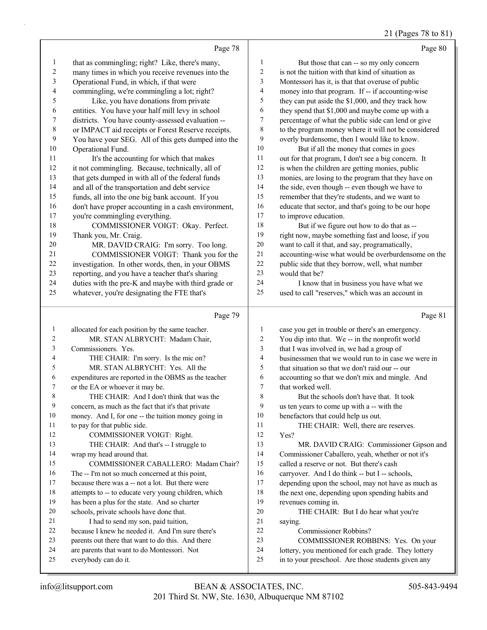#### 21 (Pages 78 to 81)

|              | Page 78                                             |                | Page 80                                              |
|--------------|-----------------------------------------------------|----------------|------------------------------------------------------|
| 1            | that as commingling; right? Like, there's many,     | $\mathbf{1}$   | But those that can -- so my only concern             |
| 2            | many times in which you receive revenues into the   | $\overline{c}$ | is not the tuition with that kind of situation as    |
| 3            | Operational Fund, in which, if that were            | 3              | Montessori has it, is that that overuse of public    |
| 4            | commingling, we're commingling a lot; right?        | 4              | money into that program. If -- if accounting-wise    |
| 5            | Like, you have donations from private               | 5              | they can put aside the \$1,000, and they track how   |
| 6            | entities. You have your half mill levy in school    | 6              | they spend that \$1,000 and maybe come up with a     |
| 7            | districts. You have county-assessed evaluation --   | $\tau$         | percentage of what the public side can lend or give  |
| 8            | or IMPACT aid receipts or Forest Reserve receipts.  | 8              | to the program money where it will not be considered |
| 9            | You have your SEG. All of this gets dumped into the | 9              | overly burdensome, then I would like to know.        |
| 10           | Operational Fund.                                   | 10             | But if all the money that comes in goes              |
| 11           | It's the accounting for which that makes            | 11             | out for that program, I don't see a big concern. It  |
| 12           | it not commingling. Because, technically, all of    | 12             | is when the children are getting monies, public      |
| 13           | that gets dumped in with all of the federal funds   | 13             | monies, are losing to the program that they have on  |
| 14           | and all of the transportation and debt service      | 14             | the side, even though -- even though we have to      |
| 15           | funds, all into the one big bank account. If you    | 15             | remember that they're students, and we want to       |
| 16           | don't have proper accounting in a cash environment, | 16             | educate that sector, and that's going to be our hope |
| 17           | you're commingling everything.                      | 17             | to improve education.                                |
| 18           | COMMISSIONER VOIGT: Okay. Perfect.                  | 18             | But if we figure out how to do that as --            |
| 19           | Thank you, Mr. Craig.                               | 19             | right now, maybe something fast and loose, if you    |
| 20           | MR. DAVID CRAIG: I'm sorry. Too long.               | 20             | want to call it that, and say, programatically,      |
| 21           | COMMISSIONER VOIGT: Thank you for the               | 21             | accounting-wise what would be overburdensome on the  |
| 22           | investigation. In other words, then, in your OBMS   | 22             | public side that they borrow, well, what number      |
| 23           | reporting, and you have a teacher that's sharing    | 23             | would that be?                                       |
| 24           | duties with the pre-K and maybe with third grade or | 24             | I know that in business you have what we             |
| 25           | whatever, you're designating the FTE that's         | 25             | used to call "reserves," which was an account in     |
|              | Page 79                                             |                | Page 81                                              |
| $\mathbf{1}$ | allocated for each position by the same teacher.    | 1              | case you get in trouble or there's an emergency.     |
| 2            | MR. STAN ALBRYCHT: Madam Chair,                     | 2              | You dip into that. We -- in the nonprofit world      |
| 3            | Commissioners. Yes.                                 | 3              | that I was involved in, we had a group of            |

4 THE CHAIR: I'm sorry. Is the mic on? 5 MR. STAN ALBRYCHT: Yes. All the expenditures are reported in the OBMS as the teacher or the EA or whoever it may be. 8 THE CHAIR: And I don't think that was the concern, as much as the fact that it's that private money. And I, for one -- the tuition money going in to pay for that public side. 12 COMMISSIONER VOIGT: Right. 13 THE CHAIR: And that's -- I struggle to wrap my head around that. 15 COMMISSIONER CABALLERO: Madam Chair? The -- I'm not so much concerned at this point, because there was a -- not a lot. But there were attempts to -- to educate very young children, which has been a plus for the state. And so charter schools, private schools have done that. 21 I had to send my son, paid tuition, because I knew he needed it. And I'm sure there's parents out there that want to do this. And there are parents that want to do Montessori. Not everybody can do it. businessmen that we would run to in case we were in that situation so that we don't raid our -- our accounting so that we don't mix and mingle. And that worked well. Yes? saying.

# 8 But the schools don't have that. It took us ten years to come up with a -- with the benefactors that could help us out. 11 THE CHAIR: Well, there are reserves. 13 MR. DAVID CRAIG: Commissioner Gipson and

 Commissioner Caballero, yeah, whether or not it's called a reserve or not. But there's cash carryover. And I do think -- but I -- schools, depending upon the school, may not have as much as the next one, depending upon spending habits and revenues coming in. 20 THE CHAIR: But I do hear what you're

- 22 Commissioner Robbins?
- 23 COMMISSIONER ROBBINS: Yes. On your
- lottery, you mentioned for each grade. They lottery
- in to your preschool. Are those students given any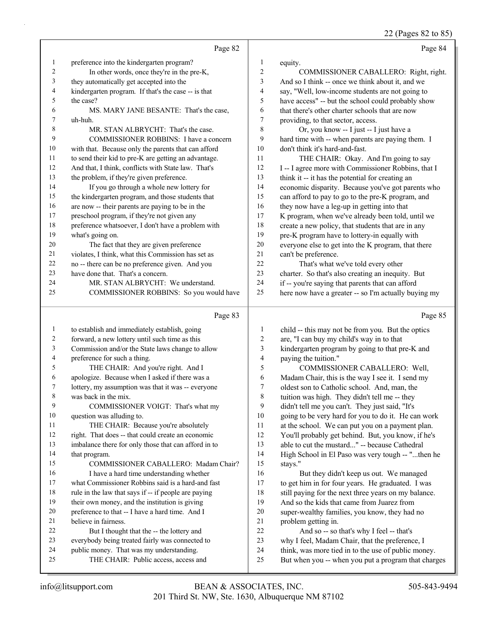22 (Pages 82 to 85)

|          |                                                                                                    |                                | $22 \text{ (1 qgcs of } 20$                                                                                |
|----------|----------------------------------------------------------------------------------------------------|--------------------------------|------------------------------------------------------------------------------------------------------------|
|          | Page 82                                                                                            |                                | Page 84                                                                                                    |
| 1        | preference into the kindergarten program?                                                          | 1                              | equity.                                                                                                    |
| 2        | In other words, once they're in the pre-K,                                                         | $\boldsymbol{2}$               | COMMISSIONER CABALLERO: Right, right.                                                                      |
| 3        | they automatically get accepted into the                                                           | 3                              | And so I think -- once we think about it, and we                                                           |
| 4        | kindergarten program. If that's the case -- is that                                                | $\overline{4}$                 | say, "Well, low-income students are not going to                                                           |
| 5        | the case?                                                                                          | 5                              | have access" -- but the school could probably show                                                         |
| 6        | MS. MARY JANE BESANTE: That's the case,                                                            | 6                              | that there's other charter schools that are now                                                            |
| 7        | uh-huh.                                                                                            | 7                              | providing, to that sector, access.                                                                         |
| 8        | MR. STAN ALBRYCHT: That's the case.                                                                | 8                              | Or, you know -- I just -- I just have a                                                                    |
| 9        | COMMISSIONER ROBBINS: I have a concern                                                             | 9                              | hard time with -- when parents are paying them. I                                                          |
| 10       | with that. Because only the parents that can afford                                                | 10                             | don't think it's hard-and-fast.                                                                            |
| 11       | to send their kid to pre-K are getting an advantage.                                               | 11                             | THE CHAIR: Okay. And I'm going to say                                                                      |
| 12       | And that, I think, conflicts with State law. That's                                                | 12                             | I -- I agree more with Commissioner Robbins, that I                                                        |
| 13       | the problem, if they're given preference.                                                          | 13                             | think it -- it has the potential for creating an                                                           |
| 14       | If you go through a whole new lottery for                                                          | 14                             | economic disparity. Because you've got parents who                                                         |
| 15       | the kindergarten program, and those students that                                                  | 15                             | can afford to pay to go to the pre-K program, and                                                          |
| 16       | are now -- their parents are paying to be in the                                                   | 16                             | they now have a leg-up in getting into that                                                                |
| 17<br>18 | preschool program, if they're not given any                                                        | 17<br>18                       | K program, when we've already been told, until we                                                          |
| 19       | preference whatsoever, I don't have a problem with                                                 | 19                             | create a new policy, that students that are in any                                                         |
| 20       | what's going on.                                                                                   | 20                             | pre-K program have to lottery-in equally with<br>everyone else to get into the K program, that there       |
| 21       | The fact that they are given preference<br>violates, I think, what this Commission has set as      | 21                             | can't be preference.                                                                                       |
| 22       | no -- there can be no preference given. And you                                                    | 22                             | That's what we've told every other                                                                         |
| 23       | have done that. That's a concern.                                                                  | 23                             | charter. So that's also creating an inequity. But                                                          |
| 24       | MR. STAN ALBRYCHT: We understand.                                                                  | 24                             | if -- you're saying that parents that can afford                                                           |
| 25       | COMMISSIONER ROBBINS: So you would have                                                            | 25                             | here now have a greater -- so I'm actually buying my                                                       |
|          |                                                                                                    |                                |                                                                                                            |
|          |                                                                                                    |                                |                                                                                                            |
|          | Page 83                                                                                            |                                | Page 85                                                                                                    |
| 1        |                                                                                                    |                                |                                                                                                            |
| 2        | to establish and immediately establish, going                                                      | $\mathbf{1}$<br>$\overline{c}$ | child -- this may not be from you. But the optics                                                          |
| 3        | forward, a new lottery until such time as this<br>Commission and/or the State laws change to allow | 3                              | are, "I can buy my child's way in to that                                                                  |
| 4        | preference for such a thing.                                                                       | $\overline{4}$                 | kindergarten program by going to that pre-K and<br>paying the tuition."                                    |
| 5        | THE CHAIR: And you're right. And I                                                                 | 5                              | COMMISSIONER CABALLERO: Well,                                                                              |
| 6        | apologize. Because when I asked if there was a                                                     | 6                              | Madam Chair, this is the way I see it. I send my                                                           |
| 7        | lottery, my assumption was that it was -- everyone                                                 | 7                              | oldest son to Catholic school. And, man, the                                                               |
| 8        | was back in the mix.                                                                               | $\,$ 8 $\,$                    | tuition was high. They didn't tell me -- they                                                              |
| 9        | COMMISSIONER VOIGT: That's what my                                                                 | 9                              | didn't tell me you can't. They just said, "It's                                                            |
| 10       | question was alluding to.                                                                          | 10                             | going to be very hard for you to do it. He can work                                                        |
| 11       | THE CHAIR: Because you're absolutely                                                               | 11                             | at the school. We can put you on a payment plan.                                                           |
| 12       | right. That does -- that could create an economic                                                  | 12                             | You'll probably get behind. But, you know, if he's                                                         |
| 13       | imbalance there for only those that can afford in to                                               | 13                             | able to cut the mustard" -- because Cathedral                                                              |
| 14       | that program.                                                                                      | 14                             | High School in El Paso was very tough -- "then he                                                          |
| 15       | COMMISSIONER CABALLERO: Madam Chair?                                                               | 15                             | stays."                                                                                                    |
| $16\,$   | I have a hard time understanding whether                                                           | 16                             | But they didn't keep us out. We managed                                                                    |
| 17       | what Commissioner Robbins said is a hard-and fast                                                  | 17                             | to get him in for four years. He graduated. I was                                                          |
| 18       | rule in the law that says if -- if people are paying                                               | 18                             | still paying for the next three years on my balance.                                                       |
| 19<br>20 | their own money, and the institution is giving                                                     | 19<br>$20\,$                   | And so the kids that came from Juarez from                                                                 |
| 21       | preference to that -- I have a hard time. And I<br>believe in fairness.                            | 21                             | super-wealthy families, you know, they had no                                                              |
| 22       | But I thought that the -- the lottery and                                                          | 22                             | problem getting in.<br>And so -- so that's why I feel -- that's                                            |
| 23       | everybody being treated fairly was connected to                                                    | 23                             | why I feel, Madam Chair, that the preference, I                                                            |
| 24       | public money. That was my understanding.<br>THE CHAIR: Public access, access and                   | 24<br>25                       | think, was more tied in to the use of public money.<br>But when you -- when you put a program that charges |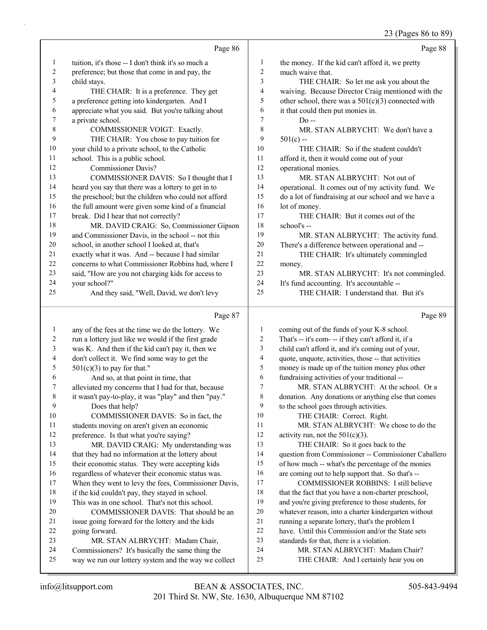#### 23 (Pages 86 to 89)

|                          |                                                      |                         | 25 (Pages 60 to 69)                                  |
|--------------------------|------------------------------------------------------|-------------------------|------------------------------------------------------|
|                          | Page 86                                              |                         | Page 88                                              |
| $\mathbf{1}$             | tuition, it's those -- I don't think it's so much a  | $\mathbf{1}$            | the money. If the kid can't afford it, we pretty     |
| $\overline{c}$           | preference; but those that come in and pay, the      | $\sqrt{2}$              | much waive that.                                     |
| $\mathfrak{Z}$           | child stays.                                         | 3                       | THE CHAIR: So let me ask you about the               |
| 4                        | THE CHAIR: It is a preference. They get              | $\overline{\mathbf{4}}$ | waiving. Because Director Craig mentioned with the   |
| 5                        | a preference getting into kindergarten. And I        | 5                       | other school, there was a $501(c)(3)$ connected with |
| 6                        | appreciate what you said. But you're talking about   | 6                       | it that could then put monies in.                    |
| 7                        | a private school.                                    | $\tau$                  | Do --                                                |
| $\,$ $\,$                | COMMISSIONER VOIGT: Exactly.                         | $\,$ $\,$               | MR. STAN ALBRYCHT: We don't have a                   |
| 9                        | THE CHAIR: You chose to pay tuition for              | 9                       | $501(c) -$                                           |
| $10\,$                   | your child to a private school, to the Catholic      | 10                      | THE CHAIR: So if the student couldn't                |
| 11                       | school. This is a public school.                     | 11                      | afford it, then it would come out of your            |
| 12                       | <b>Commissioner Davis?</b>                           | 12                      | operational monies.                                  |
| 13                       | COMMISSIONER DAVIS: So I thought that I              | 13                      | MR. STAN ALBRYCHT: Not out of                        |
| 14                       | heard you say that there was a lottery to get in to  | 14                      | operational. It comes out of my activity fund. We    |
| 15                       | the preschool; but the children who could not afford | 15                      | do a lot of fundraising at our school and we have a  |
| 16                       | the full amount were given some kind of a financial  | 16                      | lot of money.                                        |
| 17                       | break. Did I hear that not correctly?                | 17                      | THE CHAIR: But it comes out of the                   |
| 18                       | MR. DAVID CRAIG: So, Commissioner Gipson             | $18\,$                  | school's --                                          |
| 19                       | and Commissioner Davis, in the school -- not this    | 19                      | MR. STAN ALBRYCHT: The activity fund.                |
| 20                       | school, in another school I looked at, that's        | 20                      | There's a difference between operational and --      |
| $21\,$                   | exactly what it was. And -- because I had similar    | 21                      | THE CHAIR: It's ultimately commingled                |
| $22\,$                   | concerns to what Commissioner Robbins had, where I   | 22                      | money.                                               |
| 23                       | said, "How are you not charging kids for access to   | 23                      | MR. STAN ALBRYCHT: It's not commingled.              |
| 24                       | your school?"                                        | 24                      | It's fund accounting. It's accountable --            |
| 25                       | And they said, "Well, David, we don't levy           | 25                      | THE CHAIR: I understand that. But it's               |
|                          | Page 87                                              |                         | Page 89                                              |
| $\mathbf{1}$             | any of the fees at the time we do the lottery. We    | $\mathbf{1}$            | coming out of the funds of your K-8 school.          |
| $\overline{c}$           | run a lottery just like we would if the first grade  | $\overline{c}$          | That's -- it's com- -- if they can't afford it, if a |
| $\sqrt{3}$               | was K. And then if the kid can't pay it, then we     | 3                       | child can't afford it, and it's coming out of your,  |
| $\overline{\mathcal{A}}$ | don't collect it. We find some way to get the        | $\overline{\mathbf{4}}$ | quote, unquote, activities, those -- that activities |
| $\mathfrak s$            | $501(c)(3)$ to pay for that."                        | 5                       | money is made up of the tuition money plus other     |
| 6                        | And so, at that point in time, that                  | 6                       | fundraising activities of your traditional --        |
| 7                        | alleviated my concerns that I had for that, because  | 7                       | MR. STAN ALBRYCHT: At the school. Or a               |
| 8                        | it wasn't pay-to-play, it was "play" and then "pay." | 8                       | donation. Any donations or anything else that comes  |
| 9                        | Does that help?                                      | 9                       | to the school goes through activities.               |
| $10\,$                   | COMMISSIONER DAVIS: So in fact, the                  | 10                      | THE CHAIR: Correct. Right.                           |
| 11                       | students moving on aren't given an economic          | 11                      | MR. STAN ALBRYCHT: We chose to do the                |
| 12                       | preference. Is that what you're saying?              | 12                      | activity run, not the $501(c)(3)$ .                  |
| 13                       | MR. DAVID CRAIG: My understanding was                | 13                      | THE CHAIR: So it goes back to the                    |
| 14                       | that they had no information at the lottery about    | 14                      | question from Commissioner -- Commissioner Caballero |
| 15                       | their economic status. They were accepting kids      | 15                      | of how much -- what's the percentage of the monies   |
| 16                       | regardless of whatever their economic status was.    | 16                      | are coming out to help support that. So that's --    |
| 17                       | When they went to levy the fees, Commissioner Davis, | 17                      | COMMISSIONER ROBBINS: I still believe                |

- if the kid couldn't pay, they stayed in school.
- This was in one school. That's not this school.
- 20 COMMISSIONER DAVIS: That should be an issue going forward for the lottery and the kids going forward. 23 MR. STAN ALBRYCHT: Madam Chair,
	-
- Commissioners? It's basically the same thing the way we run our lottery system and the way we collect
- whatever reason, into a charter kindergarten without running a separate lottery, that's the problem I
- have. Until this Commission and/or the State sets

18 that the fact that you have a non-charter preschool, and you're giving preference to those students, for

- standards for that, there is a violation.
- 24 MR. STAN ALBRYCHT: Madam Chair?
- 25 THE CHAIR: And I certainly hear you on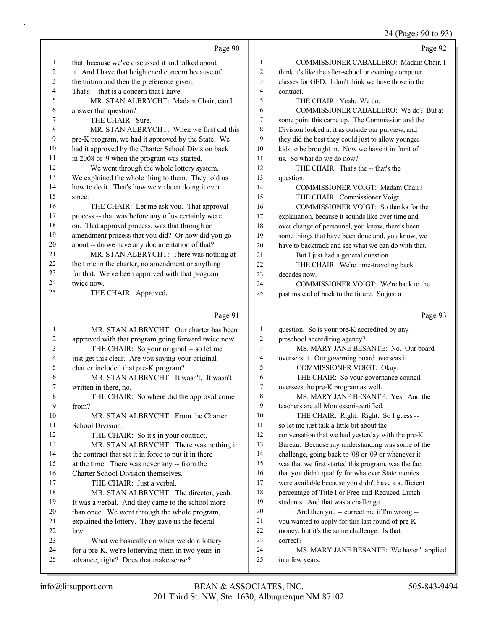#### 24 (Pages 90 to 93)

|    | Page 90                                              |                | Page 92                                              |
|----|------------------------------------------------------|----------------|------------------------------------------------------|
| 1  | that, because we've discussed it and talked about    | 1              | COMMISSIONER CABALLERO: Madam Chair, I               |
| 2  | it. And I have that heightened concern because of    | $\overline{c}$ | think it's like the after-school or evening computer |
| 3  | the tuition and then the preference given.           | 3              | classes for GED. I don't think we have those in the  |
| 4  | That's -- that is a concern that I have.             | $\overline{4}$ | contract.                                            |
| 5  | MR. STAN ALBRYCHT: Madam Chair, can I                | 5              | THE CHAIR: Yeah. We do.                              |
| 6  | answer that question?                                | 6              | COMMISSIONER CABALLERO: We do? But at                |
| 7  | THE CHAIR: Sure.                                     | 7              | some point this came up. The Commission and the      |
| 8  | MR. STAN ALBRYCHT: When we first did this            | 8              | Division looked at it as outside our purview, and    |
| 9  | pre-K program, we had it approved by the State. We   | 9              | they did the best they could just to allow younger   |
| 10 | had it approved by the Charter School Division back  | 10             | kids to be brought in. Now we have it in front of    |
| 11 | in 2008 or '9 when the program was started.          | 11             | us. So what do we do now?                            |
| 12 | We went through the whole lottery system.            | 12             | THE CHAIR: That's the -- that's the                  |
| 13 | We explained the whole thing to them. They told us   | 13             | question.                                            |
| 14 | how to do it. That's how we've been doing it ever    | 14             | COMMISSIONER VOIGT: Madam Chair?                     |
| 15 | since.                                               | 15             | THE CHAIR: Commissioner Voigt.                       |
| 16 | THE CHAIR: Let me ask you. That approval             | 16             | COMMISSIONER VOIGT: So thanks for the                |
| 17 | process -- that was before any of us certainly were  | 17             | explanation, because it sounds like over time and    |
| 18 | on. That approval process, was that through an       | 18             | over change of personnel, you know, there's been     |
| 19 | amendment process that you did? Or how did you go    | 19             | some things that have been done and, you know, we    |
| 20 | about -- do we have any documentation of that?       | 20             | have to backtrack and see what we can do with that.  |
| 21 | MR. STAN ALBRYCHT: There was nothing at              | 21             | But I just had a general question.                   |
| 22 | the time in the charter, no amendment or anything    | 22             | THE CHAIR: We're time-traveling back                 |
| 23 | for that. We've been approved with that program      | 23             | decades now.                                         |
| 24 | twice now.                                           | 24             | COMMISSIONER VOIGT: We're back to the                |
| 25 | THE CHAIR: Approved.                                 | 25             | past instead of back to the future. So just a        |
|    |                                                      |                |                                                      |
|    | Page 91                                              |                | Page 93                                              |
| 1  | MR. STAN ALBRYCHT: Our charter has been              | 1              | question. So is your pre-K accredited by any         |
| 2  | approved with that program going forward twice now.  | $\overline{c}$ | preschool accrediting agency?                        |
| 3  | THE CHAIR: So your original -- so let me             | 3              | MS. MARY JANE BESANTE: No. Our board                 |
| 4  | just get this clear. Are you saying your original    | 4              | oversees it. Our governing board overseas it.        |
| 5  | charter included that pre-K program?                 | 5              | COMMISSIONER VOIGT: Okay.                            |
| 6  | MR. STAN ALBRYCHT: It wasn't. It wasn't              | 6              | THE CHAIR: So your governance council                |
| 7  | written in there, no.                                | 7              | oversees the pre-K program as well.                  |
| 8  | THE CHAIR: So where did the approval come            | 8              | MS. MARY JANE BESANTE: Yes. And the                  |
| 9  | from?                                                | 9              | teachers are all Montessori-certified.               |
| 10 | MR. STAN ALBRYCHT: From the Charter                  | 10             | THE CHAIR: Right. Right. So I guess --               |
| 11 | School Division.                                     | 11             | so let me just talk a little bit about the           |
| 12 | THE CHAIR: So it's in your contract.                 | 12             | conversation that we had yesterday with the pre-K    |
| 13 | MR. STAN ALBRYCHT: There was nothing in              | 13             | Bureau. Because my understanding was some of the     |
| 14 | the contract that set it in force to put it in there | 14             | challenge, going back to '08 or '09 or whenever it   |
| 15 | at the time. There was never any -- from the         | 15             | was that we first started this program, was the fact |
| 16 | Charter School Division themselves.                  | 16             | that you didn't qualify for whatever State monies    |
| 17 | THE CHAIR: Just a verbal.                            | 17             | were available because you didn't have a sufficient  |

- 18 percentage of Title I or Free-and-Reduced-Lunch 19 students. And that was a challenge.
- 20 And then you -- correct me if I'm wrong --
- 21 you wanted to apply for this last round of pre-K
- 22 money, but it's the same challenge. Is that
- 23 correct?
- 24 MS. MARY JANE BESANTE: We haven't applied 25 in a few years.

22 law.

18 MR. STAN ALBRYCHT: The director, yeah. 19 It was a verbal. And they came to the school more<br>20 than once. We went through the whole program, than once. We went through the whole program,

21 explained the lottery. They gave us the federal

23 What we basically do when we do a lottery 24 for a pre-K, we're lotterying them in two years in

25 advance; right? Does that make sense?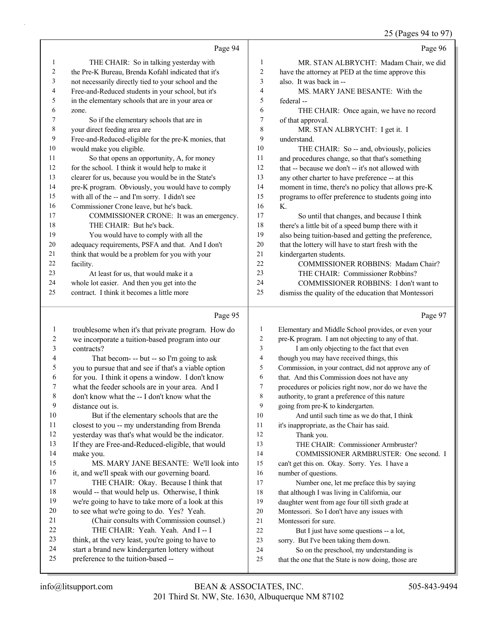25 (Pages 94 to 97)

|                |                                                      |                | $10^{14}$ kg $10^{11}$ kg $21$                       |
|----------------|------------------------------------------------------|----------------|------------------------------------------------------|
|                | Page 94                                              |                | Page 96                                              |
| $\mathbf{1}$   | THE CHAIR: So in talking yesterday with              | 1              | MR. STAN ALBRYCHT: Madam Chair, we did               |
| 2              | the Pre-K Bureau, Brenda Kofahl indicated that it's  | $\overline{2}$ | have the attorney at PED at the time approve this    |
| 3              | not necessarily directly tied to your school and the | 3              | also. It was back in --                              |
| 4              | Free-and-Reduced students in your school, but it's   | $\overline{4}$ | MS. MARY JANE BESANTE: With the                      |
| 5              | in the elementary schools that are in your area or   | 5              | federal --                                           |
| 6              | zone.                                                | 6              | THE CHAIR: Once again, we have no record             |
| 7              | So if the elementary schools that are in             | 7              | of that approval.                                    |
| 8              | your direct feeding area are                         | 8              | MR. STAN ALBRYCHT: I get it. I                       |
| 9              | Free-and-Reduced-eligible for the pre-K monies, that | 9              | understand.                                          |
| 10             | would make you eligible.                             | 10             | THE CHAIR: So -- and, obviously, policies            |
| 11             | So that opens an opportunity, A, for money           | 11             | and procedures change, so that that's something      |
| $12\,$         | for the school. I think it would help to make it     | 12             | that -- because we don't -- it's not allowed with    |
| 13             | clearer for us, because you would be in the State's  | 13             | any other charter to have preference -- at this      |
| 14             | pre-K program. Obviously, you would have to comply   | 14             | moment in time, there's no policy that allows pre-K  |
| 15             | with all of the -- and I'm sorry. I didn't see       | 15             | programs to offer preference to students going into  |
| 16             | Commissioner Crone leave, but he's back.             | 16             | $K_{\cdot}$                                          |
| 17             | COMMISSIONER CRONE: It was an emergency.             | 17             | So until that changes, and because I think           |
| 18             | THE CHAIR: But he's back.                            | 18             | there's a little bit of a speed bump there with it   |
| 19             | You would have to comply with all the                | 19             | also being tuition-based and getting the preference, |
| 20             | adequacy requirements, PSFA and that. And I don't    | 20             | that the lottery will have to start fresh with the   |
| 21             | think that would be a problem for you with your      | 21             | kindergarten students.                               |
| 22             | facility.                                            | 22             | <b>COMMISSIONER ROBBINS: Madam Chair?</b>            |
| 23             | At least for us, that would make it a                | 23             | THE CHAIR: Commissioner Robbins?                     |
| 24             | whole lot easier. And then you get into the          | 24             | COMMISSIONER ROBBINS: I don't want to                |
| 25             | contract. I think it becomes a little more           | 25             | dismiss the quality of the education that Montessori |
|                | Page 95                                              |                | Page 97                                              |
| 1              | troublesome when it's that private program. How do   | 1              | Elementary and Middle School provides, or even your  |
| $\overline{2}$ | we incorporate a tuition-based program into our      | 2              | pre-K program. I am not objecting to any of that.    |

| $\angle$ | we incorporate a fuition-based program into our      | z  | pre-K program. I am not objecting to any of that.    |
|----------|------------------------------------------------------|----|------------------------------------------------------|
| 3        | contracts?                                           | 3  | I am only objecting to the fact that even            |
| 4        | That becom- -- but -- so I'm going to ask            | 4  | though you may have received things, this            |
| 5        | you to pursue that and see if that's a viable option | 5  | Commission, in your contract, did not approve any of |
| 6        | for you. I think it opens a window. I don't know     | 6  | that. And this Commission does not have any          |
| $\tau$   | what the feeder schools are in your area. And I      | 7  | procedures or policies right now, nor do we have the |
| 8        | don't know what the -- I don't know what the         | 8  | authority, to grant a preference of this nature      |
| 9        | distance out is.                                     | 9  | going from pre-K to kindergarten.                    |
| 10       | But if the elementary schools that are the           | 10 | And until such time as we do that, I think           |
| 11       | closest to you -- my understanding from Brenda       | 11 | it's inappropriate, as the Chair has said.           |
| 12       | yesterday was that's what would be the indicator.    | 12 | Thank you.                                           |
| 13       | If they are Free-and-Reduced-eligible, that would    | 13 | THE CHAIR: Commissioner Armbruster?                  |
| 14       | make you.                                            | 14 | COMMISSIONER ARMBRUSTER: One second. I               |
| 15       | MS. MARY JANE BESANTE: We'll look into               | 15 | can't get this on. Okay. Sorry. Yes. I have a        |
| 16       | it, and we'll speak with our governing board.        | 16 | number of questions.                                 |
| 17       | THE CHAIR: Okay. Because I think that                | 17 | Number one, let me preface this by saying            |
| 18       | would -- that would help us. Otherwise, I think      | 18 | that although I was living in California, our        |
| 19       | we're going to have to take more of a look at this   | 19 | daughter went from age four till sixth grade at      |
| 20       | to see what we're going to do. Yes? Yeah.            | 20 | Montessori. So I don't have any issues with          |
| 21       | (Chair consults with Commission counsel.)            | 21 | Montessori for sure.                                 |
| 22       | THE CHAIR: Yeah. Yeah. And I-I                       | 22 | But I just have some questions -- a lot,             |
| 23       | think, at the very least, you're going to have to    | 23 | sorry. But I've been taking them down.               |
| 24       | start a brand new kindergarten lottery without       | 24 | So on the preschool, my understanding is             |
| 25       | preference to the tuition-based --                   | 25 | that the one that the State is now doing, those are  |
|          |                                                      |    |                                                      |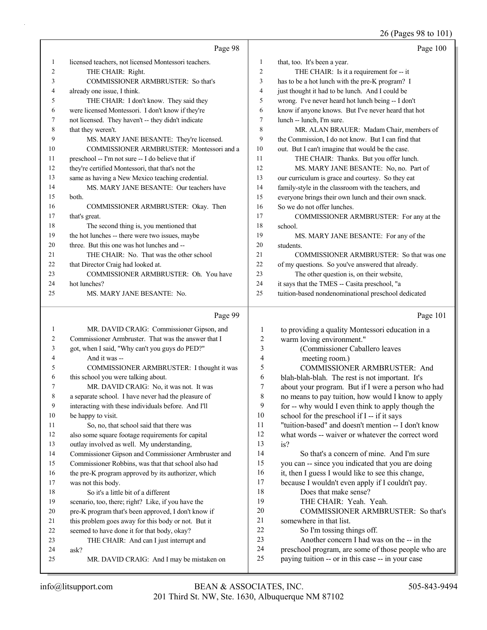26 (Pages 98 to 101)

|          |                                                      |                  | 20 (Fages 70 to 101)                                                                                     |
|----------|------------------------------------------------------|------------------|----------------------------------------------------------------------------------------------------------|
|          | Page 98                                              |                  | Page 100                                                                                                 |
| 1        | licensed teachers, not licensed Montessori teachers. | $\mathbf{1}$     | that, too. It's been a year.                                                                             |
| 2        | THE CHAIR: Right.                                    | $\overline{c}$   | THE CHAIR: Is it a requirement for -- it                                                                 |
| 3        | COMMISSIONER ARMBRUSTER: So that's                   | 3                | has to be a hot lunch with the pre-K program? I                                                          |
| 4        | already one issue, I think.                          | 4                | just thought it had to be lunch. And I could be                                                          |
| 5        | THE CHAIR: I don't know. They said they              | 5                | wrong. I've never heard hot lunch being -- I don't                                                       |
| 6        | were licensed Montessori. I don't know if they're    | 6                | know if anyone knows. But I've never heard that hot                                                      |
| 7        | not licensed. They haven't -- they didn't indicate   | 7                | lunch -- lunch, I'm sure.                                                                                |
| 8        | that they weren't.                                   | 8                | MR. ALAN BRAUER: Madam Chair, members of                                                                 |
| 9        | MS. MARY JANE BESANTE: They're licensed.             | 9                | the Commission, I do not know. But I can find that                                                       |
| 10       | COMMISSIONER ARMBRUSTER: Montessori and a            | 10               | out. But I can't imagine that would be the case.                                                         |
| 11       | preschool -- I'm not sure -- I do believe that if    | 11               | THE CHAIR: Thanks. But you offer lunch.                                                                  |
| 12       | they're certified Montessori, that that's not the    | 12               | MS. MARY JANE BESANTE: No, no. Part of                                                                   |
| 13       | same as having a New Mexico teaching credential.     | 13               | our curriculum is grace and courtesy. So they eat                                                        |
| 14       | MS. MARY JANE BESANTE: Our teachers have             | 14               | family-style in the classroom with the teachers, and                                                     |
| 15       | both.                                                | 15               | everyone brings their own lunch and their own snack.                                                     |
| 16       | COMMISSIONER ARMBRUSTER: Okay. Then                  | 16               | So we do not offer lunches.                                                                              |
| 17       | that's great.                                        | 17               | COMMISSIONER ARMBRUSTER: For any at the                                                                  |
| 18       | The second thing is, you mentioned that              | 18               | school.                                                                                                  |
| 19       | the hot lunches -- there were two issues, maybe      | 19               | MS. MARY JANE BESANTE: For any of the                                                                    |
| 20       | three. But this one was hot lunches and --           | 20               | students.                                                                                                |
| 21       | THE CHAIR: No. That was the other school             | 21               | COMMISSIONER ARMBRUSTER: So that was one                                                                 |
| 22       | that Director Craig had looked at.                   | 22               | of my questions. So you've answered that already.                                                        |
| 23       | COMMISSIONER ARMBRUSTER: Oh. You have                | 23               | The other question is, on their website,                                                                 |
| 24       | hot lunches?                                         | 24               | it says that the TMES -- Casita preschool, "a                                                            |
| 25       | MS. MARY JANE BESANTE: No.                           | 25               | tuition-based nondenominational preschool dedicated                                                      |
|          | Page 99                                              |                  | Page 101                                                                                                 |
| 1        | MR. DAVID CRAIG: Commissioner Gipson, and            |                  |                                                                                                          |
|          |                                                      | 1                |                                                                                                          |
| 2        | Commissioner Armbruster. That was the answer that I  | $\boldsymbol{2}$ | to providing a quality Montessori education in a<br>warm loving environment."                            |
| 3        | got, when I said, "Why can't you guys do PED?"       | 3                | (Commissioner Caballero leaves                                                                           |
| 4        | And it was --                                        | 4                | meeting room.)                                                                                           |
| 5        | COMMISSIONER ARMBRUSTER: I thought it was            | 5                | COMMISSIONER ARMBRUSTER: And                                                                             |
| 6        | this school you were talking about.                  | 6                | blah-blah-blah. The rest is not important. It's                                                          |
| 7        | MR. DAVID CRAIG: No, it was not. It was              | 7                | about your program. But if I were a person who had                                                       |
| 8        | a separate school. I have never had the pleasure of  | 8                | no means to pay tuition, how would I know to apply                                                       |
| 9        | interacting with these individuals before. And I'll  | 9                | for -- why would I even think to apply though the                                                        |
| 10       | be happy to visit.                                   | 10               | school for the preschool if I -- if it says                                                              |
| 11       | So, no, that school said that there was              | 11               | "tuition-based" and doesn't mention -- I don't know                                                      |
| 12       | also some square footage requirements for capital    | 12               | what words -- waiver or whatever the correct word                                                        |
| 13       | outlay involved as well. My understanding,           | 13               | is?                                                                                                      |
| 14       | Commissioner Gipson and Commissioner Armbruster and  | 14               | So that's a concern of mine. And I'm sure                                                                |
| 15       | Commissioner Robbins, was that that school also had  | 15               | you can -- since you indicated that you are doing                                                        |
| $16\,$   | the pre-K program approved by its authorizer, which  | 16               | it, then I guess I would like to see this change,                                                        |
| 17       | was not this body.                                   | 17               | because I wouldn't even apply if I couldn't pay.                                                         |
| $18\,$   | So it's a little bit of a different                  | 18               | Does that make sense?                                                                                    |
| 19       | scenario, too, there; right? Like, if you have the   | 19               | THE CHAIR: Yeah. Yeah.                                                                                   |
| $20\,$   | pre-K program that's been approved, I don't know if  | 20               | COMMISSIONER ARMBRUSTER: So that's                                                                       |
| 21       | this problem goes away for this body or not. But it  | 21               | somewhere in that list.                                                                                  |
| $22\,$   | seemed to have done it for that body, okay?          | $22\,$           | So I'm tossing things off.                                                                               |
| 23       | THE CHAIR: And can I just interrupt and              | 23               | Another concern I had was on the -- in the                                                               |
| 24<br>25 | ask?<br>MR. DAVID CRAIG: And I may be mistaken on    | 24<br>25         | preschool program, are some of those people who are<br>paying tuition -- or in this case -- in your case |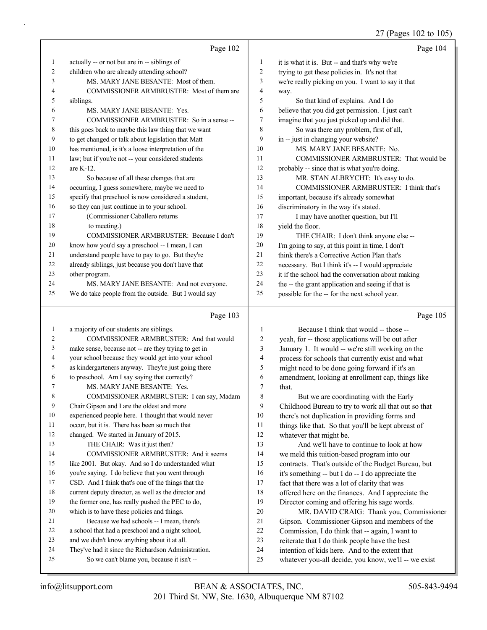27 (Pages 102 to 105)

|    | Page 102                                                                            |    | Page 104                                           |
|----|-------------------------------------------------------------------------------------|----|----------------------------------------------------|
| 1  | actually -- or not but are in -- siblings of                                        | 1  | it is what it is. But -- and that's why we're      |
| 2  | children who are already attending school?                                          | 2  | trying to get these policies in. It's not that     |
| 3  | MS. MARY JANE BESANTE: Most of them.                                                | 3  | we're really picking on you. I want to say it that |
| 4  | COMMISSIONER ARMBRUSTER: Most of them are                                           | 4  | way.                                               |
| 5  | siblings.                                                                           | 5  | So that kind of explains. And I do                 |
| 6  | MS. MARY JANE BESANTE: Yes.                                                         | 6  | believe that you did get permission. I just can't  |
| 7  | COMMISSIONER ARMBRUSTER: So in a sense --                                           | 7  | imagine that you just picked up and did that.      |
| 8  | this goes back to maybe this law thing that we want                                 | 8  | So was there any problem, first of all,            |
| 9  | to get changed or talk about legislation that Matt                                  | 9  | in -- just in changing your website?               |
| 10 | has mentioned, is it's a loose interpretation of the                                | 10 | MS. MARY JANE BESANTE: No.                         |
| 11 | law; but if you're not -- your considered students                                  | 11 | COMMISSIONER ARMBRUSTER: That would be             |
| 12 | are $K-12$ .                                                                        | 12 | probably -- since that is what you're doing.       |
| 13 | So because of all these changes that are                                            | 13 | MR. STAN ALBRYCHT: It's easy to do.                |
| 14 | occurring, I guess somewhere, maybe we need to                                      | 14 | <b>COMMISSIONER ARMBRUSTER: I think that's</b>     |
| 15 | specify that preschool is now considered a student,                                 | 15 | important, because it's already somewhat           |
| 16 | so they can just continue in to your school.                                        | 16 | discriminatory in the way it's stated.             |
| 17 | (Commissioner Caballero returns                                                     | 17 | I may have another question, but I'll              |
| 18 | to meeting.)                                                                        | 18 | yield the floor.                                   |
| 19 | COMMISSIONER ARMBRUSTER: Because I don't                                            | 19 | THE CHAIR: I don't think anyone else --            |
| 20 | know how you'd say a preschool -- I mean, I can                                     | 20 | I'm going to say, at this point in time, I don't   |
| 21 | understand people have to pay to go. But they're                                    | 21 | think there's a Corrective Action Plan that's      |
| 22 | already siblings, just because you don't have that                                  | 22 | necessary. But I think it's -- I would appreciate  |
| 23 | other program.                                                                      | 23 | it if the school had the conversation about making |
| 24 | MS. MARY JANE BESANTE: And not everyone.                                            | 24 | the -- the grant application and seeing if that is |
| 25 | We do take people from the outside. But I would say                                 | 25 | possible for the -- for the next school year.      |
|    | Page 103                                                                            |    | Page 105                                           |
| 1  | a majority of our students are siblings.                                            | 1  | Because I think that would -- those --             |
|    | $\alpha$ and $\alpha$ $\alpha$ and $\alpha$ in $\alpha$ is the $\alpha$ is $\alpha$ |    |                                                    |

| $\mathbf{1}$   | a majority of our students are siblings.             | 1              | Because I thi          |
|----------------|------------------------------------------------------|----------------|------------------------|
| 2              | COMMISSIONER ARMBRUSTER: And that would              | 2              | yeah, for -- those ap  |
| $\overline{3}$ | make sense, because not -- are they trying to get in | 3              | January 1. It would    |
| $\overline{4}$ | your school because they would get into your school  | $\overline{4}$ | process for schools    |
| 5              | as kindergarteners anyway. They're just going there  | 5              | might need to be do    |
| 6              | to preschool. Am I say saying that correctly?        | 6              | amendment, lookin      |
| 7              | MS. MARY JANE BESANTE: Yes.                          | $\tau$         | that.                  |
| $\,$ $\,$      | COMMISSIONER ARMBRUSTER: I can say, Madam            | 8              | But we are co          |
| 9              | Chair Gipson and I are the oldest and more           | 9              | Childhood Bureau t     |
| 10             | experienced people here. I thought that would never  | 10             | there's not duplicati  |
| 11             | occur, but it is. There has been so much that        | 11             | things like that. So   |
| 12             | changed. We started in January of 2015.              | 12             | whatever that might    |
| 13             | THE CHAIR: Was it just then?                         | 13             | And we'll hav          |
| 14             | COMMISSIONER ARMBRUSTER: And it seems                | 14             | we meld this tuition   |
| 15             | like 2001. But okay. And so I do understanded what   | 15             | contracts. That's ou   |
| 16             | you're saying. I do believe that you went through    | 16             | it's something -- but  |
| 17             | CSD. And I think that's one of the things that the   | 17             | fact that there was a  |
| 18             | current deputy director, as well as the director and | 18             | offered here on the    |
| 19             | the former one, has really pushed the PEC to do,     | 19             | Director coming an     |
| 20             | which is to have these policies and things.          | 20             | MR. DAVID              |
| 21             | Because we had schools -- I mean, there's            | 21             | Gipson. Commissio      |
| 22             | a school that had a preschool and a night school,    | 22             | Commission, I do tl    |
| 23             | and we didn't know anything about it at all.         | 23             | reiterate that I do th |
| 24             | They've had it since the Richardson Administration.  | 24             | intention of kids he   |
| 25             | So we can't blame you, because it isn't --           | 25             | whatever you-all de    |
|                |                                                      |                |                        |

| 1              | Because I think that would -- those --               |
|----------------|------------------------------------------------------|
| $\overline{c}$ | yeah, for -- those applications will be out after    |
| 3              | January 1. It would -- we're still working on the    |
| $\overline{4}$ | process for schools that currently exist and what    |
| 5              | might need to be done going forward if it's an       |
| 6              | amendment, looking at enrollment cap, things like    |
| 7              | that.                                                |
| 8              | But we are coordinating with the Early               |
| 9              | Childhood Bureau to try to work all that out so that |
| 10             | there's not duplication in providing forms and       |
| 11             | things like that. So that you'll be kept abreast of  |
| 12             | whatever that might be.                              |
| 13             | And we'll have to continue to look at how            |
| 14             | we meld this tuition-based program into our          |
| 15             | contracts. That's outside of the Budget Bureau, but  |
| 16             | it's something -- but I do -- I do appreciate the    |
| 17             | fact that there was a lot of clarity that was        |
| 18             | offered here on the finances. And I appreciate the   |
| 19             | Director coming and offering his sage words.         |
| 20             | MR. DAVID CRAIG: Thank you, Commissioner             |
| 21             | Gipson. Commissioner Gipson and members of the       |
| 22             | Commission, I do think that -- again, I want to      |
| 23             | reiterate that I do think people have the best       |
| 24             | intention of kids here. And to the extent that       |
| 25             | whatever you-all decide, you know, we'll -- we exist |
|                |                                                      |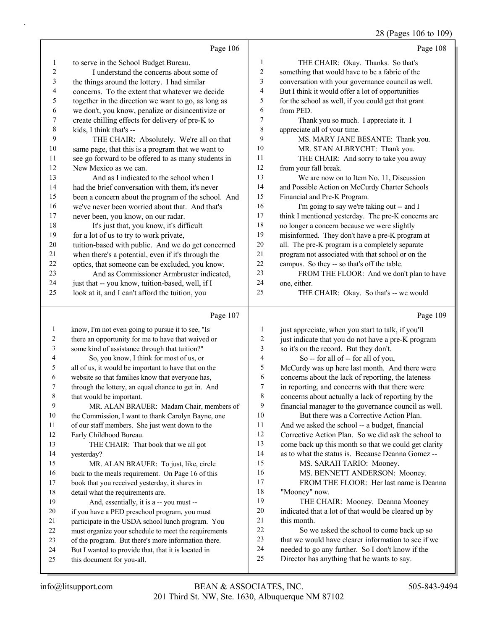28 (Pages 106 to 109)

|              |                                                                                                            |                  | 28 (Pages 106 to 109)                                                                                   |
|--------------|------------------------------------------------------------------------------------------------------------|------------------|---------------------------------------------------------------------------------------------------------|
|              | Page 106                                                                                                   |                  | Page 108                                                                                                |
| 1            | to serve in the School Budget Bureau.                                                                      | 1                | THE CHAIR: Okay. Thanks. So that's                                                                      |
| 2            | I understand the concerns about some of                                                                    | 2                | something that would have to be a fabric of the                                                         |
| 3            | the things around the lottery. I had similar                                                               | 3                | conversation with your governance council as well.                                                      |
| 4            | concerns. To the extent that whatever we decide                                                            | 4                | But I think it would offer a lot of opportunities                                                       |
| 5            | together in the direction we want to go, as long as                                                        | 5                | for the school as well, if you could get that grant                                                     |
| 6            | we don't, you know, penalize or disincentivize or                                                          | 6                | from PED.                                                                                               |
| 7            | create chilling effects for delivery of pre-K to                                                           | 7                | Thank you so much. I appreciate it. I                                                                   |
| 8            | kids, I think that's --                                                                                    | $\,$ $\,$        | appreciate all of your time.                                                                            |
| 9            | THE CHAIR: Absolutely. We're all on that                                                                   | 9                | MS. MARY JANE BESANTE: Thank you.                                                                       |
| 10           | same page, that this is a program that we want to                                                          | 10               | MR. STAN ALBRYCHT: Thank you.                                                                           |
| 11           | see go forward to be offered to as many students in                                                        | 11               | THE CHAIR: And sorry to take you away                                                                   |
| 12           | New Mexico as we can.                                                                                      | 12               | from your fall break.                                                                                   |
| 13           | And as I indicated to the school when I                                                                    | 13               | We are now on to Item No. 11, Discussion                                                                |
| 14           | had the brief conversation with them, it's never                                                           | 14               | and Possible Action on McCurdy Charter Schools                                                          |
| 15           | been a concern about the program of the school. And                                                        | 15               | Financial and Pre-K Program.                                                                            |
| 16           | we've never been worried about that. And that's                                                            | 16               | I'm going to say we're taking out -- and I                                                              |
| 17           | never been, you know, on our radar.                                                                        | 17               | think I mentioned yesterday. The pre-K concerns are                                                     |
| 18           | It's just that, you know, it's difficult                                                                   | 18               | no longer a concern because we were slightly                                                            |
| 19           | for a lot of us to try to work private,                                                                    | 19               | misinformed. They don't have a pre-K program at                                                         |
| $20\,$       | tuition-based with public. And we do get concerned                                                         | 20               | all. The pre-K program is a completely separate                                                         |
| 21           | when there's a potential, even if it's through the                                                         | $21\,$           | program not associated with that school or on the                                                       |
| $22\,$       | optics, that someone can be excluded, you know.                                                            | $22\,$           | campus. So they -- so that's off the table.                                                             |
| 23           | And as Commissioner Armbruster indicated,                                                                  | 23               | FROM THE FLOOR: And we don't plan to have                                                               |
| 24           | just that -- you know, tuition-based, well, if I                                                           | 24<br>25         | one, either.                                                                                            |
| 25           | look at it, and I can't afford the tuition, you                                                            |                  | THE CHAIR: Okay. So that's -- we would                                                                  |
|              | Page 107                                                                                                   |                  | Page 109                                                                                                |
| $\mathbf{1}$ | know, I'm not even going to pursue it to see, "Is                                                          | $\mathbf{1}$     | just appreciate, when you start to talk, if you'll                                                      |
| 2            | there an opportunity for me to have that waived or                                                         | $\boldsymbol{2}$ | just indicate that you do not have a pre-K program                                                      |
| 3            | some kind of assistance through that tuition?"                                                             | 3                | so it's on the record. But they don't.                                                                  |
| 4            | So, you know, I think for most of us, or                                                                   | 4                | So -- for all of -- for all of you,                                                                     |
| 5            | all of us, it would be important to have that on the                                                       | 5                | McCurdy was up here last month. And there were                                                          |
| 6            | website so that families know that everyone has,                                                           | 6                | concerns about the lack of reporting, the lateness                                                      |
|              | through the lottery, an equal chance to get in. And                                                        |                  |                                                                                                         |
|              |                                                                                                            | $\boldsymbol{7}$ | in reporting, and concerns with that there were                                                         |
| 8            | that would be important.                                                                                   | 8                | concerns about actually a lack of reporting by the                                                      |
| 9            | MR. ALAN BRAUER: Madam Chair, members of                                                                   | 9                | financial manager to the governance council as well.                                                    |
| 10           | the Commission, I want to thank Carolyn Bayne, one                                                         | 10               | But there was a Corrective Action Plan.                                                                 |
| 11           | of our staff members. She just went down to the                                                            | 11               | And we asked the school -- a budget, financial                                                          |
| 12           | Early Childhood Bureau.                                                                                    | 12               | Corrective Action Plan. So we did ask the school to                                                     |
| 13           | THE CHAIR: That book that we all got                                                                       | 13               | come back up this month so that we could get clarity                                                    |
| 14           | yesterday?                                                                                                 | 14               | as to what the status is. Because Deanna Gomez --                                                       |
| 15           | MR. ALAN BRAUER: To just, like, circle                                                                     | 15               | MS. SARAH TARIO: Mooney.                                                                                |
| 16           | back to the meals requirement. On Page 16 of this                                                          | 16               | MS. BENNETT ANDERSON: Mooney.                                                                           |
| 17           | book that you received yesterday, it shares in                                                             | 17               | FROM THE FLOOR: Her last name is Deanna                                                                 |
| 18           | detail what the requirements are.                                                                          | 18               | "Mooney" now.                                                                                           |
| 19           | And, essentially, it is a -- you must --                                                                   | 19               | THE CHAIR: Mooney. Deanna Mooney                                                                        |
| 20           | if you have a PED preschool program, you must                                                              | 20               | indicated that a lot of that would be cleared up by                                                     |
| 21           | participate in the USDA school lunch program. You                                                          | 21               | this month.                                                                                             |
| 22           | must organize your schedule to meet the requirements                                                       | 22<br>23         | So we asked the school to come back up so                                                               |
| 23<br>24     | of the program. But there's more information there.<br>But I wanted to provide that, that it is located in | 24               | that we would have clearer information to see if we<br>needed to go any further. So I don't know if the |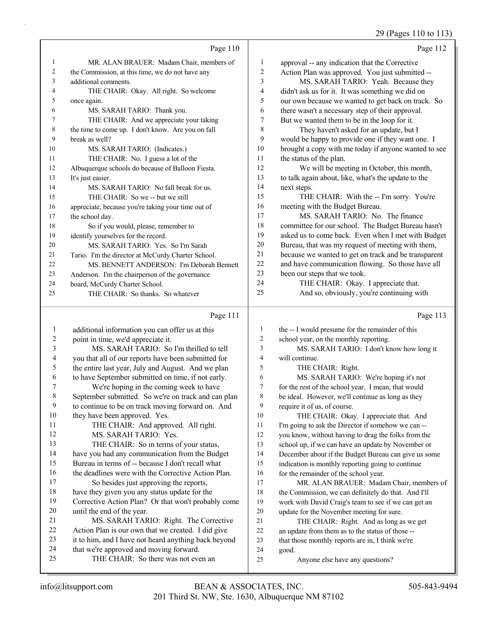29 (Pages 110 to 113)

|                |                                                    |    | $22 \text{ (14)}$                                    |
|----------------|----------------------------------------------------|----|------------------------------------------------------|
|                | Page 110                                           |    | Page 112                                             |
| 1              | MR. ALAN BRAUER: Madam Chair, members of           | 1  | approval -- any indication that the Corrective       |
| $\overline{2}$ | the Commission, at this time, we do not have any   | 2  | Action Plan was approved. You just submitted --      |
| 3              | additional comments.                               | 3  | MS. SARAH TARIO: Yeah. Because they                  |
| 4              | THE CHAIR: Okay. All right. So welcome             | 4  | didn't ask us for it. It was something we did on     |
| 5              | once again.                                        | 5  | our own because we wanted to get back on track. So   |
| 6              | MS. SARAH TARIO: Thank you.                        | 6  | there wasn't a necessary step of their approval.     |
| 7              | THE CHAIR: And we appreciate your taking           | 7  | But we wanted them to be in the loop for it.         |
| 8              | the time to come up. I don't know. Are you on fall | 8  | They haven't asked for an update, but I              |
| 9              | break as well?                                     | 9  | would be happy to provide one if they want one. I    |
| 10             | MS. SARAH TARIO: (Indicates.)                      | 10 | brought a copy with me today if anyone wanted to see |
| 11             | THE CHAIR: No. I guess a lot of the                | 11 | the status of the plan.                              |
| 12             | Albuquerque schools do because of Balloon Fiesta.  | 12 | We will be meeting in October, this month,           |
| 13             | It's just easier.                                  | 13 | to talk again about, like, what's the update to the  |
| 14             | MS. SARAH TARIO: No fall break for us.             | 14 | next steps.                                          |
| 15             | THE CHAIR: So we -- but we still                   | 15 | THE CHAIR: With the -- I'm sorry. You're             |
| 16             | appreciate, because you're taking your time out of | 16 | meeting with the Budget Bureau.                      |
| 17             | the school day.                                    | 17 | MS. SARAH TARIO: No. The finance                     |
| 18             | So if you would, please, remember to               | 18 | committee for our school. The Budget Bureau hasn't   |
| 19             | identify yourselves for the record.                | 19 | asked us to come back. Even when I met with Budget   |
| 20             | MS. SARAH TARIO: Yes. So I'm Sarah                 | 20 | Bureau, that was my request of meeting with them,    |
| 21             | Tario. I'm the director at McCurdy Charter School. | 21 | because we wanted to get on track and be transparent |
| 22             | MS. BENNETT ANDERSON: I'm Deborah Bennett          | 22 | and have communication flowing. So those have all    |
| 23             | Anderson. I'm the chairperson of the governance    | 23 | been our steps that we took.                         |
| 24             | board, McCurdy Charter School.                     | 24 | THE CHAIR: Okay. I appreciate that.                  |
| 25             | THE CHAIR: So thanks. So whatever                  | 25 | And so, obviously, you're continuing with            |
|                |                                                    |    |                                                      |

### Page 111 |

|         | Page 111                                             |    | Page 113                                             |
|---------|------------------------------------------------------|----|------------------------------------------------------|
| $\perp$ | additional information you can offer us at this      | 1  | the -- I would presume for the remainder of this     |
| 2       | point in time, we'd appreciate it.                   | 2  | school year, on the monthly reporting.               |
| 3       | MS. SARAH TARIO: So I'm thrilled to tell             | 3  | MS. SARAH TARIO: I don't know how long it            |
| 4       | you that all of our reports have been submitted for  | 4  | will continue.                                       |
| 5       | the entire last year, July and August. And we plan   | 5  | THE CHAIR: Right.                                    |
| 6       | to have September submitted on time, if not early.   | 6  | MS. SARAH TARIO: We're hoping it's not               |
| 7       | We're hoping in the coming week to have              | 7  | for the rest of the school year. I mean, that would  |
| 8       | September submitted. So we're on track and can plan  | 8  | be ideal. However, we'll continue as long as they    |
| 9       | to continue to be on track moving forward on. And    | 9  | require it of us, of course.                         |
| 10      | they have been approved. Yes.                        | 10 | THE CHAIR: Okay. I appreciate that. And              |
| 11      | THE CHAIR: And approved. All right.                  | 11 | I'm going to ask the Director if somehow we can --   |
| 12      | MS. SARAH TARIO: Yes.                                | 12 | you know, without having to drag the folks from the  |
| 13      | THE CHAIR: So in terms of your status,               | 13 | school up, if we can have an update by November or   |
| 14      | have you had any communication from the Budget       | 14 | December about if the Budget Bureau can give us some |
| 15      | Bureau in terms of -- because I don't recall what    | 15 | indication is monthly reporting going to continue    |
| 16      | the deadlines were with the Corrective Action Plan.  | 16 | for the remainder of the school year.                |
| 17      | So besides just approving the reports,               | 17 | MR. ALAN BRAUER: Madam Chair, members of             |
| 18      | have they given you any status update for the        | 18 | the Commission, we can definitely do that. And I'll  |
| 19      | Corrective Action Plan? Or that won't probably come  | 19 | work with David Craig's team to see if we can get an |
| 20      | until the end of the year.                           | 20 | update for the November meeting for sure.            |
| 21      | MS. SARAH TARIO: Right. The Corrective               | 21 | THE CHAIR: Right. And as long as we get              |
| 22      | Action Plan is our own that we created. I did give   | 22 | an update from them as to the status of those --     |
| 23      | it to him, and I have not heard anything back beyond | 23 | that those monthly reports are in, I think we're     |
| 24      | that we're approved and moving forward.              | 24 | good.                                                |
| 25      | THE CHAIR: So there was not even an                  | 25 | Anyone else have any questions?                      |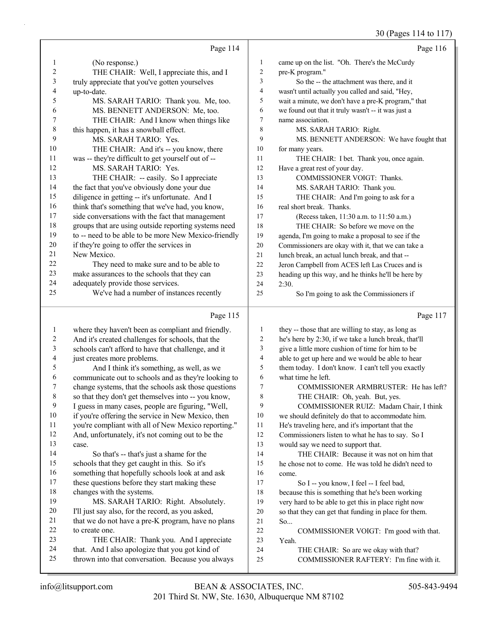30 (Pages 114 to 117)

|              |                                                                                                      |                | $30(1 \text{ gcs} 117 \text{ w} 11)$                                            |
|--------------|------------------------------------------------------------------------------------------------------|----------------|---------------------------------------------------------------------------------|
|              | Page 114                                                                                             |                | Page 116                                                                        |
| 1            | (No response.)                                                                                       | $\mathbf{1}$   | came up on the list. "Oh. There's the McCurdy                                   |
| 2            | THE CHAIR: Well, I appreciate this, and I                                                            | $\overline{c}$ | pre-K program."                                                                 |
| 3            | truly appreciate that you've gotten yourselves                                                       | 3              | So the -- the attachment was there, and it                                      |
| 4            | up-to-date.                                                                                          | $\overline{4}$ | wasn't until actually you called and said, "Hey,                                |
| 5            | MS. SARAH TARIO: Thank you. Me, too.                                                                 | 5              | wait a minute, we don't have a pre-K program," that                             |
| 6            | MS. BENNETT ANDERSON: Me, too.                                                                       | 6              | we found out that it truly wasn't -- it was just a                              |
| 7            | THE CHAIR: And I know when things like                                                               | $\overline{7}$ | name association.                                                               |
| 8            | this happen, it has a snowball effect.                                                               | 8              | MS. SARAH TARIO: Right.                                                         |
| 9            | MS. SARAH TARIO: Yes.                                                                                | 9              | MS. BENNETT ANDERSON: We have fought that                                       |
| 10           | THE CHAIR: And it's -- you know, there                                                               | 10             | for many years.                                                                 |
| 11           | was -- they're difficult to get yourself out of --                                                   | 11             | THE CHAIR: I bet. Thank you, once again.                                        |
| 12           | MS. SARAH TARIO: Yes.                                                                                | 12             | Have a great rest of your day.                                                  |
| 13           | THE CHAIR: -- easily. So I appreciate                                                                | 13             | COMMISSIONER VOIGT: Thanks.                                                     |
| 14           | the fact that you've obviously done your due                                                         | 14             | MS. SARAH TARIO: Thank you.                                                     |
| 15           | diligence in getting -- it's unfortunate. And I                                                      | 15             | THE CHAIR: And I'm going to ask for a                                           |
| 16           | think that's something that we've had, you know,                                                     | 16             | real short break. Thanks.                                                       |
| 17           | side conversations with the fact that management                                                     | 17             | (Recess taken, 11:30 a.m. to 11:50 a.m.)                                        |
| 18           | groups that are using outside reporting systems need                                                 | 18             | THE CHAIR: So before we move on the                                             |
| 19           | to -- need to be able to be more New Mexico-friendly                                                 | 19             | agenda, I'm going to make a proposal to see if the                              |
| 20           | if they're going to offer the services in                                                            | 20             | Commissioners are okay with it, that we can take a                              |
| 21           | New Mexico.                                                                                          | 21             | lunch break, an actual lunch break, and that --                                 |
| 22           | They need to make sure and to be able to                                                             | 22             | Jeron Campbell from ACES left Las Cruces and is                                 |
| 23           | make assurances to the schools that they can                                                         | 23             | heading up this way, and he thinks he'll be here by                             |
| 24           | adequately provide those services.                                                                   | 24             | 2:30.                                                                           |
| 25           | We've had a number of instances recently                                                             | 25             | So I'm going to ask the Commissioners if                                        |
|              | Page 115                                                                                             |                | Page 117                                                                        |
| $\mathbf{1}$ | where they haven't been as compliant and friendly.                                                   | $\mathbf{1}$   | they -- those that are willing to stay, as long as                              |
| 2            | And it's created challenges for schools, that the                                                    | $\sqrt{2}$     | he's here by 2:30, if we take a lunch break, that'll                            |
| 3            | schools can't afford to have that challenge, and it                                                  | $\mathfrak{Z}$ | give a little more cushion of time for him to be                                |
| 4            | just creates more problems.                                                                          | 4              | able to get up here and we would be able to hear                                |
| 5            | And I think it's something, as well, as we                                                           | 5              | them today. I don't know. I can't tell you exactly                              |
| 6            | communicate out to schools and as they're looking to                                                 | 6              | what time he left.                                                              |
| 7            | change systems, that the schools ask those questions                                                 | $\tau$         | COMMISSIONER ARMBRUSTER: He has left?                                           |
| 8            | so that they don't get themselves into -- you know,                                                  | 8              | THE CHAIR: Oh, yeah. But, yes.                                                  |
| 9            | I guess in many cases, people are figuring, "Well,                                                   | 9              | COMMISSIONER RUIZ: Madam Chair, I think                                         |
| 10           | if you're offering the service in New Mexico, then                                                   | 10             | we should definitely do that to accommodate him.                                |
| 11           | you're compliant with all of New Mexico reporting."                                                  | 11             | He's traveling here, and it's important that the                                |
| 12           | And, unfortunately, it's not coming out to be the                                                    | 12             | Commissioners listen to what he has to say. So I                                |
| 13           | case.                                                                                                | 13             | would say we need to support that.                                              |
| 14           | So that's -- that's just a shame for the                                                             | 14             | THE CHAIR: Because it was not on him that                                       |
| 15           | schools that they get caught in this. So it's                                                        | 15             | he chose not to come. He was told he didn't need to                             |
| 16           | something that hopefully schools look at and ask                                                     | 16             | come.                                                                           |
| 17           | these questions before they start making these                                                       | 17             | So I -- you know, I feel -- I feel bad,                                         |
| 18           | changes with the systems.                                                                            | 18             | because this is something that he's been working                                |
| 19           |                                                                                                      |                |                                                                                 |
|              | MS. SARAH TARIO: Right. Absolutely.                                                                  | 19             | very hard to be able to get this in place right now                             |
| 20           | I'll just say also, for the record, as you asked,                                                    | 20             | so that they can get that funding in place for them.                            |
| 21           | that we do not have a pre-K program, have no plans                                                   | 21             | So                                                                              |
| 22           | to create one.                                                                                       | 22             | COMMISSIONER VOIGT: I'm good with that.                                         |
| 23           | THE CHAIR: Thank you. And I appreciate                                                               | 23             | Yeah.                                                                           |
| 24<br>25     | that. And I also apologize that you got kind of<br>thrown into that conversation. Because you always | 24<br>25       | THE CHAIR: So are we okay with that?<br>COMMISSIONER RAFTERY: I'm fine with it. |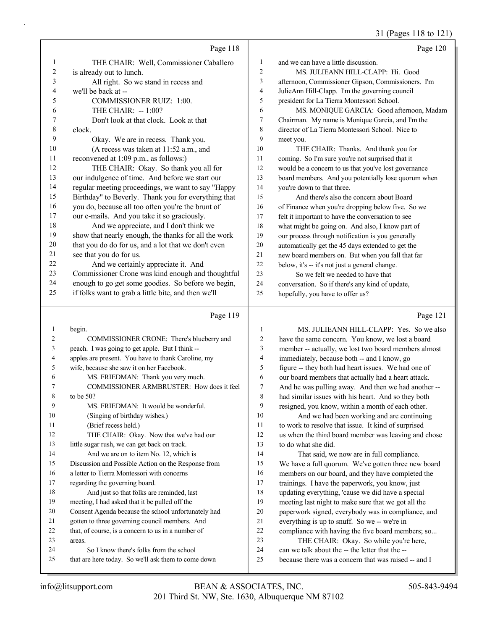31 (Pages 118 to 121)

|                         | Page 118                                                                                              |                | Page 120                                                                                                   |
|-------------------------|-------------------------------------------------------------------------------------------------------|----------------|------------------------------------------------------------------------------------------------------------|
| 1                       | THE CHAIR: Well, Commissioner Caballero                                                               | $\mathbf{1}$   | and we can have a little discussion.                                                                       |
| $\overline{\mathbf{c}}$ | is already out to lunch.                                                                              | $\overline{c}$ | MS. JULIEANN HILL-CLAPP: Hi. Good                                                                          |
| 3                       | All right. So we stand in recess and                                                                  | 3              | afternoon, Commissioner Gipson, Commissioners. I'm                                                         |
| 4                       | we'll be back at --                                                                                   | $\overline{4}$ | JulieAnn Hill-Clapp. I'm the governing council                                                             |
| 5                       | COMMISSIONER RUIZ: 1:00.                                                                              | 5              | president for La Tierra Montessori School.                                                                 |
| 6                       | THE CHAIR: -- 1:00?                                                                                   | 6              | MS. MONIQUE GARCIA: Good afternoon, Madam                                                                  |
| 7                       | Don't look at that clock. Look at that                                                                | 7              | Chairman. My name is Monique Garcia, and I'm the                                                           |
| $\,$ $\,$               | clock.                                                                                                | 8              | director of La Tierra Montessori School. Nice to                                                           |
| 9                       | Okay. We are in recess. Thank you.                                                                    | 9              | meet you.                                                                                                  |
| 10                      | (A recess was taken at 11:52 a.m., and                                                                | 10             | THE CHAIR: Thanks. And thank you for                                                                       |
| 11                      | reconvened at 1:09 p.m., as follows:)                                                                 | 11             | coming. So I'm sure you're not surprised that it                                                           |
| 12                      | THE CHAIR: Okay. So thank you all for                                                                 | 12             | would be a concern to us that you've lost governance                                                       |
| 13                      | our indulgence of time. And before we start our                                                       | 13             | board members. And you potentially lose quorum when                                                        |
| 14                      | regular meeting proceedings, we want to say "Happy                                                    | 14             | you're down to that three.                                                                                 |
| 15                      | Birthday" to Beverly. Thank you for everything that                                                   | 15             | And there's also the concern about Board                                                                   |
| 16                      | you do, because all too often you're the brunt of                                                     | 16             | of Finance when you're dropping below five. So we                                                          |
| 17                      | our e-mails. And you take it so graciously.                                                           | 17             | felt it important to have the conversation to see                                                          |
| 18                      | And we appreciate, and I don't think we                                                               | 18             | what might be going on. And also, I know part of                                                           |
| 19                      | show that nearly enough, the thanks for all the work                                                  | 19             | our process through notification is you generally                                                          |
| $20\,$                  | that you do do for us, and a lot that we don't even                                                   | 20             | automatically get the 45 days extended to get the                                                          |
| $21\,$                  | see that you do for us.                                                                               | 21             | new board members on. But when you fall that far                                                           |
| 22                      | And we certainly appreciate it. And                                                                   | 22             | below, it's -- it's not just a general change.                                                             |
| 23                      | Commissioner Crone was kind enough and thoughtful                                                     | 23             | So we felt we needed to have that                                                                          |
| 24                      | enough to go get some goodies. So before we begin,                                                    | 24             | conversation. So if there's any kind of update,                                                            |
| 25                      | if folks want to grab a little bite, and then we'll                                                   | 25             | hopefully, you have to offer us?                                                                           |
|                         |                                                                                                       |                |                                                                                                            |
|                         | Page 119                                                                                              |                | Page 121                                                                                                   |
|                         |                                                                                                       |                |                                                                                                            |
| $\mathbf{1}$<br>2       | begin.                                                                                                | 1              | MS. JULIEANN HILL-CLAPP: Yes. So we also                                                                   |
| 3                       | COMMISSIONER CRONE: There's blueberry and                                                             | 2<br>3         | have the same concern. You know, we lost a board                                                           |
| 4                       | peach. I was going to get apple. But I think --<br>apples are present. You have to thank Caroline, my | 4              | member -- actually, we lost two board members almost                                                       |
| 5                       | wife, because she saw it on her Facebook.                                                             | 5              | immediately, because both -- and I know, go                                                                |
| 6                       | MS. FRIEDMAN: Thank you very much.                                                                    | 6              | figure -- they both had heart issues. We had one of<br>our board members that actually had a heart attack. |
| 7                       | COMMISSIONER ARMBRUSTER: How does it feel                                                             | 7              | And he was pulling away. And then we had another --                                                        |
| 8                       | to be 50?                                                                                             | 8              | had similar issues with his heart. And so they both                                                        |
| 9                       | MS. FRIEDMAN: It would be wonderful.                                                                  | 9              | resigned, you know, within a month of each other.                                                          |
| 10                      | (Singing of birthday wishes.)                                                                         | 10             | And we had been working and are continuing                                                                 |
| 11                      | (Brief recess held.)                                                                                  | 11             | to work to resolve that issue. It kind of surprised                                                        |
| 12                      | THE CHAIR: Okay. Now that we've had our                                                               | 12             | us when the third board member was leaving and chose                                                       |
| 13                      | little sugar rush, we can get back on track.                                                          | 13             | to do what she did.                                                                                        |
| 14                      | And we are on to item No. 12, which is                                                                | 14             | That said, we now are in full compliance.                                                                  |
| 15                      | Discussion and Possible Action on the Response from                                                   | 15             | We have a full quorum. We've gotten three new board                                                        |
| 16                      | a letter to Tierra Montessori with concerns                                                           | 16             | members on our board, and they have completed the                                                          |
| 17                      | regarding the governing board.                                                                        | 17             | trainings. I have the paperwork, you know, just                                                            |
| 18                      | And just so that folks are reminded, last                                                             | 18             | updating everything, 'cause we did have a special                                                          |
| 19                      | meeting, I had asked that it be pulled off the                                                        | 19             | meeting last night to make sure that we got all the                                                        |
| 20                      | Consent Agenda because the school unfortunately had                                                   | $20\,$         | paperwork signed, everybody was in compliance, and                                                         |
| 21                      | gotten to three governing council members. And                                                        | $21\,$         | everything is up to snuff. So we -- we're in                                                               |
| 22                      | that, of course, is a concern to us in a number of                                                    | $22\,$         | compliance with having the five board members; so                                                          |
| 23                      | areas.                                                                                                | 23             | THE CHAIR: Okay. So while you're here,                                                                     |
| 24<br>25                | So I know there's folks from the school<br>that are here today. So we'll ask them to come down        | 24<br>$25\,$   | can we talk about the -- the letter that the --<br>because there was a concern that was raised -- and I    |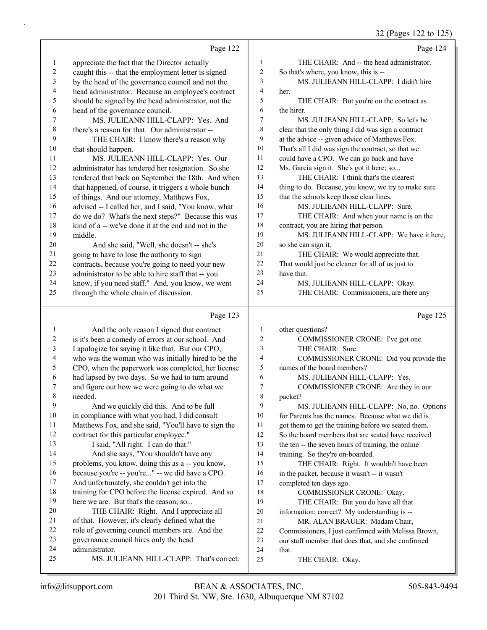# 32 (Pages 122 to 125)

|    | Page 122                                             |                | Page 124                                            |
|----|------------------------------------------------------|----------------|-----------------------------------------------------|
| 1  | appreciate the fact that the Director actually       | 1              | THE CHAIR: And -- the head administrator.           |
| 2  | caught this -- that the employment letter is signed  | $\mathfrak{2}$ | So that's where, you know, this is --               |
| 3  | by the head of the governance council and not the    | 3              | MS. JULIEANN HILL-CLAPP: I didn't hire              |
| 4  | head administrator. Because an employee's contract   | $\overline{4}$ | her.                                                |
| 5  | should be signed by the head administrator, not the  | 5              | THE CHAIR: But you're on the contract as            |
| 6  | head of the governance council.                      | 6              | the hirer.                                          |
| 7  | MS. JULIEANN HILL-CLAPP: Yes. And                    | $\overline{7}$ | MS. JULIEANN HILL-CLAPP: So let's be                |
| 8  | there's a reason for that. Our administrator --      | 8              | clear that the only thing I did was sign a contract |
| 9  | THE CHAIR: I know there's a reason why               | 9              | at the advice -- given advice of Matthews Fox.      |
| 10 | that should happen.                                  | 10             | That's all I did was sign the contract, so that we  |
| 11 | MS. JULIEANN HILL-CLAPP: Yes. Our                    | 11             | could have a CPO. We can go back and have           |
| 12 | administrator has tendered her resignation. So she   | 12             | Ms. Garcia sign it. She's got it here; so           |
| 13 | tendered that back on September the 18th. And when   | 13             | THE CHAIR: I think that's the clearest              |
| 14 | that happened, of course, it triggers a whole bunch  | 14             | thing to do. Because, you know, we try to make sure |
| 15 | of things. And our attorney, Matthews Fox,           | 15             | that the schools keep those clear lines.            |
| 16 | advised -- I called her, and I said, "You know, what | 16             | MS. JULIEANN HILL-CLAPP: Sure.                      |
| 17 | do we do? What's the next steps?" Because this was   | 17             | THE CHAIR: And when your name is on the             |
| 18 | kind of a -- we've done it at the end and not in the | 18             | contract, you are hiring that person.               |
| 19 | middle.                                              | 19             | MS. JULIEANN HILL-CLAPP: We have it here,           |
| 20 | And she said, "Well, she doesn't -- she's            | 20             | so she can sign it.                                 |
| 21 | going to have to lose the authority to sign          | 21             | THE CHAIR: We would appreciate that.                |
| 22 | contracts, because you're going to need your new     | 22             | That would just be cleaner for all of us just to    |
| 23 | administrator to be able to hire staff that -- you   | 23             | have that.                                          |
| 24 | know, if you need staff." And, you know, we went     | 24             | MS. JULIEANN HILL-CLAPP: Okay.                      |
| 25 | through the whole chain of discussion.               | 25             | THE CHAIR: Commissioners, are there any             |
|    | Page 123                                             |                | Page 125                                            |

|    | And the only reason I signed that contract           | 1  | other questions?                                    |
|----|------------------------------------------------------|----|-----------------------------------------------------|
| 2  | is it's been a comedy of errors at our school. And   | 2  | COMMISSIONER CRONE: I've got one.                   |
| 3  | I apologize for saying it like that. But our CPO,    | 3  | THE CHAIR: Sure.                                    |
| 4  | who was the woman who was initially hired to be the  | 4  | COMMISSIONER CRONE: Did you provide the             |
| 5  | CPO, when the paperwork was completed, her license   | 5  | names of the board members?                         |
| 6  | had lapsed by two days. So we had to turn around     | 6  | MS. JULIEANN HILL-CLAPP: Yes.                       |
| 7  | and figure out how we were going to do what we       | 7  | COMMISSIONER CRONE: Are they in our                 |
| 8  | needed.                                              | 8  | packet?                                             |
| 9  | And we quickly did this. And to be full              | 9  | MS. JULIEANN HILL-CLAPP: No, no. Options            |
| 10 | in compliance with what you had, I did consult       | 10 | for Parents has the names. Because what we did is   |
| 11 | Matthews Fox, and she said, "You'll have to sign the | 11 | got them to get the training before we seated them. |
| 12 | contract for this particular employee."              | 12 | So the board members that are seated have received  |
| 13 | I said, "All right. I can do that."                  | 13 | the ten -- the seven hours of training, the online  |
| 14 | And she says, "You shouldn't have any                | 14 | training. So they're on-boarded.                    |
| 15 | problems, you know, doing this as a -- you know,     | 15 | THE CHAIR: Right. It wouldn't have been             |
| 16 | because you're -- you're" -- we did have a CPO.      | 16 | in the packet, because it wasn't -- it wasn't       |
| 17 | And unfortunately, she couldn't get into the         | 17 | completed ten days ago.                             |
| 18 | training for CPO before the license expired. And so  | 18 | COMMISSIONER CRONE: Okay.                           |
| 19 | here we are. But that's the reason; so               | 19 | THE CHAIR: But you do have all that                 |
| 20 | THE CHAIR: Right. And I appreciate all               | 20 | information; correct? My understanding is --        |
| 21 | of that. However, it's clearly defined what the      | 21 | MR. ALAN BRAUER: Madam Chair,                       |
| 22 | role of governing council members are. And the       | 22 | Commissioners, I just confirmed with Melissa Brown, |
| 23 | governance council hires only the head               | 23 | our staff member that does that, and she confirmed  |
| 24 | administrator.                                       | 24 | that.                                               |
| 25 | MS. JULIEANN HILL-CLAPP: That's correct.             | 25 | THE CHAIR: Okay.                                    |
|    |                                                      |    |                                                     |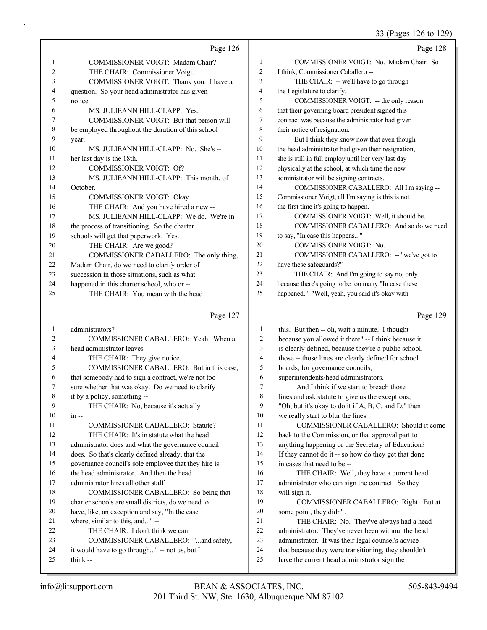#### 33 (Pages 126 to 129)

|    | Page 126                                           |    | Page 128                                            |
|----|----------------------------------------------------|----|-----------------------------------------------------|
|    | COMMISSIONER VOIGT: Madam Chair?                   | 1  | COMMISSIONER VOIGT: No. Madam Chair. So             |
| 2  | THE CHAIR: Commissioner Voigt.                     | 2  | I think, Commissioner Caballero --                  |
| 3  | COMMISSIONER VOIGT: Thank you. I have a            | 3  | THE CHAIR: -- we'll have to go through              |
| 4  | question. So your head administrator has given     | 4  | the Legislature to clarify.                         |
| 5  | notice.                                            | 5  | COMMISSIONER VOIGT: -- the only reason              |
| 6  | MS. JULIEANN HILL-CLAPP: Yes.                      | 6  | that their governing board president signed this    |
|    | COMMISSIONER VOIGT: But that person will           | 7  | contract was because the administrator had given    |
| 8  | be employed throughout the duration of this school | 8  | their notice of resignation.                        |
| 9  | year.                                              | 9  | But I think they know now that even though          |
| 10 | MS. JULIEANN HILL-CLAPP: No. She's --              | 10 | the head administrator had given their resignation, |
| 11 | her last day is the 18th.                          | 11 | she is still in full employ until her very last day |
| 12 | <b>COMMISSIONER VOIGT: Of?</b>                     | 12 | physically at the school, at which time the new     |
| 13 | MS. JULIEANN HILL-CLAPP: This month, of            | 13 | administrator will be signing contracts.            |
| 14 | October.                                           | 14 | COMMISSIONER CABALLERO: All I'm saying --           |
| 15 | COMMISSIONER VOIGT: Okay.                          | 15 | Commissioner Voigt, all I'm saying is this is not   |
| 16 | THE CHAIR: And you have hired a new --             | 16 | the first time it's going to happen.                |
| 17 | MS. JULIEANN HILL-CLAPP: We do. We're in           | 17 | COMMISSIONER VOIGT: Well, it should be.             |
| 18 | the process of transitioning. So the charter       | 18 | COMMISSIONER CABALLERO: And so do we need           |
| 19 | schools will get that paperwork. Yes.              | 19 | to say, "In case this happens" --                   |
| 20 | THE CHAIR: Are we good?                            | 20 | <b>COMMISSIONER VOIGT: No.</b>                      |
| 21 | COMMISSIONER CABALLERO: The only thing,            | 21 | COMMISSIONER CABALLERO: -- "we've got to            |
| 22 | Madam Chair, do we need to clarify order of        | 22 | have these safeguards?"                             |
| 23 | succession in those situations, such as what       | 23 | THE CHAIR: And I'm going to say no, only            |
| 24 | happened in this charter school, who or --         | 24 | because there's going to be too many "In case these |
| 25 | THE CHAIR: You mean with the head                  | 25 | happened." "Well, yeah, you said it's okay with     |

### Page 127

| 1  | administrators?                                      | 1              | this. But then -- oh, wait a minute. I thought       |
|----|------------------------------------------------------|----------------|------------------------------------------------------|
| 2  | COMMISSIONER CABALLERO: Yeah. When a                 | 2              | because you allowed it there" -- I think because it  |
| 3  | head administrator leaves --                         | 3              | is clearly defined, because they're a public school, |
| 4  | THE CHAIR: They give notice.                         | $\overline{4}$ | those -- those lines are clearly defined for school  |
| 5  | COMMISSIONER CABALLERO: But in this case,            | 5              | boards, for governance councils,                     |
| 6  | that somebody had to sign a contract, we're not too  | 6              | superintendents/head administrators.                 |
| 7  | sure whether that was okay. Do we need to clarify    | 7              | And I think if we start to breach those              |
| 8  | it by a policy, something --                         | 8              | lines and ask statute to give us the exceptions,     |
| 9  | THE CHAIR: No, because it's actually                 | 9              | "Oh, but it's okay to do it if A, B, C, and D," then |
| 10 | $in --$                                              | 10             | we really start to blur the lines.                   |
| 11 | <b>COMMISSIONER CABALLERO: Statute?</b>              | 11             | COMMISSIONER CABALLERO: Should it come               |
| 12 | THE CHAIR: It's in statute what the head             | 12             | back to the Commission, or that approval part to     |
| 13 | administrator does and what the governance council   | 13             | anything happening or the Secretary of Education?    |
| 14 | does. So that's clearly defined already, that the    | 14             | If they cannot do it -- so how do they get that done |
| 15 | governance council's sole employee that they hire is | 15             | in cases that need to be --                          |
| 16 | the head administrator. And then the head            | 16             | THE CHAIR: Well, they have a current head            |
| 17 | administrator hires all other staff.                 | 17             | administrator who can sign the contract. So they     |
| 18 | COMMISSIONER CABALLERO: So being that                | 18             | will sign it.                                        |
| 19 | charter schools are small districts, do we need to   | 19             | COMMISSIONER CABALLERO: Right. But at                |
| 20 | have, like, an exception and say, "In the case       | 20             | some point, they didn't.                             |
| 21 | where, similar to this, and" --                      | 21             | THE CHAIR: No. They've always had a head             |
| 22 | THE CHAIR: I don't think we can.                     | 22             | administrator. They've never been without the head   |
| 23 | COMMISSIONER CABALLERO: "and safety,                 | 23             | administrator. It was their legal counsel's advice   |
| 24 | it would have to go through" -- not us, but I        | 24             | that because they were transitioning, they shouldn't |
| 25 | think --                                             | 25             | have the current head administrator sign the         |
|    |                                                      |                |                                                      |

Page 129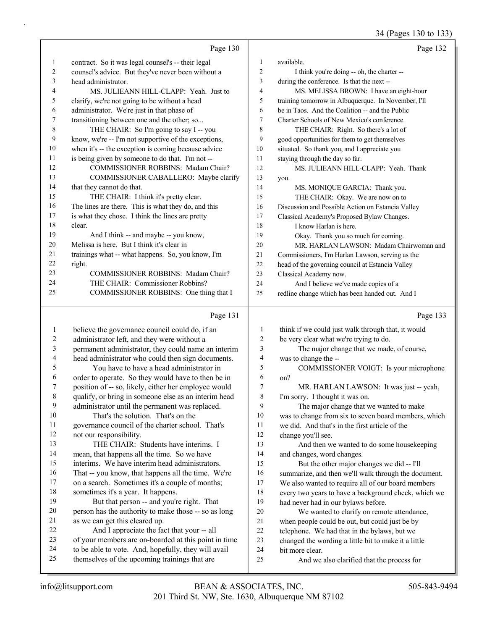$(D_{\text{0.029}} 120 \text{ to } 123)$ 

|                         |                                                      |                         | 34 (Pages 130 to 133)                               |
|-------------------------|------------------------------------------------------|-------------------------|-----------------------------------------------------|
|                         | Page 130                                             |                         | Page 132                                            |
| 1                       | contract. So it was legal counsel's -- their legal   | $\mathbf{1}$            | available.                                          |
| 2                       | counsel's advice. But they've never been without a   | $\overline{c}$          | I think you're doing -- oh, the charter --          |
| 3                       | head administrator.                                  | 3                       | during the conference. Is that the next --          |
| 4                       | MS. JULIEANN HILL-CLAPP: Yeah. Just to               | 4                       | MS. MELISSA BROWN: I have an eight-hour             |
| 5                       | clarify, we're not going to be without a head        | 5                       | training tomorrow in Albuquerque. In November, I'll |
| 6                       | administrator. We're just in that phase of           | 6                       | be in Taos. And the Coalition -- and the Public     |
| 7                       | transitioning between one and the other; so          | 7                       | Charter Schools of New Mexico's conference.         |
| $\,8\,$                 | THE CHAIR: So I'm going to say I -- you              | 8                       | THE CHAIR: Right. So there's a lot of               |
| 9                       | know, we're -- I'm not supportive of the exceptions, | 9                       | good opportunities for them to get themselves       |
| 10                      | when it's -- the exception is coming because advice  | $10\,$                  | situated. So thank you, and I appreciate you        |
| 11                      | is being given by someone to do that. I'm not --     | 11                      | staying through the day so far.                     |
| 12                      | COMMISSIONER ROBBINS: Madam Chair?                   | 12                      | MS. JULIEANN HILL-CLAPP: Yeah. Thank                |
| 13                      | COMMISSIONER CABALLERO: Maybe clarify                | 13                      | you.                                                |
| 14                      | that they cannot do that.                            | 14                      | MS. MONIQUE GARCIA: Thank you.                      |
| 15                      | THE CHAIR: I think it's pretty clear.                | 15                      | THE CHAIR: Okay. We are now on to                   |
| 16                      | The lines are there. This is what they do, and this  | 16                      | Discussion and Possible Action on Estancia Valley   |
| 17                      | is what they chose. I think the lines are pretty     | 17                      | Classical Academy's Proposed Bylaw Changes.         |
| 18                      | clear.                                               | 18                      | I know Harlan is here.                              |
| 19                      | And I think -- and maybe -- you know,                | 19                      | Okay. Thank you so much for coming.                 |
| 20                      | Melissa is here. But I think it's clear in           | 20                      | MR. HARLAN LAWSON: Madam Chairwoman and             |
| 21                      | trainings what -- what happens. So, you know, I'm    | 21                      | Commissioners, I'm Harlan Lawson, serving as the    |
| 22                      | right.                                               | 22                      | head of the governing council at Estancia Valley    |
| 23                      | COMMISSIONER ROBBINS: Madam Chair?                   | 23                      | Classical Academy now.                              |
| 24                      | THE CHAIR: Commissioner Robbins?                     | 24                      | And I believe we've made copies of a                |
| 25                      | COMMISSIONER ROBBINS: One thing that I               | 25                      | redline change which has been handed out. And I     |
|                         |                                                      |                         |                                                     |
|                         | Page 131                                             |                         | Page 133                                            |
| $\mathbf{1}$            | believe the governance council could do, if an       | $\mathbf{1}$            | think if we could just walk through that, it would  |
| $\overline{\mathbf{c}}$ | administrator left, and they were without a          | $\overline{c}$          | be very clear what we're trying to do.              |
| 3                       | permanent administrator, they could name an interim  | $\overline{\mathbf{3}}$ | The major change that we made, of course,           |
| 4                       | head administrator who could then sign documents.    | 4                       | was to change the --                                |
| 5                       | You have to have a head administrator in             | 5                       | COMMISSIONER VOIGT: Is your microphone              |
| 6                       | order to operate. So they would have to then be in   | 6                       | on?                                                 |
| 7                       | position of -- so, likely, either her employee would | 7                       | MR. HARLAN LAWSON: It was just -- yeah,             |
| 8                       | qualify, or bring in someone else as an interim head | 8                       | I'm sorry. I thought it was on.                     |
| 9                       | administrator until the permanent was replaced.      | 9                       | The major change that we wanted to make             |
|                         |                                                      |                         |                                                     |

10 That's the solution. That's on the governance council of the charter school. That's

not our responsibility.

- 13 THE CHAIR: Students have interims. I mean, that happens all the time. So we have
- interims. We have interim head administrators.
- That -- you know, that happens all the time. We're
- on a search. Sometimes it's a couple of months;
- sometimes it's a year. It happens. 19 But that person -- and you're right. That person has the authority to make those -- so as long
- as we can get this cleared up. 22 And I appreciate the fact that your -- all
- of your members are on-boarded at this point in time
- to be able to vote. And, hopefully, they will avail
- themselves of the upcoming trainings that are
- was to change from six to seven board members, which
- we did. And that's in the first article of the
- change you'll see.

13 And then we wanted to do some housekeeping and changes, word changes.

15 But the other major changes we did -- I'll summarize, and then we'll walk through the document. We also wanted to require all of our board members every two years to have a background check, which we had never had in our bylaws before.

- 20 We wanted to clarify on remote attendance, when people could be out, but could just be by
- telephone. We had that in the bylaws, but we
- changed the wording a little bit to make it a little
- bit more clear.
- 25 And we also clarified that the process for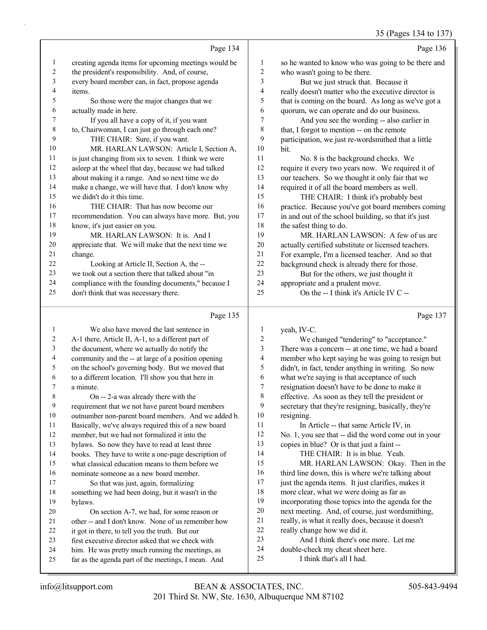35 (Pages 134 to 137)

|    | Page 134                                             |    | Page 136                                             |
|----|------------------------------------------------------|----|------------------------------------------------------|
| 1  | creating agenda items for upcoming meetings would be | 1  | so he wanted to know who was going to be there and   |
| 2  | the president's responsibility. And, of course,      | 2  | who wasn't going to be there.                        |
| 3  | every board member can, in fact, propose agenda      | 3  | But we just struck that. Because it                  |
| 4  | items.                                               | 4  | really doesn't matter who the executive director is  |
| 5  | So those were the major changes that we              | 5  | that is coming on the board. As long as we've got a  |
| 6  | actually made in here.                               | 6  | quorum, we can operate and do our business.          |
| 7  | If you all have a copy of it, if you want            | 7  | And you see the wording -- also earlier in           |
| 8  | to, Chairwoman, I can just go through each one?      | 8  | that, I forgot to mention -- on the remote           |
| 9  | THE CHAIR: Sure, if you want.                        | 9  | participation, we just re-wordsmithed that a little  |
| 10 | MR. HARLAN LAWSON: Article I, Section A,             | 10 | bit.                                                 |
| 11 | is just changing from six to seven. I think we were  | 11 | No. 8 is the background checks. We                   |
| 12 | asleep at the wheel that day, because we had talked  | 12 | require it every two years now. We required it of    |
| 13 | about making it a range. And so next time we do      | 13 | our teachers. So we thought it only fair that we     |
| 14 | make a change, we will have that. I don't know why   | 14 | required it of all the board members as well.        |
| 15 | we didn't do it this time.                           | 15 | THE CHAIR: I think it's probably best                |
| 16 | THE CHAIR: That has now become our                   | 16 | practice. Because you've got board members coming    |
| 17 | recommendation. You can always have more. But, you   | 17 | in and out of the school building, so that it's just |
| 18 | know, it's just easier on you.                       | 18 | the safest thing to do.                              |
| 19 | MR. HARLAN LAWSON: It is. And I                      | 19 | MR. HARLAN LAWSON: A few of us are                   |
| 20 | appreciate that. We will make that the next time we  | 20 | actually certified substitute or licensed teachers.  |
| 21 | change.                                              | 21 | For example, I'm a licensed teacher. And so that     |
| 22 | Looking at Article II, Section A, the --             | 22 | background check is already there for those.         |
| 23 | we took out a section there that talked about "in    | 23 | But for the others, we just thought it               |
| 24 | compliance with the founding documents," because I   | 24 | appropriate and a prudent move.                      |
| 25 | don't think that was necessary there.                | 25 | On the -- I think it's Article IV C --               |
|    |                                                      |    |                                                      |

# Page 135

|    | We also have moved the last sentence in              | 1  | yeah, IV-C.                                          |
|----|------------------------------------------------------|----|------------------------------------------------------|
| 2  | A-1 there, Article II, A-1, to a different part of   | 2  | We changed "tendering" to "acceptance."              |
| 3  | the document, where we actually do notify the        | 3  | There was a concern -- at one time, we had a board   |
| 4  | community and the -- at large of a position opening  | 4  | member who kept saying he was going to resign but    |
| 5  | on the school's governing body. But we moved that    | 5  | didn't, in fact, tender anything in writing. So now  |
| 6  | to a different location. I'll show you that here in  | 6  | what we're saying is that acceptance of such         |
| 7  | a minute.                                            | 7  | resignation doesn't have to be done to make it       |
| 8  | On -- 2-a was already there with the                 | 8  | effective. As soon as they tell the president or     |
| 9  | requirement that we not have parent board members    | 9  | secretary that they're resigning, basically, they're |
| 10 | outnumber non-parent board members. And we added b.  | 10 | resigning.                                           |
| 11 | Basically, we've always required this of a new board | 11 | In Article -- that same Article IV, in               |
| 12 | member, but we had not formalized it into the        | 12 | No. 1, you see that -- did the word come out in your |
| 13 | bylaws. So now they have to read at least three      | 13 | copies in blue? Or is that just a faint --           |
| 14 | books. They have to write a one-page description of  | 14 | THE CHAIR: It is in blue. Yeah.                      |
| 15 | what classical education means to them before we     | 15 | MR. HARLAN LAWSON: Okay. Then in the                 |
| 16 | nominate someone as a new board member.              | 16 | third line down, this is where we're talking about   |
| 17 | So that was just, again, formalizing                 | 17 | just the agenda items. It just clarifies, makes it   |
| 18 | something we had been doing, but it wasn't in the    | 18 | more clear, what we were doing as far as             |
| 19 | bylaws.                                              | 19 | incorporating those topics into the agenda for the   |
| 20 | On section A-7, we had, for some reason or           | 20 | next meeting. And, of course, just wordsmithing,     |
| 21 | other -- and I don't know. None of us remember how   | 21 | really, is what it really does, because it doesn't   |
| 22 | it got in there, to tell you the truth. But our      | 22 | really change how we did it.                         |
| 23 | first executive director asked that we check with    | 23 | And I think there's one more. Let me                 |
| 24 | him. He was pretty much running the meetings, as     | 24 | double-check my cheat sheet here.                    |
| 25 | far as the agenda part of the meetings, I mean. And  | 25 | I think that's all I had.                            |
|    |                                                      |    |                                                      |

Page 137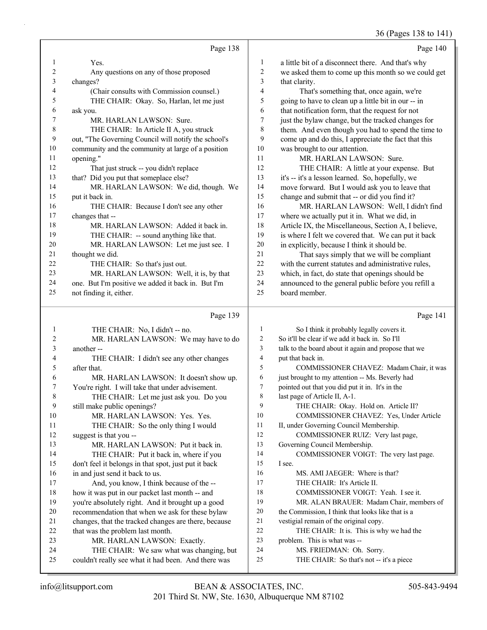36 (Pages 138 to 141)

|                |                                                                                                 |                | 0                                                                                            |
|----------------|-------------------------------------------------------------------------------------------------|----------------|----------------------------------------------------------------------------------------------|
|                | Page 138                                                                                        |                | Page 140                                                                                     |
| 1              | Yes.                                                                                            | 1              | a little bit of a disconnect there. And that's why                                           |
| 2              | Any questions on any of those proposed                                                          | 2              | we asked them to come up this month so we could get                                          |
| 3              | changes?                                                                                        | 3              | that clarity.                                                                                |
| 4              | (Chair consults with Commission counsel.)                                                       | 4              | That's something that, once again, we're                                                     |
| 5              | THE CHAIR: Okay. So, Harlan, let me just                                                        | 5              | going to have to clean up a little bit in our -- in                                          |
| 6              | ask you.                                                                                        | 6              | that notification form, that the request for not                                             |
| 7              | MR. HARLAN LAWSON: Sure.                                                                        | 7              | just the bylaw change, but the tracked changes for                                           |
| 8              | THE CHAIR: In Article II A, you struck                                                          | 8              | them. And even though you had to spend the time to                                           |
| 9              | out, "The Governing Council will notify the school's                                            | 9              | come up and do this, I appreciate the fact that this                                         |
| 10             | community and the community at large of a position                                              | 10             | was brought to our attention.                                                                |
| 11             | opening."                                                                                       | 11             | MR. HARLAN LAWSON: Sure.                                                                     |
| 12             | That just struck -- you didn't replace                                                          | 12             | THE CHAIR: A little at your expense. But                                                     |
| 13             | that? Did you put that someplace else?                                                          | 13             | it's -- it's a lesson learned. So, hopefully, we                                             |
| 14             | MR. HARLAN LAWSON: We did, though. We                                                           | 14             | move forward. But I would ask you to leave that                                              |
| 15             | put it back in.                                                                                 | 15             | change and submit that -- or did you find it?                                                |
| 16             | THE CHAIR: Because I don't see any other                                                        | 16             | MR. HARLAN LAWSON: Well, I didn't find                                                       |
| 17             | changes that --                                                                                 | 17             | where we actually put it in. What we did, in                                                 |
| 18             | MR. HARLAN LAWSON: Added it back in.                                                            | 18             | Article IX, the Miscellaneous, Section A, I believe,                                         |
| 19             | THE CHAIR: -- sound anything like that.                                                         | 19             | is where I felt we covered that. We can put it back                                          |
| 20             | MR. HARLAN LAWSON: Let me just see. I                                                           | 20             | in explicitly, because I think it should be.                                                 |
| 21             | thought we did.                                                                                 | 21             | That says simply that we will be compliant                                                   |
| 22             | THE CHAIR: So that's just out.                                                                  | 22             | with the current statutes and administrative rules,                                          |
| 23             | MR. HARLAN LAWSON: Well, it is, by that                                                         | 23             | which, in fact, do state that openings should be                                             |
| 24             | one. But I'm positive we added it back in. But I'm                                              | 24             | announced to the general public before you refill a                                          |
| 25             | not finding it, either.                                                                         | 25             | board member.                                                                                |
|                |                                                                                                 |                |                                                                                              |
|                | Page 139                                                                                        |                | Page 141                                                                                     |
| 1              |                                                                                                 | $\mathbf{1}$   |                                                                                              |
| 2              | THE CHAIR: No, I didn't -- no.                                                                  | $\overline{c}$ | So I think it probably legally covers it.<br>So it'll be clear if we add it back in. So I'll |
| 3              | MR. HARLAN LAWSON: We may have to do<br>another --                                              | 3              |                                                                                              |
| 4              |                                                                                                 | $\overline{4}$ | talk to the board about it again and propose that we                                         |
| 5              | THE CHAIR: I didn't see any other changes<br>after that.                                        | 5              | put that back in.<br>COMMISSIONER CHAVEZ: Madam Chair, it was                                |
| 6              | MR. HARLAN LAWSON: It doesn't show up.                                                          | 6              | just brought to my attention -- Ms. Beverly had                                              |
| 7              | You're right. I will take that under advisement.                                                | $\tau$         | pointed out that you did put it in. It's in the                                              |
| 8              | THE CHAIR: Let me just ask you. Do you                                                          | 8              | last page of Article II, A-1.                                                                |
| $\overline{9}$ | still make public openings?                                                                     | 9              | THE CHAIR: Okay. Hold on. Article II?                                                        |
| 10             | MR. HARLAN LAWSON: Yes. Yes.                                                                    | 10             | COMMISSIONER CHAVEZ: Yes, Under Article                                                      |
| 11             | THE CHAIR: So the only thing I would                                                            | 11             | II, under Governing Council Membership.                                                      |
| 12             | suggest is that you --                                                                          | 12             | COMMISSIONER RUIZ: Very last page,                                                           |
| 13             | MR. HARLAN LAWSON: Put it back in.                                                              | 13             | Governing Council Membership.                                                                |
| 14             | THE CHAIR: Put it back in, where if you                                                         | 14             | COMMISSIONER VOIGT: The very last page.                                                      |
| 15             | don't feel it belongs in that spot, just put it back                                            | 15             | I see.                                                                                       |
| 16             | in and just send it back to us.                                                                 | 16             | MS. AMI JAEGER: Where is that?                                                               |
| 17             | And, you know, I think because of the --                                                        | 17             | THE CHAIR: It's Article II.                                                                  |
| 18             | how it was put in our packet last month -- and                                                  | 18             | COMMISSIONER VOIGT: Yeah. I see it.                                                          |
| 19             | you're absolutely right. And it brought up a good                                               | 19             | MR. ALAN BRAUER: Madam Chair, members of                                                     |
| 20             | recommendation that when we ask for these bylaw                                                 | $20\,$         | the Commission, I think that looks like that is a                                            |
| 21             | changes, that the tracked changes are there, because                                            | 21             | vestigial remain of the original copy.                                                       |
| 22             | that was the problem last month.                                                                | 22             | THE CHAIR: It is. This is why we had the                                                     |
| 23             | MR. HARLAN LAWSON: Exactly.                                                                     | 23             | problem. This is what was --                                                                 |
| 24<br>25       | THE CHAIR: We saw what was changing, but<br>couldn't really see what it had been. And there was | 24<br>25       | MS. FRIEDMAN: Oh. Sorry.<br>THE CHAIR: So that's not -- it's a piece                         |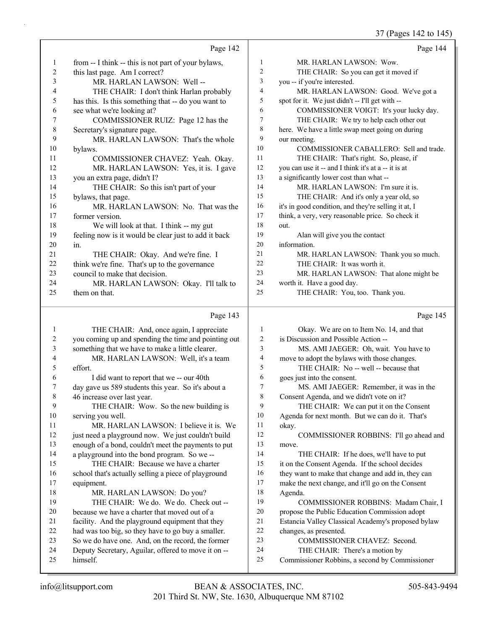# 37 (Pages 142 to 145)

|    | Page 142                                             |                | Page 144                                             |
|----|------------------------------------------------------|----------------|------------------------------------------------------|
| 1  | from -- I think -- this is not part of your bylaws,  | 1              | MR. HARLAN LAWSON: Wow.                              |
| 2  | this last page. Am I correct?                        | 2              | THE CHAIR: So you can get it moved if                |
| 3  | MR. HARLAN LAWSON: Well-                             | 3              | you -- if you're interested.                         |
| 4  | THE CHAIR: I don't think Harlan probably             | $\overline{4}$ | MR. HARLAN LAWSON: Good. We've got a                 |
| 5  | has this. Is this something that -- do you want to   | 5              | spot for it. We just didn't -- I'll get with --      |
| 6  | see what we're looking at?                           | 6              | COMMISSIONER VOIGT: It's your lucky day.             |
| 7  | COMMISSIONER RUIZ: Page 12 has the                   | 7              | THE CHAIR: We try to help each other out             |
| 8  | Secretary's signature page.                          | 8              | here. We have a little swap meet going on during     |
| 9  | MR. HARLAN LAWSON: That's the whole                  | 9              | our meeting.                                         |
| 10 | bylaws.                                              | 10             | COMMISSIONER CABALLERO: Sell and trade.              |
| 11 | COMMISSIONER CHAVEZ: Yeah. Okay.                     | 11             | THE CHAIR: That's right. So, please, if              |
| 12 | MR. HARLAN LAWSON: Yes, it is. I gave                | 12             | you can use it -- and I think it's at a -- it is at  |
| 13 | you an extra page, didn't I?                         | 13             | a significantly lower cost than what --              |
| 14 | THE CHAIR: So this isn't part of your                | 14             | MR. HARLAN LAWSON: I'm sure it is.                   |
| 15 | bylaws, that page.                                   | 15             | THE CHAIR: And it's only a year old, so              |
| 16 | MR. HARLAN LAWSON: No. That was the                  | 16             | it's in good condition, and they're selling it at, I |
| 17 | former version.                                      | 17             | think, a very, very reasonable price. So check it    |
| 18 | We will look at that. I think -- my gut              | 18             | out.                                                 |
| 19 | feeling now is it would be clear just to add it back | 19             | Alan will give you the contact                       |
| 20 | in.                                                  | 20             | information.                                         |
| 21 | THE CHAIR: Okay. And we're fine. I                   | 21             | MR. HARLAN LAWSON: Thank you so much.                |
| 22 | think we're fine. That's up to the governance        | 22             | THE CHAIR: It was worth it.                          |
| 23 | council to make that decision.                       | 23             | MR. HARLAN LAWSON: That alone might be               |
| 24 | MR. HARLAN LAWSON: Okay. I'll talk to                | 24             | worth it. Have a good day.                           |
| 25 | them on that.                                        | 25             | THE CHAIR: You, too. Thank you.                      |
|    | Page 143                                             |                | Page 145                                             |

|--|--|

|                | THE CHAIR: And, once again, I appreciate             | 1  | Okay. We are on to Item No. 14, and that           |
|----------------|------------------------------------------------------|----|----------------------------------------------------|
| $\overline{2}$ | you coming up and spending the time and pointing out | 2  | is Discussion and Possible Action --               |
| 3              | something that we have to make a little clearer.     | 3  | MS. AMI JAEGER: Oh, wait. You have to              |
| 4              | MR. HARLAN LAWSON: Well, it's a team                 | 4  | move to adopt the bylaws with those changes.       |
| 5              | effort.                                              | 5  | THE CHAIR: No -- well -- because that              |
| 6              | I did want to report that we -- our 40th             | 6  | goes just into the consent.                        |
| 7              | day gave us 589 students this year. So it's about a  | 7  | MS. AMI JAEGER: Remember, it was in the            |
| 8              | 46 increase over last year.                          | 8  | Consent Agenda, and we didn't vote on it?          |
| 9              | THE CHAIR: Wow. So the new building is               | 9  | THE CHAIR: We can put it on the Consent            |
| 10             | serving you well.                                    | 10 | Agenda for next month. But we can do it. That's    |
| 11             | MR. HARLAN LAWSON: I believe it is. We               | 11 | okay.                                              |
| 12             | just need a playground now. We just couldn't build   | 12 | COMMISSIONER ROBBINS: I'll go ahead and            |
| 13             | enough of a bond, couldn't meet the payments to put  | 13 | move.                                              |
| 14             | a playground into the bond program. So we --         | 14 | THE CHAIR: If he does, we'll have to put           |
| 15             | THE CHAIR: Because we have a charter                 | 15 | it on the Consent Agenda. If the school decides    |
| 16             | school that's actually selling a piece of playground | 16 | they want to make that change and add in, they can |
| 17             | equipment.                                           | 17 | make the next change, and it'll go on the Consent  |
| 18             | MR. HARLAN LAWSON: Do you?                           | 18 | Agenda.                                            |
| 19             | THE CHAIR: We do. We do. Check out --                | 19 | COMMISSIONER ROBBINS: Madam Chair, I               |
| 20             | because we have a charter that moved out of a        | 20 | propose the Public Education Commission adopt      |
| 21             | facility. And the playground equipment that they     | 21 | Estancia Valley Classical Academy's proposed bylaw |
| 22             | had was too big, so they have to go buy a smaller.   | 22 | changes, as presented.                             |
| 23             | So we do have one. And, on the record, the former    | 23 | COMMISSIONER CHAVEZ: Second.                       |
| 24             | Deputy Secretary, Aguilar, offered to move it on --  | 24 | THE CHAIR: There's a motion by                     |
| 25             | himself.                                             | 25 | Commissioner Robbins, a second by Commissioner     |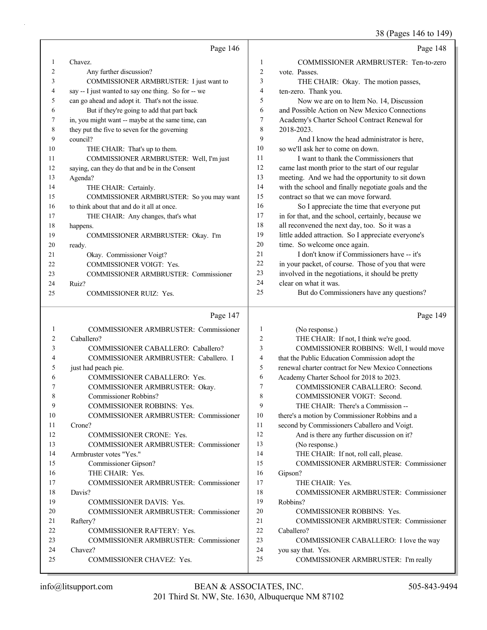### 38 (Pages 146 to 149)

|    | Page 146                                            |                | Page 148                                            |
|----|-----------------------------------------------------|----------------|-----------------------------------------------------|
| 1  | Chavez.                                             | 1              | COMMISSIONER ARMBRUSTER: Ten-to-zero                |
| 2  | Any further discussion?                             | $\overline{c}$ | vote. Passes.                                       |
| 3  | COMMISSIONER ARMBRUSTER: I just want to             | 3              | THE CHAIR: Okay. The motion passes,                 |
| 4  | say -- I just wanted to say one thing. So for -- we | 4              | ten-zero. Thank you.                                |
| 5  | can go ahead and adopt it. That's not the issue.    | 5              | Now we are on to Item No. 14, Discussion            |
| 6  | But if they're going to add that part back          | 6              | and Possible Action on New Mexico Connections       |
| 7  | in, you might want -- maybe at the same time, can   | 7              | Academy's Charter School Contract Renewal for       |
| 8  | they put the five to seven for the governing        | 8              | 2018-2023.                                          |
| 9  | council?                                            | 9              | And I know the head administrator is here,          |
| 10 | THE CHAIR: That's up to them.                       | 10             | so we'll ask her to come on down.                   |
| 11 | COMMISSIONER ARMBRUSTER: Well, I'm just             | 11             | I want to thank the Commissioners that              |
| 12 | saying, can they do that and be in the Consent      | 12             | came last month prior to the start of our regular   |
| 13 | Agenda?                                             | 13             | meeting. And we had the opportunity to sit down     |
| 14 | THE CHAIR: Certainly.                               | 14             | with the school and finally negotiate goals and the |
| 15 | COMMISSIONER ARMBRUSTER: So you may want            | 15             | contract so that we can move forward.               |
| 16 | to think about that and do it all at once.          | 16             | So I appreciate the time that everyone put          |
| 17 | THE CHAIR: Any changes, that's what                 | 17             | in for that, and the school, certainly, because we  |
| 18 | happens.                                            | 18             | all reconvened the next day, too. So it was a       |
| 19 | COMMISSIONER ARMBRUSTER: Okay. I'm                  | 19             | little added attraction. So I appreciate everyone's |
| 20 | ready.                                              | 20             | time. So welcome once again.                        |
| 21 | Okay. Commissioner Voigt?                           | 21             | I don't know if Commissioners have -- it's          |
| 22 | COMMISSIONER VOIGT: Yes.                            | 22             | in your packet, of course. Those of you that were   |
| 23 | <b>COMMISSIONER ARMBRUSTER: Commissioner</b>        | 23             | involved in the negotiations, it should be pretty   |
| 24 | Ruiz?                                               | 24             | clear on what it was.                               |
| 25 | COMMISSIONER RUIZ: Yes.                             | 25             | But do Commissioners have any questions?            |
|    | Page 147                                            |                | Page 149                                            |
| 1  | COMMISSIONER ARMBRUSTER: Commissioner               | 1              | (No response.)                                      |
| 2  | Caballero?                                          | 2              | THE CHAIR: If not, I think we're good.              |
| 3  | COMMISSIONER CABALLERO: Caballero?                  | 3              | COMMISSIONER ROBBINS: Well, I would move            |
| 4  | COMMISSIONER ARMBRUSTER: Caballero. I               | 4              | that the Public Education Commission adopt the      |

|   | <b>COMMISSIONER CABALLERO: Yes.</b> |
|---|-------------------------------------|
|   | COMMISSIONER ARMBRUSTER: Okay.      |
|   | Commissioner Robbins?               |
| Q | <b>COMMISSIONER ROBBINS: Yes.</b>   |

### 10 COMMISSIONER ARMBRUSTER: Commissioner 11 Crone? 12 COMMISSIONER CRONE: Yes.

25 COMMISSIONER CHAVEZ: Yes.

5 just had peach pie.

13 COMMISSIONER ARMBRUSTER: Commissioner 14 Armbruster votes "Yes." 15 Commissioner Gipson? 16 THE CHAIR: Yes. 17 COMMISSIONER ARMBRUSTER: Commissioner 18 Davis? 19 COMMISSIONER DAVIS: Yes. 20 COMMISSIONER ARMBRUSTER: Commissioner 21 Raftery? 22 COMMISSIONER RAFTERY: Yes. 23 COMMISSIONER ARMBRUSTER: Commissioner 24 Chavez?

# 4 that the Public Education Commission adopt the 5 renewal charter contract for New Mexico Connections 6 Academy Charter School for 2018 to 2023. 7 COMMISSIONER CABALLERO: Second. 8 COMMISSIONER VOIGT: Second. 9 THE CHAIR: There's a Commission -- 10 there's a motion by Commissioner Robbins and a 11 second by Commissioners Caballero and Voigt. 12 And is there any further discussion on it? 13 (No response.) 14 THE CHAIR: If not, roll call, please. 15 COMMISSIONER ARMBRUSTER: Commissioner 16 Gipson? 17 THE CHAIR: Yes. 18 COMMISSIONER ARMBRUSTER: Commissioner 19 Robbins? 20 COMMISSIONER ROBBINS: Yes. 21 COMMISSIONER ARMBRUSTER: Commissioner 22 Caballero? 23 COMMISSIONER CABALLERO: I love the way 24 you say that. Yes.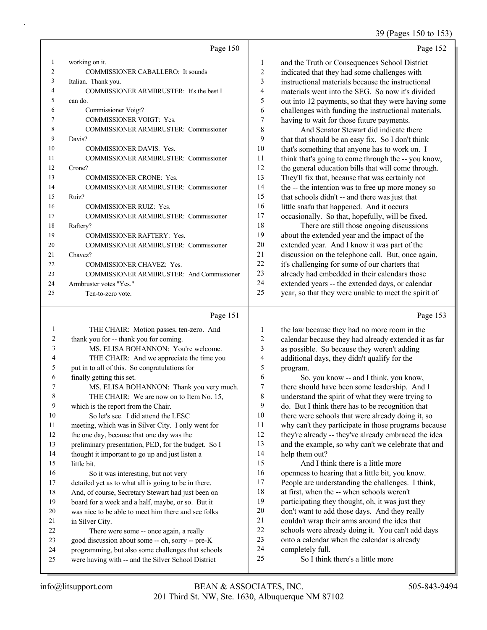39 (Pages 150 to 153)

Page 153

|    | Page 150                                         |    | Page 152                                             |
|----|--------------------------------------------------|----|------------------------------------------------------|
|    | working on it.                                   | 1  | and the Truth or Consequences School District        |
| 2  | <b>COMMISSIONER CABALLERO: It sounds</b>         | 2  | indicated that they had some challenges with         |
| 3  | Italian. Thank you.                              | 3  | instructional materials because the instructional    |
| 4  | COMMISSIONER ARMBRUSTER: It's the best I         | 4  | materials went into the SEG. So now it's divided     |
| 5  | can do.                                          | 5  | out into 12 payments, so that they were having some  |
| 6  | Commissioner Voigt?                              | 6  | challenges with funding the instructional materials, |
|    | COMMISSIONER VOIGT: Yes.                         | 7  | having to wait for those future payments.            |
| 8  | <b>COMMISSIONER ARMBRUSTER: Commissioner</b>     | 8  | And Senator Stewart did indicate there               |
| 9  | Davis?                                           | 9  | that that should be an easy fix. So I don't think    |
| 10 | <b>COMMISSIONER DAVIS: Yes.</b>                  | 10 | that's something that anyone has to work on. I       |
| 11 | <b>COMMISSIONER ARMBRUSTER: Commissioner</b>     | 11 | think that's going to come through the -- you know,  |
| 12 | Crone?                                           | 12 | the general education bills that will come through.  |
| 13 | <b>COMMISSIONER CRONE: Yes.</b>                  | 13 | They'll fix that, because that was certainly not     |
| 14 | <b>COMMISSIONER ARMBRUSTER: Commissioner</b>     | 14 | the -- the intention was to free up more money so    |
| 15 | Ruiz?                                            | 15 | that schools didn't -- and there was just that       |
| 16 | <b>COMMISSIONER RUIZ: Yes.</b>                   | 16 | little snafu that happened. And it occurs            |
| 17 | <b>COMMISSIONER ARMBRUSTER: Commissioner</b>     | 17 | occasionally. So that, hopefully, will be fixed.     |
| 18 | Raftery?                                         | 18 | There are still those ongoing discussions            |
| 19 | <b>COMMISSIONER RAFTERY: Yes.</b>                | 19 | about the extended year and the impact of the        |
| 20 | <b>COMMISSIONER ARMBRUSTER: Commissioner</b>     | 20 | extended year. And I know it was part of the         |
| 21 | Chavez?                                          | 21 | discussion on the telephone call. But, once again,   |
| 22 | <b>COMMISSIONER CHAVEZ: Yes.</b>                 | 22 | it's challenging for some of our charters that       |
| 23 | <b>COMMISSIONER ARMBRUSTER: And Commissioner</b> | 23 | already had embedded in their calendars those        |
| 24 | Armbruster votes "Yes."                          | 24 | extended years -- the extended days, or calendar     |
| 25 | Ten-to-zero vote.                                | 25 | year, so that they were unable to meet the spirit of |

### Page 151 |

| 1  | THE CHAIR: Motion passes, ten-zero. And              | 1                | the law because they had no more room in the         |
|----|------------------------------------------------------|------------------|------------------------------------------------------|
| 2  | thank you for -- thank you for coming.               | $\boldsymbol{2}$ | calendar because they had already extended it as far |
| 3  | MS. ELISA BOHANNON: You're welcome.                  | 3                | as possible. So because they weren't adding          |
| 4  | THE CHAIR: And we appreciate the time you            | 4                | additional days, they didn't qualify for the         |
| 5  | put in to all of this. So congratulations for        | 5                | program.                                             |
| 6  | finally getting this set.                            | 6                | So, you know -- and I think, you know,               |
|    | MS. ELISA BOHANNON: Thank you very much.             | $\tau$           | there should have been some leadership. And I        |
| 8  | THE CHAIR: We are now on to Item No. 15,             | 8                | understand the spirit of what they were trying to    |
| 9  | which is the report from the Chair.                  | 9                | do. But I think there has to be recognition that     |
| 10 | So let's see. I did attend the LESC                  | 10               | there were schools that were already doing it, so    |
| 11 | meeting, which was in Silver City. I only went for   | 11               | why can't they participate in those programs because |
| 12 | the one day, because that one day was the            | 12               | they're already -- they've already embraced the idea |
| 13 | preliminary presentation, PED, for the budget. So I  | 13               | and the example, so why can't we celebrate that and  |
| 14 | thought it important to go up and just listen a      | 14               | help them out?                                       |
| 15 | little bit.                                          | 15               | And I think there is a little more                   |
| 16 | So it was interesting, but not very                  | 16               | openness to hearing that a little bit, you know.     |
| 17 | detailed yet as to what all is going to be in there. | 17               | People are understanding the challenges. I think,    |
| 18 | And, of course, Secretary Stewart had just been on   | 18               | at first, when the -- when schools weren't           |
| 19 | board for a week and a half, maybe, or so. But it    | 19               | participating they thought, oh, it was just they     |
| 20 | was nice to be able to meet him there and see folks  | 20               | don't want to add those days. And they really        |
| 21 | in Silver City.                                      | 21               | couldn't wrap their arms around the idea that        |
| 22 | There were some -- once again, a really              | 22               | schools were already doing it. You can't add days    |
| 23 | good discussion about some -- oh, sorry -- pre-K     | 23               | onto a calendar when the calendar is already         |
| 24 | programming, but also some challenges that schools   | 24               | completely full.                                     |
| 25 | were having with -- and the Silver School District   | 25               | So I think there's a little more                     |
|    |                                                      |                  |                                                      |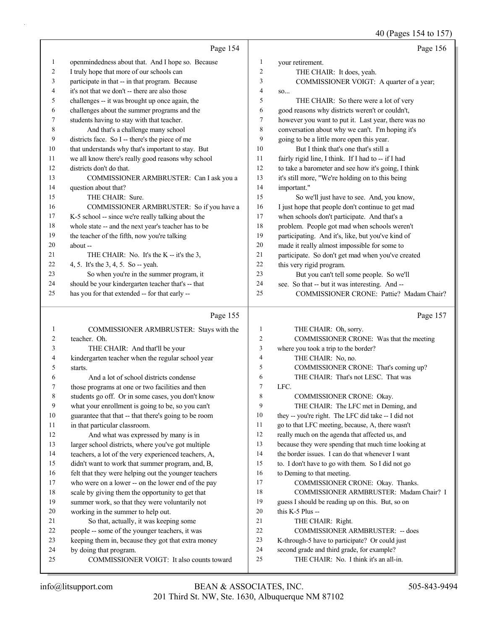40 (Pages 154 to 157)

|         | Page 154                                             |    | Page 156                                            |
|---------|------------------------------------------------------|----|-----------------------------------------------------|
| $\perp$ | openmindedness about that. And I hope so. Because    | 1  | your retirement.                                    |
| 2       | I truly hope that more of our schools can            | 2  | THE CHAIR: It does, yeah.                           |
| 3       | participate in that -- in that program. Because      | 3  | COMMISSIONER VOIGT: A quarter of a year;            |
| 4       | it's not that we don't -- there are also those       | 4  | SO                                                  |
| 5       | challenges -- it was brought up once again, the      | 5  | THE CHAIR: So there were a lot of very              |
| 6       | challenges about the summer programs and the         | 6  | good reasons why districts weren't or couldn't,     |
| 7       | students having to stay with that teacher.           | 7  | however you want to put it. Last year, there was no |
| 8       | And that's a challenge many school                   | 8  | conversation about why we can't. I'm hoping it's    |
| 9       | districts face. So I -- there's the piece of me      | 9  | going to be a little more open this year.           |
| 10      | that understands why that's important to stay. But   | 10 | But I think that's one that's still a               |
| 11      | we all know there's really good reasons why school   | 11 | fairly rigid line, I think. If I had to -- if I had |
| 12      | districts don't do that.                             | 12 | to take a barometer and see how it's going, I think |
| 13      | COMMISSIONER ARMBRUSTER: Can I ask you a             | 13 | it's still more, "We're holding on to this being    |
| 14      | question about that?                                 | 14 | important."                                         |
| 15      | THE CHAIR: Sure.                                     | 15 | So we'll just have to see. And, you know,           |
| 16      | COMMISSIONER ARMBRUSTER: So if you have a            | 16 | I just hope that people don't continue to get mad   |
| 17      | K-5 school -- since we're really talking about the   | 17 | when schools don't participate. And that's a        |
| 18      | whole state -- and the next year's teacher has to be | 18 | problem. People got mad when schools weren't        |
| 19      | the teacher of the fifth, now you're talking         | 19 | participating. And it's, like, but you've kind of   |
| 20      | about-                                               | 20 | made it really almost impossible for some to        |
| 21      | THE CHAIR: No. It's the K -- it's the 3,             | 21 | participate. So don't get mad when you've created   |
| 22      | 4, 5. It's the 3, 4, 5. So -- yeah.                  | 22 | this very rigid program.                            |
| 23      | So when you're in the summer program, it             | 23 | But you can't tell some people. So we'll            |
| 24      | should be your kindergarten teacher that's -- that   | 24 | see. So that -- but it was interesting. And --      |
| 25      | has you for that extended -- for that early --       | 25 | COMMISSIONER CRONE: Pattie? Madam Chair?            |

# Page 155

|    | Page 155                                             |                | Page 157                                             |
|----|------------------------------------------------------|----------------|------------------------------------------------------|
|    | COMMISSIONER ARMBRUSTER: Stays with the              | 1              | THE CHAIR: Oh, sorry.                                |
| 2  | teacher. Oh.                                         | 2              | COMMISSIONER CRONE: Was that the meeting             |
| 3  | THE CHAIR: And that'll be your                       | 3              | where you took a trip to the border?                 |
| 4  | kindergarten teacher when the regular school year    | $\overline{4}$ | THE CHAIR: No, no.                                   |
| 5  | starts.                                              | 5              | COMMISSIONER CRONE: That's coming up?                |
| 6  | And a lot of school districts condense               | 6              | THE CHAIR: That's not LESC. That was                 |
| 7  | those programs at one or two facilities and then     | 7              | LFC.                                                 |
| 8  | students go off. Or in some cases, you don't know    | 8              | <b>COMMISSIONER CRONE: Okay.</b>                     |
| 9  | what your enrollment is going to be, so you can't    | 9              | THE CHAIR: The LFC met in Deming, and                |
| 10 | guarantee that that -- that there's going to be room | 10             | they -- you're right. The LFC did take -- I did not  |
| 11 | in that particular classroom.                        | 11             | go to that LFC meeting, because, A, there wasn't     |
| 12 | And what was expressed by many is in                 | 12             | really much on the agenda that affected us, and      |
| 13 | larger school districts, where you've got multiple   | 13             | because they were spending that much time looking at |
| 14 | teachers, a lot of the very experienced teachers, A, | 14             | the border issues. I can do that whenever I want     |
| 15 | didn't want to work that summer program, and, B,     | 15             | to. I don't have to go with them. So I did not go    |
| 16 | felt that they were helping out the younger teachers | 16             | to Deming to that meeting.                           |
| 17 | who were on a lower -- on the lower end of the pay   | 17             | COMMISSIONER CRONE: Okay. Thanks.                    |
| 18 | scale by giving them the opportunity to get that     | 18             | COMMISSIONER ARMBRUSTER: Madam Chair? I              |
| 19 | summer work, so that they were voluntarily not       | 19             | guess I should be reading up on this. But, so on     |
| 20 | working in the summer to help out.                   | 20             | this K-5 Plus --                                     |
| 21 | So that, actually, it was keeping some               | 21             | THE CHAIR: Right.                                    |
| 22 | people -- some of the younger teachers, it was       | 22             | <b>COMMISSIONER ARMBRUSTER: -- does</b>              |
| 23 | keeping them in, because they got that extra money   | 23             | K-through-5 have to participate? Or could just       |
| 24 | by doing that program.                               | 24             | second grade and third grade, for example?           |
| 25 | COMMISSIONER VOIGT: It also counts toward            | 25             | THE CHAIR: No. I think it's an all-in.               |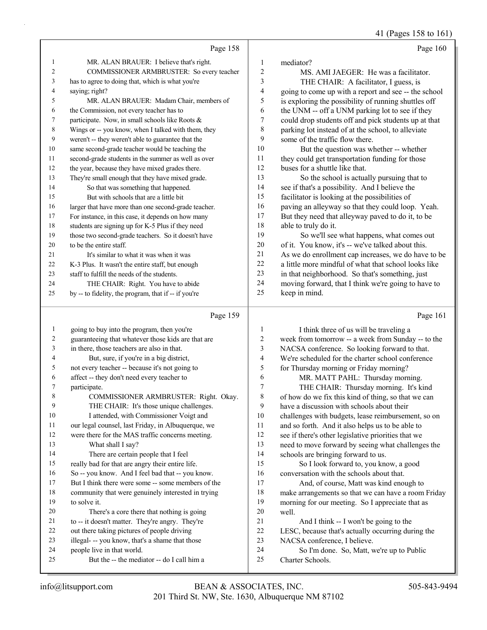41 (Pages 158 to 161)

|                |                                                                                                                                                                                                                                  |        | $11 \text{ (14)}$                                    |
|----------------|----------------------------------------------------------------------------------------------------------------------------------------------------------------------------------------------------------------------------------|--------|------------------------------------------------------|
|                | Page 158                                                                                                                                                                                                                         |        | Page 160                                             |
| $\mathbf{1}$   | MR. ALAN BRAUER: I believe that's right.                                                                                                                                                                                         | 1      | mediator?                                            |
| 2              | COMMISSIONER ARMBRUSTER: So every teacher                                                                                                                                                                                        | 2      | MS. AMI JAEGER: He was a facilitator.                |
| 3              | has to agree to doing that, which is what you're                                                                                                                                                                                 | 3      | THE CHAIR: A facilitator, I guess, is                |
| $\overline{4}$ | saying; right?                                                                                                                                                                                                                   | 4      | going to come up with a report and see -- the school |
| 5              | MR. ALAN BRAUER: Madam Chair, members of                                                                                                                                                                                         | 5      | is exploring the possibility of running shuttles off |
| 6              | the Commission, not every teacher has to                                                                                                                                                                                         | 6      | the UNM -- off a UNM parking lot to see if they      |
| $\tau$         | participate. Now, in small schools like Roots &                                                                                                                                                                                  | 7      | could drop students off and pick students up at that |
| 8              | Wings or -- you know, when I talked with them, they                                                                                                                                                                              | 8      | parking lot instead of at the school, to alleviate   |
| 9              | weren't -- they weren't able to guarantee that the                                                                                                                                                                               | 9      | some of the traffic flow there.                      |
| 10             | same second-grade teacher would be teaching the                                                                                                                                                                                  | 10     | But the question was whether -- whether              |
| 11             | second-grade students in the summer as well as over                                                                                                                                                                              | 11     | they could get transportation funding for those      |
| 12             | the year, because they have mixed grades there.                                                                                                                                                                                  | 12     | buses for a shuttle like that.                       |
| 13             | They're small enough that they have mixed grade.                                                                                                                                                                                 | 13     | So the school is actually pursuing that to           |
| 14             | So that was something that happened.                                                                                                                                                                                             | 14     | see if that's a possibility. And I believe the       |
| 15             | But with schools that are a little bit                                                                                                                                                                                           | 15     | facilitator is looking at the possibilities of       |
| 16             | larger that have more than one second-grade teacher.                                                                                                                                                                             | 16     | paving an alleyway so that they could loop. Yeah.    |
| 17             | For instance, in this case, it depends on how many                                                                                                                                                                               | 17     | But they need that alleyway paved to do it, to be    |
| 18             | students are signing up for K-5 Plus if they need                                                                                                                                                                                | 18     | able to truly do it.                                 |
| 19             | those two second-grade teachers. So it doesn't have                                                                                                                                                                              | 19     | So we'll see what happens, what comes out            |
| 20             | to be the entire staff.                                                                                                                                                                                                          | 20     | of it. You know, it's -- we've talked about this.    |
| 21             | It's similar to what it was when it was                                                                                                                                                                                          | 21     | As we do enrollment cap increases, we do have to be  |
| 22             | K-3 Plus. It wasn't the entire staff, but enough                                                                                                                                                                                 | 22     | a little more mindful of what that school looks like |
| 23             | staff to fulfill the needs of the students.                                                                                                                                                                                      | 23     | in that neighborhood. So that's something, just      |
| 24             | THE CHAIR: Right. You have to abide                                                                                                                                                                                              | 24     | moving forward, that I think we're going to have to  |
| 25             | by -- to fidelity, the program, that if -- if you're                                                                                                                                                                             | 25     | keep in mind.                                        |
|                | Page 159                                                                                                                                                                                                                         |        | Page 161                                             |
| -1             | going to buy into the program, then you're                                                                                                                                                                                       | 1      | I think three of us will be traveling a              |
| $\sim$         | $\mathbf{1}$ , and the set of the set of the set of the set of the set of the set of the set of the set of the set of the set of the set of the set of the set of the set of the set of the set of the set of the set of the set | $\sim$ |                                                      |

|                | going to buy into the program, then you're         | 1                        | I think three of us will be traveling a             |
|----------------|----------------------------------------------------|--------------------------|-----------------------------------------------------|
| $\overline{c}$ | guaranteeing that whatever those kids are that are | $\overline{c}$           | week from tomorrow -- a week from Sunday -- to the  |
| 3              | in there, those teachers are also in that.         | 3                        | NACSA conference. So looking forward to that.       |
| 4              | But, sure, if you're in a big district,            | $\overline{\mathcal{A}}$ | We're scheduled for the charter school conference   |
| 5              | not every teacher -- because it's not going to     | 5                        | for Thursday morning or Friday morning?             |
| 6              | affect -- they don't need every teacher to         | 6                        | MR. MATT PAHL: Thursday morning.                    |
| 7              | participate.                                       | 7                        | THE CHAIR: Thursday morning. It's kind              |
| 8              | COMMISSIONER ARMBRUSTER: Right. Okay.              | $\,$ $\,$                | of how do we fix this kind of thing, so that we can |
| 9              | THE CHAIR: It's those unique challenges.           | 9                        | have a discussion with schools about their          |
| 10             | I attended, with Commissioner Voigt and            | 10                       | challenges with budgets, lease reimbursement, so on |
| 11             | our legal counsel, last Friday, in Albuquerque, we | 11                       | and so forth. And it also helps us to be able to    |
| 12             | were there for the MAS traffic concerns meeting.   | 12                       | see if there's other legislative priorities that we |
| 13             | What shall I say?                                  | 13                       | need to move forward by seeing what challenges the  |
| 14             | There are certain people that I feel               | 14                       | schools are bringing forward to us.                 |
| 15             | really bad for that are angry their entire life.   | 15                       | So I look forward to, you know, a good              |
| 16             | So -- you know. And I feel bad that -- you know.   | 16                       | conversation with the schools about that.           |
| 17             | But I think there were some -- some members of the | 17                       | And, of course, Matt was kind enough to             |
| 18             | community that were genuinely interested in trying | 18                       | make arrangements so that we can have a room Friday |
| 19             | to solve it.                                       | 19                       | morning for our meeting. So I appreciate that as    |
| 20             | There's a core there that nothing is going         | 20                       | well.                                               |
| 21             | to -- it doesn't matter. They're angry. They're    | 21                       | And I think -- I won't be going to the              |
| 22             | out there taking pictures of people driving        | 22                       | LESC, because that's actually occurring during the  |
| 23             | illegal- -- you know, that's a shame that those    | 23                       | NACSA conference, I believe.                        |
| 24             | people live in that world.                         | 24                       | So I'm done. So, Matt, we're up to Public           |
| 25             | But the -- the mediator -- do I call him a         | 25                       | Charter Schools.                                    |
|                |                                                    |                          |                                                     |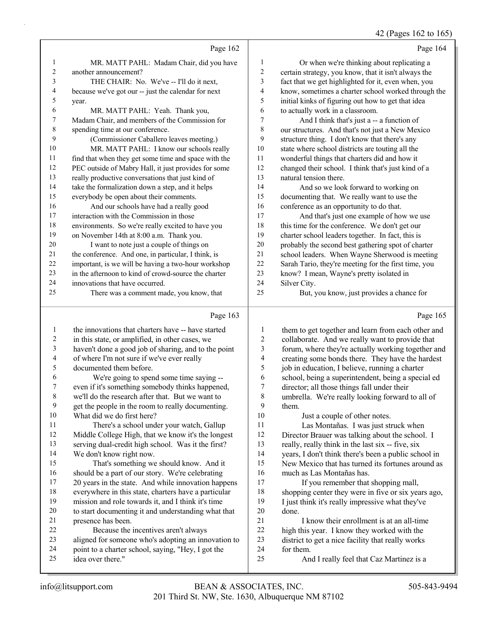## 42 (Pages 162 to 165)

|                          |                                                                                                             |                          | $T_{\text{2}}$ (1 ages 102 to 10.                                                                         |
|--------------------------|-------------------------------------------------------------------------------------------------------------|--------------------------|-----------------------------------------------------------------------------------------------------------|
|                          | Page 162                                                                                                    |                          | Page 164                                                                                                  |
| 1                        | MR. MATT PAHL: Madam Chair, did you have                                                                    | 1                        | Or when we're thinking about replicating a                                                                |
| $\overline{c}$           | another announcement?                                                                                       | $\sqrt{2}$               | certain strategy, you know, that it isn't always the                                                      |
| 3                        | THE CHAIR: No. We've -- I'll do it next,                                                                    | 3                        | fact that we get highlighted for it, even when, you                                                       |
| 4                        | because we've got our -- just the calendar for next                                                         | $\overline{4}$           | know, sometimes a charter school worked through the                                                       |
| 5                        | year.                                                                                                       | 5                        | initial kinks of figuring out how to get that idea                                                        |
| 6                        | MR. MATT PAHL: Yeah. Thank you,                                                                             | 6                        | to actually work in a classroom.                                                                          |
| 7                        | Madam Chair, and members of the Commission for                                                              | 7                        | And I think that's just a -- a function of                                                                |
| 8                        | spending time at our conference.                                                                            | 8                        | our structures. And that's not just a New Mexico                                                          |
| 9                        | (Commissioner Caballero leaves meeting.)                                                                    | 9                        | structure thing. I don't know that there's any                                                            |
| 10                       | MR. MATT PAHL: I know our schools really                                                                    | 10                       | state where school districts are touting all the                                                          |
| 11                       | find that when they get some time and space with the                                                        | 11                       | wonderful things that charters did and how it                                                             |
| 12                       | PEC outside of Mabry Hall, it just provides for some                                                        | 12                       | changed their school. I think that's just kind of a                                                       |
| 13                       | really productive conversations that just kind of                                                           | 13                       | natural tension there.                                                                                    |
| 14                       | take the formalization down a step, and it helps                                                            | 14                       | And so we look forward to working on                                                                      |
| 15                       | everybody be open about their comments.                                                                     | 15                       | documenting that. We really want to use the                                                               |
| 16                       | And our schools have had a really good                                                                      | 16                       | conference as an opportunity to do that.                                                                  |
| 17                       | interaction with the Commission in those                                                                    | 17                       | And that's just one example of how we use                                                                 |
| 18                       | environments. So we're really excited to have you                                                           | 18                       | this time for the conference. We don't get our                                                            |
| 19                       | on November 14th at 8:00 a.m. Thank you.                                                                    | 19                       | charter school leaders together. In fact, this is                                                         |
| 20                       | I want to note just a couple of things on                                                                   | 20<br>21                 | probably the second best gathering spot of charter                                                        |
| 21<br>22                 | the conference. And one, in particular, I think, is                                                         | 22                       | school leaders. When Wayne Sherwood is meeting                                                            |
| 23                       | important, is we will be having a two-hour workshop<br>in the afternoon to kind of crowd-source the charter | 23                       | Sarah Tario, they're meeting for the first time, you<br>know? I mean, Wayne's pretty isolated in          |
| 24                       | innovations that have occurred.                                                                             | 24                       | Silver City.                                                                                              |
| 25                       | There was a comment made, you know, that                                                                    | 25                       | But, you know, just provides a chance for                                                                 |
|                          |                                                                                                             |                          |                                                                                                           |
|                          | Page 163                                                                                                    |                          | Page 165                                                                                                  |
| 1                        | the innovations that charters have -- have started                                                          | $\mathbf{1}$             | them to get together and learn from each other and                                                        |
| $\overline{c}$           | in this state, or amplified, in other cases, we                                                             | $\overline{\mathbf{c}}$  | collaborate. And we really want to provide that                                                           |
| $\mathfrak{Z}$           | haven't done a good job of sharing, and to the point                                                        | 3                        | forum, where they're actually working together and                                                        |
| $\overline{\mathcal{A}}$ | of where I'm not sure if we've ever really                                                                  | $\overline{\mathcal{L}}$ | creating some bonds there. They have the hardest                                                          |
| 5                        | documented them before.                                                                                     | 5                        | job in education, I believe, running a charter                                                            |
| 6                        | We're going to spend some time saying --                                                                    | 6                        | school, being a superintendent, being a special ed                                                        |
| 7                        | even if it's something somebody thinks happened,                                                            | 7                        | director; all those things fall under their                                                               |
| $\,8\,$                  | we'll do the research after that. But we want to                                                            | 8                        | umbrella. We're really looking forward to all of                                                          |
| 9                        | get the people in the room to really documenting.                                                           | 9                        | them.                                                                                                     |
| 10                       | What did we do first here?                                                                                  | 10                       | Just a couple of other notes.                                                                             |
| 11                       | There's a school under your watch, Gallup                                                                   | 11<br>12                 | Las Montañas. I was just struck when                                                                      |
| 12<br>13                 | Middle College High, that we know it's the longest                                                          | 13                       | Director Brauer was talking about the school. I                                                           |
| 14                       | serving dual-credit high school. Was it the first?                                                          | 14                       | really, really think in the last six -- five, six                                                         |
| 15                       | We don't know right now.<br>That's something we should know. And it                                         | 15                       | years, I don't think there's been a public school in<br>New Mexico that has turned its fortunes around as |
| 16                       | should be a part of our story. We're celebrating                                                            | 16                       | much as Las Montañas has.                                                                                 |
| 17                       | 20 years in the state. And while innovation happens                                                         | 17                       | If you remember that shopping mall,                                                                       |
| 18                       | everywhere in this state, charters have a particular                                                        | 18                       | shopping center they were in five or six years ago,                                                       |
| 19                       | mission and role towards it, and I think it's time                                                          | 19                       | I just think it's really impressive what they've                                                          |
| 20                       | to start documenting it and understanding what that                                                         | 20                       | done.                                                                                                     |
| 21                       | presence has been.                                                                                          | 21                       | I know their enrollment is at an all-time                                                                 |
|                          |                                                                                                             |                          |                                                                                                           |
| 22                       |                                                                                                             |                          |                                                                                                           |
| 23                       | Because the incentives aren't always                                                                        | 22<br>23                 | high this year. I know they worked with the                                                               |
| 24                       | aligned for someone who's adopting an innovation to                                                         | 24                       | district to get a nice facility that really works<br>for them.                                            |
| 25                       | point to a charter school, saying, "Hey, I got the<br>idea over there."                                     | 25                       | And I really feel that Caz Martinez is a                                                                  |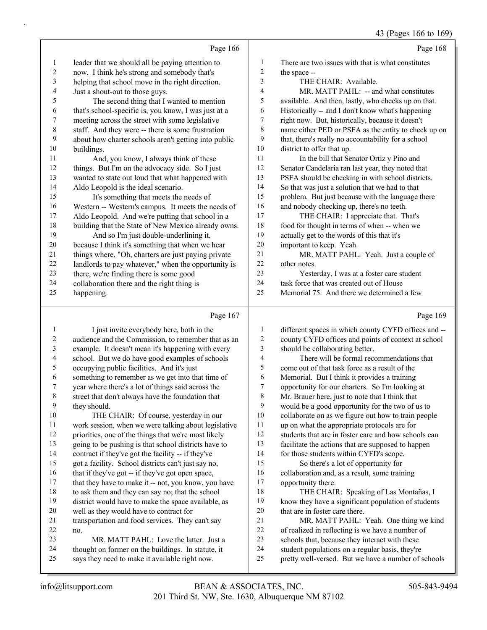$166 + 160$ 

|                          |                                                      |                | 43 (Pages 166 to 169)                                |
|--------------------------|------------------------------------------------------|----------------|------------------------------------------------------|
|                          | Page 166                                             |                | Page 168                                             |
| $\mathbf{1}$             | leader that we should all be paying attention to     | $\mathbf{1}$   | There are two issues with that is what constitutes   |
| $\boldsymbol{2}$         | now. I think he's strong and somebody that's         | $\overline{c}$ | the space --                                         |
| 3                        | helping that school move in the right direction.     | 3              | THE CHAIR: Available.                                |
| $\overline{\mathcal{A}}$ | Just a shout-out to those guys.                      | 4              | MR. MATT PAHL: -- and what constitutes               |
| 5                        | The second thing that I wanted to mention            | 5              | available. And then, lastly, who checks up on that.  |
| 6                        | that's school-specific is, you know, I was just at a | 6              | Historically -- and I don't know what's happening    |
| 7                        | meeting across the street with some legislative      | 7              | right now. But, historically, because it doesn't     |
| $\,$ 8 $\,$              | staff. And they were -- there is some frustration    | 8              | name either PED or PSFA as the entity to check up on |
| 9                        | about how charter schools aren't getting into public | 9              | that, there's really no accountability for a school  |
| 10                       | buildings.                                           | 10             | district to offer that up.                           |
| 11                       | And, you know, I always think of these               | 11             | In the bill that Senator Ortiz y Pino and            |
| 12                       | things. But I'm on the advocacy side. So I just      | 12             | Senator Candelaria ran last year, they noted that    |
| 13                       | wanted to state out loud that what happened with     | 13             | PSFA should be checking in with school districts.    |
| 14                       | Aldo Leopold is the ideal scenario.                  | 14             | So that was just a solution that we had to that      |
| 15                       | It's something that meets the needs of               | 15             | problem. But just because with the language there    |
| 16                       | Western -- Western's campus. It meets the needs of   | 16             | and nobody checking up, there's no teeth.            |
| 17                       | Aldo Leopold. And we're putting that school in a     | 17             | THE CHAIR: I appreciate that. That's                 |
| 18                       | building that the State of New Mexico already owns.  | 18             | food for thought in terms of when -- when we         |
| 19                       | And so I'm just double-underlining it,               | 19             | actually get to the words of this that it's          |
| 20                       | because I think it's something that when we hear     | 20             | important to keep. Yeah.                             |
| 21                       | things where, "Oh, charters are just paying private  | 21             | MR. MATT PAHL: Yeah. Just a couple of                |
| 22                       | landlords to pay whatever," when the opportunity is  | 22             | other notes.                                         |
| 23                       | there, we're finding there is some good              | 23             | Yesterday, I was at a foster care student            |
| 24                       | collaboration there and the right thing is           | 24             | task force that was created out of House             |
| 25                       | happening.                                           | 25             | Memorial 75. And there we determined a few           |
|                          |                                                      |                |                                                      |
|                          | Page 167                                             |                | Page 169                                             |
| $\mathbf{1}$             | I just invite everybody here, both in the            | $\mathbf{1}$   | different spaces in which county CYFD offices and -- |
| $\sqrt{2}$               | audience and the Commission, to remember that as an  | $\overline{c}$ | county CYFD offices and points of context at school  |
| $\mathfrak{Z}$           | example. It doesn't mean it's happening with every   | 3              | should be collaborating better.                      |
| $\overline{\mathcal{A}}$ | school. But we do have good examples of schools      | $\overline{4}$ | There will be formal recommendations that            |
| 5                        | occupying public facilities. And it's just           | 5              | come out of that task force as a result of the       |
| 6                        | something to remember as we get into that time of    | 6              | Memorial. But I think it provides a training         |
| $\boldsymbol{7}$         | year where there's a lot of things said across the   | 7              | opportunity for our charters. So I'm looking at      |
| 8                        | street that don't always have the foundation that    | 8              | Mr. Brauer here, just to note that I think that      |

- street that don't always have the foundation that they should.
- 10 THE CHAIR: Of course, yesterday in our work session, when we were talking about legislative priorities, one of the things that we're most likely going to be pushing is that school districts have to contract if they've got the facility -- if they've got a facility. School districts can't just say no, 16 that if they've got -- if they've got open space, 17 that they have to make it -- not, you know, you have to ask them and they can say no; that the school district would have to make the space available, as well as they would have to contract for transportation and food services. They can't say no.
- 23 MR. MATT PAHL: Love the latter. Just a thought on former on the buildings. In statute, it says they need to make it available right now.

 collaborate on as we figure out how to train people up on what the appropriate protocols are for

would be a good opportunity for the two of us to

- students that are in foster care and how schools can
- facilitate the actions that are supposed to happen
- for those students within CYFD's scope. 15 So there's a lot of opportunity for collaboration and, as a result, some training
- opportunity there. 18 THE CHAIR: Speaking of Las Montañas, I know they have a significant population of students
- that are in foster care there. 21 MR. MATT PAHL: Yeah. One thing we kind
- of realized in reflecting is we have a number of
- schools that, because they interact with these
- student populations on a regular basis, they're
- pretty well-versed. But we have a number of schools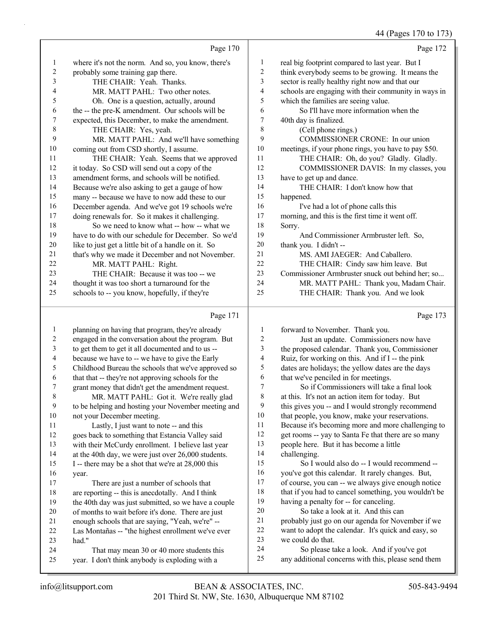44 (Pages 170 to 173)

Page 170 where it's not the norm. And so, you know, there's probably some training gap there. 3 THE CHAIR: Yeah. Thanks. 4 MR. MATT PAHL: Two other notes. 5 Oh. One is a question, actually, around the -- the pre-K amendment. Our schools will be expected, this December, to make the amendment. 8 THE CHAIR: Yes, yeah. 9 MR. MATT PAHL: And we'll have something coming out from CSD shortly, I assume. 11 THE CHAIR: Yeah. Seems that we approved it today. So CSD will send out a copy of the amendment forms, and schools will be notified. Because we're also asking to get a gauge of how many -- because we have to now add these to our December agenda. And we've got 19 schools we're doing renewals for. So it makes it challenging. 18 So we need to know what -- how -- what we have to do with our schedule for December. So we'd like to just get a little bit of a handle on it. So that's why we made it December and not November. 22 MR. MATT PAHL: Right. 23 THE CHAIR: Because it was too -- we thought it was too short a turnaround for the schools to -- you know, hopefully, if they're Page 172 real big footprint compared to last year. But I think everybody seems to be growing. It means the sector is really healthy right now and that our schools are engaging with their community in ways in which the families are seeing value. 6 So I'll have more information when the 40th day is finalized. 8 (Cell phone rings.) 9 COMMISSIONER CRONE: In our union meetings, if your phone rings, you have to pay \$50. 11 THE CHAIR: Oh, do you? Gladly. Gladly. 12 COMMISSIONER DAVIS: In my classes, you have to get up and dance. 14 THE CHAIR: I don't know how that happened. 16 I've had a lot of phone calls this morning, and this is the first time it went off. Sorry. 19 And Commissioner Armbruster left. So, thank you. I didn't -- 21 MS. AMI JAEGER: And Caballero. 22 THE CHAIR: Cindy saw him leave. But Commissioner Armbruster snuck out behind her; so... 24 MR. MATT PAHL: Thank you, Madam Chair. 25 THE CHAIR: Thank you. And we look

#### Page 171

|              | Page 171                                             |    | Page 173                                             |
|--------------|------------------------------------------------------|----|------------------------------------------------------|
| $\mathbf{1}$ | planning on having that program, they're already     | 1  | forward to November. Thank you.                      |
| 2            | engaged in the conversation about the program. But   | 2  | Just an update. Commissioners now have               |
| 3            | to get them to get it all documented and to us --    | 3  | the proposed calendar. Thank you, Commissioner       |
| 4            | because we have to -- we have to give the Early      | 4  | Ruiz, for working on this. And if I -- the pink      |
| 5            | Childhood Bureau the schools that we've approved so  | 5  | dates are holidays; the yellow dates are the days    |
| 6            | that that -- they're not approving schools for the   | 6  | that we've penciled in for meetings.                 |
| 7            | grant money that didn't get the amendment request.   | 7  | So if Commissioners will take a final look           |
| 8            | MR. MATT PAHL: Got it. We're really glad             | 8  | at this. It's not an action item for today. But      |
| 9            | to be helping and hosting your November meeting and  | 9  | this gives you -- and I would strongly recommend     |
| 10           | not your December meeting.                           | 10 | that people, you know, make your reservations.       |
| 11           | Lastly, I just want to note -- and this              | 11 | Because it's becoming more and more challenging to   |
| 12           | goes back to something that Estancia Valley said     | 12 | get rooms -- yay to Santa Fe that there are so many  |
| 13           | with their McCurdy enrollment. I believe last year   | 13 | people here. But it has become a little              |
| 14           | at the 40th day, we were just over 26,000 students.  | 14 | challenging.                                         |
| 15           | I -- there may be a shot that we're at 28,000 this   | 15 | So I would also do -- I would recommend --           |
| 16           | year.                                                | 16 | you've got this calendar. It rarely changes. But,    |
| 17           | There are just a number of schools that              | 17 | of course, you can -- we always give enough notice   |
| 18           | are reporting -- this is anecdotally. And I think    | 18 | that if you had to cancel something, you wouldn't be |
| 19           | the 40th day was just submitted, so we have a couple | 19 | having a penalty for -- for canceling.               |
| 20           | of months to wait before it's done. There are just   | 20 | So take a look at it. And this can                   |
| 21           | enough schools that are saying, "Yeah, we're" --     | 21 | probably just go on our agenda for November if we    |
| 22           | Las Montañas -- "the highest enrollment we've ever   | 22 | want to adopt the calendar. It's quick and easy, so  |
| 23           | had."                                                | 23 | we could do that.                                    |
| 24           | That may mean 30 or 40 more students this            | 24 | So please take a look. And if you've got             |
| 25           | year. I don't think anybody is exploding with a      | 25 | any additional concerns with this, please send them  |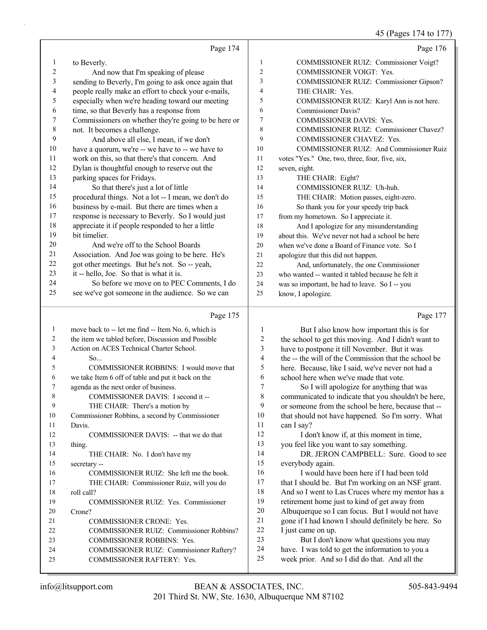### 45 (Pages 174 to 177)

|          | Page 174                                             |                | Page 176                                          |
|----------|------------------------------------------------------|----------------|---------------------------------------------------|
| $\bf{l}$ | to Beverly.                                          | 1              | COMMISSIONER RUIZ: Commissioner Voigt?            |
| 2        | And now that I'm speaking of please                  | $\overline{2}$ | <b>COMMISSIONER VOIGT: Yes.</b>                   |
| 3        | sending to Beverly, I'm going to ask once again that | 3              | <b>COMMISSIONER RUIZ: Commissioner Gipson?</b>    |
| 4        | people really make an effort to check your e-mails,  | 4              | THE CHAIR: Yes.                                   |
| 5        | especially when we're heading toward our meeting     | 5              | COMMISSIONER RUIZ: Karyl Ann is not here.         |
| 6        | time, so that Beverly has a response from            | 6              | <b>Commissioner Davis?</b>                        |
| 7        | Commissioners on whether they're going to be here or | 7              | <b>COMMISSIONER DAVIS: Yes.</b>                   |
| 8        | not. It becomes a challenge.                         | 8              | COMMISSIONER RUIZ: Commissioner Chavez?           |
| 9        | And above all else, I mean, if we don't              | 9              | COMMISSIONER CHAVEZ: Yes.                         |
| 10       | have a quorum, we're -- we have to -- we have to     | 10             | <b>COMMISSIONER RUIZ: And Commissioner Ruiz</b>   |
| 11       | work on this, so that there's that concern. And      | 11             | votes "Yes." One, two, three, four, five, six,    |
| 12       | Dylan is thoughtful enough to reserve out the        | 12             | seven, eight.                                     |
| 13       | parking spaces for Fridays.                          | 13             | THE CHAIR: Eight?                                 |
| 14       | So that there's just a lot of little                 | 14             | COMMISSIONER RUIZ: Uh-huh.                        |
| 15       | procedural things. Not a lot -- I mean, we don't do  | 15             | THE CHAIR: Motion passes, eight-zero.             |
| 16       | business by e-mail. But there are times when a       | 16             | So thank you for your speedy trip back            |
| 17       | response is necessary to Beverly. So I would just    | 17             | from my hometown. So I appreciate it.             |
| 18       | appreciate it if people responded to her a little    | 18             | And I apologize for any misunderstanding          |
| 19       | bit timelier.                                        | 19             | about this. We've never not had a school be here  |
| 20       | And we're off to the School Boards                   | 20             | when we've done a Board of Finance vote. So I     |
| 21       | Association. And Joe was going to be here. He's      | 21             | apologize that this did not happen.               |
| 22       | got other meetings. But he's not. So -- yeah,        | 22             | And, unfortunately, the one Commissioner          |
| 23       | it -- hello, Joe. So that is what it is.             | 23             | who wanted -- wanted it tabled because he felt it |
| 24       | So before we move on to PEC Comments, I do           | 24             | was so important, he had to leave. So I -- you    |
| 25       | see we've got someone in the audience. So we can     | 25             | know, I apologize.                                |
|          | Page 175                                             |                | Page 177                                          |

| 41<br>22<br>23.<br>24<br>25. | Association. And Joe was going to be here. He's<br>got other meetings. But he's not. So -- yeah,<br>it -- hello, Joe. So that is what it is.<br>So before we move on to PEC Comments, I do<br>see we've got someone in the audience. So we can | 21<br>22<br>23<br>24<br>25 | apologize that this did not happen.<br>And, unfortunately, the one Commissioner<br>who wanted -- wanted it tabled because he felt it<br>was so important, he had to leave. So I -- you<br>know, I apologize. |
|------------------------------|------------------------------------------------------------------------------------------------------------------------------------------------------------------------------------------------------------------------------------------------|----------------------------|--------------------------------------------------------------------------------------------------------------------------------------------------------------------------------------------------------------|
|                              | Page 175                                                                                                                                                                                                                                       |                            | Page 17                                                                                                                                                                                                      |
| $\mathbf{1}$                 | move back to -- let me find -- Item No. 6, which is                                                                                                                                                                                            |                            | But I also know how important this is for                                                                                                                                                                    |
| 2                            | the item we tabled before, Discussion and Possible                                                                                                                                                                                             | 2                          | the school to get this moving. And I didn't want to                                                                                                                                                          |
| 3                            | Action on ACES Technical Charter School.                                                                                                                                                                                                       | 3                          | have to postpone it till November. But it was                                                                                                                                                                |
| 4                            | So                                                                                                                                                                                                                                             | 4                          | the -- the will of the Commission that the school be                                                                                                                                                         |
| 5                            | COMMISSIONER ROBBINS: I would move that                                                                                                                                                                                                        | 5                          | here. Because, like I said, we've never not had a                                                                                                                                                            |
| 6                            | we take Item 6 off of table and put it back on the                                                                                                                                                                                             | 6                          | school here when we've made that vote.                                                                                                                                                                       |
| 7                            | agenda as the next order of business.                                                                                                                                                                                                          |                            | So I will apologize for anything that was                                                                                                                                                                    |
| 8                            | COMMISSIONER DAVIS: I second it --                                                                                                                                                                                                             | 8                          | communicated to indicate that you shouldn't be here                                                                                                                                                          |

5 COMMISSIONER ROBBI 6 we take Item  $6$  off of table and put 7 agenda as the next order of busin 8 COMMISSIONER DAVIS 9 THE CHAIR: There's a motion by 10 Commissioner Robbins, a second by Commissioner 11 Davis. 12 COMMISSIONER DAVIS: -- that we do that 13 thing. 14 THE CHAIR: No. I don't have my 15 secretary -- 16 COMMISSIONER RUIZ: She left me the book. 17 THE CHAIR: Commissioner Ruiz, will you do 18 roll call? 19 COMMISSIONER RUIZ: Yes. Commissioner 20 Crone? 21 COMMISSIONER CRONE: Yes. 22 COMMISSIONER RUIZ: Commissioner Robbins? 23 COMMISSIONER ROBBINS: Yes. 24 COMMISSIONER RUIZ: Commissioner Raftery? 25 COMMISSIONER RAFTERY: Yes. 8 communicated to indicate that you shouldn't be here, 9 or someone from the school be here, because that -- 10 that should not have happened. So I'm sorry. What 11 can I say? 12 I don't know if, at this moment in time, 13 you feel like you want to say something. 14 DR. JERON CAMPBELL: Sure. Good to see 15 everybody again. 16 I would have been here if I had been told 17 that I should be. But I'm working on an NSF grant. 18 And so I went to Las Cruces where my mentor has a 19 retirement home just to kind of get away from 20 Albuquerque so I can focus. But I would not have 21 gone if I had known I should definitely be here. So 22 I just came on up. 23 But I don't know what questions you may 24 have. I was told to get the information to you a 25 week prior. And so I did do that. And all the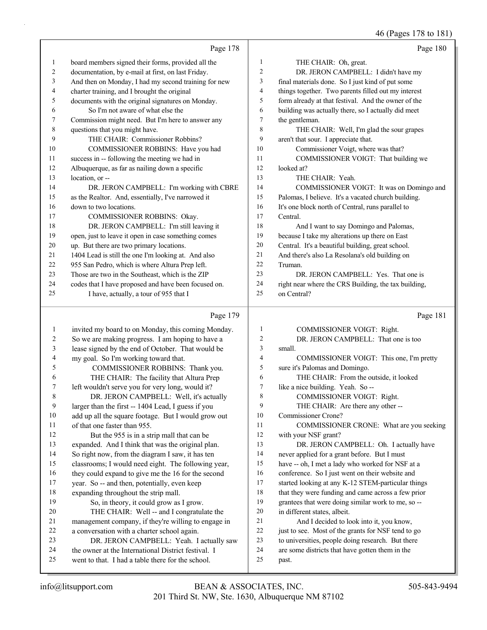46 (Pages 178 to 181)

|    | Page 178                                             |                | Page 180                                             |
|----|------------------------------------------------------|----------------|------------------------------------------------------|
| 1  | board members signed their forms, provided all the   | $\mathbf{1}$   | THE CHAIR: Oh, great.                                |
| 2  | documentation, by e-mail at first, on last Friday.   | 2              | DR. JERON CAMPBELL: I didn't have my                 |
| 3  | And then on Monday, I had my second training for new | 3              | final materials done. So I just kind of put some     |
| 4  | charter training, and I brought the original         | $\overline{4}$ | things together. Two parents filled out my interest  |
| 5  | documents with the original signatures on Monday.    | 5              | form already at that festival. And the owner of the  |
| 6  | So I'm not aware of what else the                    | 6              | building was actually there, so I actually did meet  |
| 7  | Commission might need. But I'm here to answer any    | 7              | the gentleman.                                       |
| 8  | questions that you might have.                       | 8              | THE CHAIR: Well, I'm glad the sour grapes            |
| 9  | THE CHAIR: Commissioner Robbins?                     | 9              | aren't that sour. I appreciate that.                 |
| 10 | COMMISSIONER ROBBINS: Have you had                   | 10             | Commissioner Voigt, where was that?                  |
| 11 | success in -- following the meeting we had in        | 11             | COMMISSIONER VOIGT: That building we                 |
| 12 | Albuquerque, as far as nailing down a specific       | 12             | looked at?                                           |
| 13 | location, or --                                      | 13             | THE CHAIR: Yeah.                                     |
| 14 | DR. JERON CAMPBELL: I'm working with CBRE            | 14             | COMMISSIONER VOIGT: It was on Domingo and            |
| 15 | as the Realtor. And, essentially, I've narrowed it   | 15             | Palomas, I believe. It's a vacated church building.  |
| 16 | down to two locations.                               | 16             | It's one block north of Central, runs parallel to    |
| 17 | COMMISSIONER ROBBINS: Okay.                          | 17             | Central.                                             |
| 18 | DR. JERON CAMPBELL: I'm still leaving it             | 18             | And I want to say Domingo and Palomas,               |
| 19 | open, just to leave it open in case something comes  | 19             | because I take my alterations up there on East       |
| 20 | up. But there are two primary locations.             | 20             | Central. It's a beautiful building, great school.    |
| 21 | 1404 Lead is still the one I'm looking at. And also  | 21             | And there's also La Resolana's old building on       |
| 22 | 955 San Pedro, which is where Altura Prep left.      | 22             | Truman.                                              |
| 23 | Those are two in the Southeast, which is the ZIP     | 23             | DR. JERON CAMPBELL: Yes. That one is                 |
| 24 | codes that I have proposed and have been focused on. | 24             | right near where the CRS Building, the tax building, |
| 25 | I have, actually, a tour of 955 that I               | 25             | on Central?                                          |
|    |                                                      |                |                                                      |

# Page 179 |

|         | Page 179                                            |                | Page 181                                           |
|---------|-----------------------------------------------------|----------------|----------------------------------------------------|
| $\perp$ | invited my board to on Monday, this coming Monday.  | 1              | <b>COMMISSIONER VOIGT: Right.</b>                  |
| 2       | So we are making progress. I am hoping to have a    | $\overline{2}$ | DR. JERON CAMPBELL: That one is too                |
| 3       | lease signed by the end of October. That would be   | 3              | small.                                             |
| 4       | my goal. So I'm working toward that.                | $\overline{4}$ | COMMISSIONER VOIGT: This one, I'm pretty           |
| 5       | COMMISSIONER ROBBINS: Thank you.                    | 5              | sure it's Palomas and Domingo.                     |
| 6       | THE CHAIR: The facility that Altura Prep            | 6              | THE CHAIR: From the outside, it looked             |
| 7       | left wouldn't serve you for very long, would it?    | 7              | like a nice building. Yeah. So --                  |
| 8       | DR. JERON CAMPBELL: Well, it's actually             | 8              | <b>COMMISSIONER VOIGT: Right.</b>                  |
| 9       | larger than the first -- 1404 Lead, I guess if you  | 9              | THE CHAIR: Are there any other --                  |
| 10      | add up all the square footage. But I would grow out | 10             | Commissioner Crone?                                |
| 11      | of that one faster than 955.                        | 11             | COMMISSIONER CRONE: What are you seeking           |
| 12      | But the 955 is in a strip mall that can be          | 12             | with your NSF grant?                               |
| 13      | expanded. And I think that was the original plan.   | 13             | DR. JERON CAMPBELL: Oh. I actually have            |
| 14      | So right now, from the diagram I saw, it has ten    | 14             | never applied for a grant before. But I must       |
| 15      | classrooms; I would need eight. The following year, | 15             | have -- oh, I met a lady who worked for NSF at a   |
| 16      | they could expand to give me the 16 for the second  | 16             | conference. So I just went on their website and    |
| 17      | year. So -- and then, potentially, even keep        | 17             | started looking at any K-12 STEM-particular things |
| 18      | expanding throughout the strip mall.                | 18             | that they were funding and came across a few prior |
| 19      | So, in theory, it could grow as I grow.             | 19             | grantees that were doing similar work to me, so -- |
| 20      | THE CHAIR: Well -- and I congratulate the           | 20             | in different states, albeit.                       |
| 21      | management company, if they're willing to engage in | 21             | And I decided to look into it, you know,           |
| 22      | a conversation with a charter school again.         | 22             | just to see. Most of the grants for NSF tend to go |
| 23      | DR. JERON CAMPBELL: Yeah. I actually saw            | 23             | to universities, people doing research. But there  |
| 24      | the owner at the International District festival. I | 24             | are some districts that have gotten them in the    |
| 25      | went to that. I had a table there for the school.   | 25             | past.                                              |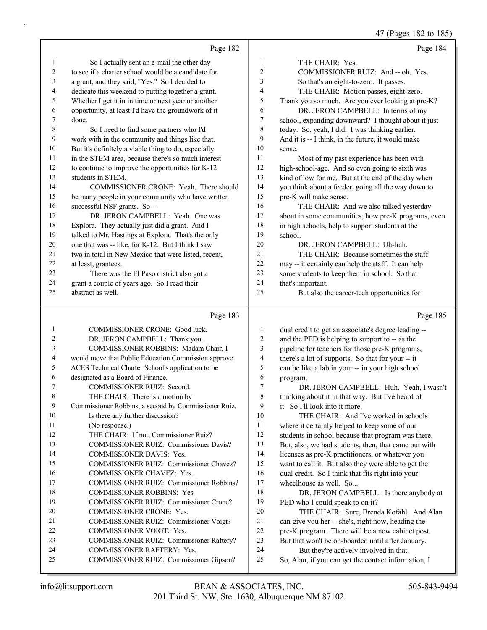47 (Pages 182 to 185)

|                  |                                                      |                          | 47 (Pages 182 to 185                                 |
|------------------|------------------------------------------------------|--------------------------|------------------------------------------------------|
|                  | Page 182                                             |                          | Page 184                                             |
| 1                | So I actually sent an e-mail the other day           | $\mathbf{1}$             | THE CHAIR: Yes.                                      |
| $\boldsymbol{2}$ | to see if a charter school would be a candidate for  | $\overline{\mathbf{c}}$  | COMMISSIONER RUIZ: And -- oh. Yes.                   |
| 3                | a grant, and they said, "Yes." So I decided to       | $\mathfrak{Z}$           | So that's an eight-to-zero. It passes.               |
| 4                | dedicate this weekend to putting together a grant.   | 4                        | THE CHAIR: Motion passes, eight-zero.                |
| 5                | Whether I get it in in time or next year or another  | 5                        | Thank you so much. Are you ever looking at pre-K?    |
| 6                | opportunity, at least I'd have the groundwork of it  | 6                        | DR. JERON CAMPBELL: In terms of my                   |
| 7                | done.                                                | 7                        | school, expanding downward? I thought about it just  |
| 8                | So I need to find some partners who I'd              | $\,8\,$                  | today. So, yeah, I did. I was thinking earlier.      |
| 9                | work with in the community and things like that.     | 9                        | And it is -- I think, in the future, it would make   |
| $10\,$           | But it's definitely a viable thing to do, especially | 10                       | sense.                                               |
| 11               | in the STEM area, because there's so much interest   | 11                       | Most of my past experience has been with             |
| 12               | to continue to improve the opportunities for K-12    | 12                       | high-school-age. And so even going to sixth was      |
| 13               | students in STEM.                                    | 13                       | kind of low for me. But at the end of the day when   |
| 14               | COMMISSIONER CRONE: Yeah. There should               | 14                       | you think about a feeder, going all the way down to  |
| 15               | be many people in your community who have written    | 15                       | pre-K will make sense.                               |
| 16               | successful NSF grants. So --                         | 16                       | THE CHAIR: And we also talked yesterday              |
| 17               | DR. JERON CAMPBELL: Yeah. One was                    | 17                       | about in some communities, how pre-K programs, even  |
| $18\,$           | Explora. They actually just did a grant. And I       | 18                       | in high schools, help to support students at the     |
| 19               | talked to Mr. Hastings at Explora. That's the only   | 19                       | school.                                              |
| $20\,$           | one that was -- like, for K-12. But I think I saw    | 20                       | DR. JERON CAMPBELL: Uh-huh.                          |
| 21               | two in total in New Mexico that were listed, recent, | 21                       | THE CHAIR: Because sometimes the staff               |
| 22               | at least, grantees.                                  | $22\,$                   | may -- it certainly can help the staff. It can help  |
| 23               | There was the El Paso district also got a            | 23                       | some students to keep them in school. So that        |
| 24               | grant a couple of years ago. So I read their         | 24                       | that's important.                                    |
| 25               | abstract as well.                                    | 25                       | But also the career-tech opportunities for           |
|                  | Page 183                                             |                          | Page 185                                             |
| $\mathbf{1}$     | COMMISSIONER CRONE: Good luck.                       | 1                        | dual credit to get an associate's degree leading --  |
| $\overline{c}$   | DR. JERON CAMPBELL: Thank you.                       | $\overline{c}$           | and the PED is helping to support to -- as the       |
| 3                | COMMISSIONER ROBBINS: Madam Chair, I                 | 3                        | pipeline for teachers for those pre-K programs,      |
| 4                | would move that Public Education Commission approve  | $\overline{\mathcal{A}}$ | there's a lot of supports. So that for your -- it    |
| 5                | ACES Technical Charter School's application to be    | 5                        | can be like a lab in your -- in your high school     |
| 6                | designated as a Board of Finance.                    | 6                        | program.                                             |
| 7                | COMMISSIONER RUIZ: Second.                           | $\tau$                   | DR. JERON CAMPBELL: Huh. Yeah, I wasn't              |
| 8                | THE CHAIR: There is a motion by                      | 8                        | thinking about it in that way. But I've heard of     |
| 9                | Commissioner Robbins, a second by Commissioner Ruiz. | 9                        | it. So I'll look into it more.                       |
| $10\,$           | Is there any further discussion?                     | 10                       | THE CHAIR: And I've worked in schools                |
| 11               | (No response.)                                       | 11                       | where it certainly helped to keep some of our        |
| 12               | THE CHAIR: If not, Commissioner Ruiz?                | 12                       | students in school because that program was there.   |
| 13               | COMMISSIONER RUIZ: Commissioner Davis?               | 13                       | But, also, we had students, then, that came out with |
| 14               | COMMISSIONER DAVIS: Yes.                             | 14                       | licenses as pre-K practitioners, or whatever you     |
| 15               | COMMISSIONER RUIZ: Commissioner Chavez?              | 15                       | want to call it. But also they were able to get the  |
| 16               | COMMISSIONER CHAVEZ: Yes.                            | 16                       | dual credit. So I think that fits right into your    |
| 17               | COMMISSIONER RUIZ: Commissioner Robbins?             | 17                       | wheelhouse as well. So                               |
| 18               | COMMISSIONER ROBBINS: Yes.                           | 18                       | DR. JERON CAMPBELL: Is there anybody at              |
| 19               | COMMISSIONER RUIZ: Commissioner Crone?               | 19                       | PED who I could speak to on it?                      |
| 20               | COMMISSIONER CRONE: Yes.                             | 20                       | THE CHAIR: Sure, Brenda Kofahl. And Alan             |
| 21               | COMMISSIONER RUIZ: Commissioner Voigt?               | 21                       | can give you her -- she's, right now, heading the    |
| 22               | COMMISSIONER VOIGT: Yes.                             | 22                       | pre-K program. There will be a new cabinet post.     |
| 23               | COMMISSIONER RUIZ: Commissioner Raftery?             | 23                       | But that won't be on-boarded until after January.    |

23 COMMISSIONER RUIZ: Commissioner Raftery?

- 24 COMMISSIONER RAFTERY: Yes.
- 25 COMMISSIONER RUIZ: Commissioner Gipson?

24 But they're actively involved in that. 25 So, Alan, if you can get the contact information, I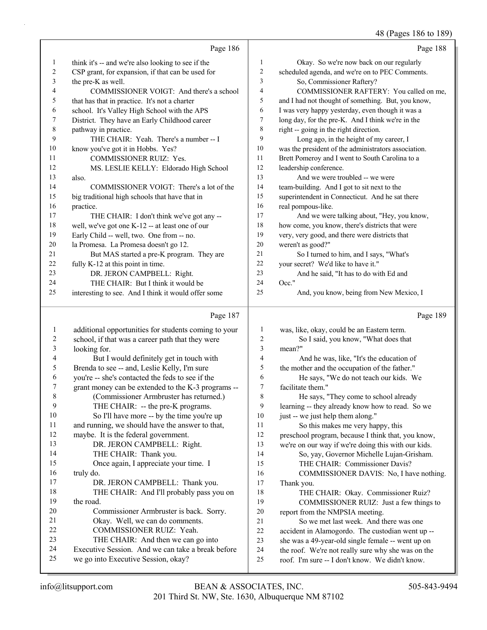# 48 (Pages 186 to 189)

|         | Page 186                                            |                | Page 188                                             |
|---------|-----------------------------------------------------|----------------|------------------------------------------------------|
| $\perp$ | think it's -- and we're also looking to see if the  | 1              | Okay. So we're now back on our regularly             |
| 2       | CSP grant, for expansion, if that can be used for   | 2              | scheduled agenda, and we're on to PEC Comments.      |
| 3       | the pre-K as well.                                  | 3              | So, Commissioner Raftery?                            |
| 4       | COMMISSIONER VOIGT: And there's a school            | $\overline{4}$ | COMMISSIONER RAFTERY: You called on me,              |
| 5       | that has that in practice. It's not a charter       | 5              | and I had not thought of something. But, you know,   |
| 6       | school. It's Valley High School with the APS        | 6              | I was very happy yesterday, even though it was a     |
| 7       | District. They have an Early Childhood career       | 7              | long day, for the pre-K. And I think we're in the    |
| 8       | pathway in practice.                                | 8              | right -- going in the right direction.               |
| 9       | THE CHAIR: Yeah. There's a number -- I              | 9              | Long ago, in the height of my career, I              |
| 10      | know you've got it in Hobbs. Yes?                   | 10             | was the president of the administrators association. |
| 11      | <b>COMMISSIONER RUIZ: Yes.</b>                      | 11             | Brett Pomeroy and I went to South Carolina to a      |
| 12      | MS. LESLIE KELLY: Eldorado High School              | 12             | leadership conference.                               |
| 13      | also.                                               | 13             | And we were troubled -- we were                      |
| 14      | COMMISSIONER VOIGT: There's a lot of the            | 14             | team-building. And I got to sit next to the          |
| 15      | big traditional high schools that have that in      | 15             | superintendent in Connecticut. And he sat there      |
| 16      | practice.                                           | 16             | real pompous-like.                                   |
| 17      | THE CHAIR: I don't think we've got any --           | 17             | And we were talking about, "Hey, you know,           |
| 18      | well, we've got one K-12 -- at least one of our     | 18             | how come, you know, there's districts that were      |
| 19      | Early Child -- well, two. One from -- no.           | 19             | very, very good, and there were districts that       |
| 20      | la Promesa. La Promesa doesn't go 12.               | 20             | weren't as good?"                                    |
| 21      | But MAS started a pre-K program. They are           | 21             | So I turned to him, and I says, "What's              |
| 22      | fully K-12 at this point in time.                   | 22             | your secret? We'd like to have it."                  |
| 23      | DR. JERON CAMPBELL: Right.                          | 23             | And he said, "It has to do with Ed and               |
| 24      | THE CHAIR: But I think it would be                  | 24             | $Occ.$ "                                             |
| 25      | interesting to see. And I think it would offer some | 25             | And, you know, being from New Mexico, I              |

## Page 187

|    | Page 187                                             |    | Page 189                                            |
|----|------------------------------------------------------|----|-----------------------------------------------------|
| 1  | additional opportunities for students coming to your | 1  | was, like, okay, could be an Eastern term.          |
| 2  | school, if that was a career path that they were     | 2  | So I said, you know, "What does that                |
| 3  | looking for.                                         | 3  | mean?"                                              |
| 4  | But I would definitely get in touch with             | 4  | And he was, like, "It's the education of            |
| 5  | Brenda to see -- and, Leslie Kelly, I'm sure         | 5  | the mother and the occupation of the father."       |
| 6  | you're -- she's contacted the feds to see if the     | 6  | He says, "We do not teach our kids. We              |
| 7  | grant money can be extended to the K-3 programs --   | 7  | facilitate them."                                   |
| 8  | (Commissioner Armbruster has returned.)              | 8  | He says, "They come to school already               |
| 9  | THE CHAIR: -- the pre-K programs.                    | 9  | learning -- they already know how to read. So we    |
| 10 | So I'll have more -- by the time you're up           | 10 | just -- we just help them along."                   |
| 11 | and running, we should have the answer to that,      | 11 | So this makes me very happy, this                   |
| 12 | maybe. It is the federal government.                 | 12 | preschool program, because I think that, you know,  |
| 13 | DR. JERON CAMPBELL: Right.                           | 13 | we're on our way if we're doing this with our kids. |
| 14 | THE CHAIR: Thank you.                                | 14 | So, yay, Governor Michelle Lujan-Grisham.           |
| 15 | Once again, I appreciate your time. I                | 15 | THE CHAIR: Commissioner Davis?                      |
| 16 | truly do.                                            | 16 | COMMISSIONER DAVIS: No, I have nothing.             |
| 17 | DR. JERON CAMPBELL: Thank you.                       | 17 | Thank you.                                          |
| 18 | THE CHAIR: And I'll probably pass you on             | 18 | THE CHAIR: Okay. Commissioner Ruiz?                 |
| 19 | the road.                                            | 19 | COMMISSIONER RUIZ: Just a few things to             |
| 20 | Commissioner Armbruster is back. Sorry.              | 20 | report from the NMPSIA meeting.                     |
| 21 | Okay. Well, we can do comments.                      | 21 | So we met last week. And there was one              |
| 22 | <b>COMMISSIONER RUIZ: Yeah.</b>                      | 22 | accident in Alamogordo. The custodian went up --    |
| 23 | THE CHAIR: And then we can go into                   | 23 | she was a 49-year-old single female -- went up on   |
| 24 | Executive Session. And we can take a break before    | 24 | the roof. We're not really sure why she was on the  |
| 25 | we go into Executive Session, okay?                  | 25 | roof. I'm sure -- I don't know. We didn't know.     |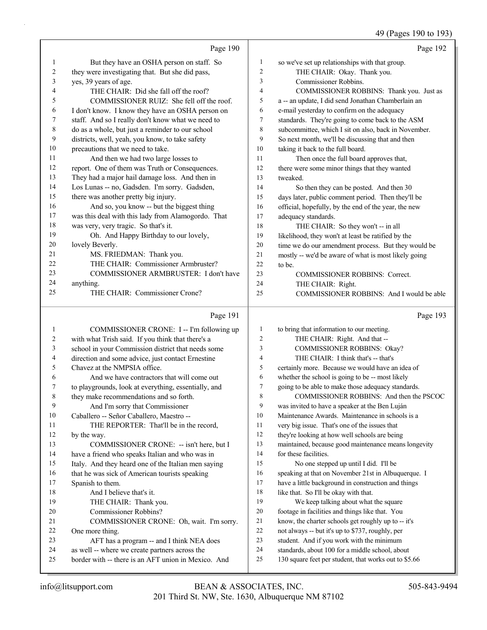### 49 (Pages 190 to 193)

|              | Page 190                                           |                | Page 192                                             |
|--------------|----------------------------------------------------|----------------|------------------------------------------------------|
| $\mathbf{1}$ | But they have an OSHA person on staff. So          | $\mathbf{1}$   | so we've set up relationships with that group.       |
| 2            | they were investigating that. But she did pass,    | $\overline{2}$ | THE CHAIR: Okay. Thank you.                          |
| 3            | yes, 39 years of age.                              | 3              | Commissioner Robbins.                                |
| 4            | THE CHAIR: Did she fall off the roof?              | $\overline{4}$ | COMMISSIONER ROBBINS: Thank you. Just as             |
| 5            | COMMISSIONER RUIZ: She fell off the roof.          | 5              | a -- an update, I did send Jonathan Chamberlain an   |
| 6            | I don't know. I know they have an OSHA person on   | 6              | e-mail yesterday to confirm on the adequacy          |
| 7            | staff. And so I really don't know what we need to  | $\overline{7}$ | standards. They're going to come back to the ASM     |
| 8            | do as a whole, but just a reminder to our school   | 8              | subcommittee, which I sit on also, back in November. |
| 9            | districts, well, yeah, you know, to take safety    | 9              | So next month, we'll be discussing that and then     |
| 10           | precautions that we need to take.                  | 10             | taking it back to the full board.                    |
| 11           | And then we had two large losses to                | 11             | Then once the full board approves that,              |
| 12           | report. One of them was Truth or Consequences.     | 12             | there were some minor things that they wanted        |
| 13           | They had a major hail damage loss. And then in     | 13             | tweaked.                                             |
| 14           | Los Lunas -- no, Gadsden. I'm sorry. Gadsden,      | 14             | So then they can be posted. And then 30              |
| 15           | there was another pretty big injury.               | 15             | days later, public comment period. Then they'll be   |
| 16           | And so, you know -- but the biggest thing          | 16             | official, hopefully, by the end of the year, the new |
| 17           | was this deal with this lady from Alamogordo. That | 17             | adequacy standards.                                  |
| 18           | was very, very tragic. So that's it.               | 18             | THE CHAIR: So they won't -- in all                   |
| 19           | Oh. And Happy Birthday to our lovely,              | 19             | likelihood, they won't at least be ratified by the   |
| 20           | lovely Beverly.                                    | 20             | time we do our amendment process. But they would be  |
| 21           | MS. FRIEDMAN: Thank you.                           | 21             | mostly -- we'd be aware of what is most likely going |
| 22           | THE CHAIR: Commissioner Armbruster?                | 22             | to be.                                               |
| 23           | COMMISSIONER ARMBRUSTER: I don't have              | 23             | COMMISSIONER ROBBINS: Correct.                       |
| 24           | anything.                                          | 24             | THE CHAIR: Right.                                    |
| 25           | THE CHAIR: Commissioner Crone?                     | 25             | COMMISSIONER ROBBINS: And I would be able            |
|              | Page 191                                           |                | Page 193                                             |
| 1            | COMMISSIONER CRONE: I -- I'm following up          | $\mathbf{1}$   | to bring that information to our meeting.            |
| 2            | with what Trish said. If you think that there's a  | $\overline{2}$ | THE CHAIR: Right. And that --                        |
| 3            | school in your Commission district that needs some | 3              | COMMISSIONER ROBBINS: Okay?                          |
| 4            | direction and some advice, just contact Ernestine  | $\overline{4}$ | THE CHAIR: I think that's -- that's                  |
| 5            | Chavez at the NMPSIA office.                       | 5              | certainly more. Because we would have an idea of     |
| 6            | And we have contractors that will come out         | 6              | whether the school is going to be -- most likely     |
|              |                                                    |                |                                                      |

#### 7 to playgrounds, look at everything, essentially, and 8 they make recommendations and so forth. 9 And I'm sorry that Commissioner 10 Caballero -- Señor Caballero, Maestro --

11 THE REPORTER: That'll be in the record, 12 by the way. 13 COMMISSIONER CRONE: -- isn't here, but I 14 have a friend who speaks Italian and who was in 15 Italy. And they heard one of the Italian men saying 16 that he was sick of American tourists speaking 17 Spanish to them. 18 And I believe that's it. 19 THE CHAIR: Thank you. 20 Commissioner Robbins? 21 COMMISSIONER CRONE: Oh, wait. I'm sorry. 22 One more thing. 23 AFT has a program -- and I think NEA does 24 as well -- where we create partners across the

- 7 going to be able to make those adequacy standards.
- 8 COMMISSIONER ROBBINS: And then the PSCOC
- 9 was invited to have a speaker at the Ben Luján
- 10 Maintenance Awards. Maintenance in schools is a
- 11 very big issue. That's one of the issues that
- 12 they're looking at how well schools are being
- 13 maintained, because good maintenance means longevity 14 for these facilities.
- 15 No one stepped up until I did. I'll be 16 speaking at that on November 21st in Albuquerque. I 17 have a little background in construction and things 18 like that. So I'll be okay with that.
- 19 We keep talking about what the square
- 20 footage in facilities and things like that. You
- 21 know, the charter schools get roughly up to -- it's
- 22 not always -- but it's up to \$737, roughly, per
- 23 student. And if you work with the minimum 24 standards, about 100 for a middle school, about
- 25 130 square feet per student, that works out to \$5.66

<sup>25</sup> border with -- there is an AFT union in Mexico. And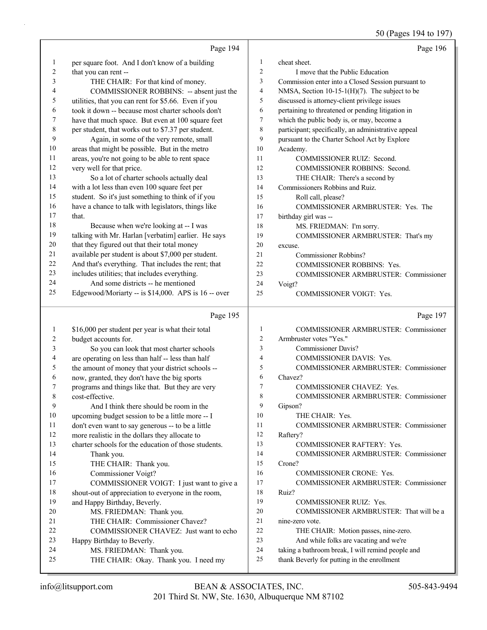|             | Page 194                                             |                | Page 196                                            |
|-------------|------------------------------------------------------|----------------|-----------------------------------------------------|
| 1           | per square foot. And I don't know of a building      | $\mathbf{1}$   | cheat sheet.                                        |
| 2           | that you can rent --                                 | 2              | I move that the Public Education                    |
| 3           | THE CHAIR: For that kind of money.                   | 3              | Commission enter into a Closed Session pursuant to  |
| 4           | COMMISSIONER ROBBINS: -- absent just the             | 4              | NMSA, Section 10-15-1(H)(7). The subject to be      |
| 5           | utilities, that you can rent for \$5.66. Even if you | 5              | discussed is attorney-client privilege issues       |
| 6           | took it down -- because most charter schools don't   | 6              | pertaining to threatened or pending litigation in   |
| 7           | have that much space. But even at 100 square feet    | 7              | which the public body is, or may, become a          |
| 8           | per student, that works out to \$7.37 per student.   | 8              | participant; specifically, an administrative appeal |
| 9           | Again, in some of the very remote, small             | 9              | pursuant to the Charter School Act by Explore       |
| 10          | areas that might be possible. But in the metro       | 10             | Academy.                                            |
| 11          | areas, you're not going to be able to rent space     | 11             | COMMISSIONER RUIZ: Second.                          |
| 12          | very well for that price.                            | 12             | COMMISSIONER ROBBINS: Second.                       |
| 13          | So a lot of charter schools actually deal            | 13             | THE CHAIR: There's a second by                      |
| 14          | with a lot less than even 100 square feet per        | 14             | Commissioners Robbins and Ruiz.                     |
| 15          | student. So it's just something to think of if you   | 15             | Roll call, please?                                  |
| 16          | have a chance to talk with legislators, things like  | 16             | COMMISSIONER ARMBRUSTER: Yes. The                   |
| $17\,$      | that.                                                | 17             | birthday girl was --                                |
| 18          | Because when we're looking at -- I was               | 18             | MS. FRIEDMAN: I'm sorry.                            |
| 19          | talking with Mr. Harlan [verbatim] earlier. He says  | 19             | COMMISSIONER ARMBRUSTER: That's my                  |
| $20\,$      | that they figured out that their total money         | 20             | excuse.                                             |
| $21\,$      | available per student is about \$7,000 per student.  | 21             | Commissioner Robbins?                               |
| 22          | And that's everything. That includes the rent; that  | 22             | COMMISSIONER ROBBINS: Yes.                          |
| 23          | includes utilities; that includes everything.        | 23             | COMMISSIONER ARMBRUSTER: Commissioner               |
| 24          | And some districts -- he mentioned                   | 24             | Voigt?                                              |
| 25          | Edgewood/Moriarty -- is \$14,000. APS is 16 -- over  | 25             | <b>COMMISSIONER VOIGT: Yes.</b>                     |
|             | Page 195                                             |                | Page 197                                            |
| 1           | \$16,000 per student per year is what their total    | 1              | COMMISSIONER ARMBRUSTER: Commissioner               |
| 2           | budget accounts for.                                 | $\overline{c}$ | Armbruster votes "Yes."                             |
| 3           | So you can look that most charter schools            | 3              | <b>Commissioner Davis?</b>                          |
| 4           | are operating on less than half -- less than half    | 4              | COMMISSIONER DAVIS: Yes.                            |
| 5           | the amount of money that your district schools --    | 5              | COMMISSIONER ARMBRUSTER: Commissioner               |
| 6           | now, granted, they don't have the big sports         | 6              | Chavez?                                             |
| 7           | programs and things like that. But they are very     | 7              | COMMISSIONER CHAVEZ: Yes.                           |
| $\,$ 8 $\,$ | cost-effective.                                      | 8              | COMMISSIONER ARMBRUSTER: Commissioner               |
| 9           | And I think there should be room in the              | 9              | Gipson?                                             |
| 10          | upcoming budget session to be a little more -- I     | 10             | THE CHAIR: Yes.                                     |
| 11          | don't even want to say generous -- to be a little    | 11             | COMMISSIONER ARMBRUSTER: Commissioner               |
| 12          | more realistic in the dollars they allocate to       | 12             | Raftery?                                            |
| 13          | charter schools for the education of those students. | 13             | COMMISSIONER RAFTERY: Yes.                          |
| 14          | Thank you.                                           | 14             | COMMISSIONER ARMBRUSTER: Commissioner               |
| 15          | THE CHAIR: Thank you.                                | 15             | Crone?                                              |
| 16          | Commissioner Voigt?                                  | 16             | COMMISSIONER CRONE: Yes.                            |
| 17          | COMMISSIONER VOIGT: I just want to give a            | 17             | COMMISSIONER ARMBRUSTER: Commissioner               |
| 18          | shout-out of appreciation to everyone in the room,   | 18             | Ruiz?                                               |
| 19          | and Happy Birthday, Beverly.                         | 19             | COMMISSIONER RUIZ: Yes.                             |
| 20          | MS. FRIEDMAN: Thank you.                             | 20             | COMMISSIONER ARMBRUSTER: That will be a             |
| 21          | THE CHAIR: Commissioner Chavez?                      | 21             | nine-zero vote.                                     |
| 22          | COMMISSIONER CHAVEZ: Just want to echo               | 22             | THE CHAIR: Motion passes, nine-zero.                |
| 23          | Happy Birthday to Beverly.                           | 23             | And while folks are vacating and we're              |
| 24          | MS. FRIEDMAN: Thank you.                             | 24             | taking a bathroom break, I will remind people and   |
| 25          | THE CHAIR: Okay. Thank you. I need my                | 25             | thank Beverly for putting in the enrollment         |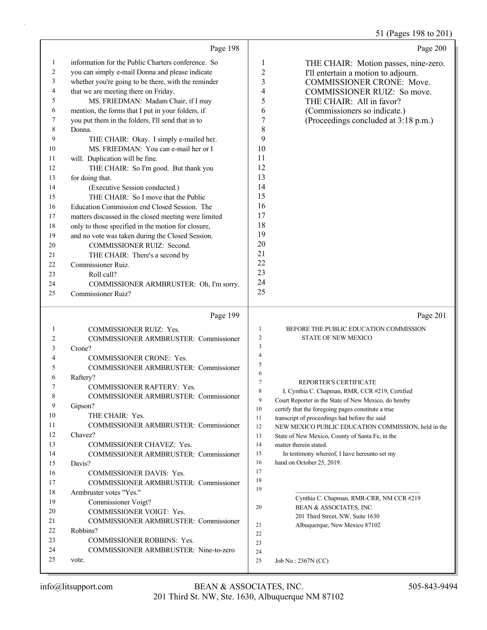# 51 (Pages 198 to 201)

|          | Page 198                                             |                          | Page 200                                                                                             |
|----------|------------------------------------------------------|--------------------------|------------------------------------------------------------------------------------------------------|
| 1        | information for the Public Charters conference. So   | 1                        | THE CHAIR: Motion passes, nine-zero.                                                                 |
| 2        | you can simply e-mail Donna and please indicate      | $\boldsymbol{2}$         | I'll entertain a motion to adjourn.                                                                  |
| 3        | whether you're going to be there, with the reminder  | 3                        | <b>COMMISSIONER CRONE: Move.</b>                                                                     |
| 4        | that we are meeting there on Friday.                 | $\overline{\mathcal{A}}$ | COMMISSIONER RUIZ: So move.                                                                          |
| 5        | MS. FRIEDMAN: Madam Chair, if I may                  | 5                        | THE CHAIR: All in favor?                                                                             |
| 6        | mention, the forms that I put in your folders, if    | 6                        | (Commissioners so indicate.)                                                                         |
| 7        | you put them in the folders, I'll send that in to    | 7                        | (Proceedings concluded at 3:18 p.m.)                                                                 |
| 8        | Donna.                                               | 8                        |                                                                                                      |
| 9        | THE CHAIR: Okay. I simply e-mailed her.              | 9                        |                                                                                                      |
| 10       | MS. FRIEDMAN: You can e-mail her or I                | 10                       |                                                                                                      |
| 11       | will. Duplication will be fine.                      | 11                       |                                                                                                      |
| 12       | THE CHAIR: So I'm good. But thank you                | 12                       |                                                                                                      |
| 13       | for doing that.                                      | 13                       |                                                                                                      |
| 14       | (Executive Session conducted.)                       | 14                       |                                                                                                      |
| 15       | THE CHAIR: So I move that the Public                 | 15                       |                                                                                                      |
| 16       | Education Commission end Closed Session. The         | 16                       |                                                                                                      |
| 17       | matters discussed in the closed meeting were limited | 17                       |                                                                                                      |
| 18       | only to those specified in the motion for closure,   | 18                       |                                                                                                      |
| 19       | and no vote was taken during the Closed Session.     | 19                       |                                                                                                      |
| 20       | COMMISSIONER RUIZ: Second.                           | 20                       |                                                                                                      |
| 21       | THE CHAIR: There's a second by                       | 21                       |                                                                                                      |
| 22       | Commissioner Ruiz.                                   | 22                       |                                                                                                      |
| 23       | Roll call?                                           | 23                       |                                                                                                      |
| 24       | COMMISSIONER ARMBRUSTER: Oh, I'm sorry.              | 24<br>25                 |                                                                                                      |
| 25       | Commissioner Ruiz?                                   |                          |                                                                                                      |
|          | Page 199                                             |                          | Page 201                                                                                             |
| 1        | <b>COMMISSIONER RUIZ: Yes.</b>                       | $\mathbf{1}$             | BEFORE THE PUBLIC EDUCATION COMMISSION                                                               |
| 2        | COMMISSIONER ARMBRUSTER: Commissioner                | $\overline{c}$           | <b>STATE OF NEW MEXICO</b>                                                                           |
| 3        | Crone?                                               | $\mathfrak{Z}$           |                                                                                                      |
| 4        | COMMISSIONER CRONE: Yes.                             | $\overline{4}$           |                                                                                                      |
| 5        | COMMISSIONER ARMBRUSTER: Commissioner                |                          |                                                                                                      |
| 6        |                                                      | 5                        |                                                                                                      |
|          | Raftery?                                             | 6                        |                                                                                                      |
| 7        | COMMISSIONER RAFTERY: Yes.                           | 7                        | REPORTER'S CERTIFICATE                                                                               |
|          | COMMISSIONER ARMBRUSTER: Commissioner                | 8                        | I, Cynthia C. Chapman, RMR, CCR #219, Certified                                                      |
| 9        | Gipson?                                              | 9                        | Court Reporter in the State of New Mexico, do hereby                                                 |
| 10       | THE CHAIR: Yes.                                      | 10                       | certify that the foregoing pages constitute a true                                                   |
| 11       | <b>COMMISSIONER ARMBRUSTER: Commissioner</b>         | 11<br>12                 | transcript of proceedings had before the said<br>NEW MEXICO PUBLIC EDUCATION COMMISSION, held in the |
| 12       | Chavez?                                              | 13                       | State of New Mexico, County of Santa Fe, in the                                                      |
| 13       | <b>COMMISSIONER CHAVEZ: Yes.</b>                     | 14                       | matter therein stated.                                                                               |
| 14       | <b>COMMISSIONER ARMBRUSTER: Commissioner</b>         | 15                       | In testimony whereof, I have hereunto set my                                                         |
| 15       | Davis?                                               | 16                       | hand on October 25, 2019.                                                                            |
| 16       | COMMISSIONER DAVIS: Yes.                             | 17                       |                                                                                                      |
| 17       | COMMISSIONER ARMBRUSTER: Commissioner                | 18                       |                                                                                                      |
| 18       | Armbruster votes "Yes."                              | 19                       |                                                                                                      |
| 19       | Commissioner Voigt?                                  | 20                       | Cynthia C. Chapman, RMR-CRR, NM CCR #219<br>BEAN & ASSOCIATES, INC.                                  |
| 20       | COMMISSIONER VOIGT: Yes.                             |                          | 201 Third Street, NW, Suite 1630                                                                     |
| 21       | <b>COMMISSIONER ARMBRUSTER: Commissioner</b>         | 21                       | Albuquerque, New Mexico 87102                                                                        |
| 22       | Robbins?                                             | 22                       |                                                                                                      |
| 23       | COMMISSIONER ROBBINS: Yes.                           | 23                       |                                                                                                      |
| 24<br>25 | COMMISSIONER ARMBRUSTER: Nine-to-zero<br>vote.       | 24<br>25                 | Job No.: 2367N (CC)                                                                                  |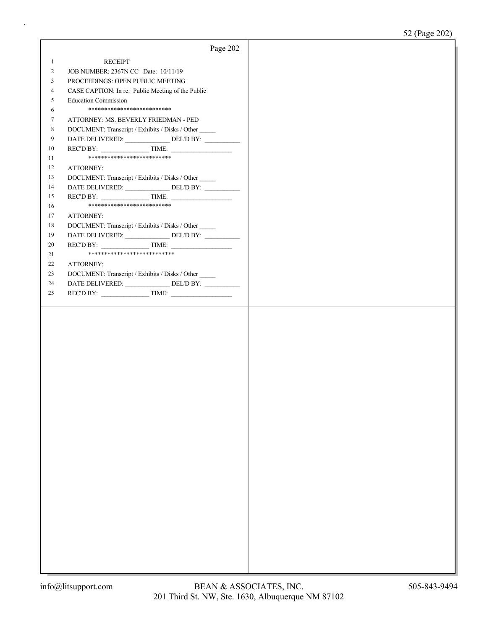|                |                                                       | Page 202 |
|----------------|-------------------------------------------------------|----------|
| $\mathbf{1}$   | <b>RECEIPT</b>                                        |          |
| $\overline{c}$ | JOB NUMBER: 2367N CC Date: 10/11/19                   |          |
| 3              | PROCEEDINGS: OPEN PUBLIC MEETING                      |          |
| $\overline{4}$ | CASE CAPTION: In re: Public Meeting of the Public     |          |
| 5              | <b>Education Commission</b>                           |          |
| 6              | **************************                            |          |
| 7              | ATTORNEY: MS. BEVERLY FRIEDMAN - PED                  |          |
| 8              | DOCUMENT: Transcript / Exhibits / Disks / Other       |          |
| 9              | DATE DELIVERED: ________________ DEL'D BY: _________  |          |
| 10             |                                                       |          |
| 11             | **************************                            |          |
|                |                                                       |          |
| 12             | ATTORNEY:                                             |          |
| 13             | DOCUMENT: Transcript / Exhibits / Disks / Other       |          |
| 14             | DATE DELIVERED: ________________ DEL'D BY: __________ |          |
| 15             |                                                       |          |
| 16             | **************************                            |          |
| 17             | ATTORNEY:                                             |          |
| 18             | DOCUMENT: Transcript / Exhibits / Disks / Other       |          |
| 19             |                                                       |          |
| 20             | $RECD BY:$ TIME:                                      |          |
| 21             | ***************************                           |          |
| $22\,$         | ATTORNEY:                                             |          |
| 23             | DOCUMENT: Transcript / Exhibits / Disks / Other       |          |
| 24             | DATE DELIVERED: ________________ DEL'D BY: __________ |          |
| 25             | $RECD BY:$ TIME:                                      |          |
|                |                                                       |          |
|                |                                                       |          |
|                |                                                       |          |
|                |                                                       |          |
|                |                                                       |          |
|                |                                                       |          |
|                |                                                       |          |
|                |                                                       |          |
|                |                                                       |          |
|                |                                                       |          |
|                |                                                       |          |
|                |                                                       |          |
|                |                                                       |          |
|                |                                                       |          |
|                |                                                       |          |
|                |                                                       |          |
|                |                                                       |          |
|                |                                                       |          |
|                |                                                       |          |
|                |                                                       |          |
|                |                                                       |          |
|                |                                                       |          |
|                |                                                       |          |
|                |                                                       |          |
|                |                                                       |          |
|                |                                                       |          |
|                |                                                       |          |
|                |                                                       |          |
|                |                                                       |          |
|                |                                                       |          |
|                |                                                       |          |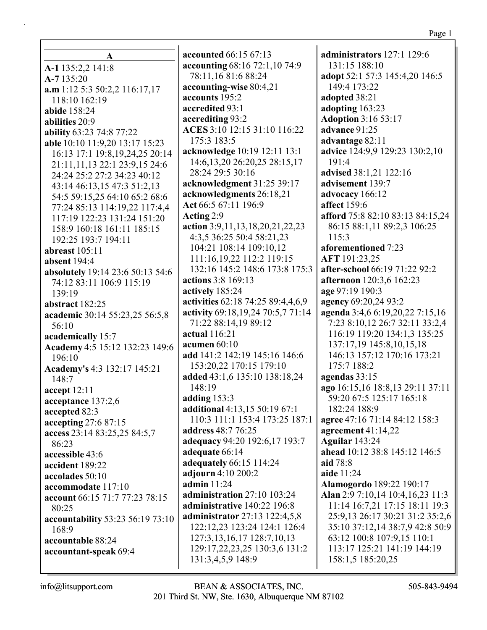$\mathbf{A}$ A-1 135:2,2 141:8 A-7135:20  $a.m 1:12 5:3 50:2.2 116:17.17$ 118:10 162:19 abide 158:24 abilities 20:9 ability 63:23 74:8 77:22 able 10:10 11:9,20 13:17 15:23 16:13 17:1 19:8,19,24,25 20:14 21:11,11,13 22:1 23:9,15 24:6 24:24 25:2 27:2 34:23 40:12 43:14 46:13,15 47:3 51:2,13 54:5 59:15,25 64:10 65:2 68:6 77:24 85:13 114:19.22 117:4.4 117:19 122:23 131:24 151:20 158:9 160:18 161:11 185:15 192:25 193:7 194:11 abreast  $105:11$ absent  $194:4$ absolutely 19:14 23:6 50:13 54:6 74:12 83:11 106:9 115:19 139:19 abstract 182:25 academic 30:14 55:23,25 56:5,8  $56:10$ academically 15:7 Academy 4:5 15:12 132:23 149:6 196:10 Academy's 4:3 132:17 145:21  $148:7$ accept  $12:11$ acceptance 137:2.6 accepted 82:3 accepting  $27:687:15$ access 23:14 83:25,25 84:5,7  $86:23$ accessible 43:6 accident 189:22 accolades  $50:10$ accommodate 117:10 account 66:15 71:7 77:23 78:15 80:25 accountability 53:23 56:19 73:10  $168:9$ accountable 88:24 accountant-speak 69:4

**accounted 66:15 67:13** accounting 68:16 72:1,10 74:9 78:11,16 81:6 88:24 accounting-wise 80:4,21 accounts 195:2 accredited 93:1 accrediting 93:2 ACES 3:10 12:15 31:10 116:22 175:3 183:5 acknowledge 10:19 12:11 13:1 14:6, 13, 20 26: 20, 25 28: 15, 17 28:24 29:5 30:16 acknowledgment 31:25 39:17 acknowledgments 26:18,21 Act 66:5 67:11 196:9 Acting  $2:9$ action  $3:9,11,13,18,20,21,22,23$ 4:3,5 36:25 50:4 58:21,23 104:21 108:14 109:10,12 111:16,19,22 112:2 119:15 132:16 145:2 148:6 173:8 175:3 actions 3:8 169:13 actively 185:24 activities 62:18 74:25 89:4,4,6,9 activity 69:18,19,24 70:5,7 71:14 71:22 88:14,19 89:12 actual  $116:21$ acumen  $60:10$ add 141:2 142:19 145:16 146:6 153:20,22 170:15 179:10 added 43:1,6 135:10 138:18,24 148:19 adding  $153:3$ additional 4:13,15 50:19 67:1 110:3 111:1 153:4 173:25 187:1 address 48:7 76:25 adequacy 94:20 192:6,17 193:7 adequate 66:14 adequately 66:15 114:24 adiourn 4:10 200:2 admin  $11:24$ administration 27:10 103:24 administrative 140:22 196:8 administrator 27:13 122:4,5,8 122:12,23 123:24 124:1 126:4 127:3, 13, 16, 17 128:7, 10, 13 129:17,22,23,25 130:3,6 131:2 131:3,4,5,9 148:9

administrators  $127:1$  129:6 131:15 188:10 adopt 52:1 57:3 145:4,20 146:5 149:4 173:22 adopted 38:21 adopting 163:23 **Adoption 3:16 53:17** advance 91:25 advantage 82:11 **advice** 124:9,9 129:23 130:2,10 191:4 advised 38:1,21 122:16 advisement 139:7 advocacy 166:12 affect 159:6 afford 75:8 82:10 83:13 84:15,24 86:15 88:1,11 89:2,3 106:25 115:3 aforementioned 7:23 AFT 191:23,25 after-school 66:19 71:22 92:2 afternoon 120:3,6 162:23 age 97:19 190:3 agency 69:20,24 93:2 agenda 3:4,6 6:19,20,22 7:15,16 7:23 8:10,12 26:7 32:11 33:2,4 116:19 119:20 134:1,3 135:25 137:17,19 145:8,10,15,18 146:13 157:12 170:16 173:21 175:7 188:2 agendas  $33:15$ ago 16:15,16 18:8,13 29:11 37:11 59:20 67:5 125:17 165:18 182:24 188:9 agree 47:16 71:14 84:12 158:3 agreement  $41:14,22$ **Aguilar** 143:24 ahead 10:12 38:8 145:12 146:5 aid 78:8 aide 11:24 **Alamogordo** 189:22 190:17 Alan 2:9 7:10,14 10:4,16,23 11:3 11:14 16:7,21 17:15 18:11 19:3 25:9,13 26:17 30:21 31:2 35:2,6 35:10 37:12,14 38:7,9 42:8 50:9 63:12 100:8 107:9,15 110:1 113:17 125:21 141:19 144:19 158:1,5 185:20,25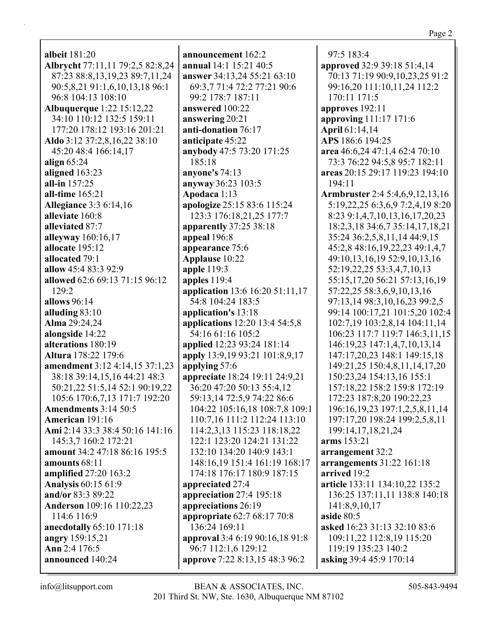| <b>albeit</b> 181:20             |
|----------------------------------|
| Albrycht 77:11,11 79:2,5 82:8,24 |
| 87:23 88:8,13,19,23 89:7,11,24   |
| 90:5,8,21 91:1,6,10,13,18 96:1   |
| 96:8 104:13 108:10               |
|                                  |
| Albuquerque 1:22 15:12,22        |
| 34:10 110:12 132:5 159:11        |
| 177:20 178:12 193:16 201:21      |
| Aldo 3:12 37:2,8,16,22 38:10     |
| 45:20 48:4 166:14,17             |
| align $65:24$                    |
| aligned 163:23                   |
| all-in 157:25                    |
|                                  |
| all-time 165:21                  |
| <b>Allegiance 3:3 6:14,16</b>    |
| alleviate 160:8                  |
| alleviated 87:7                  |
| alleyway 160:16,17               |
| allocate 195:12                  |
| allocated 79:1                   |
| allow 45:4 83:3 92:9             |
|                                  |
| allowed 62:6 69:13 71:15 96:12   |
| 129:2                            |
| allows $96:14$                   |
| alluding $83:10$                 |
| Alma 29:24,24                    |
| alongside 14:22                  |
| alterations 180:19               |
| <b>Altura</b> 178:22 179:6       |
|                                  |
| amendment 3:12 4:14,15 37:1,23   |
| 38:18 39:14,15,16 44:21 48:3     |
| 50:21,22 51:5,14 52:1 90:19,22   |
| 105:6 170:6,7,13 171:7 192:20    |
| <b>Amendments 3:14 50:5</b>      |
| American 191:16                  |
| Ami 2:14 33:3 38:4 50:16 141:16  |
| 145:3,7 160:2 172:21             |
|                                  |
| amount 34:2 47:18 86:16 195:5    |
| amounts 68:11                    |
| amplified 27:20 163:2            |
| <b>Analysis 60:15 61:9</b>       |
| and/or 83:3 89:22                |
| Anderson 109:16 110:22,23        |
| 114:6 116:9                      |
|                                  |
| anecdotally 65:10 171:18         |
| angry 159:15,21                  |
| Ann 2:4 176:5                    |
| announced 140:24                 |
|                                  |

announcement 162:2 **annual** 14:1 15:21 40:5 answer 34:13,24 55:21 63:10 69:3,7 71:4 72:2 77:21 90:6 99:2 178:7 187:11 answered 100:22 answering 20:21 anti-donation 76:17 anticipate 45:22 anybody 47:5 73:20 171:25 185:18 anyone's  $74:13$ anyway 36:23 103:5 Apodaca 1:13 apologize 25:15 83:6 115:24 123:3 176:18.21.25 177:7 apparently  $37:2538:18$ appeal 196:8 appearance 75:6 Applause 10:22 apple  $119:3$ apples 119:4 application 13:6 16:20 51:11,17 54:8 104:24 183:5 application's 13:18 applications 12:20 13:4 54:5,8 54:16 61:16 105:2 applied 12:23 93:24 181:14 apply 13:9,19 93:21 101:8,9,17 applying  $57:6$ appreciate 18:24 19:11 24:9,21 36:20 47:20 50:13 55:4,12 59:13,14 72:5,9 74:22 86:6 104:22 105:16,18 108:7,8 109:1 110:7,16 111:2 112:24 113:10 114:2,3,13 115:23 118:18,22 122:1 123:20 124:21 131:22 132:10 134:20 140:9 143:1 148:16,19 151:4 161:19 168:17 174:18 176:17 180:9 187:15 appreciated 27:4 appreciation 27:4 195:18 appreciations 26:19 appropriate 62:7 68:17 70:8 136:24 169:11 approval 3:4 6:19 90:16,18 91:8 96:7 112:1,6 129:12 approve 7:22 8:13,15 48:3 96:2

 $97:5$  183:4 approved 32:9 39:18 51:4,14 70:13 71:19 90:9,10,23,25 91:2 99:16,20 111:10,11,24 112:2 170:11 171:5 approves  $192:11$ approving 111:17 171:6 **April** 61:14,14 APS 186:6 194:25 area 46:6,24 47:1,4 62:4 70:10 73:3 76:22 94:5,8 95:7 182:11 areas 20:15 29:17 119:23 194:10  $194:11$ **Armbruster** 2:4 5:4,6,9,12,13,16 5:19, 22, 25 6:3, 6, 97:2, 4, 198:20 8:23 9:1,4,7,10,13,16,17,20,23 18:2,3,18 34:6,7 35:14,17,18,21 35:24 36:2,5,8,11,14 44:9,15 45:2,8 48:16,19,22,23 49:1,4,7 49:10,13,16,19 52:9,10,13,16 52:19,22,25 53:3,4,7,10,13 55:15,17,20 56:21 57:13,16,19 57:22,25 58:3,6,9,10,13,16 97:13,14 98:3,10,16,23 99:2,5 99:14 100:17,21 101:5,20 102:4 102:7,19 103:2,8,14 104:11,14 106:23 117:7 119:7 146:3,11,15 146:19,23 147:1,4,7,10,13,14 147:17,20,23 148:1 149:15,18 149:21,25 150:4,8,11,14,17,20 150:23,24 154:13,16 155:1 157:18,22 158:2 159:8 172:19 172:23 187:8,20 190:22,23 196:16, 19, 23 197:1, 2, 5, 8, 11, 14 197:17,20 198:24 199:2,5,8,11 199:14,17,18,21,24 arms 153:21 arrangement 32:2 arrangements  $31:22$  161:18 arrived 19:2 article 133:11 134:10,22 135:2 136:25 137:11,11 138:8 140:18 141:8,9,10,17 aside  $80:5$ asked 16:23 31:13 32:10 83:6 109:11,22 112:8,19 115:20 119:19 135:23 140:2 asking 39:4 45:9 170:14

 $info@$ litsupport.com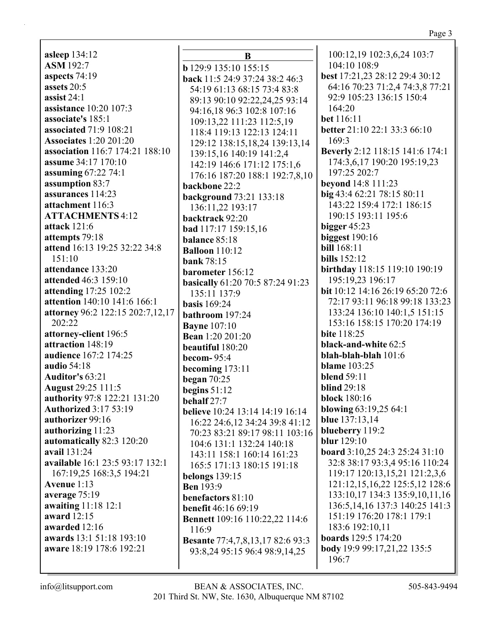**asleep** 134:12 **ASM** 192:7 **aspects** 74:19 **assets** 20:5 **assist** 24:1 **assistance** 10:20 107:3 **associate's** 185:1 **associated** 71:9 108:21 **Associates** 1:20 201:20 **association** 116:7 174:21 188:10 **assume** 34:17 170:10 **assuming** 67:22 74:1 **assumption** 83:7 **assurances** 114:23 **attachment** 116:3 **ATTACHMENTS** 4:12 **attack** 121:6 **attempts** 79:18 **attend** 16:13 19:25 32:22 34:8 151:10 **attendance** 133:20 **attended** 46:3 159:10 **attending** 17:25 102:2 **attention** 140:10 141:6 166:1 **attorney** 96:2 122:15 202:7,12,17 202:22 **attorney-client** 196:5 **attraction** 148:19 **audience** 167:2 174:25 **audio** 54:18 **Auditor's** 63:21 **August** 29:25 111:5 **authority** 97:8 122:21 131:20 **Authorized** 3:17 53:19 **authorizer** 99:16 **authorizing** 11:23 **automatically** 82:3 120:20 **avail** 131:24 **available** 16:1 23:5 93:17 132:1 167:19,25 168:3,5 194:21 **Avenue** 1:13 **average** 75:19 **awaiting** 11:18 12:1 **award** 12:15 **awarded** 12:16 **awards** 13:1 51:18 193:10 **aware** 18:19 178:6 192:21

**B b** 129:9 135:10 155:15 **back** 11:5 24:9 37:24 38:2 46:3 54:19 61:13 68:15 73:4 83:8 89:13 90:10 92:22,24,25 93:14 94:16,18 96:3 102:8 107:16 109:13,22 111:23 112:5,19 118:4 119:13 122:13 124:11 129:12 138:15,18,24 139:13,14 139:15,16 140:19 141:2,4 142:19 146:6 171:12 175:1,6 176:16 187:20 188:1 192:7,8,10 **backbone** 22:2 **background** 73:21 133:18 136:11,22 193:17 **backtrack** 92:20 **bad** 117:17 159:15,16 **balance** 85:18 **Balloon** 110:12 **bank** 78:15 **barometer** 156:12 **basically** 61:20 70:5 87:24 91:23 135:11 137:9 **basis** 169:24 **bathroom** 197:24 **Bayne** 107:10 **Bean** 1:20 201:20 **beautiful** 180:20 **becom-** 95:4 **becoming** 173:11 **began** 70:25 **begins** 51:12 **behalf** 27:7 **believe** 10:24 13:14 14:19 16:14 16:22 24:6,12 34:24 39:8 41:12 70:23 83:21 89:17 98:11 103:16 104:6 131:1 132:24 140:18 143:11 158:1 160:14 161:23 165:5 171:13 180:15 191:18 **belongs** 139:15 **Ben** 193:9 **benefactors** 81:10 **benefit** 46:16 69:19 **Bennett** 109:16 110:22,22 114:6 116:9 **Besante** 77:4,7,8,13,17 82:6 93:3 93:8,24 95:15 96:4 98:9,14,25

100:12,19 102:3,6,24 103:7 104:10 108:9 **best** 17:21,23 28:12 29:4 30:12 64:16 70:23 71:2,4 74:3,8 77:21 92:9 105:23 136:15 150:4 164:20 **bet** 116:11 **better** 21:10 22:1 33:3 66:10 169:3 **Beverly** 2:12 118:15 141:6 174:1 174:3,6,17 190:20 195:19,23 197:25 202:7 **beyond** 14:8 111:23 **big** 43:4 62:21 78:15 80:11 143:22 159:4 172:1 186:15 190:15 193:11 195:6 **bigger** 45:23 **biggest** 190:16 **bill** 168:11 **bills** 152:12 **birthday** 118:15 119:10 190:19 195:19,23 196:17 **bit** 10:12 14:16 26:19 65:20 72:6 72:17 93:11 96:18 99:18 133:23 133:24 136:10 140:1,5 151:15 153:16 158:15 170:20 174:19 **bite** 118:25 **black-and-white** 62:5 **blah-blah-blah** 101:6 **blame** 103:25 **blend** 59:11 **blind** 29:18 **block** 180:16 **blowing** 63:19,25 64:1 **blue** 137:13,14 **blueberry** 119:2 **blur** 129:10 **board** 3:10,25 24:3 25:24 31:10 32:8 38:17 93:3,4 95:16 110:24 119:17 120:13,15,21 121:2,3,6 121:12,15,16,22 125:5,12 128:6 133:10,17 134:3 135:9,10,11,16 136:5,14,16 137:3 140:25 141:3 151:19 176:20 178:1 179:1 183:6 192:10,11 **boards** 129:5 174:20 **body** 19:9 99:17,21,22 135:5 196:7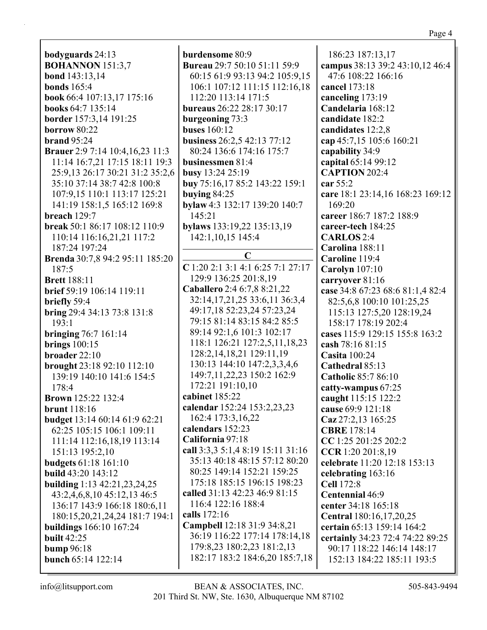**bodyguards** 24:13 **BOHANNON** 151:3,7 **bond** 143:13,14 **bonds** 165:4 **book** 66:4 107:13,17 175:16 **books** 64:7 135:14 **border** 157:3,14 191:25 **borrow** 80:22 **brand** 95:24 **Brauer** 2:9 7:14 10:4,16,23 11:3 11:14 16:7,21 17:15 18:11 19:3 25:9,13 26:17 30:21 31:2 35:2,6 35:10 37:14 38:7 42:8 100:8 107:9,15 110:1 113:17 125:21 141:19 158:1,5 165:12 169:8 **breach** 129:7 **break** 50:1 86:17 108:12 110:9 110:14 116:16,21,21 117:2 187:24 197:24 **Brenda** 30:7,8 94:2 95:11 185:20 187:5 **Brett** 188:11 **brief** 59:19 106:14 119:11 **briefly** 59:4 **bring** 29:4 34:13 73:8 131:8 193:1 **bringing** 76:7 161:14 **brings** 100:15 **broader** 22:10 **brought** 23:18 92:10 112:10 139:19 140:10 141:6 154:5 178:4 **Brown** 125:22 132:4 **brunt** 118:16 **budget** 13:14 60:14 61:9 62:21 62:25 105:15 106:1 109:11 111:14 112:16,18,19 113:14 151:13 195:2,10 **budgets** 61:18 161:10 **build** 43:20 143:12 **building** 1:13 42:21,23,24,25 43:2,4,6,8,10 45:12,13 46:5 136:17 143:9 166:18 180:6,11 180:15,20,21,24,24 181:7 194:1 **buildings** 166:10 167:24 **built** 42:25 **bump** 96:18 **bunch** 65:14 122:14

**burdensome** 80:9 **Bureau** 29:7 50:10 51:11 59:9 60:15 61:9 93:13 94:2 105:9,15 106:1 107:12 111:15 112:16,18 112:20 113:14 171:5 **bureaus** 26:22 28:17 30:17 **burgeoning** 73:3 **buses** 160:12 **business** 26:2,5 42:13 77:12 80:24 136:6 174:16 175:7 **businessmen** 81:4 **busy** 13:24 25:19 **buy** 75:16,17 85:2 143:22 159:1 **buying** 84:25 **bylaw** 4:3 132:17 139:20 140:7 145:21 **bylaws** 133:19,22 135:13,19 142:1,10,15 145:4 **C C** 1:20 2:1 3:1 4:1 6:25 7:1 27:17 129:9 136:25 201:8,19 **Caballero** 2:4 6:7,8 8:21,22 32:14,17,21,25 33:6,11 36:3,4 49:17,18 52:23,24 57:23,24 79:15 81:14 83:15 84:2 85:5 89:14 92:1,6 101:3 102:17 118:1 126:21 127:2,5,11,18,23 128:2,14,18,21 129:11,19 130:13 144:10 147:2,3,3,4,6 149:7,11,22,23 150:2 162:9 172:21 191:10,10 **cabinet** 185:22 **calendar** 152:24 153:2,23,23 162:4 173:3,16,22 **calendars** 152:23 **California** 97:18 **call** 3:3,3 5:1,4 8:19 15:11 31:16 35:13 40:18 48:15 57:12 80:20 80:25 149:14 152:21 159:25 175:18 185:15 196:15 198:23 **called** 31:13 42:23 46:9 81:15 116:4 122:16 188:4 **calls** 172:16 **Campbell** 12:18 31:9 34:8,21 36:19 116:22 177:14 178:14,18 179:8,23 180:2,23 181:2,13 182:17 183:2 184:6,20 185:7,18

186:23 187:13,17 **campus** 38:13 39:2 43:10,12 46:4 47:6 108:22 166:16 **cancel** 173:18 **canceling** 173:19 **Candelaria** 168:12 **candidate** 182:2 **candidates** 12:2,8 **cap** 45:7,15 105:6 160:21 **capability** 34:9 **capital** 65:14 99:12 **CAPTION** 202:4 **car** 55:2 **care** 18:1 23:14,16 168:23 169:12 169:20 **career** 186:7 187:2 188:9 **career-tech** 184:25 **CARLOS** 2:4 **Carolina** 188:11 **Caroline** 119:4 **Carolyn** 107:10 **carryover** 81:16 **case** 34:8 67:23 68:6 81:1,4 82:4 82:5,6,8 100:10 101:25,25 115:13 127:5,20 128:19,24 158:17 178:19 202:4 **cases** 115:9 129:15 155:8 163:2 **cash** 78:16 81:15 **Casita** 100:24 **Cathedral** 85:13 **Catholic** 85:7 86:10 **catty-wampus** 67:25 **caught** 115:15 122:2 **cause** 69:9 121:18 **Caz** 27:2,13 165:25 **CBRE** 178:14 **CC** 1:25 201:25 202:2 **CCR** 1:20 201:8,19 **celebrate** 11:20 12:18 153:13 **celebrating** 163:16 **Cell** 172:8 **Centennial** 46:9 **center** 34:18 165:18 **Central** 180:16,17,20,25 **certain** 65:13 159:14 164:2 **certainly** 34:23 72:4 74:22 89:25 90:17 118:22 146:14 148:17 152:13 184:22 185:11 193:5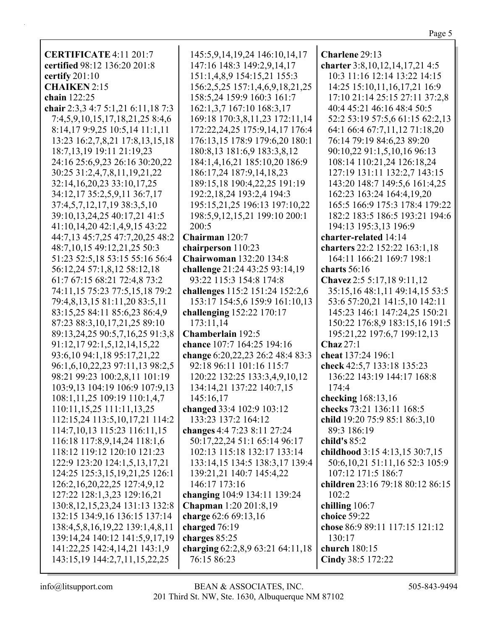| <b>CERTIFICATE 4:11 201:7</b>                                  | 145:5,9,14,19,24 146:10,14,17                              | Charlene 29:13                                          |
|----------------------------------------------------------------|------------------------------------------------------------|---------------------------------------------------------|
| certified 98:12 136:20 201:8                                   | 147:16 148:3 149:2,9,14,17                                 | charter 3:8, 10, 12, 14, 17, 21 4:5                     |
| certify $201:10$                                               | 151:1,4,8,9 154:15,21 155:3                                | 10:3 11:16 12:14 13:22 14:15                            |
| <b>CHAIKEN 2:15</b>                                            | 156:2,5,25 157:1,4,6,9,18,21,25                            | 14:25 15:10,11,16,17,21 16:9                            |
| chain 122:25                                                   | 158:5,24 159:9 160:3 161:7                                 | 17:10 21:14 25:15 27:11 37:2,8                          |
| chair 2:3,3 4:7 5:1,21 6:11,18 7:3                             | 162:1,3,7 167:10 168:3,17                                  | 40:4 45:21 46:16 48:4 50:5                              |
| 7:4,5,9,10,15,17,18,21,25 8:4,6                                | 169:18 170:3,8,11,23 172:11,14                             | 52:2 53:19 57:5,6 61:15 62:2,13                         |
| 8:14,17 9:9,25 10:5,14 11:1,11                                 | 172:22,24,25 175:9,14,17 176:4                             | 64:1 66:4 67:7,11,12 71:18,20                           |
| 13:23 16:2,7,8,21 17:8,13,15,18                                | 176:13,15 178:9 179:6,20 180:1                             | 76:14 79:19 84:6,23 89:20                               |
| 18:7,13,19 19:11 21:19,23                                      | 180:8,13 181:6,9 183:3,8,12                                | 90:10,22 91:1,5,10,16 96:13                             |
| 24:16 25:6,9,23 26:16 30:20,22                                 | 184:1,4,16,21 185:10,20 186:9                              | 108:14 110:21,24 126:18,24                              |
| 30:25 31:2,4,7,8,11,19,21,22                                   | 186:17,24 187:9,14,18,23                                   | 127:19 131:11 132:2,7 143:15                            |
| 32:14,16,20,23 33:10,17,25                                     | 189:15,18 190:4,22,25 191:19                               | 143:20 148:7 149:5,6 161:4,25                           |
| 34:12,17 35:2,5,9,11 36:7,17                                   | 192:2, 18, 24 193:2, 4 194:3                               | 162:23 163:24 164:4,19,20                               |
| 37:4,5,7,12,17,19 38:3,5,10                                    | 195:15,21,25 196:13 197:10,22                              | 165:5 166:9 175:3 178:4 179:22                          |
| 39:10,13,24,25 40:17,21 41:5                                   | 198:5,9,12,15,21 199:10 200:1                              | 182:2 183:5 186:5 193:21 194:6                          |
| 41:10,14,20 42:1,4,9,15 43:22                                  | 200:5                                                      | 194:13 195:3,13 196:9                                   |
| 44:7,13 45:7,25 47:7,20,25 48:2                                | Chairman 120:7                                             | charter-related 14:14                                   |
| 48:7,10,15 49:12,21,25 50:3                                    | chairperson 110:23                                         | charters 22:2 152:22 163:1,18                           |
| 51:23 52:5,18 53:15 55:16 56:4                                 | <b>Chairwoman 132:20 134:8</b>                             | 164:11 166:21 169:7 198:1                               |
| 56:12,24 57:1,8,12 58:12,18                                    | challenge 21:24 43:25 93:14,19                             | charts $56:16$                                          |
| 61:7 67:15 68:21 72:4,8 73:2                                   | 93:22 115:3 154:8 174:8                                    | Chavez 2:5 5:17,18 9:11,12                              |
| 74:11,15 75:23 77:5,15,18 79:2                                 | challenges 115:2 151:24 152:2,6                            | 35:15,16 48:1,11 49:14,15 53:5                          |
| 79:4,8,13,15 81:11,20 83:5,11                                  | 153:17 154:5,6 159:9 161:10,13                             | 53:6 57:20,21 141:5,10 142:11                           |
| 83:15,25 84:11 85:6,23 86:4,9                                  | challenging 152:22 170:17                                  | 145:23 146:1 147:24,25 150:21                           |
| 87:23 88:3,10,17,21,25 89:10                                   | 173:11,14                                                  | 150:22 176:8,9 183:15,16 191:5                          |
| 89:13,24,25 90:5,7,16,25 91:3,8                                | Chamberlain 192:5                                          | 195:21,22 197:6,7 199:12,13                             |
| 91:12,17 92:1,5,12,14,15,22                                    | chance 107:7 164:25 194:16                                 | Chaz 27:1                                               |
| 93:6,10 94:1,18 95:17,21,22                                    | change 6:20,22,23 26:2 48:4 83:3                           | cheat 137:24 196:1                                      |
| 96:1,6,10,22,23 97:11,13 98:2,5                                | 92:18 96:11 101:16 115:7                                   | check 42:5,7 133:18 135:23                              |
| 98:21 99:23 100:2,8,11 101:19                                  | 120:22 132:25 133:3,4,9,10,12                              | 136:22 143:19 144:17 168:8                              |
| 103:9,13 104:19 106:9 107:9,13                                 | 134:14,21 137:22 140:7,15                                  | 174:4                                                   |
| 108:1,11,25 109:19 110:1,4,7                                   | 145:16,17                                                  | checking 168:13,16                                      |
| 110:11,15,25 111:11,13,25                                      | changed 33:4 102:9 103:12                                  | checks 73:21 136:11 168:5                               |
| 112:15,24 113:5,10,17,21 114:2                                 | 133:23 137:2 164:12                                        | child 19:20 75:9 85:1 86:3,10                           |
| 114:7, 10, 13 115:23 116:11, 15                                | changes 4:4 7:23 8:11 27:24                                | 89:3 186:19                                             |
| 116:18 117:8,9,14,24 118:1,6                                   | 50:17,22,24 51:1 65:14 96:17                               | child's $85:2$                                          |
| 118:12 119:12 120:10 121:23                                    | 102:13 115:18 132:17 133:14                                | childhood 3:15 4:13,15 30:7,15                          |
| 122:9 123:20 124:1,5,13,17,21                                  | 133:14,15 134:5 138:3,17 139:4<br>139:21,21 140:7 145:4,22 | 50:6, 10, 21 51:11, 16 52:3 105:9<br>107:12 171:5 186:7 |
| 124:25 125:3,15,19,21,25 126:1<br>126:2,16,20,22,25 127:4,9,12 | 146:17 173:16                                              | children 23:16 79:18 80:12 86:15                        |
| 127:22 128:1,3,23 129:16,21                                    | changing 104:9 134:11 139:24                               | 102:2                                                   |
| 130:8, 12, 15, 23, 24 131: 13 132: 8                           | Chapman 1:20 201:8,19                                      | chilling 106:7                                          |
| 132:15 134:9,16 136:15 137:14                                  | charge 62:6 69:13,16                                       | choice 59:22                                            |
| 138:4,5,8,16,19,22 139:1,4,8,11                                | charged 76:19                                              | chose 86:9 89:11 117:15 121:12                          |
| 139:14,24 140:12 141:5,9,17,19                                 | charges 85:25                                              | 130:17                                                  |
| 141:22,25 142:4,14,21 143:1,9                                  | charging 62:2,8,9 63:21 64:11,18                           | church 180:15                                           |
| 143:15,19 144:2,7,11,15,22,25                                  | 76:15 86:23                                                | Cindy 38:5 172:22                                       |
|                                                                |                                                            |                                                         |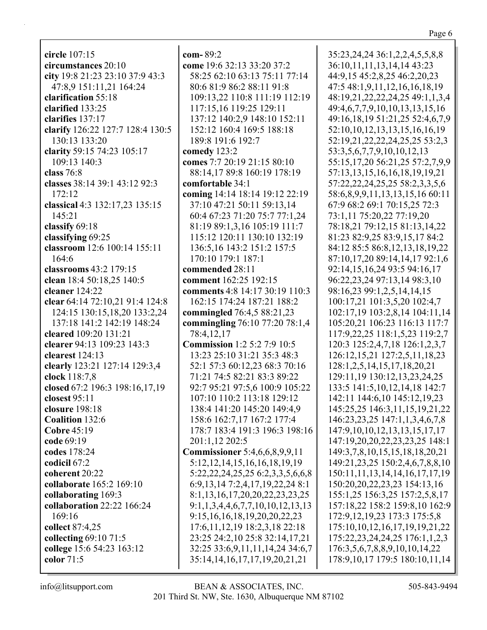**circle** 107:15 **circumstances** 20:10 **city** 19:8 21:23 23:10 37:9 43:3 47:8,9 151:11,21 164:24 **clarification** 55:18 **clarified** 133:25 **clarifies** 137:17 **clarify** 126:22 127:7 128:4 130:5 130:13 133:20 **clarity** 59:15 74:23 105:17 109:13 140:3 **class** 76:8 **classes** 38:14 39:1 43:12 92:3 172:12 **classical** 4:3 132:17,23 135:15 145:21 **classify** 69:18 **classifying** 69:25 **classroom** 12:6 100:14 155:11 164:6 **classrooms** 43:2 179:15 **clean** 18:4 50:18,25 140:5 **cleaner** 124:22 **clear** 64:14 72:10,21 91:4 124:8 124:15 130:15,18,20 133:2,24 137:18 141:2 142:19 148:24 **cleared** 109:20 131:21 **clearer** 94:13 109:23 143:3 **clearest** 124:13 **clearly** 123:21 127:14 129:3,4 **clock** 118:7,8 **closed** 67:2 196:3 198:16,17,19 **closest** 95:11 **closure** 198:18 **Coalition** 132:6 **Cobre** 45:19 **code** 69:19 **codes** 178:24 **codicil** 67:2 **coherent** 20:22 **collaborate** 165:2 169:10 **collaborating** 169:3 **collaboration** 22:22 166:24 169:16 **collect** 87:4,25 **collecting** 69:10 71:5 **college** 15:6 54:23 163:12 **color** 71:5

**com-** 89:2 **come** 19:6 32:13 33:20 37:2 58:25 62:10 63:13 75:11 77:14 80:6 81:9 86:2 88:11 91:8 109:13,22 110:8 111:19 112:19 117:15,16 119:25 129:11 137:12 140:2,9 148:10 152:11 152:12 160:4 169:5 188:18 189:8 191:6 192:7 **comedy** 123:2 **comes** 7:7 20:19 21:15 80:10 88:14,17 89:8 160:19 178:19 **comfortable** 34:1 **coming** 14:14 18:14 19:12 22:19 37:10 47:21 50:11 59:13,14 60:4 67:23 71:20 75:7 77:1,24 81:19 89:1,3,16 105:19 111:7 115:12 120:11 130:10 132:19 136:5,16 143:2 151:2 157:5 170:10 179:1 187:1 **commended** 28:11 **comment** 162:25 192:15 **comments** 4:8 14:17 30:19 110:3 162:15 174:24 187:21 188:2 **commingled** 76:4,5 88:21,23 **commingling** 76:10 77:20 78:1,4 78:4,12,17 **Commission** 1:2 5:2 7:9 10:5 13:23 25:10 31:21 35:3 48:3 52:1 57:3 60:12,23 68:3 70:16 71:21 74:5 82:21 83:3 89:22 92:7 95:21 97:5,6 100:9 105:22 107:10 110:2 113:18 129:12 138:4 141:20 145:20 149:4,9 158:6 162:7,17 167:2 177:4 178:7 183:4 191:3 196:3 198:16 201:1,12 202:5 **Commissioner** 5:4,6,6,8,9,9,11 5:12,12,14,15,16,16,18,19,19 5:22,22,24,25,25 6:2,3,3,5,6,6,8 6:9,13,14 7:2,4,17,19,22,24 8:1 8:1,13,16,17,20,20,22,23,23,25 9:1,1,3,4,4,6,7,7,10,10,12,13,13 9:15,16,16,18,19,20,20,22,23 17:6,11,12,19 18:2,3,18 22:18 23:25 24:2,10 25:8 32:14,17,21 32:25 33:6,9,11,11,14,24 34:6,7

35:23,24,24 36:1,2,2,4,5,5,8,8 36:10,11,11,13,14,14 43:23 44:9,15 45:2,8,25 46:2,20,23 47:5 48:1,9,11,12,16,16,18,19 48:19,21,22,22,24,25 49:1,1,3,4 49:4,6,7,7,9,10,10,13,13,15,16 49:16,18,19 51:21,25 52:4,6,7,9 52:10,10,12,13,13,15,16,16,19 52:19,21,22,22,24,25,25 53:2,3 53:3,5,6,7,7,9,10,10,12,13 55:15,17,20 56:21,25 57:2,7,9,9 57:13,13,15,16,16,18,19,19,21 57:22,22,24,25,25 58:2,3,3,5,6 58:6,8,9,9,11,13,13,15,16 60:11 67:9 68:2 69:1 70:15,25 72:3 73:1,11 75:20,22 77:19,20 78:18,21 79:12,15 81:13,14,22 81:23 82:9,25 83:9,15,17 84:2 84:12 85:5 86:8,12,13,18,19,22 87:10,17,20 89:14,14,17 92:1,6 92:14,15,16,24 93:5 94:16,17 96:22,23,24 97:13,14 98:3,10 98:16,23 99:1,2,5,14,14,15 100:17,21 101:3,5,20 102:4,7 102:17,19 103:2,8,14 104:11,14 105:20,21 106:23 116:13 117:7 117:9,22,25 118:1,5,23 119:2,7 120:3 125:2,4,7,18 126:1,2,3,7 126:12,15,21 127:2,5,11,18,23 128:1,2,5,14,15,17,18,20,21 129:11,19 130:12,13,23,24,25 133:5 141:5,10,12,14,18 142:7 142:11 144:6,10 145:12,19,23 145:25,25 146:3,11,15,19,21,22 146:23,23,25 147:1,1,3,4,6,7,8 147:9,10,10,12,13,13,15,17,17 147:19,20,20,22,23,23,25 148:1 149:3,7,8,10,15,15,18,18,20,21 149:21,23,25 150:2,4,6,7,8,8,10 150:11,11,13,14,14,16,17,17,19 150:20,20,22,23,23 154:13,16 155:1,25 156:3,25 157:2,5,8,17 157:18,22 158:2 159:8,10 162:9 172:9,12,19,23 173:3 175:5,8 175:10,10,12,16,17,19,19,21,22 175:22,23,24,24,25 176:1,1,2,3 176:3,5,6,7,8,8,9,10,10,14,22 178:9,10,17 179:5 180:10,11,14

35:14,14,16,17,17,19,20,21,21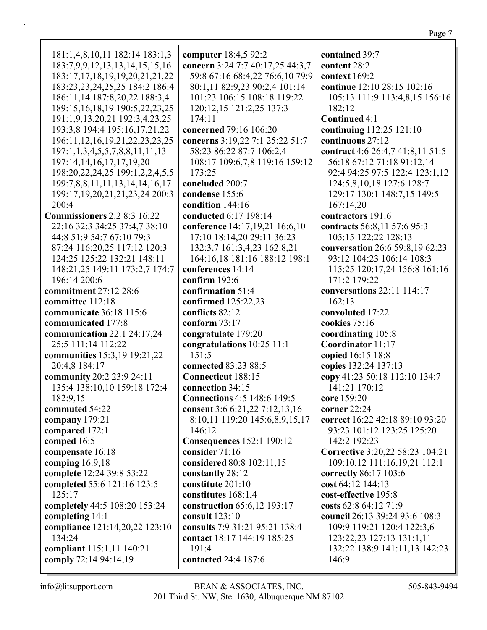156:16

| 181:1,4,8,10,11 182:14 183:1,3              | computer 18:4,5 92:2               | contained 39:7                   |
|---------------------------------------------|------------------------------------|----------------------------------|
| 183:7,9,9,12,13,13,14,15,15,16              | concern 3:24 7:7 40:17,25 44:3,7   | content 28:2                     |
|                                             |                                    |                                  |
| 183:17,17,18,19,19,20,21,21,22              | 59:8 67:16 68:4,22 76:6,10 79:9    | context 169:2                    |
| 183:23,23,24,25,25 184:2 186:4              | 80:1,11 82:9,23 90:2,4 101:14      | continue 12:10 28:15 102:16      |
| 186:11,14 187:8,20,22 188:3,4               | 101:23 106:15 108:18 119:22        | 105:13 111:9 113:4,8,15 156:16   |
| 189:15, 16, 18, 19 190: 5, 22, 23, 25       | 120:12,15 121:2,25 137:3           | 182:12                           |
| 191:1,9,13,20,21 192:3,4,23,25              | 174:11                             | Continued 4:1                    |
| 193:3,8 194:4 195:16,17,21,22               | concerned 79:16 106:20             | continuing 112:25 121:10         |
| 196:11, 12, 16, 19, 21, 22, 23, 23, 25      | concerns 3:19,22 7:1 25:22 51:7    | continuous 27:12                 |
| $197:1, 1, 3, 4, 5, 5, 7, 8, 8, 11, 11, 13$ | 58:23 86:22 87:7 106:2,4           | contract 4:6 26:4,7 41:8,11 51:5 |
| 197:14,14,16,17,17,19,20                    | 108:17 109:6,7,8 119:16 159:12     | 56:18 67:12 71:18 91:12,14       |
| 198:20,22,24,25 199:1,2,2,4,5,5             | 173:25                             | 92:4 94:25 97:5 122:4 123:1,12   |
| 199:7,8,8,11,11,13,14,14,16,17              | concluded 200:7                    | 124:5,8,10,18 127:6 128:7        |
| 199:17, 19, 20, 21, 21, 23, 24 200: 3       | condense 155:6                     | 129:17 130:1 148:7,15 149:5      |
| 200:4                                       | condition 144:16                   | 167:14,20                        |
| <b>Commissioners</b> 2:2 8:3 16:22          | conducted 6:17 198:14              | contractors 191:6                |
| 22:16 32:3 34:25 37:4,7 38:10               | conference 14:17,19,21 16:6,10     | contracts 56:8,11 57:6 95:3      |
| 44:8 51:9 54:7 67:10 79:3                   | 17:10 18:14,20 29:11 36:23         | 105:15 122:22 128:13             |
| 87:24 116:20,25 117:12 120:3                | 132:3,7 161:3,4,23 162:8,21        | conversation 26:6 59:8,19 62:23  |
| 124:25 125:22 132:21 148:11                 | 164:16,18 181:16 188:12 198:1      | 93:12 104:23 106:14 108:3        |
| 148:21,25 149:11 173:2,7 174:7              | conferences 14:14                  | 115:25 120:17,24 156:8 161:16    |
| 196:14 200:6                                | confirm 192:6                      | 171:2 179:22                     |
| commitment 27:12 28:6                       | confirmation 51:4                  | conversations 22:11 114:17       |
| committee 112:18                            | confirmed 125:22,23                | 162:13                           |
| communicate 36:18 115:6                     | conflicts 82:12                    | convoluted 17:22                 |
| communicated 177:8                          | conform $73:17$                    | cookies 75:16                    |
| communication $22:1$ $24:17,24$             | congratulate 179:20                | coordinating 105:8               |
| 25:5 111:14 112:22                          | congratulations 10:25 11:1         | Coordinator 11:17                |
| communities 15:3,19 19:21,22                | 151:5                              | copied 16:15 18:8                |
| 20:4,8 184:17                               | connected 83:23 88:5               | copies 132:24 137:13             |
| community 20:2 23:9 24:11                   | <b>Connecticut</b> 188:15          | copy 41:23 50:18 112:10 134:7    |
| 135:4 138:10,10 159:18 172:4                | connection 34:15                   | 141:21 170:12                    |
| 182:9,15                                    | <b>Connections 4:5 148:6 149:5</b> | core 159:20                      |
| commuted 54:22                              | consent 3:6 6:21,22 7:12,13,16     | corner 22:24                     |
| company 179:21                              | 8:10,11 119:20 145:6,8,9,15,17     | correct 16:22 42:18 89:10 93:20  |
| compared 172:1                              | 146:12                             | 93:23 101:12 123:25 125:20       |
| comped 16:5                                 | <b>Consequences</b> 152:1 190:12   | 142:2 192:23                     |
| compensate 16:18                            | consider 71:16                     | Corrective 3:20,22 58:23 104:21  |
| comping 16:9,18                             | considered 80:8 102:11,15          | 109:10,12 111:16,19,21 112:1     |
| complete 12:24 39:8 53:22                   | constantly 28:12                   | correctly 86:17 103:6            |
| completed 55:6 121:16 123:5                 | constitute 201:10                  | cost 64:12 144:13                |
| 125:17                                      | constitutes 168:1,4                | cost-effective 195:8             |
| completely 44:5 108:20 153:24               | construction 65:6,12 193:17        | costs 62:8 64:12 71:9            |
| completing 14:1                             | consult 123:10                     | council 26:13 39:24 93:6 108:3   |
| compliance 121:14,20,22 123:10              | consults 7:9 31:21 95:21 138:4     | 109:9 119:21 120:4 122:3,6       |
| 134:24                                      | contact 18:17 144:19 185:25        | 123:22,23 127:13 131:1,11        |
| compliant 115:1,11 140:21                   | 191:4                              | 132:22 138:9 141:11,13 142:23    |
| comply 72:14 94:14,19                       | contacted 24:4 187:6               | 146:9                            |
|                                             |                                    |                                  |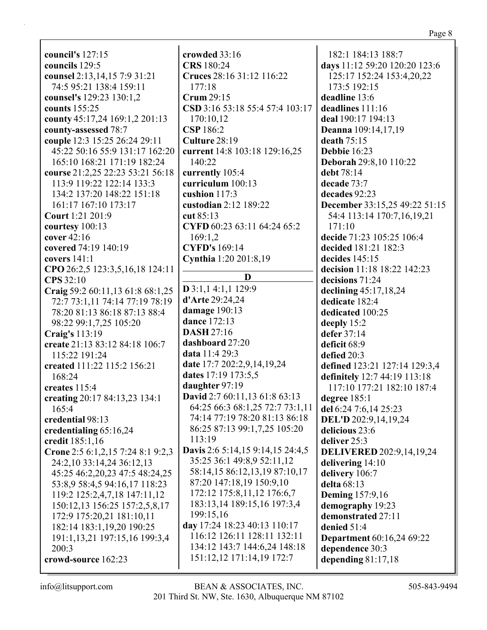|--|--|

council's  $127:15$ councils 129:5 counsel 2:13, 14, 15 7:9 31:21 74:5 95:21 138:4 159:11 counsel's 129:23 130:1,2 counts  $155:25$ county  $45:17,24$   $169:1,2$   $201:13$ county-assessed 78:7 couple 12:3 15:25 26:24 29:11 45:22 50:16 55:9 131:17 162:20 165:10 168:21 171:19 182:24 course 21:2,25 22:23 53:21 56:18 113:9 119:22 122:14 133:3 134:2 137:20 148:22 151:18 161:17 167:10 173:17 **Court** 1:21 201:9 courtesy  $100:13$ cover  $42:16$ covered 74:19 140:19 covers  $141:1$ CPO 26:2,5 123:3,5,16,18 124:11 **CPS** 32:10 Craig 59:2 60:11,13 61:8 68:1,25 72:7 73:1,11 74:14 77:19 78:19 78:20 81:13 86:18 87:13 88:4 98:22 99:1,7,25 105:20 **Craig's** 113:19 create 21:13 83:12 84:18 106:7 115:22 191:24 created 111:22 115:2 156:21 168:24 creates 115:4 creating 20:17 84:13,23 134:1  $165:4$ credential 98:13 credentialing 65:16,24 credit 185:1,16 Crone 2:5 6:1,2,15 7:24 8:1 9:2,3 24:2,10 33:14,24 36:12,13 45:25 46:2,20,23 47:5 48:24,25 53:8,9 58:4,5 94:16,17 118:23 119:2 125:2,4,7,18 147:11,12 150:12,13 156:25 157:2,5,8,17 172:9 175:20,21 181:10,11 182:14 183:1,19,20 190:25 191:1,13,21 197:15,16 199:3,4  $200:3$ crowd-source 162:23

crowded 33:16 CRS 180:24 Cruces 28:16 31:12 116:22  $177:18$ Crum  $29:15$ CSD 3:16 53:18 55:4 57:4 103:17 170:10.12 **CSP** 186:2 Culture 28:19 current 14:8 103:18 129:16,25 140:22 currently 105:4 curriculum 100:13 cushion  $117:3$ custodian 2:12 189:22 cut  $85:13$ CYFD 60:23 63:11 64:24 65:2 169:1.2 **CYFD's** 169:14 Cynthia 1:20 201:8,19  $\mathbf{D}$  $D$  3:1,1 4:1,1 129:9 **d'Arte** 29:24.24 damage 190:13 dance 172:13 **DASH 27:16**  $d$ ashboard  $27:20$ data 11:4 29:3 date 17:7 202:2,9,14,19,24 dates 17:19 173:5,5 daughter 97:19 David 2:7 60:11,13 61:8 63:13 64:25 66:3 68:1,25 72:7 73:1,11 74:14 77:19 78:20 81:13 86:18 86:25 87:13 99:1,7,25 105:20 113:19 Davis 2:6 5:14,15 9:14,15 24:4,5 35:25 36:1 49:8,9 52:11,12 58:14,15 86:12,13,19 87:10,17 87:20 147:18.19 150:9.10 172:12 175:8,11,12 176:6,7 183:13.14 189:15.16 197:3.4 199:15.16 day 17:24 18:23 40:13 110:17 116:12 126:11 128:11 132:11 134:12 143:7 144:6,24 148:18 151:12,12 171:14,19 172:7

182:1 184:13 188:7 days 11:12 59:20 120:20 123:6 125:17 152:24 153:4,20,22 173:5 192:15 deadline 13:6 deadlines  $111:16$ deal 190:17 194:13 **Deanna** 109:14,17,19 death  $75:15$ **Debbie** 16:23 **Deborah 29:8,10 110:22** debt 78:14 decade 73:7 decades 92:23 December 33:15,25 49:22 51:15 54:4 113:14 170:7,16,19,21  $171:10$ decide 71:23 105:25 106:4 decided 181:21 182:3 decides  $145:15$ decision 11:18 18:22 142:23 decisions 71:24 declining  $45:17,18,24$ dedicate 182:4 dedicated 100:25 deeply 15:2 defer  $37:14$ deficit 68:9 defied  $20:3$ defined 123:21 127:14 129:3,4 definitely 12:7 44:19 113:18 117:10 177:21 182:10 187:4 degree 185:1 del 6:24 7:6,14 25:23 DEL'D 202:9,14,19,24 delicious 23:6 deliver 25:3 **DELIVERED** 202:9,14,19,24 delivering  $14:10$ delivery 106:7 delta 68:13 **Deming** 157:9,16 demography 19:23 demonstrated 27:11 denied 51:4 **Department** 60:16,24 69:22 dependence 30:3 depending  $81:17,18$ 

 $info@$ litsupport.com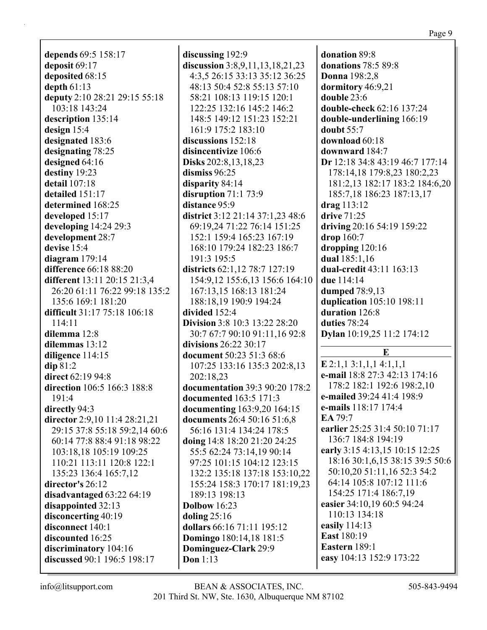**depends** 69:5 158:17 **deposit** 69:17 **deposited** 68:15 **depth** 61:13 **deputy** 2:10 28:21 29:15 55:18 103:18 143:24 **description** 135:14 **design** 15:4 **designated** 183:6 **designating** 78:25 **designed** 64:16 **destiny** 19:23 **detail** 107:18 **detailed** 151:17 **determined** 168:25 **developed** 15:17 **developing** 14:24 29:3 **development** 28:7 **devise** 15:4 **diagram** 179:14 **difference** 66:18 88:20 **different** 13:11 20:15 21:3,4 26:20 61:11 76:22 99:18 135:2 135:6 169:1 181:20 **difficult** 31:17 75:18 106:18 114:11 **dilemma** 12:8 **dilemmas** 13:12 **diligence** 114:15 **dip** 81:2 **direct** 62:19 94:8 **direction** 106:5 166:3 188:8 191:4 **directly** 94:3 **director** 2:9,10 11:4 28:21,21 29:15 37:8 55:18 59:2,14 60:6 60:14 77:8 88:4 91:18 98:22 103:18,18 105:19 109:25 110:21 113:11 120:8 122:1 135:23 136:4 165:7,12 **director's** 26:12 **disadvantaged** 63:22 64:19 **disappointed** 32:13 **disconcerting** 40:19 **disconnect** 140:1 **discounted** 16:25 **discriminatory** 104:16 **discussed** 90:1 196:5 198:17

**discussing** 192:9 **discussion** 3:8,9,11,13,18,21,23 4:3,5 26:15 33:13 35:12 36:25 48:13 50:4 52:8 55:13 57:10 58:21 108:13 119:15 120:1 122:25 132:16 145:2 146:2 148:5 149:12 151:23 152:21 161:9 175:2 183:10 **discussions** 152:18 **disincentivize** 106:6 **Disks** 202:8,13,18,23 **dismiss** 96:25 **disparity** 84:14 **disruption** 71:1 73:9 **distance** 95:9 **district** 3:12 21:14 37:1,23 48:6 69:19,24 71:22 76:14 151:25 152:1 159:4 165:23 167:19 168:10 179:24 182:23 186:7 191:3 195:5 **districts** 62:1,12 78:7 127:19 154:9,12 155:6,13 156:6 164:10 167:13,15 168:13 181:24 188:18,19 190:9 194:24 **divided** 152:4 **Division** 3:8 10:3 13:22 28:20 30:7 67:7 90:10 91:11,16 92:8 **divisions** 26:22 30:17 **document** 50:23 51:3 68:6 107:25 133:16 135:3 202:8,13 202:18,23 **documentation** 39:3 90:20 178:2 **documented** 163:5 171:3 **documenting** 163:9,20 164:15 **documents** 26:4 50:16 51:6,8 56:16 131:4 134:24 178:5 **doing** 14:8 18:20 21:20 24:25 55:5 62:24 73:14,19 90:14 97:25 101:15 104:12 123:15 132:2 135:18 137:18 153:10,22 155:24 158:3 170:17 181:19,23 189:13 198:13 **Dolbow** 16:23 **doling** 25:16 **dollars** 66:16 71:11 195:12 **Domingo** 180:14,18 181:5 **Dominguez-Clark** 29:9 **Don** 1:13

**donation** 89:8 **donations** 78:5 89:8 **Donna** 198:2,8 **dormitory** 46:9,21 **double** 23:6 **double-check** 62:16 137:24 **double-underlining** 166:19 **doubt** 55:7 **download** 60:18 **downward** 184:7 **Dr** 12:18 34:8 43:19 46:7 177:14 178:14,18 179:8,23 180:2,23 181:2,13 182:17 183:2 184:6,20 185:7,18 186:23 187:13,17 **drag** 113:12 **drive** 71:25 **driving** 20:16 54:19 159:22 **drop** 160:7 **dropping** 120:16 **dual** 185:1,16 **dual-credit** 43:11 163:13 **due** 114:14 **dumped** 78:9,13 **duplication** 105:10 198:11 **duration** 126:8 **duties** 78:24 **Dylan** 10:19,25 11:2 174:12 **E E** 2:1,1 3:1,1,1 4:1,1,1 **e-mail** 18:8 27:3 42:13 174:16 178:2 182:1 192:6 198:2,10 **e-mailed** 39:24 41:4 198:9 **e-mails** 118:17 174:4 **EA** 79:7 **earlier** 25:25 31:4 50:10 71:17 136:7 184:8 194:19 **early** 3:15 4:13,15 10:15 12:25 18:16 30:1,6,15 38:15 39:5 50:6 50:10,20 51:11,16 52:3 54:2 64:14 105:8 107:12 111:6 154:25 171:4 186:7,19 **easier** 34:10,19 60:5 94:24 110:13 134:18 **easily** 114:13 **East** 180:19 **Eastern** 189:1 **easy** 104:13 152:9 173:22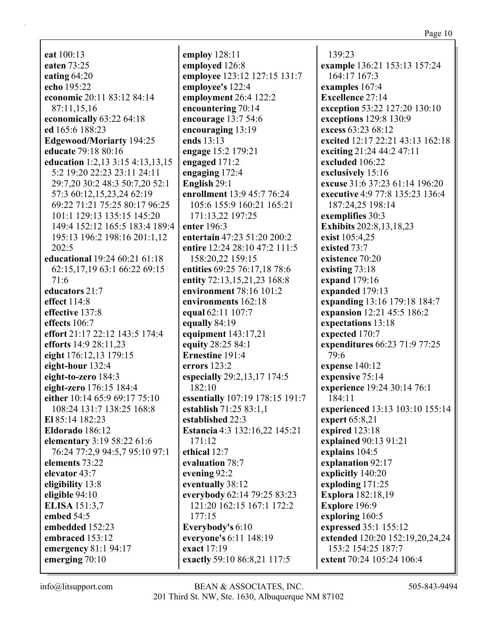eat  $100:13$ eaten 73:25 eating  $64:20$ echo 195:22 economic 20:11 83:12 84:14 87:11.15.16 economically 63:22 64:18 ed 165:6 188:23 Edgewood/Moriarty 194:25 educate 79:18 80:16 education 1:2,13 3:15 4:13,13,15 5:2 19:20 22:23 23:11 24:11 29:7,20 30:2 48:3 50:7,20 52:1 57:3 60:12,15,23,24 62:19 69:22 71:21 75:25 80:17 96:25 101:1 129:13 135:15 145:20 149:4 152:12 165:5 183:4 189:4 195:13 196:2 198:16 201:1,12  $202:5$ educational 19:24 60:21 61:18 62:15,17,19 63:1 66:22 69:15  $71:6$ educators 21:7 effect 114:8 effective 137:8 effects 106:7 effort 21:17 22:12 143:5 174:4 efforts  $14:928:11,23$ eight 176:12,13 179:15 eight-hour  $132:4$ eight-to-zero 184:3 eight-zero 176:15 184:4 either 10:14 65:9 69:17 75:10 108:24 131:7 138:25 168:8 El 85:14 182:23 Eldorado 186:12 elementary 3:19 58:22 61:6 76:24 77:2,9 94:5,7 95:10 97:1 elements 73:22 elevator 43:7 eligibility 13:8 eligible 94:10 **ELISA** 151:3.7 embed 54:5 embedded 152:23 embraced 153:12 emergency  $81:1$  94:17 emerging 70:10

employ  $128:11$ employed 126:8 employee 123:12 127:15 131:7 employee's 122:4 employment 26:4 122:2 encountering 70:14 encourage  $13:754:6$ encouraging 13:19 ends  $13:13$ engage 15:2 179:21 engaged 171:2 engaging  $172:4$ English 29:1 enrollment 13:9 45:7 76:24 105:6 155:9 160:21 165:21 171:13.22 197:25 enter  $196:3$ entertain 47:23 51:20 200:2 entire 12:24 28:10 47:2 111:5 158:20,22 159:15 entities 69:25 76:17,18 78:6 entity 72:13,15,21,23 168:8 environment 78:16 101:2 environments 162:18 equal 62:11 107:7 equally 84:19 equipment 143:17,21 equity 28:25 84:1 **Ernestine 191:4** errors  $123:2$ especially 29:2,13,17 174:5 182:10 essentially 107:19 178:15 191:7 establish 71:25 83:1.1 established 22:3 **Estancia** 4:3 132:16,22 145:21  $171:12$ ethical 12:7 evaluation 78:7 evening 92:2 eventually 38:12 everybody 62:14 79:25 83:23 121:20 162:15 167:1 172:2  $177:15$ Everybody's  $6:10$ everyone's 6:11 148:19 exact 17:19 exactly 59:10 86:8,21 117:5

139:23 example 136:21 153:13 157:24 164:17 167:3 examples 167:4 **Excellence 27:14** exception 53:22 127:20 130:10 exceptions 129:8 130:9 excess 63:23 68:12 excited 12:17 22:21 43:13 162:18 exciting 21:24 44:2 47:11 excluded 106:22 exclusively 15:16 excuse 31:6 37:23 61:14 196:20 executive 4:9 77:8 135:23 136:4 187:24,25 198:14 exemplifies 30:3 **Exhibits** 202:8,13,18,23 exist 105:4.25 existed 73:7 existence 70:20 existing  $73:18$ expand 179:16 expanded 179:13 expanding 13:16 179:18 184:7 expansion 12:21 45:5 186:2 expectations 13:18 expected 170:7 expenditures 66:23 71:9 77:25 79:6 expense  $140:12$ expensive 75:14 experience 19:24 30:14 76:1 184:11 experienced 13:13 103:10 155:14 expert 65:8,21 expired 123:18 explained 90:13 91:21 explains 104:5 explanation 92:17 explicitly 140:20 exploding 171:25 **Explora** 182:18,19 **Explore** 196:9 exploring 160:5 expressed 35:1 155:12 extended 120:20 152:19,20,24,24 153:2 154:25 187:7 extent 70:24 105:24 106:4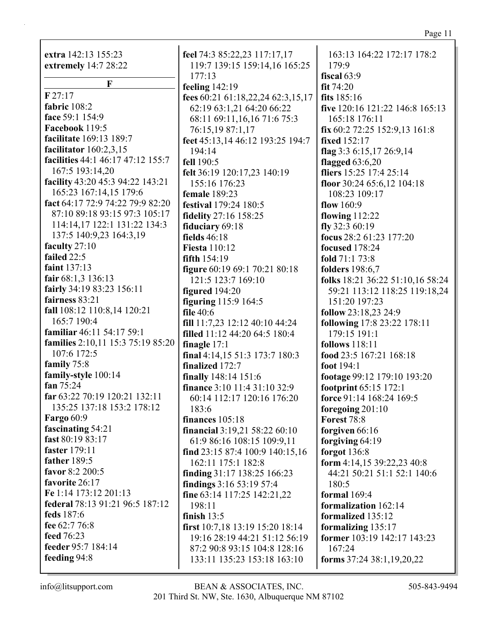**extra** 142:13 155:23 **extremely** 14:7 28:22

**F F** 27:17 **fabric** 108:2 **face** 59:1 154:9 **Facebook** 119:5 **facilitate** 169:13 189:7 **facilitator** 160:2,3,15 **facilities** 44:1 46:17 47:12 155:7 167:5 193:14,20 **facility** 43:20 45:3 94:22 143:21 165:23 167:14,15 179:6 **fact** 64:17 72:9 74:22 79:9 82:20 87:10 89:18 93:15 97:3 105:17 114:14,17 122:1 131:22 134:3 137:5 140:9,23 164:3,19 **faculty** 27:10 **failed** 22:5 **faint** 137:13 **fair** 68:1,3 136:13 **fairly** 34:19 83:23 156:11 **fairness** 83:21 **fall** 108:12 110:8,14 120:21 165:7 190:4 **familiar** 46:11 54:17 59:1 **families** 2:10,11 15:3 75:19 85:20 107:6 172:5 **family** 75:8 **family-style** 100:14 **fan** 75:24 **far** 63:22 70:19 120:21 132:11 135:25 137:18 153:2 178:12 **Fargo** 60:9 **fascinating** 54:21 **fast** 80:19 83:17 **faster** 179:11 **father** 189:5 **favor** 8:2 200:5 **favorite** 26:17 **Fe** 1:14 173:12 201:13 **federal** 78:13 91:21 96:5 187:12 **feds** 187:6 **fee** 62:7 76:8 **feed** 76:23 **feeder** 95:7 184:14 **feeding** 94:8

**feel** 74:3 85:22,23 117:17,17 119:7 139:15 159:14,16 165:25 177:13 **feeling** 142:19 **fees** 60:21 61:18,22,24 62:3,15,17 62:19 63:1,21 64:20 66:22 68:11 69:11,16,16 71:6 75:3 76:15,19 87:1,17 **feet** 45:13,14 46:12 193:25 194:7 194:14 **fell** 190:5 **felt** 36:19 120:17,23 140:19 155:16 176:23 **female** 189:23 **festival** 179:24 180:5 **fidelity** 27:16 158:25 **fiduciary** 69:18 **fields** 46:18 **Fiesta** 110:12 **fifth** 154:19 **figure** 60:19 69:1 70:21 80:18 121:5 123:7 169:10 **figured** 194:20 **figuring** 115:9 164:5 **file** 40:6 **fill** 11:7,23 12:12 40:10 44:24 **filled** 11:12 44:20 64:5 180:4 **finagle** 17:1 **final** 4:14,15 51:3 173:7 180:3 **finalized** 172:7 **finally** 148:14 151:6 **finance** 3:10 11:4 31:10 32:9 60:14 112:17 120:16 176:20 183:6 **finances** 105:18 **financial** 3:19,21 58:22 60:10 61:9 86:16 108:15 109:9,11 **find** 23:15 87:4 100:9 140:15,16 162:11 175:1 182:8 **finding** 31:17 138:25 166:23 **findings** 3:16 53:19 57:4 **fine** 63:14 117:25 142:21,22 198:11 **finish** 13:5 **first** 10:7,18 13:19 15:20 18:14 19:16 28:19 44:21 51:12 56:19 87:2 90:8 93:15 104:8 128:16 133:11 135:23 153:18 163:10

163:13 164:22 172:17 178:2 179:9 **fiscal** 63:9 **fit** 74:20 **fits** 185:16 **five** 120:16 121:22 146:8 165:13 165:18 176:11 **fix** 60:2 72:25 152:9,13 161:8 **fixed** 152:17 **flag** 3:3 6:15,17 26:9,14 **flagged** 63:6,20 **fliers** 15:25 17:4 25:14 **floor** 30:24 65:6,12 104:18 108:23 109:17 **flow** 160:9 **flowing** 112:22 **fly** 32:3 60:19 **focus** 28:2 61:23 177:20 **focused** 178:24 **fold** 71:1 73:8 **folders** 198:6,7 **folks** 18:21 36:22 51:10,16 58:24 59:21 113:12 118:25 119:18,24 151:20 197:23 **follow** 23:18,23 24:9 **following** 17:8 23:22 178:11 179:15 191:1 **follows** 118:11 **food** 23:5 167:21 168:18 **foot** 194:1 **footage** 99:12 179:10 193:20 **footprint** 65:15 172:1 **force** 91:14 168:24 169:5 **foregoing** 201:10 **Forest** 78:8 **forgiven** 66:16 **forgiving** 64:19 **forgot** 136:8 **form** 4:14,15 39:22,23 40:8 44:21 50:21 51:1 52:1 140:6 180:5 **formal** 169:4 **formalization** 162:14 **formalized** 135:12 **formalizing** 135:17 **former** 103:19 142:17 143:23 167:24 **forms** 37:24 38:1,19,20,22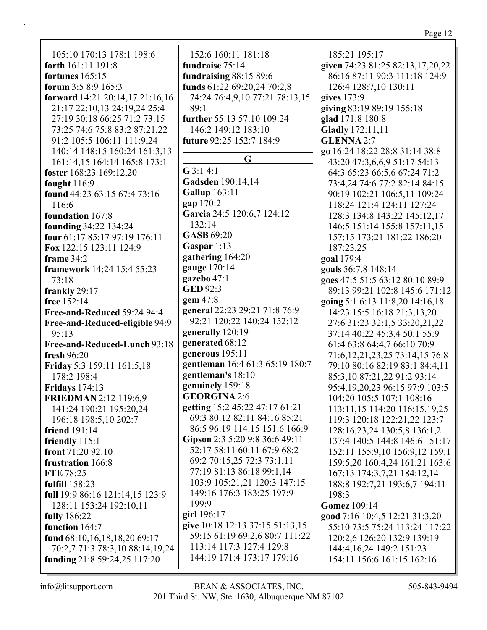| 105:10 170:13 178:1 198:6                                    | 152:6 160:11 181:18             | 185:21 195:17                         |
|--------------------------------------------------------------|---------------------------------|---------------------------------------|
| forth 161:11 191:8                                           | fundraise 75:14                 | given 74:23 81:25 82:13,17,20,22      |
| fortunes $165:15$                                            | fundraising 88:15 89:6          | 86:16 87:11 90:3 111:18 124:9         |
| forum 3:5 8:9 165:3                                          | funds 61:22 69:20,24 70:2,8     | 126:4 128:7,10 130:11                 |
| forward 14:21 20:14,17 21:16,16                              | 74:24 76:4,9,10 77:21 78:13,15  | gives 173:9                           |
|                                                              | 89:1                            |                                       |
| 21:17 22:10,13 24:19,24 25:4<br>27:19 30:18 66:25 71:2 73:15 | further 55:13 57:10 109:24      | giving 83:19 89:19 155:18             |
| 73:25 74:6 75:8 83:2 87:21,22                                |                                 | glad 171:8 180:8                      |
|                                                              | 146:2 149:12 183:10             | <b>Gladly</b> 172:11,11               |
| 91:2 105:5 106:11 111:9,24                                   | future 92:25 152:7 184:9        | <b>GLENNA 2:7</b>                     |
| 140:14 148:15 160:24 161:3,13                                | G                               | go 16:24 18:22 28:8 31:14 38:8        |
| 161:14,15 164:14 165:8 173:1                                 | $G$ 3:1 4:1                     | 43:20 47:3,6,6,9 51:17 54:13          |
| foster 168:23 169:12,20                                      | Gadsden 190:14,14               | 64:3 65:23 66:5,6 67:24 71:2          |
| fought $116:9$                                               | <b>Gallup</b> 163:11            | 73:4,24 74:6 77:2 82:14 84:15         |
| found 44:23 63:15 67:4 73:16                                 |                                 | 90:19 102:21 106:5,11 109:24          |
| 116:6                                                        | gap 170:2                       | 118:24 121:4 124:11 127:24            |
| foundation 167:8                                             | Garcia 24:5 120:6,7 124:12      | 128:3 134:8 143:22 145:12,17          |
| founding 34:22 134:24                                        | 132:14                          | 146:5 151:14 155:8 157:11,15          |
| four 61:17 85:17 97:19 176:11                                | <b>GASB</b> 69:20               | 157:15 173:21 181:22 186:20           |
| Fox 122:15 123:11 124:9                                      | Gaspar 1:13                     | 187:23,25                             |
| frame $34:2$                                                 | gathering 164:20                | goal 179:4                            |
| framework 14:24 15:4 55:23                                   | gauge 170:14                    | goals 56:7,8 148:14                   |
| 73:18                                                        | gazebo 47:1                     | goes 47:5 51:5 63:12 80:10 89:9       |
| frankly 29:17                                                | <b>GED 92:3</b>                 | 89:13 99:21 102:8 145:6 171:12        |
| free $152:14$                                                | gem 47:8                        | going 5:1 6:13 11:8,20 14:16,18       |
| Free-and-Reduced 59:24 94:4                                  | general 22:23 29:21 71:8 76:9   | 14:23 15:5 16:18 21:3,13,20           |
| Free-and-Reduced-eligible 94:9                               | 92:21 120:22 140:24 152:12      | 27:6 31:23 32:1,5 33:20,21,22         |
| 95:13                                                        | generally 120:19                | 37:14 40:22 45:3,4 50:1 55:9          |
| Free-and-Reduced-Lunch 93:18                                 | generated 68:12                 | 61:4 63:8 64:4,7 66:10 70:9           |
| fresh 96:20                                                  | generous 195:11                 | 71:6, 12, 21, 23, 25 73: 14, 15 76: 8 |
| Friday 5:3 159:11 161:5,18                                   | gentleman 16:4 61:3 65:19 180:7 | 79:10 80:16 82:19 83:1 84:4,11        |
| 178:2 198:4                                                  | gentleman's 18:10               | 85:3,10 87:21,22 91:2 93:14           |
| <b>Fridays</b> 174:13                                        | genuinely 159:18                | 95:4, 19, 20, 23 96: 15 97: 9 103: 5  |
| <b>FRIEDMAN</b> 2:12 119:6,9                                 | <b>GEORGINA 2:6</b>             | 104:20 105:5 107:1 108:16             |
| 141:24 190:21 195:20,24                                      | getting 15:2 45:22 47:17 61:21  | 113:11,15 114:20 116:15,19,25         |
| 196:18 198:5,10 202:7                                        | 69:3 80:12 82:11 84:16 85:21    | 119:3 120:18 122:21,22 123:7          |
| friend 191:14                                                | 86:5 96:19 114:15 151:6 166:9   | 128:16,23,24 130:5,8 136:1,2          |
| friendly $115:1$                                             | Gipson 2:3 5:20 9:8 36:6 49:11  | 137:4 140:5 144:8 146:6 151:17        |
| front $71:2092:10$                                           | 52:17 58:11 60:11 67:9 68:2     | 152:11 155:9,10 156:9,12 159:1        |
| frustration 166:8                                            | 69:2 70:15,25 72:3 73:1,11      | 159:5,20 160:4,24 161:21 163:6        |
| <b>FTE 78:25</b>                                             | 77:19 81:13 86:18 99:1,14       | 167:13 174:3,7,21 184:12,14           |
| fulfill 158:23                                               | 103:9 105:21,21 120:3 147:15    | 188:8 192:7,21 193:6,7 194:11         |
| full 19:9 86:16 121:14,15 123:9                              | 149:16 176:3 183:25 197:9       | 198:3                                 |
| 128:11 153:24 192:10,11                                      | 199:9                           | <b>Gomez</b> 109:14                   |
| <b>fully</b> 186:22                                          | girl 196:17                     | good 7:16 10:4,5 12:21 31:3,20        |
| function 164:7                                               | give 10:18 12:13 37:15 51:13,15 | 55:10 73:5 75:24 113:24 117:22        |
| fund 68:10,16,18,18,20 69:17                                 | 59:15 61:19 69:2,6 80:7 111:22  | 120:2,6 126:20 132:9 139:19           |
| 70:2,7 71:3 78:3,10 88:14,19,24                              | 113:14 117:3 127:4 129:8        | 144:4, 16, 24 149: 2 151: 23          |
| funding 21:8 59:24,25 117:20                                 | 144:19 171:4 173:17 179:16      | 154:11 156:6 161:15 162:16            |
|                                                              |                                 |                                       |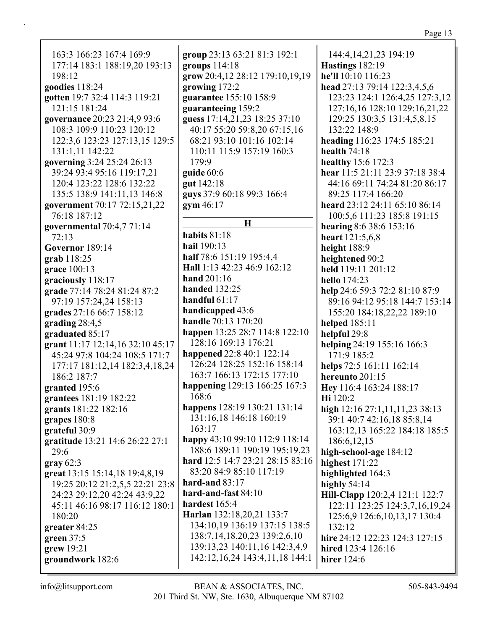163:3 166:23 167:4 169:9 177:14 183:1 188:19,20 193:13  $198:12$ goodies  $118:24$ gotten 19:7 32:4 114:3 119:21 121:15 181:24 governance 20:23 21:4,9 93:6 108:3 109:9 110:23 120:12 122:3,6 123:23 127:13,15 129:5 131:1,11 142:22 governing 3:24 25:24 26:13 39:24 93:4 95:16 119:17,21 120:4 123:22 128:6 132:22 135:5 138:9 141:11,13 146:8 government 70:17 72:15,21,22 76:18 187:12 governmental  $70:4,771:14$  $72:13$ Governor  $189:14$  $$ grace  $100:13$ graciously 118:17 grade 77:14 78:24 81:24 87:2 97:19 157:24,24 158:13 grades 27:16 66:7 158:12 grading  $28:4,5$ graduated 85:17 grant 11:17 12:14,16 32:10 45:17 45:24 97:8 104:24 108:5 171:7 177:17 181:12,14 182:3,4,18,24 186:2 187:7 granted 195:6 grantees 181:19 182:22 grants 181:22 182:16 grapes 180:8 grateful 30:9 gratitude 13:21 14:6 26:22 27:1  $29:6$ gray  $62:3$ great 13:15 15:14,18 19:4,8,19 19:25 20:12 21:2,5,5 22:21 23:8 24:23 29:12,20 42:24 43:9,22 45:11 46:16 98:17 116:12 180:1 180:20 greater  $84:25$ green  $37:5$ grew 19:21 groundwork 182:6

group 23:13 63:21 81:3 192:1 groups  $114:18$ grow 20:4,12 28:12 179:10,19,19 growing 172:2 guarantee 155:10 158:9 guaranteeing 159:2 guess 17:14.21.23 18:25 37:10 40:17 55:20 59:8.20 67:15.16 68:21 93:10 101:16 102:14 110:11 115:9 157:19 160:3 179:9 guide  $60:6$ gut 142:18 guys 37:9 60:18 99:3 166:4  $gym 46:17$  $\bf{H}$ habits  $81:18$ **hail** 190:13 half 78:6 151:19 195:4,4 Hall 1:13 42:23 46:9 162:12 hand  $201:16$ **handed** 132:25 handful  $61:17$ handicapped 43:6 **handle** 70:13 170:20 happen 13:25 28:7 114:8 122:10 128:16 169:13 176:21 happened 22:8 40:1 122:14 126:24 128:25 152:16 158:14 163:7 166:13 172:15 177:10 happening 129:13 166:25 167:3 168:6 happens 128:19 130:21 131:14 131:16.18 146:18 160:19  $163:17$ happy 43:10 99:10 112:9 118:14 188:6 189:11 190:19 195:19,23 hard 12:5 14:7 23:21 28:15 83:16 83:20 84:9 85:10 117:19 hard-and  $83:17$ hard-and-fast  $84:10$ hardest 165:4 Harlan 132:18,20,21 133:7 134:10,19 136:19 137:15 138:5 138:7, 14, 18, 20, 23 139: 2, 6, 10 139:13,23 140:11,16 142:3,4,9 142:12,16,24 143:4,11,18 144:1

144:4, 14, 21, 23 194: 19 **Hastings** 182:19 he'll  $10:10$   $116:23$ head 27:13 79:14 122:3,4,5,6 123:23 124:1 126:4,25 127:3,12 127:16,16 128:10 129:16,21,22 129:25 130:3,5 131:4,5,8,15 132:22 148:9 heading 116:23 174:5 185:21 health  $74:18$ healthy 15:6 172:3 hear 11:5 21:11 23:9 37:18 38:4 44:16 69:11 74:24 81:20 86:17 89:25 117:4 166:20 heard 23:12 24:11 65:10 86:14 100:5.6 111:23 185:8 191:15 hearing  $8:6$  38:6 153:16 heart  $121:5.6.8$ height 188:9 heightened 90:2 held 119:11 201:12 hello 174:23 help 24:6 59:3 72:2 81:10 87:9 89:16 94:12 95:18 144:7 153:14 155:20 184:18,22,22 189:10 **helped** 185:11 helpful 29:8 helping 24:19 155:16 166:3 171:9 185:2 helps 72:5 161:11 162:14 hereunto 201:15 Hey 116:4 163:24 188:17 **Hi** 120:2 high  $12:16\ 27:1,11,11,23\ 38:13$ 39:1 40:7 42:16,18 85:8,14 163:12.13 165:22 184:18 185:5 186:6, 12, 15 high-school-age 184:12 highest  $171:22$ highlighted 164:3 highly  $54:14$ Hill-Clapp 120:2,4 121:1 122:7 122:11 123:25 124:3,7,16,19,24 125:6,9 126:6,10,13,17 130:4  $132:12$ hire 24:12 122:23 124:3 127:15 hired 123:4 126:16 **hirer** 124:6

 $info@$ litsupport.com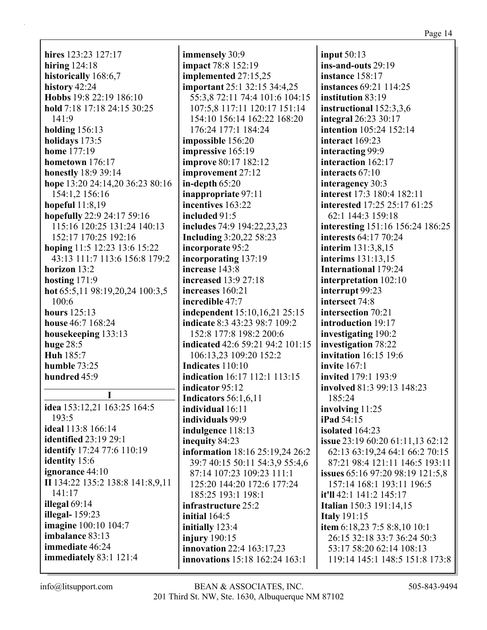**hires** 123:23 127:17 **hiring** 124:18 **historically** 168:6,7 **history** 42:24 **Hobbs** 19:8 22:19 186:10 **hold** 7:18 17:18 24:15 30:25 141:9 **holding** 156:13 **holidays** 173:5 **home** 177:19 **hometown** 176:17 **honestly** 18:9 39:14 **hope** 13:20 24:14,20 36:23 80:16 154:1,2 156:16 **hopeful** 11:8,19 **hopefully** 22:9 24:17 59:16 115:16 120:25 131:24 140:13 152:17 170:25 192:16 **hoping** 11:5 12:23 13:6 15:22 43:13 111:7 113:6 156:8 179:2 **horizon** 13:2 **hosting** 171:9 **hot** 65:5,11 98:19,20,24 100:3,5 100:6 **hours** 125:13 **house** 46:7 168:24 **housekeeping** 133:13 **huge** 28:5 **Huh** 185:7 **humble** 73:25 **hundred** 45:9 **I**

**idea** 153:12,21 163:25 164:5 193:5 **ideal** 113:8 166:14 **identified** 23:19 29:1 **identify** 17:24 77:6 110:19 **identity** 15:6 **ignorance** 44:10 **II** 134:22 135:2 138:8 141:8,9,11 141:17 **illegal** 69:14 **illegal-** 159:23 **imagine** 100:10 104:7 **imbalance** 83:13 **immediate** 46:24 **immediately** 83:1 121:4

**immensely** 30:9 **impact** 78:8 152:19 **implemented** 27:15,25 **important** 25:1 32:15 34:4,25 55:3,8 72:11 74:4 101:6 104:15 107:5,8 117:11 120:17 151:14 154:10 156:14 162:22 168:20 176:24 177:1 184:24 **impossible** 156:20 **impressive** 165:19 **improve** 80:17 182:12 **improvement** 27:12 **in-depth** 65:20 **inappropriate** 97:11 **incentives** 163:22 **included** 91:5 **includes** 74:9 194:22,23,23 **Including** 3:20,22 58:23 **incorporate** 95:2 **incorporating** 137:19 **increase** 143:8 **increased** 13:9 27:18 **increases** 160:21 **incredible** 47:7 **independent** 15:10,16,21 25:15 **indicate** 8:3 43:23 98:7 109:2 152:8 177:8 198:2 200:6 **indicated** 42:6 59:21 94:2 101:15 106:13,23 109:20 152:2 **Indicates** 110:10 **indication** 16:17 112:1 113:15 **indicator** 95:12 **Indicators** 56:1,6,11 **individual** 16:11 **individuals** 99:9 **indulgence** 118:13 **inequity** 84:23 **information** 18:16 25:19,24 26:2 39:7 40:15 50:11 54:3,9 55:4,6 87:14 107:23 109:23 111:1 125:20 144:20 172:6 177:24 185:25 193:1 198:1 **infrastructure** 25:2 **initial** 164:5 **initially** 123:4 **injury** 190:15 **innovation** 22:4 163:17,23 **innovations** 15:18 162:24 163:1

**input** 50:13 **ins-and-outs** 29:19 **instance** 158:17 **instances** 69:21 114:25 **institution** 83:19 **instructional** 152:3,3,6 **integral** 26:23 30:17 **intention** 105:24 152:14 **interact** 169:23 **interacting** 99:9 **interaction** 162:17 **interacts** 67:10 **interagency** 30:3 **interest** 17:3 180:4 182:11 **interested** 17:25 25:17 61:25 62:1 144:3 159:18 **interesting** 151:16 156:24 186:25 **interests** 64:17 70:24 **interim** 131:3,8,15 **interims** 131:13,15 **International** 179:24 **interpretation** 102:10 **interrupt** 99:23 **intersect** 74:8 **intersection** 70:21 **introduction** 19:17 **investigating** 190:2 **investigation** 78:22 **invitation** 16:15 19:6 **invite** 167:1 **invited** 179:1 193:9 **involved** 81:3 99:13 148:23 185:24 **involving** 11:25 **iPad** 54:15 **isolated** 164:23 **issue** 23:19 60:20 61:11,13 62:12 62:13 63:19,24 64:1 66:2 70:15 87:21 98:4 121:11 146:5 193:11 **issues** 65:16 97:20 98:19 121:5,8 157:14 168:1 193:11 196:5 **it'll** 42:1 141:2 145:17 **Italian** 150:3 191:14,15 **Italy** 191:15 **item** 6:18,23 7:5 8:8,10 10:1 26:15 32:18 33:7 36:24 50:3 53:17 58:20 62:14 108:13 119:14 145:1 148:5 151:8 173:8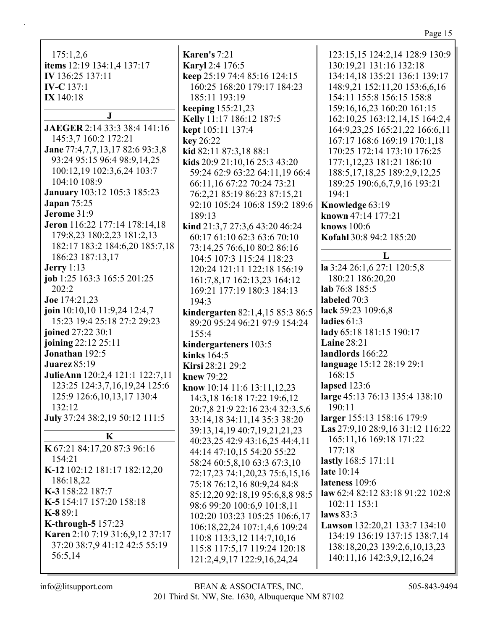| <b>Karen's</b> 7:21                                                                                                   | 123:15,15 124:2,14 128:9 130:9                                                                                        |
|-----------------------------------------------------------------------------------------------------------------------|-----------------------------------------------------------------------------------------------------------------------|
| Karyl 2:4 176:5                                                                                                       | 130:19,21 131:16 132:18                                                                                               |
| keep 25:19 74:4 85:16 124:15                                                                                          | 134:14,18 135:21 136:1 139:17                                                                                         |
| 160:25 168:20 179:17 184:23                                                                                           | 148:9,21 152:11,20 153:6,6,16                                                                                         |
| 185:11 193:19                                                                                                         | 154:11 155:8 156:15 158:8                                                                                             |
| keeping 155:21,23                                                                                                     | 159:16,16,23 160:20 161:15                                                                                            |
| Kelly 11:17 186:12 187:5                                                                                              | 162:10,25 163:12,14,15 164:2,4                                                                                        |
| kept 105:11 137:4                                                                                                     | 164:9,23,25 165:21,22 166:6,11                                                                                        |
| key 26:22                                                                                                             | 167:17 168:6 169:19 170:1,18                                                                                          |
| kid 82:11 87:3,18 88:1                                                                                                | 170:25 172:14 173:10 176:25                                                                                           |
| kids 20:9 21:10,16 25:3 43:20                                                                                         | 177:1,12,23 181:21 186:10                                                                                             |
| 59:24 62:9 63:22 64:11,19 66:4                                                                                        | 188:5, 17, 18, 25 189: 2, 9, 12, 25                                                                                   |
| 66:11,16 67:22 70:24 73:21                                                                                            | 189:25 190:6,6,7,9,16 193:21                                                                                          |
| 76:2,21 85:19 86:23 87:15,21                                                                                          | 194:1                                                                                                                 |
| 92:10 105:24 106:8 159:2 189:6                                                                                        | Knowledge 63:19                                                                                                       |
| 189:13                                                                                                                | known 47:14 177:21                                                                                                    |
| kind 21:3,7 27:3,6 43:20 46:24                                                                                        | knows 100:6                                                                                                           |
| 60:17 61:10 62:3 63:6 70:10                                                                                           | Kofahl 30:8 94:2 185:20                                                                                               |
| 104:5 107:3 115:24 118:23<br>120:24 121:11 122:18 156:19<br>161:7,8,17 162:13,23 164:12<br>169:21 177:19 180:3 184:13 | L<br>la 3:24 26:1,6 27:1 120:5,8<br>180:21 186:20,20<br>lab 76:8 185:5<br>labeled 70:3                                |
| kindergarten 82:1,4,15 85:3 86:5                                                                                      | lack 59:23 109:6,8                                                                                                    |
| 89:20 95:24 96:21 97:9 154:24                                                                                         | ladies $61:3$                                                                                                         |
| 155:4                                                                                                                 | lady 65:18 181:15 190:17                                                                                              |
| kindergarteners 103:5                                                                                                 | <b>Laine 28:21</b>                                                                                                    |
| kinks 164:5<br>Kirsi 28:21 29:2<br>knew 79:22<br>know 10:14 11:6 13:11,12,23<br>14:3, 18 16: 18 17: 22 19: 6, 12      | landlords 166:22<br>language 15:12 28:19 29:1<br>168:15<br>lapsed $123:6$<br>large 45:13 76:13 135:4 138:10<br>190:11 |
| 33:14,18 34:11,14 35:3 38:20                                                                                          | larger 155:13 158:16 179:9                                                                                            |
| 39:13, 14, 19 40: 7, 19, 21, 21, 23                                                                                   | Las 27:9,10 28:9,16 31:12 116:22                                                                                      |
| 40:23,25 42:9 43:16,25 44:4,11                                                                                        | 165:11,16 169:18 171:22                                                                                               |
| 44:14 47:10,15 54:20 55:22                                                                                            | 177:18                                                                                                                |
| 58:24 60:5,8,10 63:3 67:3,10                                                                                          | lastly 168:5 171:11                                                                                                   |
| 72:17,23 74:1,20,23 75:6,15,16                                                                                        | late 10:14                                                                                                            |
| 75:18 76:12,16 80:9,24 84:8                                                                                           | lateness 109:6                                                                                                        |
| 85:12,20 92:18,19 95:6,8,8 98:5                                                                                       | law 62:4 82:12 83:18 91:22 102:8                                                                                      |
| 98:6 99:20 100:6,9 101:8,11                                                                                           | 102:11 153:1                                                                                                          |
| 102:20 103:23 105:25 106:6,17                                                                                         | laws $83:3$                                                                                                           |
| 106:18,22,24 107:1,4,6 109:24                                                                                         | Lawson 132:20,21 133:7 134:10                                                                                         |
| 110:8 113:3,12 114:7,10,16                                                                                            | 134:19 136:19 137:15 138:7,14                                                                                         |
| 115:8 117:5,17 119:24 120:18                                                                                          | 138:18,20,23 139:2,6,10,13,23                                                                                         |
| 121:2,4,9,17 122:9,16,24,24                                                                                           | 140:11,16 142:3,9,12,16,24                                                                                            |
|                                                                                                                       | 73:14,25 76:6,10 80:2 86:16<br>194:3<br>20:7,8 21:9 22:16 23:4 32:3,5,6                                               |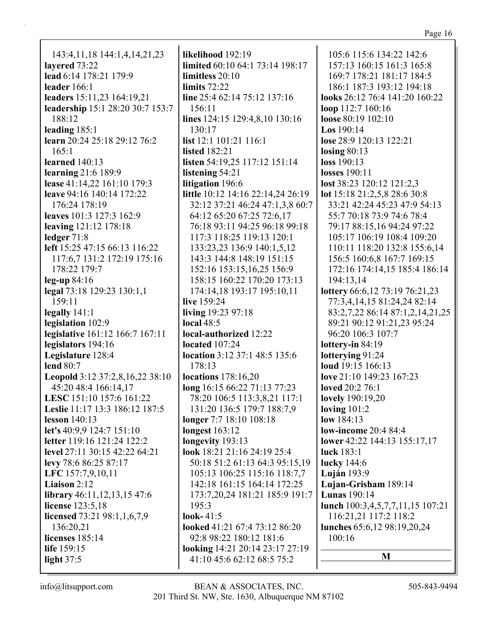143:4,11,18 144:1,4,14,21,23 **layered** 73:22 **lead** 6:14 178:21 179:9 **leader** 166:1 **leaders** 15:11,23 164:19,21 **leadership** 15:1 28:20 30:7 153:7 188:12 **leading** 185:1 **learn** 20:24 25:18 29:12 76:2 165:1 **learned** 140:13 **learning** 21:6 189:9 **lease** 41:14,22 161:10 179:3 **leave** 94:16 140:14 172:22 176:24 178:19 **leaves** 101:3 127:3 162:9 **leaving** 121:12 178:18 **ledger** 71:8 **left** 15:25 47:15 66:13 116:22 117:6,7 131:2 172:19 175:16 178:22 179:7 **leg-up** 84:16 **legal** 73:18 129:23 130:1,1 159:11 **legally** 141:1 **legislation** 102:9 **legislative** 161:12 166:7 167:11 **legislators** 194:16 **Legislature** 128:4 **lend** 80:7 **Leopold** 3:12 37:2,8,16,22 38:10 45:20 48:4 166:14,17 **LESC** 151:10 157:6 161:22 **Leslie** 11:17 13:3 186:12 187:5 **lesson** 140:13 **let's** 40:9,9 124:7 151:10 **letter** 119:16 121:24 122:2 **level** 27:11 30:15 42:22 64:21 **levy** 78:6 86:25 87:17 **LFC** 157:7,9,10,11 **Liaison** 2:12 **library** 46:11,12,13,15 47:6 **license** 123:5,18 **licensed** 73:21 98:1,1,6,7,9 136:20,21 **licenses** 185:14 **life** 159:15 **light** 37:5

**likelihood** 192:19 **limited** 60:10 64:1 73:14 198:17 **limitless** 20:10 **limits** 72:22 **line** 25:4 62:14 75:12 137:16 156:11 **lines** 124:15 129:4,8,10 130:16 130:17 **list** 12:1 101:21 116:1 **listed** 182:21 **listen** 54:19,25 117:12 151:14 **listening** 54:21 **litigation** 196:6 **little** 10:12 14:16 22:14,24 26:19 32:12 37:21 46:24 47:1,3,8 60:7 64:12 65:20 67:25 72:6,17 76:18 93:11 94:25 96:18 99:18 117:3 118:25 119:13 120:1 133:23,23 136:9 140:1,5,12 143:3 144:8 148:19 151:15 152:16 153:15,16,25 156:9 158:15 160:22 170:20 173:13 174:14,18 193:17 195:10,11 **live** 159:24 **living** 19:23 97:18 **local** 48:5 **local-authorized** 12:22 **located** 107:24 **location** 3:12 37:1 48:5 135:6 178:13 **locations** 178:16,20 **long** 16:15 66:22 71:13 77:23 78:20 106:5 113:3,8,21 117:1 131:20 136:5 179:7 188:7,9 **longer** 7:7 18:10 108:18 **longest** 163:12 **longevity** 193:13 **look** 18:21 21:16 24:19 25:4 50:18 51:2 61:13 64:3 95:15,19 105:13 106:25 115:16 118:7,7 142:18 161:15 164:14 172:25 173:7,20,24 181:21 185:9 191:7 195:3 **look-** 41:5 **looked** 41:21 67:4 73:12 86:20 92:8 98:22 180:12 181:6 **looking** 14:21 20:14 23:17 27:19 41:10 45:6 62:12 68:5 75:2

105:6 115:6 134:22 142:6 157:13 160:15 161:3 165:8 169:7 178:21 181:17 184:5 186:1 187:3 193:12 194:18 **looks** 26:12 76:4 141:20 160:22 **loop** 112:7 160:16 **loose** 80:19 102:10 **Los** 190:14 **lose** 28:9 120:13 122:21 **losing** 80:13 **loss** 190:13 **losses** 190:11 **lost** 38:23 120:12 121:2,3 **lot** 15:18 21:2,5,8 28:6 30:8 33:21 42:24 45:23 47:9 54:13 55:7 70:18 73:9 74:6 78:4 79:17 88:15,16 94:24 97:22 105:17 106:19 108:4 109:20 110:11 118:20 132:8 155:6,14 156:5 160:6,8 167:7 169:15 172:16 174:14,15 185:4 186:14 194:13,14 **lottery** 66:6,12 73:19 76:21,23 77:3,4,14,15 81:24,24 82:14 83:2,7,22 86:14 87:1,2,14,21,25 89:21 90:12 91:21,23 95:24 96:20 106:3 107:7 **lottery-in** 84:19 **lotterying** 91:24 **loud** 19:15 166:13 **love** 21:10 149:23 167:23 **loved** 20:2 76:1 **lovely** 190:19,20 **loving** 101:2 **low** 184:13 **low-income** 20:4 84:4 **lower** 42:22 144:13 155:17,17 **luck** 183:1 **lucky** 144:6 **Luján** 193:9 **Lujan-Grisham** 189:14 **Lunas** 190:14 **lunch** 100:3,4,5,7,7,11,15 107:21 116:21,21 117:2 118:2 **lunches** 65:6,12 98:19,20,24 100:16 **M**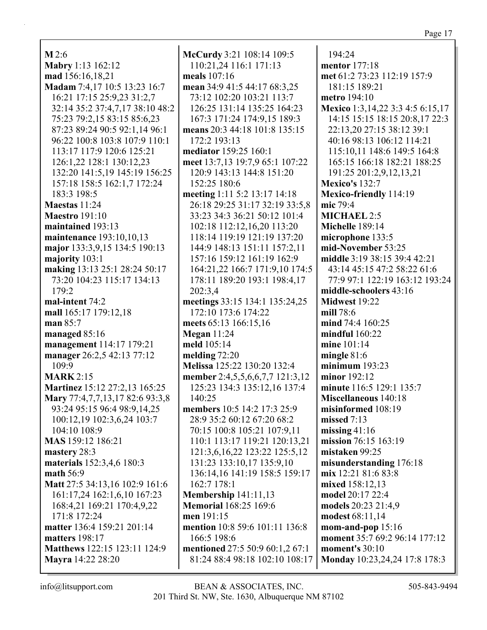$M$  2:6 Mabry 1:13 162:12 mad 156:16,18,21 Madam 7:4,17 10:5 13:23 16:7 16:21 17:15 25:9,23 31:2,7 32:14 35:2 37:4,7,17 38:10 48:2 75:23 79:2.15 83:15 85:6.23 87:23 89:24 90:5 92:1,14 96:1 96:22 100:8 103:8 107:9 110:1 113:17 117:9 120:6 125:21 126:1,22 128:1 130:12,23 132:20 141:5,19 145:19 156:25 157:18 158:5 162:1,7 172:24 183:3 198:5 Maestas 11:24 **Maestro** 191:10 maintained 193:13 **maintenance** 193:10,10,13 major 133:3,9,15 134:5 190:13 majority 103:1 making 13:13 25:1 28:24 50:17 73:20 104:23 115:17 134:13  $179:2$ mal-intent 74:2 mall 165:17 179:12,18 man  $85:7$ managed  $85:16$ management 114:17 179:21 manager 26:2,5 42:13 77:12  $109:9$ **MARK** 2:15 Martinez 15:12 27:2,13 165:25 Mary 77:4,7,7,13,17 82:6 93:3,8 93:24 95:15 96:4 98:9,14,25 100:12,19 102:3,6,24 103:7 104:10 108:9 MAS 159:12 186:21 mastery 28:3 materials 152:3,4,6 180:3 math  $56:9$ Matt 27:5 34:13,16 102:9 161:6 161:17,24 162:1,6,10 167:23 168:4,21 169:21 170:4,9,22 171:8 172:24 matter 136:4 159:21 201:14 matters 198:17 Matthews 122:15 123:11 124:9 Mayra 14:22 28:20

McCurdy 3:21 108:14 109:5 110:21,24 116:1 171:13 meals  $107:16$ mean 34:9 41:5 44:17 68:3,25 73:12 102:20 103:21 113:7 126:25 131:14 135:25 164:23 167:3 171:24 174:9.15 189:3 means 20:3 44:18 101:8 135:15 172:2 193:13 mediator 159:25 160:1 meet 13:7,13 19:7,9 65:1 107:22 120:9 143:13 144:8 151:20 152:25 180:6 meeting 1:11 5:2 13:17 14:18 26:18 29:25 31:17 32:19 33:5,8 33:23 34:3 36:21 50:12 101:4 102:18 112:12,16,20 113:20 118:14 119:19 121:19 137:20 144:9 148:13 151:11 157:2.11 157:16 159:12 161:19 162:9 164:21,22 166:7 171:9,10 174:5 178:11 189:20 193:1 198:4,17 202:3.4 meetings 33:15 134:1 135:24,25 172:10 173:6 174:22 meets 65:13 166:15,16 **Megan** 11:24 meld 105:14 melding  $72:20$ Melissa 125:22 130:20 132:4 member 2:4,5,5,6,6,7,7 121:3,12 125:23 134:3 135:12,16 137:4 140:25 members 10:5 14:2 17:3 25:9 28:9 35:2 60:12 67:20 68:2 70:15 100:8 105:21 107:9.11 110:1 113:17 119:21 120:13,21 121:3,6,16,22 123:22 125:5,12 131:23 133:10,17 135:9,10 136:14.16 141:19 158:5 159:17 162:7 178:1 Membership  $141:11,13$ **Memorial** 168:25 169:6 men 191:15 mention 10:8 59:6 101:11 136:8 166:5 198:6 mentioned 27:5 50:9 60:1,2 67:1 81:24 88:4 98:18 102:10 108:17

194:24 **mentor** 177:18 met 61:2 73:23 112:19 157:9 181:15 189:21 metro 194:10 Mexico 1:3,14,22 3:3 4:5 6:15,17 14:15 15:15 18:15 20:8.17 22:3 22:13,20 27:15 38:12 39:1 40:16 98:13 106:12 114:21 115:10,11 148:6 149:5 164:8 165:15 166:18 182:21 188:25 191:25 201:2,9,12,13,21 **Mexico's 132:7** Mexico-friendly 114:19 mic 79:4 **MICHAEL 2:5** Michelle 189:14 microphone 133:5 mid-November 53:25 middle 3:19 38:15 39:4 42:21 43:14 45:15 47:2 58:22 61:6 77:9 97:1 122:19 163:12 193:24 middle-schoolers 43:16 Midwest 19:22 mill 78:6 mind 74:4 160:25 mindful  $160:22$ mine  $101:14$ mingle  $81:6$ minimum  $193:23$ minor  $192:12$ minute 116:5 129:1 135:7 Miscellaneous 140:18 misinformed 108:19 missed  $7:13$ missing  $41:16$ mission 76:15 163:19 mistaken 99:25 misunderstanding 176:18  $mix 12:21 81:6 83:8$ mixed 158:12.13 model 20:17 22:4 models 20:23 21:4,9 modest 68:11,14 mom-and-pop  $15:16$ moment 35:7 69:2 96:14 177:12 moment's  $30:10$ Monday 10:23,24,24 17:8 178:3

 $info@$ litsupport.com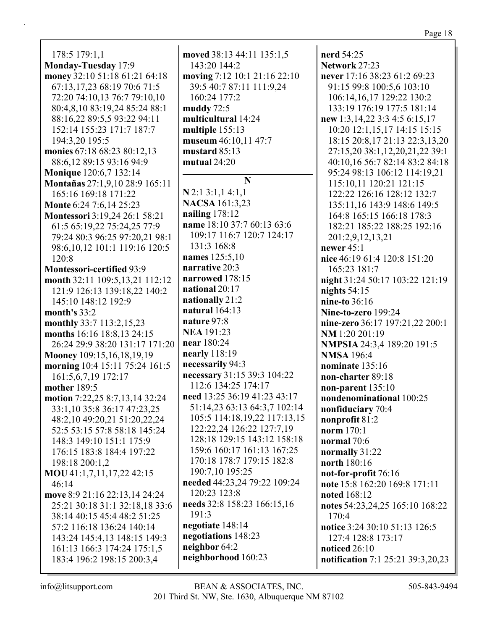178:5 179:1,1 **Monday-Tuesday** 17:9 **money** 32:10 51:18 61:21 64:18 67:13,17,23 68:19 70:6 71:5 72:20 74:10,13 76:7 79:10,10 80:4,8,10 83:19,24 85:24 88:1 88:16,22 89:5,5 93:22 94:11 152:14 155:23 171:7 187:7 194:3,20 195:5 **monies** 67:18 68:23 80:12,13 88:6,12 89:15 93:16 94:9 **Monique** 120:6,7 132:14 **Montañas** 27:1,9,10 28:9 165:11 165:16 169:18 171:22 **Monte** 6:24 7:6,14 25:23 **Montessori** 3:19,24 26:1 58:21 61:5 65:19,22 75:24,25 77:9 79:24 80:3 96:25 97:20,21 98:1 98:6,10,12 101:1 119:16 120:5 120:8 **Montessori-certified** 93:9 **month** 32:11 109:5,13,21 112:12 121:9 126:13 139:18,22 140:2 145:10 148:12 192:9 **month's** 33:2 **monthly** 33:7 113:2,15,23 **months** 16:16 18:8,13 24:15 26:24 29:9 38:20 131:17 171:20 **Mooney** 109:15,16,18,19,19 **morning** 10:4 15:11 75:24 161:5 161:5,6,7,19 172:17 **mother** 189:5 **motion** 7:22,25 8:7,13,14 32:24 33:1,10 35:8 36:17 47:23,25 48:2,10 49:20,21 51:20,22,24 52:5 53:15 57:8 58:18 145:24 148:3 149:10 151:1 175:9 176:15 183:8 184:4 197:22 198:18 200:1,2 **MOU** 41:1,7,11,17,22 42:15 46:14 **move** 8:9 21:16 22:13,14 24:24 25:21 30:18 31:1 32:18,18 33:6 38:14 40:15 45:4 48:2 51:25 57:2 116:18 136:24 140:14 143:24 145:4,13 148:15 149:3 161:13 166:3 174:24 175:1,5 183:4 196:2 198:15 200:3,4

**moved** 38:13 44:11 135:1,5 143:20 144:2 **moving** 7:12 10:1 21:16 22:10 39:5 40:7 87:11 111:9,24 160:24 177:2 **muddy** 72:5 **multicultural** 14:24 **multiple** 155:13 **museum** 46:10,11 47:7 **mustard** 85:13 **mutual** 24:20 **N N** 2:1 3:1,1 4:1,1 **NACSA** 161:3,23 **nailing** 178:12 **name** 18:10 37:7 60:13 63:6 109:17 116:7 120:7 124:17 131:3 168:8 **names** 125:5,10 **narrative** 20:3 **narrowed** 178:15 **national** 20:17 **nationally** 21:2 **natural** 164:13 **nature** 97:8 **NEA** 191:23 **near** 180:24 **nearly** 118:19 **necessarily** 94:3 **necessary** 31:15 39:3 104:22 112:6 134:25 174:17 **need** 13:25 36:19 41:23 43:17 51:14,23 63:13 64:3,7 102:14 105:5 114:18,19,22 117:13,15 122:22,24 126:22 127:7,19 128:18 129:15 143:12 158:18 159:6 160:17 161:13 167:25 170:18 178:7 179:15 182:8 190:7,10 195:25 **needed** 44:23,24 79:22 109:24 120:23 123:8 **needs** 32:8 158:23 166:15,16 191:3 **negotiate** 148:14 **negotiations** 148:23 **neighbor** 64:2 **neighborhood** 160:23

**nerd** 54:25 **Network** 27:23 **never** 17:16 38:23 61:2 69:23 91:15 99:8 100:5,6 103:10 106:14,16,17 129:22 130:2 133:19 176:19 177:5 181:14 **new** 1:3,14,22 3:3 4:5 6:15,17 10:20 12:1,15,17 14:15 15:15 18:15 20:8,17 21:13 22:3,13,20 27:15,20 38:1,12,20,21,22 39:1 40:10,16 56:7 82:14 83:2 84:18 95:24 98:13 106:12 114:19,21 115:10,11 120:21 121:15 122:22 126:16 128:12 132:7 135:11,16 143:9 148:6 149:5 164:8 165:15 166:18 178:3 182:21 185:22 188:25 192:16 201:2,9,12,13,21 **newer** 45:1 **nice** 46:19 61:4 120:8 151:20 165:23 181:7 **night** 31:24 50:17 103:22 121:19 **nights** 54:15 **nine-to** 36:16 **Nine-to-zero** 199:24 **nine-zero** 36:17 197:21,22 200:1 **NM** 1:20 201:19 **NMPSIA** 24:3,4 189:20 191:5 **NMSA** 196:4 **nominate** 135:16 **non-charter** 89:18 **non-parent** 135:10 **nondenominational** 100:25 **nonfiduciary** 70:4 **nonprofit** 81:2 **norm** 170:1 **normal** 70:6 **normally** 31:22 **north** 180:16 **not-for-profit** 76:16 **note** 15:8 162:20 169:8 171:11 **noted** 168:12 **notes** 54:23,24,25 165:10 168:22 170:4 **notice** 3:24 30:10 51:13 126:5 127:4 128:8 173:17 **noticed** 26:10 **notification** 7:1 25:21 39:3,20,23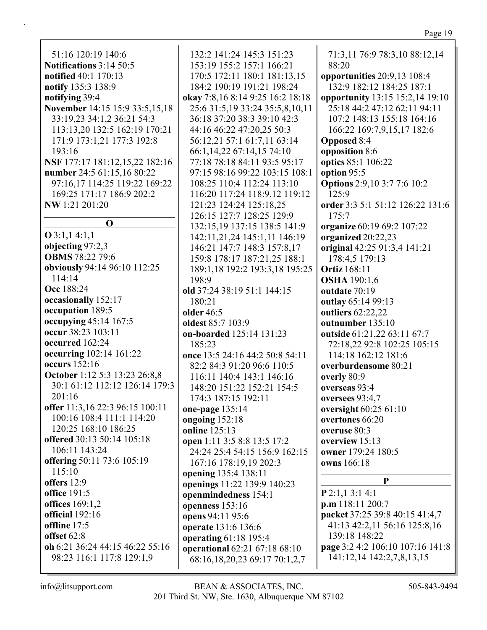| 170:5 172:11 180:1 181:13,15        | opportunities 20:9,13 108:4                        |  |
|-------------------------------------|----------------------------------------------------|--|
| 184:2 190:19 191:21 198:24          | 132:9 182:12 184:25 187:1                          |  |
| okay 7:8,16 8:14 9:25 16:2 18:18    | opportunity 13:15 15:2,14 19:10                    |  |
| 25:6 31:5, 19 33:24 35:5, 8, 10, 11 | 25:18 44:2 47:12 62:11 94:11                       |  |
| 36:18 37:20 38:3 39:10 42:3         | 107:2 148:13 155:18 164:16                         |  |
| 44:16 46:22 47:20,25 50:3           | 166:22 169:7,9,15,17 182:6                         |  |
| 56:12,21 57:1 61:7,11 63:14         | <b>Opposed 8:4</b>                                 |  |
| 66:1,14,22 67:14,15 74:10           | opposition 8:6                                     |  |
| 77:18 78:18 84:11 93:5 95:17        | optics 85:1 106:22                                 |  |
| 97:15 98:16 99:22 103:15 108:1      | option 95:5                                        |  |
| 108:25 110:4 112:24 113:10          | <b>Options</b> 2:9,10 3:7 7:6 10:2                 |  |
| 116:20 117:24 118:9,12 119:12       | 125:9                                              |  |
| 121:23 124:24 125:18,25             | order 3:3 5:1 51:12 126:22 131:6                   |  |
| 126:15 127:7 128:25 129:9           | 175:7                                              |  |
| 132:15,19 137:15 138:5 141:9        | organize 60:19 69:2 107:22                         |  |
| 142:11,21,24 145:1,11 146:19        | organized 20:22,23                                 |  |
| 146:21 147:7 148:3 157:8,17         | original 42:25 91:3,4 141:21                       |  |
| 159:8 178:17 187:21,25 188:1        | 178:4,5 179:13                                     |  |
| 189:1,18 192:2 193:3,18 195:25      | <b>Ortiz</b> 168:11                                |  |
| 198:9                               | <b>OSHA</b> 190:1,6                                |  |
| old 37:24 38:19 51:1 144:15         | outdate 70:19                                      |  |
| 180:21                              | outlay 65:14 99:13                                 |  |
| <b>older</b> 46:5                   | outliers 62:22,22                                  |  |
| oldest 85:7 103:9                   | outnumber 135:10                                   |  |
| on-boarded 125:14 131:23            | outside 61:21,22 63:11 67:7                        |  |
| 185:23                              | 72:18,22 92:8 102:25 105:15                        |  |
| once 13:5 24:16 44:2 50:8 54:11     | 114:18 162:12 181:6                                |  |
| 82:2 84:3 91:20 96:6 110:5          | overburdensome 80:21                               |  |
| 116:11 140:4 143:1 146:16           | overly 80:9                                        |  |
| 148:20 151:22 152:21 154:5          | overseas 93:4                                      |  |
| 174:3 187:15 192:11                 | oversees 93:4,7                                    |  |
| one-page 135:14                     | oversight 60:25 61:10                              |  |
| ongoing 152:18                      | overtones 66:20                                    |  |
| online $125:13$                     | overuse 80:3                                       |  |
| open 1:11 3:5 8:8 13:5 17:2         | overview 15:13                                     |  |
| 24:24 25:4 54:15 156:9 162:15       | owner 179:24 180:5                                 |  |
| 167:16 178:19,19 202:3              | owns 166:18                                        |  |
| opening 135:4 138:11                | P                                                  |  |
| openings 11:22 139:9 140:23         |                                                    |  |
| openmindedness 154:1                | $P$ 2:1,1 3:1 4:1                                  |  |
| openness 153:16<br>504.1105.6       | p.m 118:11 200:7<br>nacket 37.25 39.8 40.15 41.4 7 |  |
|                                     |                                                    |  |

**packet** 37:25 39:8 40:15 41:4,7 41:13 42:2,11 56:16 125:8,16 139:18 148:22 **page** 3:2 4:2 106:10 107:16 141:8 141:12,14 142:2,7,8,13,15

**oh** 6:21 36:24 44:15 46:22 55:16 98:23 116:1 117:8 129:1,9

**notify** 135:3 138:9 **notifying** 39:4

193:16

**NW** 1:21 201:20

**O** 3:1,1 4:1,1 **objecting** 97:2,3 **OBMS** 78:22 79:6

114:14 **Occ** 188:24

**occasionally** 152:17 **occupation** 189:5

**occur** 38:23 103:11 **occurred** 162:24

**occurs** 152:16

106:11 143:24

201:16

115:10 **offers** 12:9 **office** 191:5 **offices** 169:1,2 **official** 192:16 **offline** 17:5 **offset** 62:8

**O**

**operational** 62:21 67:18 68:10 68:16,18,20,23 69:17 70:1,2,7

**openness** 153:16 **opens** 94:11 95:6 **operate** 131:6 136:6 **operating** 61:18 195:4 71:3,11 76:9 78:3,10 88:12,14

88:20

51:16 120:19 140:6 **Notifications** 3:14 50:5 **notified** 40:1 170:13 **November** 14:15 15:9 33:5,15,18 33:19,23 34:1,2 36:21 54:3 113:13,20 132:5 162:19 170:21 171:9 173:1,21 177:3 192:8 **NSF** 177:17 181:12,15,22 182:16 **number** 24:5 61:15,16 80:22 97:16,17 114:25 119:22 169:22 169:25 171:17 186:9 202:2 **obviously** 94:14 96:10 112:25 **occupying** 45:14 167:5 **occurring** 102:14 161:22 **October** 1:12 5:3 13:23 26:8,8 30:1 61:12 112:12 126:14 179:3 **offer** 11:3,16 22:3 96:15 100:11 100:16 108:4 111:1 114:20 120:25 168:10 186:25 **offered** 30:13 50:14 105:18 **offering** 50:11 73:6 105:19 132:2 141:24 145:3 151:23 153:19 155:2 157:1 166:21 170:5 172:11 180:1 181:13,15 184:2 190:19 191:21 198:2 **okay** 7:8,16 8:14 9:25 16:2 25:6 31:5,19 33:24 35:5,8. 36:18 37:20 38:3 39:10 42 44:16 46:22 47:20,25 50:3 56:12,21 57:1 61:7,11 63: 66:1,14,22 67:14,15 74:10 77:18 78:18 84:11 93:5 95 97:15 98:16 99:22 103:15 108:25 110:4 112:24 113: 116:20 117:24 118:9.12 1 121:23 124:24 125:18,25 126:15 127:7 128:25 129:9 132:15,19 137:15 138:5 1 142:11,21,24 145:1,11 14 146:21 147:7 148:3 157:8. 159:8 178:17 187:21,25 18 189:1,18 192:2 193:3,18 1 198:9 **old** 37:24 38:19 51:1 144:15 180:21 **older** 46:5 **oldest** 85:7 103:9 **on-boarded** 125:14 131:23 185:23 **once** 13:5 24:16 44:2 50:8 5 82:2 84:3 91:20 96:6 110: 116:11 140:4 143:1 146:16 148:20 151:22 152:21 154 174:3 187:15 192:11 **one-page** 135:14 **ongoing** 152:18 **online** 125:13 **open** 1:11 3:5 8:8 13:5 17:2 24:24 25:4 54:15 156:9 16 167:16 178:19,19 202:3 **opening** 135:4 138:11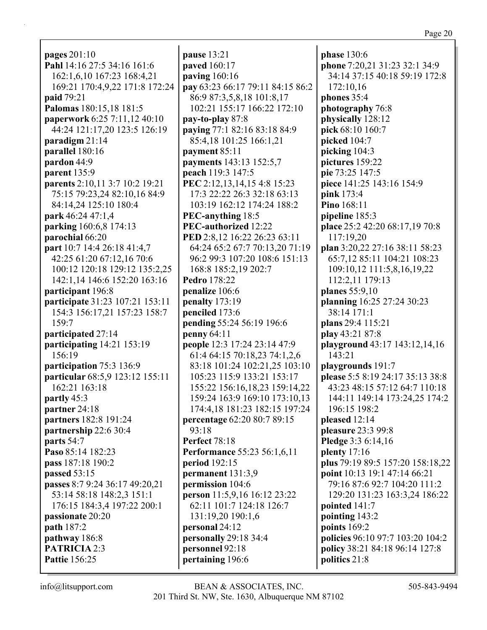**pages** 201:10 **Pahl** 14:16 27:5 34:16 161:6 162:1,6,10 167:23 168:4,21 169:21 170:4,9,22 171:8 172:24 **paid** 79:21 **Palomas** 180:15,18 181:5 **paperwork** 6:25 7:11,12 40:10 44:24 121:17,20 123:5 126:19 **paradigm** 21:14 **parallel** 180:16 **pardon** 44:9 **parent** 135:9 **parents** 2:10,11 3:7 10:2 19:21 75:15 79:23,24 82:10,16 84:9 84:14,24 125:10 180:4 **park** 46:24 47:1,4 **parking** 160:6,8 174:13 **parochial** 66:20 **part** 10:7 14:4 26:18 41:4,7 42:25 61:20 67:12,16 70:6 100:12 120:18 129:12 135:2,25 142:1,14 146:6 152:20 163:16 **participant** 196:8 **participate** 31:23 107:21 153:11 154:3 156:17,21 157:23 158:7 159:7 **participated** 27:14 **participating** 14:21 153:19 156:19 **participation** 75:3 136:9 **particular** 68:5,9 123:12 155:11 162:21 163:18 **partly** 45:3 **partner** 24:18 **partners** 182:8 191:24 **partnership** 22:6 30:4 **parts** 54:7 **Paso** 85:14 182:23 **pass** 187:18 190:2 **passed** 53:15 **passes** 8:7 9:24 36:17 49:20,21 53:14 58:18 148:2,3 151:1 176:15 184:3,4 197:22 200:1 **passionate** 20:20 **path** 187:2 **pathway** 186:8 **PATRICIA** 2:3 **Pattie** 156:25

**pause** 13:21 **paved** 160:17 **paving** 160:16 **pay** 63:23 66:17 79:11 84:15 86:2 86:9 87:3,5,8,18 101:8,17 102:21 155:17 166:22 172:10 **pay-to-play** 87:8 **paying** 77:1 82:16 83:18 84:9 85:4,18 101:25 166:1,21 **payment** 85:11 **payments** 143:13 152:5,7 **peach** 119:3 147:5 **PEC** 2:12,13,14,15 4:8 15:23 17:3 22:22 26:3 32:18 63:13 103:19 162:12 174:24 188:2 **PEC-anything** 18:5 **PEC-authorized** 12:22 **PED** 2:8,12 16:22 26:23 63:11 64:24 65:2 67:7 70:13,20 71:19 96:2 99:3 107:20 108:6 151:13 168:8 185:2,19 202:7 **Pedro** 178:22 **penalize** 106:6 **penalty** 173:19 **penciled** 173:6 **pending** 55:24 56:19 196:6 **penny** 64:11 **people** 12:3 17:24 23:14 47:9 61:4 64:15 70:18,23 74:1,2,6 83:18 101:24 102:21,25 103:10 105:23 115:9 133:21 153:17 155:22 156:16,18,23 159:14,22 159:24 163:9 169:10 173:10,13 174:4,18 181:23 182:15 197:24 **percentage** 62:20 80:7 89:15 93:18 **Perfect** 78:18 **Performance** 55:23 56:1,6,11 **period** 192:15 **permanent** 131:3,9 **permission** 104:6 **person** 11:5,9,16 16:12 23:22 62:11 101:7 124:18 126:7 131:19,20 190:1,6 **personal** 24:12 **personally** 29:18 34:4 **personnel** 92:18 **pertaining** 196:6

**phase** 130:6 **phone** 7:20,21 31:23 32:1 34:9 34:14 37:15 40:18 59:19 172:8 172:10,16 **phones** 35:4 **photography** 76:8 **physically** 128:12 **pick** 68:10 160:7 **picked** 104:7 **picking** 104:3 **pictures** 159:22 **pie** 73:25 147:5 **piece** 141:25 143:16 154:9 **pink** 173:4 **Pino** 168:11 **pipeline** 185:3 **place** 25:2 42:20 68:17,19 70:8 117:19,20 **plan** 3:20,22 27:16 38:11 58:23 65:7,12 85:11 104:21 108:23 109:10,12 111:5,8,16,19,22 112:2,11 179:13 **planes** 55:9,10 **planning** 16:25 27:24 30:23 38:14 171:1 **plans** 29:4 115:21 **play** 43:21 87:8 **playground** 43:17 143:12,14,16 143:21 **playgrounds** 191:7 **please** 5:5 8:19 24:17 35:13 38:8 43:23 48:15 57:12 64:7 110:18 144:11 149:14 173:24,25 174:2 196:15 198:2 **pleased** 12:14 **pleasure** 23:3 99:8 **Pledge** 3:3 6:14,16 **plenty** 17:16 **plus** 79:19 89:5 157:20 158:18,22 **point** 10:13 19:1 47:14 66:21 79:16 87:6 92:7 104:20 111:2 129:20 131:23 163:3,24 186:22 **pointed** 141:7 **pointing** 143:2 **points** 169:2 **policies** 96:10 97:7 103:20 104:2 **policy** 38:21 84:18 96:14 127:8 **politics** 21:8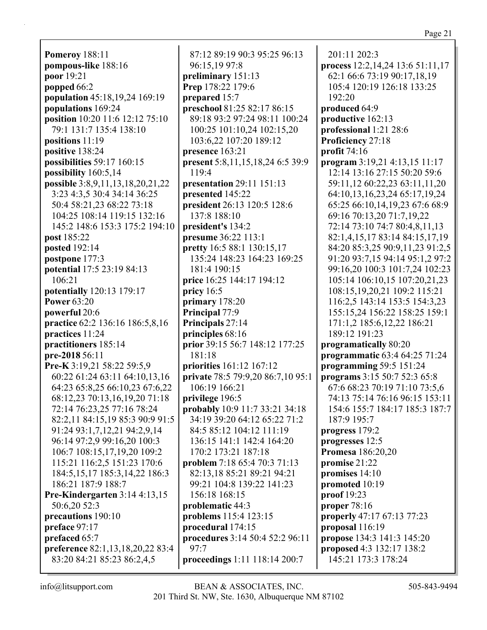**Pomeroy** 188:11 **pompous-like** 188:16 **poor** 19:21 **popped** 66:2 **population** 45:18,19,24 169:19 **populations** 169:24 **position** 10:20 11:6 12:12 75:10 79:1 131:7 135:4 138:10 **positions** 11:19 **positive** 138:24 **possibilities** 59:17 160:15 **possibility** 160:5,14 **possible** 3:8,9,11,13,18,20,21,22 3:23 4:3,5 30:4 34:14 36:25 50:4 58:21,23 68:22 73:18 104:25 108:14 119:15 132:16 145:2 148:6 153:3 175:2 194:10 **post** 185:22 **posted** 192:14 **postpone** 177:3 **potential** 17:5 23:19 84:13 106:21 **potentially** 120:13 179:17 **Power** 63:20 **powerful** 20:6 **practice** 62:2 136:16 186:5,8,16 **practices** 11:24 **practitioners** 185:14 **pre-2018** 56:11 **Pre-K** 3:19,21 58:22 59:5,9 60:22 61:24 63:11 64:10,13,16 64:23 65:8,25 66:10,23 67:6,22 68:12,23 70:13,16,19,20 71:18 72:14 76:23,25 77:16 78:24 82:2,11 84:15,19 85:3 90:9 91:5 91:24 93:1,7,12,21 94:2,9,14 96:14 97:2,9 99:16,20 100:3 106:7 108:15,17,19,20 109:2 115:21 116:2,5 151:23 170:6 184:5,15,17 185:3,14,22 186:3 186:21 187:9 188:7 **Pre-Kindergarten** 3:14 4:13,15 50:6,20 52:3 **precautions** 190:10 **preface** 97:17 **prefaced** 65:7 **preference** 82:1,13,18,20,22 83:4 83:20 84:21 85:23 86:2,4,5

87:12 89:19 90:3 95:25 96:13 96:15,19 97:8 **preliminary** 151:13 **Prep** 178:22 179:6 **prepared** 15:7 **preschool** 81:25 82:17 86:15 89:18 93:2 97:24 98:11 100:24 100:25 101:10,24 102:15,20 103:6,22 107:20 189:12 **presence** 163:21 **present** 5:8,11,15,18,24 6:5 39:9 119:4 **presentation** 29:11 151:13 **presented** 145:22 **president** 26:13 120:5 128:6 137:8 188:10 **president's** 134:2 **presume** 36:22 113:1 **pretty** 16:5 88:1 130:15,17 135:24 148:23 164:23 169:25 181:4 190:15 **price** 16:25 144:17 194:12 **pricy** 16:5 **primary** 178:20 **Principal** 77:9 **Principals** 27:14 **principles** 68:16 **prior** 39:15 56:7 148:12 177:25 181:18 **priorities** 161:12 167:12 **private** 78:5 79:9,20 86:7,10 95:1 106:19 166:21 **privilege** 196:5 **probably** 10:9 11:7 33:21 34:18 34:19 39:20 64:12 65:22 71:2 84:5 85:12 104:12 111:19 136:15 141:1 142:4 164:20 170:2 173:21 187:18 **problem** 7:18 65:4 70:3 71:13 82:13,18 85:21 89:21 94:21 99:21 104:8 139:22 141:23 156:18 168:15 **problematic** 44:3 **problems** 115:4 123:15 **procedural** 174:15 **procedures** 3:14 50:4 52:2 96:11 97:7 **proceedings** 1:11 118:14 200:7

201:11 202:3 **process** 12:2,14,24 13:6 51:11,17 62:1 66:6 73:19 90:17,18,19 105:4 120:19 126:18 133:25 192:20 **produced** 64:9 **productive** 162:13 **professional** 1:21 28:6 **Proficiency** 27:18 **profit** 74:16 **program** 3:19,21 4:13,15 11:17 12:14 13:16 27:15 50:20 59:6 59:11,12 60:22,23 63:11,11,20 64:10,13,16,23,24 65:17,19,24 65:25 66:10,14,19,23 67:6 68:9 69:16 70:13,20 71:7,19,22 72:14 73:10 74:7 80:4,8,11,13 82:1,4,15,17 83:14 84:15,17,19 84:20 85:3,25 90:9,11,23 91:2,5 91:20 93:7,15 94:14 95:1,2 97:2 99:16,20 100:3 101:7,24 102:23 105:14 106:10,15 107:20,21,23 108:15,19,20,21 109:2 115:21 116:2,5 143:14 153:5 154:3,23 155:15,24 156:22 158:25 159:1 171:1,2 185:6,12,22 186:21 189:12 191:23 **programatically** 80:20 **programmatic** 63:4 64:25 71:24 **programming** 59:5 151:24 **programs** 3:15 50:7 52:3 65:8 67:6 68:23 70:19 71:10 73:5,6 74:13 75:14 76:16 96:15 153:11 154:6 155:7 184:17 185:3 187:7 187:9 195:7 **progress** 179:2 **progresses** 12:5 **Promesa** 186:20,20 **promise** 21:22 **promises** 14:10 **promoted** 10:19 **proof** 19:23 **proper** 78:16 **properly** 47:17 67:13 77:23 **proposal** 116:19 **propose** 134:3 141:3 145:20 **proposed** 4:3 132:17 138:2 145:21 173:3 178:24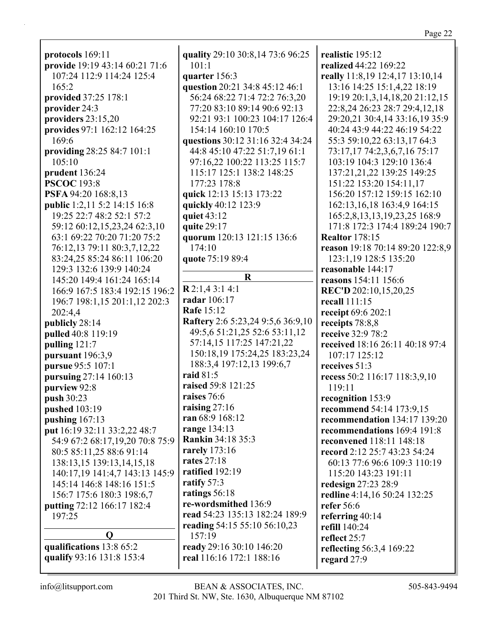protocols  $169:11$ provide 19:19 43:14 60:21 71:6 107:24 112:9 114:24 125:4  $165:2$ provided 37:25 178:1 provider 24:3 providers  $23:15,20$ **provides** 97:1 162:12 164:25 169:6 providing 28:25 84:7 101:1 105:10 prudent 136:24 **PSCOC** 193:8 PSFA 94:20 168:8.13 **public** 1:2,11 5:2 14:15 16:8 19:25 22:7 48:2 52:1 57:2 59:12 60:12.15.23.24 62:3.10 63:1 69:22 70:20 71:20 75:2 76:12,13 79:11 80:3,7,12,22 83:24,25 85:24 86:11 106:20 129:3 132:6 139:9 140:24 145:20 149:4 161:24 165:14 166:9 167:5 183:4 192:15 196:2 196:7 198:1,15 201:1,12 202:3 202:4.4 publicly 28:14 pulled 40:8 119:19 pulling  $121:7$ pursuant  $196:3,9$ **pursue** 95:5 107:1 pursuing 27:14 160:13 purview 92:8 push 30:23 pushed  $103:19$ pushing  $167:13$ put 16:19 32:11 33:2,22 48:7 54:9 67:2 68:17,19,20 70:8 75:9 80:5 85:11,25 88:6 91:14 138:13,15 139:13,14,15,18 140:17.19 141:4.7 143:13 145:9 145:14 146:8 148:16 151:5 156:7 175:6 180:3 198:6,7 **putting** 72:12 166:17 182:4 197:25  $\mathbf{O}$ qualifications 13:8 65:2 qualify 93:16 131:8 153:4

quality 29:10 30:8,14 73:6 96:25  $101:1$ quarter 156:3 question 20:21 34:8 45:12 46:1 56:24 68:22 71:4 72:2 76:3.20 77:20 83:10 89:14 90:6 92:13 92:21 93:1 100:23 104:17 126:4 154:14 160:10 170:5 questions 30:12 31:16 32:4 34:24 44:8 45:10 47:22 51:7,19 61:1 97:16,22 100:22 113:25 115:7 115:17 125:1 138:2 148:25 177:23 178:8 quick 12:13 15:13 173:22 quickly 40:12 123:9 **quiet 43:12** quite  $29:17$ quorum 120:13 121:15 136:6  $174:10$ quote 75:19 89:4 R  $R$  2:1,4 3:1 4:1 radar 106:17 **Rafe 15:12** Raftery 2:6 5:23,24 9:5,6 36:9,10 49:5,6 51:21,25 52:6 53:11,12 57:14,15 117:25 147:21,22 150:18,19 175:24,25 183:23,24 188:3,4 197:12,13 199:6,7 raid  $81:5$ raised 59:8 121:25 raises 76:6 raising  $27:16$ ran  $68:9$  168:12 range 134:13 **Rankin 34:18 35:3** rarely 173:16 rates  $27:18$ ratified  $192:19$ ratify  $57:3$ ratings  $56:18$ re-wordsmithed 136:9 read 54:23 135:13 182:24 189:9

realistic  $195:12$ realized 44:22 169:22 really 11:8,19 12:4,17 13:10,14 13:16 14:25 15:1,4,22 18:19 19:19 20:1,3,14,18,20 21:12,15 22:8,24 26:23 28:7 29:4,12,18 29:20.21 30:4.14 33:16.19 35:9 40:24 43:9 44:22 46:19 54:22 55:3 59:10,22 63:13,17 64:3 73:17,17 74:2,3,6,7,16 75:17 103:19 104:3 129:10 136:4 137:21,21,22 139:25 149:25 151:22 153:20 154:11,17 156:20 157:12 159:15 162:10 162:13, 16, 18 163:4, 9 164:15 165:2,8,13,13,19,23,25 168:9 171:8 172:3 174:4 189:24 190:7 **Realtor** 178:15 reason 19:18 70:14 89:20 122:8,9 123:1,19 128:5 135:20 reasonable 144:17 reasons 154:11 156:6 REC'D 202:10,15,20,25 recall 111:15 receipt 69:6 202:1 receipts 78:8,8 **receive** 32:9 78:2 received 18:16 26:11 40:18 97:4 107:17 125:12 receives 51:3 recess 50:2 116:17 118:3,9,10 119:11 recognition 153:9 recommend 54:14 173:9.15 recommendation  $134:17$   $139:20$ recommendations 169:4 191:8 reconvened 118:11 148:18 record 2:12 25:7 43:23 54:24 60:13 77:6 96:6 109:3 110:19 115:20 143:23 191:11 redesign 27:23 28:9 redline 4:14,16 50:24 132:25 refer 56:6 referring  $40:14$ refill 140:24 reflect  $25:7$ reflecting 56:3,4 169:22 regard 27:9

 $info@$ litsupport.com

reading 54:15 55:10 56:10,23

ready 29:16 30:10 146:20

real 116:16 172:1 188:16

157:19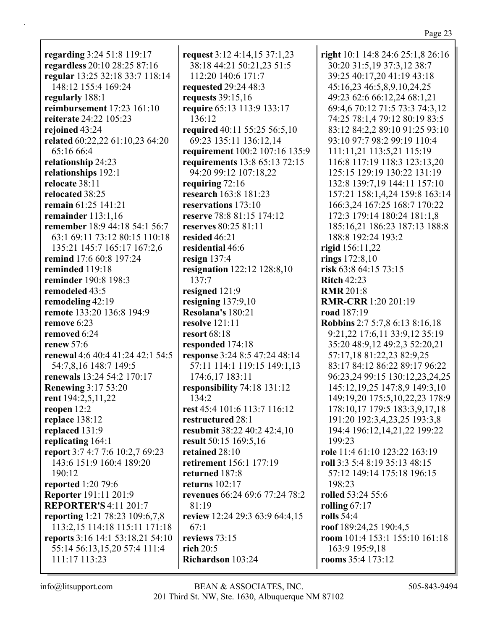| regarding 3:24 51:8 119:17        |
|-----------------------------------|
| regardless 20:10 28:25 87:16      |
| regular 13:25 32:18 33:7 118:14   |
| 148:12 155:4 169:24               |
| regularly 188:1                   |
| <b>reimbursement</b> 17:23 161:10 |
| reiterate 24:22 105:23            |
|                                   |
| rejoined 43:24                    |
| related 60:22,22 61:10,23 64:20   |
| 65:16 66:4                        |
| relationship 24:23                |
| relationships 192:1               |
| relocate 38:11                    |
| relocated 38:25                   |
| remain 61:25 141:21               |
| remainder $113:1,16$              |
| remember 18:9 44:18 54:1 56:7     |
| 63:1 69:11 73:12 80:15 110:18     |
| 135:21 145:7 165:17 167:2,6       |
| <b>remind</b> 17:6 60:8 197:24    |
| reminded 119:18                   |
| reminder 190:8 198:3              |
| remodeled 43:5                    |
| remodeling 42:19                  |
| remote 133:20 136:8 194:9         |
| remove 6:23                       |
| removed 6:24                      |
|                                   |
| renew $57:6$                      |
| renewal 4:6 40:4 41:24 42:1 54:5  |
| 54:7,8,16 148:7 149:5             |
| renewals 13:24 54:2 170:17        |
| <b>Renewing 3:17 53:20</b>        |
| rent 194:2,5,11,22                |
| reopen 12:2                       |
| replace 138:12                    |
| replaced 131:9                    |
| replicating 164:1                 |
| report 3:7 4:7 7:6 10:2,7 69:23   |
| 143:6 151:9 160:4 189:20          |
| 190:12                            |
| reported 1:20 79:6                |
| Reporter 191:11 201:9             |
| <b>REPORTER'S 4:11 201:7</b>      |
| reporting 1:21 78:23 109:6,7,8    |
| 113:2,15 114:18 115:11 171:18     |
| reports 3:16 14:1 53:18,21 54:10  |
| 55:14 56:13,15,20 57:4 111:4      |
|                                   |
| 111:17 113:23                     |

**request** 3:12 4:14,15 37:1,23 38:18 44:21 50:21,23 51:5 112:20 140:6 171:7 **requested** 29:24 48:3 **requests** 39:15,16 **require** 65:13 113:9 133:17 136:12 **required** 40:11 55:25 56:5,10 69:23 135:11 136:12,14 **requirement** 100:2 107:16 135:9 **requirements** 13:8 65:13 72:15 94:20 99:12 107:18,22 **requiring** 72:16 **research** 163:8 181:23 **reservations** 173:10 **reserve** 78:8 81:15 174:12 **reserves** 80:25 81:11 **resided** 46:21 **residential** 46:6 **resign** 137:4 **resignation** 122:12 128:8,10 137:7 **resigned** 121:9 **resigning** 137:9,10 **Resolana's** 180:21 **resolve** 121:11 **resort** 68:18 **responded** 174:18 **response** 3:24 8:5 47:24 48:14 57:11 114:1 119:15 149:1,13 174:6,17 183:11 **responsibility** 74:18 131:12 134:2 **rest** 45:4 101:6 113:7 116:12 **restructured** 28:1 **resubmit** 38:22 40:2 42:4,10 **result** 50:15 169:5,16 **retained** 28:10 **retirement** 156:1 177:19 **returned** 187:8 **returns** 102:17 **revenues** 66:24 69:6 77:24 78:2 81:19 **review** 12:24 29:3 63:9 64:4,15 67:1 **reviews** 73:15 **rich** 20:5 **Richardson** 103:24

**right** 10:1 14:8 24:6 25:1,8 26:16 30:20 31:5,19 37:3,12 38:7 39:25 40:17,20 41:19 43:18 45:16,23 46:5,8,9,10,24,25 49:23 62:6 66:12,24 68:1,21 69:4,6 70:12 71:5 73:3 74:3,12 74:25 78:1,4 79:12 80:19 83:5 83:12 84:2,2 89:10 91:25 93:10 93:10 97:7 98:2 99:19 110:4 111:11,21 113:5,21 115:19 116:8 117:19 118:3 123:13,20 125:15 129:19 130:22 131:19 132:8 139:7,19 144:11 157:10 157:21 158:1,4,24 159:8 163:14 166:3,24 167:25 168:7 170:22 172:3 179:14 180:24 181:1,8 185:16,21 186:23 187:13 188:8 188:8 192:24 193:2 **rigid** 156:11,22 **rings** 172:8,10 **risk** 63:8 64:15 73:15 **Ritch** 42:23 **RMR** 201:8 **RMR-CRR** 1:20 201:19 **road** 187:19 **Robbins** 2:7 5:7,8 6:13 8:16,18 9:21,22 17:6,11 33:9,12 35:19 35:20 48:9,12 49:2,3 52:20,21 57:17,18 81:22,23 82:9,25 83:17 84:12 86:22 89:17 96:22 96:23,24 99:15 130:12,23,24,25 145:12,19,25 147:8,9 149:3,10 149:19,20 175:5,10,22,23 178:9 178:10,17 179:5 183:3,9,17,18 191:20 192:3,4,23,25 193:3,8 194:4 196:12,14,21,22 199:22 199:23 **role** 11:4 61:10 123:22 163:19 **roll** 3:3 5:4 8:19 35:13 48:15 57:12 149:14 175:18 196:15 198:23 **rolled** 53:24 55:6 **rolling** 67:17 **rolls** 54:4 **roof** 189:24,25 190:4,5 **room** 101:4 153:1 155:10 161:18 163:9 195:9,18 **rooms** 35:4 173:12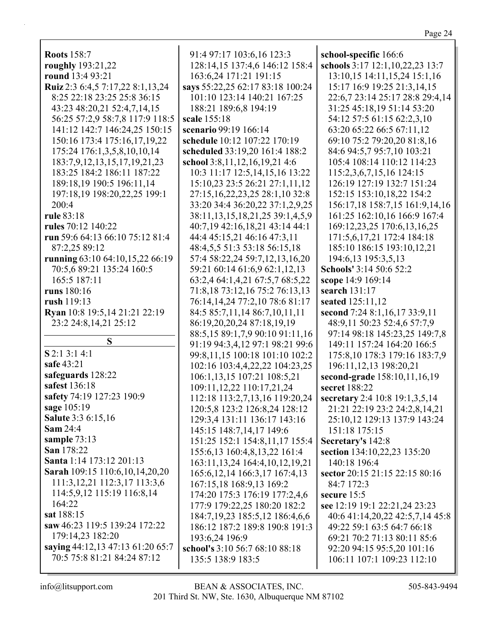| ١.<br>٦ |  |
|---------|--|
|         |  |

| <b>Roots</b> 158:7<br>roughly 193:21,22 | 91:4 97:17 103:6,16 123:3<br>128:14,15 137:4,6 146:12 158:4 | school-specific 166:6<br>schools 3:17 12:1,10,22,23 13:7 |
|-----------------------------------------|-------------------------------------------------------------|----------------------------------------------------------|
| round 13:4 93:21                        | 163:6,24 171:21 191:15                                      | 13:10,15 14:11,15,24 15:1,16                             |
| Ruiz 2:3 6:4,5 7:17,22 8:1,13,24        | says 55:22,25 62:17 83:18 100:24                            | 15:17 16:9 19:25 21:3,14,15                              |
| 8:25 22:18 23:25 25:8 36:15             | 101:10 123:14 140:21 167:25                                 | 22:6,7 23:14 25:17 28:8 29:4,14                          |
| 43:23 48:20,21 52:4,7,14,15             | 188:21 189:6,8 194:19                                       | 31:25 45:18,19 51:14 53:20                               |
| 56:25 57:2,9 58:7,8 117:9 118:5         | scale 155:18                                                | 54:12 57:5 61:15 62:2,3,10                               |
| 141:12 142:7 146:24,25 150:15           | scenario 99:19 166:14                                       | 63:20 65:22 66:5 67:11,12                                |
| 150:16 173:4 175:16,17,19,22            | schedule 10:12 107:22 170:19                                | 69:10 75:2 79:20,20 81:8,16                              |
| 175:24 176:1,3,5,8,10,10,14             | scheduled 33:19,20 161:4 188:2                              | 84:6 94:5,7 95:7,10 103:21                               |
| 183:7,9,12,13,15,17,19,21,23            | school 3:8,11,12,16,19,21 4:6                               | 105:4 108:14 110:12 114:23                               |
| 183:25 184:2 186:11 187:22              | 10:3 11:17 12:5,14,15,16 13:22                              | 115:2,3,6,7,15,16 124:15                                 |
| 189:18,19 190:5 196:11,14               | 15:10,23 23:5 26:21 27:1,11,12                              | 126:19 127:19 132:7 151:24                               |
| 197:18,19 198:20,22,25 199:1            | 27:15,16,22,23,25 28:1,10 32:8                              | 152:15 153:10,18,22 154:2                                |
| 200:4                                   | 33:20 34:4 36:20,22 37:1,2,9,25                             | 156:17,18 158:7,15 161:9,14,16                           |
| rule 83:18                              | 38:11, 13, 15, 18, 21, 25 39:1, 4, 5, 9                     | 161:25 162:10,16 166:9 167:4                             |
| rules 70:12 140:22                      | 40:7,19 42:16,18,21 43:14 44:1                              | 169:12,23,25 170:6,13,16,25                              |
| run 59:6 64:13 66:10 75:12 81:4         | 44:4 45:15,21 46:16 47:3,11                                 | 171:5,6,17,21 172:4 184:18                               |
| 87:2,25 89:12                           | 48:4,5,5 51:3 53:18 56:15,18                                | 185:10 186:15 193:10,12,21                               |
| running 63:10 64:10,15,22 66:19         | 57:4 58:22,24 59:7,12,13,16,20                              | 194:6,13 195:3,5,13                                      |
| 70:5,6 89:21 135:24 160:5               | 59:21 60:14 61:6,9 62:1,12,13                               | Schools' 3:14 50:6 52:2                                  |
| 165:5 187:11                            | 63:2,4 64:1,4,21 67:5,7 68:5,22                             | scope 14:9 169:14                                        |
| runs 180:16                             | 71:8,18 73:12,16 75:2 76:13,13                              | search 131:17                                            |
| rush 119:13                             | 76:14,14,24 77:2,10 78:6 81:17                              | seated 125:11,12                                         |
| Ryan 10:8 19:5,14 21:21 22:19           | 84:5 85:7,11,14 86:7,10,11,11                               | second 7:24 8:1,16,17 33:9,11                            |
| 23:2 24:8,14,21 25:12                   | 86:19,20,20,24 87:18,19,19                                  | 48:9,11 50:23 52:4,6 57:7,9                              |
|                                         | 88:5,15 89:1,7,9 90:10 91:11,16                             | 97:14 98:18 145:23,25 149:7,8                            |
| S                                       | 91:19 94:3,4,12 97:1 98:21 99:6                             | 149:11 157:24 164:20 166:5                               |
| S 2:1 3:1 4:1                           | 99:8,11,15 100:18 101:10 102:2                              | 175:8,10 178:3 179:16 183:7,9                            |
| safe 43:21                              | 102:16 103:4,4,22,22 104:23,25                              | 196:11, 12, 13 198: 20, 21                               |
| safeguards 128:22                       | 106:1,13,15 107:21 108:5,21                                 | second-grade 158:10,11,16,19                             |
| safest 136:18                           | 109:11,12,22 110:17,21,24                                   | secret 188:22                                            |
| safety 74:19 127:23 190:9               | 112:18 113:2,7,13,16 119:20,24                              | secretary 2:4 10:8 19:1,3,5,14                           |
| sage 105:19                             | 120:5,8 123:2 126:8,24 128:12                               | 21:21 22:19 23:2 24:2,8,14,21                            |
| <b>Salute 3:3 6:15,16</b>               | 129:3,4 131:11 136:17 143:16                                | 25:10,12 129:13 137:9 143:24                             |
| <b>Sam 24:4</b>                         | 145:15 148:7,14,17 149:6                                    | 151:18 175:15                                            |
| sample 73:13                            | 151:25 152:1 154:8,11,17 155:4                              | Secretary's 142:8                                        |
| San 178:22                              | 155:6,13 160:4,8,13,22 161:4                                | section 134:10,22,23 135:20                              |
| Santa 1:14 173:12 201:13                | 163:11, 13, 24 164: 4, 10, 12, 19, 21                       | 140:18 196:4                                             |
| Sarah 109:15 110:6, 10, 14, 20, 20      | 165:6, 12, 14 166: 3, 17 167: 4, 13                         | sector 20:15 21:15 22:15 80:16                           |
| 111:3, 12, 21 112:3, 17 113:3, 6        | 167:15,18 168:9,13 169:2                                    | 84:7 172:3                                               |
| 114:5,9,12 115:19 116:8,14              | 174:20 175:3 176:19 177:2,4,6                               | secure $15:5$                                            |
| 164:22                                  | 177:9 179:22,25 180:20 182:2                                | see 12:19 19:1 22:21,24 23:23                            |
| sat 188:15                              | 184:7, 19, 23 185:5, 12 186: 4, 6, 6                        | 40:6 41:14,20,22 42:5,7,14 45:8                          |
| saw 46:23 119:5 139:24 172:22           | 186:12 187:2 189:8 190:8 191:3                              | 49:22 59:1 63:5 64:7 66:18                               |
| 179:14,23 182:20                        | 193:6,24 196:9                                              | 69:21 70:2 71:13 80:11 85:6                              |
| saying 44:12,13 47:13 61:20 65:7        | school's 3:10 56:7 68:10 88:18                              | 92:20 94:15 95:5,20 101:16                               |
| 70:5 75:8 81:21 84:24 87:12             | 135:5 138:9 183:5                                           | 106:11 107:1 109:23 112:10                               |
|                                         |                                                             |                                                          |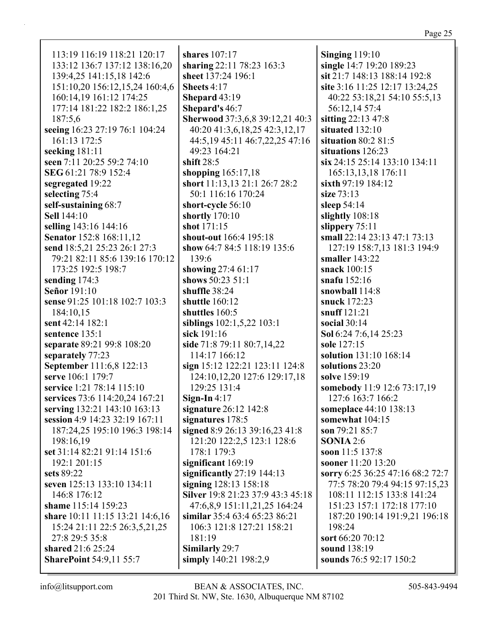113:19 116:19 118:21 120:17 133:12 136:7 137:12 138:16,20 139:4,25 141:15,18 142:6 151:10,20 156:12,15,24 160:4,6 160:14.19 161:12 174:25 177:14 181:22 182:2 186:1,25 187:5.6 seeing 16:23 27:19 76:1 104:24 161:13 172:5 seeking  $181:11$ seen 7:11 20:25 59:2 74:10 SEG 61:21 78:9 152:4 segregated 19:22 selecting 75:4 self-sustaining 68:7 **Sell** 144:10 selling 143:16 144:16 **Senator** 152:8 168:11.12 send 18:5,21 25:23 26:1 27:3 79:21 82:11 85:6 139:16 170:12 173:25 192:5 198:7 sending  $174:3$ **Señor** 191:10 sense 91:25 101:18 102:7 103:3 184:10.15 sent 42:14 182:1 sentence  $135:1$ separate 89:21 99:8 108:20 separately 77:23 September 111:6,8 122:13 serve 106:1 179:7 service 1:21 78:14 115:10 services 73:6 114:20,24 167:21 serving 132:21 143:10 163:13 session 4:9 14:23 32:19 167:11 187:24.25 195:10 196:3 198:14 198:16.19 set 31:14 82:21 91:14 151:6 192:1 201:15 sets 89:22 seven 125:13 133:10 134:11 146:8 176:12 shame 115:14 159:23 share 10:11 11:15 13:21 14:6,16 15:24 21:11 22:5 26:3,5,21,25 27:8 29:5 35:8 shared 21:6 25:24 **SharePoint 54:9,11 55:7** 

shares  $107:17$ sharing 22:11 78:23 163:3 sheet 137:24 196:1 Sheets 4:17 Shepard 43:19 **Shepard's 46:7 Sherwood** 37:3.6.8 39:12.21 40:3 40:20 41:3,6,18,25 42:3,12,17 44:5,19 45:11 46:7,22,25 47:16 49:23 164:21 shift  $28:5$ shopping  $165:17,18$ short 11:13,13 21:1 26:7 28:2 50:1 116:16 170:24 short-cycle 56:10 shortly  $170:10$ shot  $171:15$ shout-out 166:4 195:18 show  $64:784:5118:19135:6$ 139:6 showing 27:4 61:17 shows 50:23 51:1 shuffle  $38:24$ shuttle  $160:12$ shuttles  $160:5$ siblings 102:1,5,22 103:1 sick  $191:16$ side 71:8 79:11 80:7,14,22 114:17 166:12 sign 15:12 122:21 123:11 124:8 124:10,12,20 127:6 129:17,18 129:25 131:4 Sign-In  $4:17$ signature 26:12 142:8 signatures 178:5 signed 8:9 26:13 39:16,23 41:8 121:20 122:2,5 123:1 128:6  $178:1179:3$ significant  $169:19$ significantly  $27:19$  144:13 signing  $128:13$   $158:18$ Silver 19:8 21:23 37:9 43:3 45:18 47:6,8,9 151:11,21,25 164:24 similar 35:4 63:4 65:23 86:21 106:3 121:8 127:21 158:21 181:19 Similarly 29:7 simply 140:21 198:2,9

Singing  $119:10$ single 14:7 19:20 189:23 sit 21:7 148:13 188:14 192:8 site 3:16 11:25 12:17 13:24,25 40:22 53:18,21 54:10 55:5,13 56:12,14 57:4 sitting 22:13 47:8 situated 132:10 situation  $80:281:5$ situations 126:23 six 24:15 25:14 133:10 134:11 165:13,13,18 176:11 sixth 97:19 184:12 size  $73:13$ sleep  $54:14$ slightly 108:18 slippery  $75:11$ small 22:14 23:13 47:1 73:13 127:19 158:7,13 181:3 194:9 smaller  $143:22$ snack 100:15 snafu  $152:16$ snowball 114:8 snuck 172:23 snuff  $121:21$ social  $30:14$ Sol 6:24 7:6,14 25:23 sole 127:15 solution 131:10 168:14 solutions 23:20 solve 159:19 somebody 11:9 12:6 73:17,19 127:6 163:7 166:2 **someplace** 44:10 138:13 somewhat 104:15 son  $79:2185:7$ SONIA  $2:6$ soon  $11:5$  137:8 **sooner** 11:20 13:20 sorry 6:25 36:25 47:16 68:2 72:7 77:5 78:20 79:4 94:15 97:15,23 108:11 112:15 133:8 141:24 151:23 157:1 172:18 177:10 187:20 190:14 191:9,21 196:18  $198:24$ sort 66:20 70:12 sound 138:19 sounds 76:5 92:17 150:2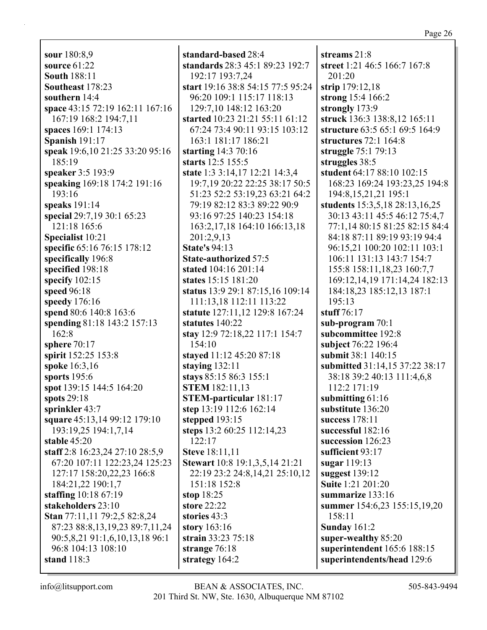**sour** 180:8,9 **source** 61:22 **South** 188:11 **Southeast** 178:23 **southern** 14:4 **space** 43:15 72:19 162:11 167:16 167:19 168:2 194:7,11 **spaces** 169:1 174:13 **Spanish** 191:17 **speak** 19:6,10 21:25 33:20 95:16 185:19 **speaker** 3:5 193:9 **speaking** 169:18 174:2 191:16 193:16 **speaks** 191:14 **special** 29:7,19 30:1 65:23 121:18 165:6 **Specialist** 10:21 **specific** 65:16 76:15 178:12 **specifically** 196:8 **specified** 198:18 **specify** 102:15 **speed** 96:18 **speedy** 176:16 **spend** 80:6 140:8 163:6 **spending** 81:18 143:2 157:13 162:8 **sphere** 70:17 **spirit** 152:25 153:8 **spoke** 16:3,16 **sports** 195:6 **spot** 139:15 144:5 164:20 **spots** 29:18 **sprinkler** 43:7 **square** 45:13,14 99:12 179:10 193:19,25 194:1,7,14 **stable** 45:20 **staff** 2:8 16:23,24 27:10 28:5,9 67:20 107:11 122:23,24 125:23 127:17 158:20,22,23 166:8 184:21,22 190:1,7 **staffing** 10:18 67:19 **stakeholders** 23:10 **Stan** 77:11,11 79:2,5 82:8,24 87:23 88:8,13,19,23 89:7,11,24 90:5,8,21 91:1,6,10,13,18 96:1 96:8 104:13 108:10 **stand** 118:3

**standard-based** 28:4 **standards** 28:3 45:1 89:23 192:7 192:17 193:7,24 **start** 19:16 38:8 54:15 77:5 95:24 96:20 109:1 115:17 118:13 129:7,10 148:12 163:20 **started** 10:23 21:21 55:11 61:12 67:24 73:4 90:11 93:15 103:12 163:1 181:17 186:21 **starting** 14:3 70:16 **starts** 12:5 155:5 **state** 1:3 3:14,17 12:21 14:3,4 19:7,19 20:22 22:25 38:17 50:5 51:23 52:2 53:19,23 63:21 64:2 79:19 82:12 83:3 89:22 90:9 93:16 97:25 140:23 154:18 163:2,17,18 164:10 166:13,18 201:2,9,13 **State's** 94:13 **State-authorized** 57:5 **stated** 104:16 201:14 **states** 15:15 181:20 **status** 13:9 29:1 87:15,16 109:14 111:13,18 112:11 113:22 **statute** 127:11,12 129:8 167:24 **statutes** 140:22 **stay** 12:9 72:18,22 117:1 154:7 154:10 **stayed** 11:12 45:20 87:18 **staying** 132:11 **stays** 85:15 86:3 155:1 **STEM** 182:11,13 **STEM-particular** 181:17 **step** 13:19 112:6 162:14 **stepped** 193:15 **steps** 13:2 60:25 112:14,23 122:17 **Steve** 18:11,11 **Stewart** 10:8 19:1,3,5,14 21:21 22:19 23:2 24:8,14,21 25:10,12 151:18 152:8 **stop** 18:25 **store** 22:22 **stories** 43:3 **story** 163:16 **strain** 33:23 75:18 **strange** 76:18 **strategy** 164:2

**streams** 21:8 **street** 1:21 46:5 166:7 167:8 201:20 **strip** 179:12,18 **strong** 15:4 166:2 **strongly** 173:9 **struck** 136:3 138:8,12 165:11 **structure** 63:5 65:1 69:5 164:9 **structures** 72:1 164:8 **struggle** 75:1 79:13 **struggles** 38:5 **student** 64:17 88:10 102:15 168:23 169:24 193:23,25 194:8 194:8,15,21,21 195:1 **students** 15:3,5,18 28:13,16,25 30:13 43:11 45:5 46:12 75:4,7 77:1,14 80:15 81:25 82:15 84:4 84:18 87:11 89:19 93:19 94:4 96:15,21 100:20 102:11 103:1 106:11 131:13 143:7 154:7 155:8 158:11,18,23 160:7,7 169:12,14,19 171:14,24 182:13 184:18,23 185:12,13 187:1 195:13 **stuff** 76:17 **sub-program** 70:1 **subcommittee** 192:8 **subject** 76:22 196:4 **submit** 38:1 140:15 **submitted** 31:14,15 37:22 38:17 38:18 39:2 40:13 111:4,6,8 112:2 171:19 **submitting** 61:16 **substitute** 136:20 **success** 178:11 **successful** 182:16 **succession** 126:23 **sufficient** 93:17 **sugar** 119:13 **suggest** 139:12 **Suite** 1:21 201:20 **summarize** 133:16 **summer** 154:6,23 155:15,19,20 158:11 **Sunday** 161:2 **super-wealthy** 85:20 **superintendent** 165:6 188:15 **superintendents/head** 129:6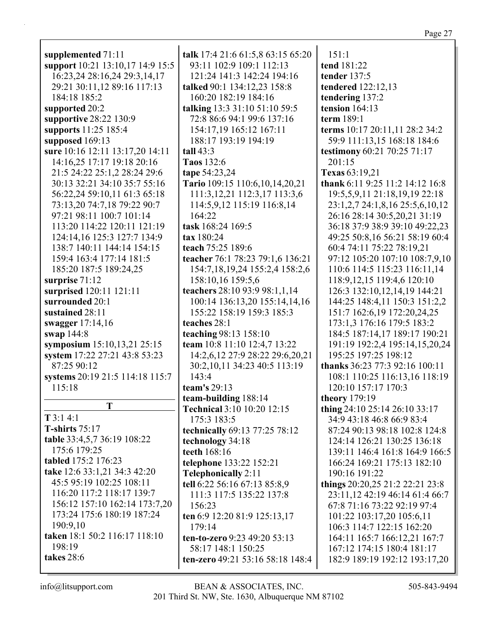| supplemented 71:11               | talk 17:4 21:6 61:5,8 63:15 65:20     | 151:1<br>tend 181:22            |
|----------------------------------|---------------------------------------|---------------------------------|
| support 10:21 13:10,17 14:9 15:5 | 93:11 102:9 109:1 112:13              |                                 |
| 16:23,24 28:16,24 29:3,14,17     | 121:24 141:3 142:24 194:16            | tender 137:5                    |
| 29:21 30:11,12 89:16 117:13      | talked 90:1 134:12,23 158:8           | tendered 122:12,13              |
| 184:18 185:2                     | 160:20 182:19 184:16                  | tendering 137:2                 |
| supported 20:2                   | talking 13:3 31:10 51:10 59:5         | tension $164:13$                |
| supportive 28:22 130:9           | 72:8 86:6 94:1 99:6 137:16            | term 189:1                      |
| supports 11:25 185:4             | 154:17,19 165:12 167:11               | terms 10:17 20:11,11 28:2 34:2  |
| supposed 169:13                  | 188:17 193:19 194:19                  | 59:9 111:13,15 168:18 184:6     |
| sure 10:16 12:11 13:17,20 14:11  | tall $43:3$                           | testimony 60:21 70:25 71:17     |
| 14:16,25 17:17 19:18 20:16       | Taos 132:6                            | 201:15                          |
| 21:5 24:22 25:1,2 28:24 29:6     | tape 54:23,24                         | Texas 63:19,21                  |
| 30:13 32:21 34:10 35:7 55:16     | Tario 109:15 110:6,10,14,20,21        | thank 6:11 9:25 11:2 14:12 16:8 |
| 56:22,24 59:10,11 61:3 65:18     | 111:3, 12, 21 112:3, 17 113:3, 6      | 19:5,5,9,11 21:18,19,19 22:18   |
| 73:13,20 74:7,18 79:22 90:7      | 114:5,9,12 115:19 116:8,14            | 23:1,2,7 24:1,8,16 25:5,6,10,12 |
| 97:21 98:11 100:7 101:14         | 164:22                                | 26:16 28:14 30:5,20,21 31:19    |
| 113:20 114:22 120:11 121:19      | task 168:24 169:5                     | 36:18 37:9 38:9 39:10 49:22,23  |
| 124:14,16 125:3 127:7 134:9      | tax 180:24                            | 49:25 50:8,16 56:21 58:19 60:4  |
| 138:7 140:11 144:14 154:15       | teach 75:25 189:6                     | 60:4 74:11 75:22 78:19,21       |
| 159:4 163:4 177:14 181:5         | teacher 76:1 78:23 79:1,6 136:21      | 97:12 105:20 107:10 108:7,9,10  |
| 185:20 187:5 189:24,25           | 154:7, 18, 19, 24 155: 2, 4 158: 2, 6 | 110:6 114:5 115:23 116:11,14    |
| surprise $71:12$                 | 158:10,16 159:5,6                     | 118:9, 12, 15 119:4, 6 120:10   |
| surprised 120:11 121:11          | teachers 28:10 93:9 98:1,1,14         | 126:3 132:10,12,14,19 144:21    |
| surrounded 20:1                  | 100:14 136:13,20 155:14,14,16         | 144:25 148:4,11 150:3 151:2,2   |
| sustained 28:11                  | 155:22 158:19 159:3 185:3             | 151:7 162:6,19 172:20,24,25     |
| swagger 17:14,16                 | teaches 28:1                          | 173:1,3 176:16 179:5 183:2      |
| swap 144:8                       | teaching 98:13 158:10                 | 184:5 187:14,17 189:17 190:21   |
| symposium 15:10,13,21 25:15      | team 10:8 11:10 12:4,7 13:22          | 191:19 192:2,4 195:14,15,20,24  |
| system 17:22 27:21 43:8 53:23    | 14:2,6,12 27:9 28:22 29:6,20,21       | 195:25 197:25 198:12            |
| 87:25 90:12                      | 30:2,10,11 34:23 40:5 113:19          | thanks 36:23 77:3 92:16 100:11  |
| systems 20:19 21:5 114:18 115:7  | 143:4                                 | 108:1 110:25 116:13,16 118:19   |
| 115:18                           | team's 29:13                          | 120:10 157:17 170:3             |
|                                  | team-building 188:14                  | <b>theory</b> 179:19            |
| T                                | Technical 3:10 10:20 12:15            | thing 24:10 25:14 26:10 33:17   |
| $T$ 3:1 4:1                      | 175:3 183:5                           | 34:9 43:18 46:8 66:9 83:4       |
| T-shirts $75:17$                 | technically 69:13 77:25 78:12         | 87:24 90:13 98:18 102:8 124:8   |
| table 33:4,5,7 36:19 108:22      | technology 34:18                      | 124:14 126:21 130:25 136:18     |
| 175:6 179:25                     | teeth 168:16                          | 139:11 146:4 161:8 164:9 166:5  |
| tabled 175:2 176:23              | telephone 133:22 152:21               | 166:24 169:21 175:13 182:10     |
| take 12:6 33:1,21 34:3 42:20     | <b>Telephonically 2:11</b>            | 190:16 191:22                   |
| 45:5 95:19 102:25 108:11         | tell 6:22 56:16 67:13 85:8,9          | things 20:20,25 21:2 22:21 23:8 |
| 116:20 117:2 118:17 139:7        | 111:3 117:5 135:22 137:8              | 23:11,12 42:19 46:14 61:4 66:7  |
| 156:12 157:10 162:14 173:7,20    | 156:23                                | 67:8 71:16 73:22 92:19 97:4     |
| 173:24 175:6 180:19 187:24       | ten 6:9 12:20 81:9 125:13,17          | 101:22 103:17,20 105:6,11       |
| 190:9,10                         | 179:14                                | 106:3 114:7 122:15 162:20       |
| taken 18:1 50:2 116:17 118:10    | ten-to-zero 9:23 49:20 53:13          | 164:11 165:7 166:12,21 167:7    |
| 198:19                           | 58:17 148:1 150:25                    | 167:12 174:15 180:4 181:17      |
| takes 28:6                       | ten-zero 49:21 53:16 58:18 148:4      | 182:9 189:19 192:12 193:17,20   |
|                                  |                                       |                                 |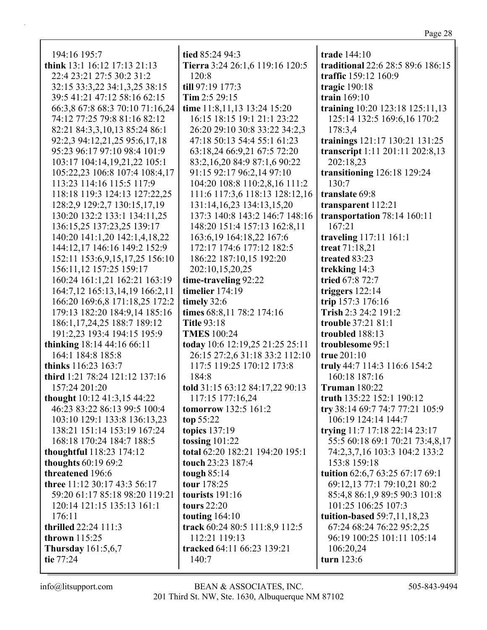| 194:16 195:7                    | tied 85:24 94:3                                           | trade 144:10                      |  |
|---------------------------------|-----------------------------------------------------------|-----------------------------------|--|
| think 13:1 16:12 17:13 21:13    | Tierra 3:24 26:1,6 119:16 120:5                           | traditional 22:6 28:5 89:6 186:15 |  |
| 22:4 23:21 27:5 30:2 31:2       | 120:8                                                     | traffic 159:12 160:9              |  |
| 32:15 33:3,22 34:1,3,25 38:15   | till 97:19 177:3                                          | tragic $190:18$                   |  |
| 39:5 41:21 47:12 58:16 62:15    | Tim $2:529:15$                                            | train 169:10                      |  |
| 66:3,8 67:8 68:3 70:10 71:16,24 | time 11:8,11,13 13:24 15:20                               | training 10:20 123:18 125:11,13   |  |
| 74:12 77:25 79:8 81:16 82:12    | 16:15 18:15 19:1 21:1 23:22                               | 125:14 132:5 169:6,16 170:2       |  |
| 82:21 84:3,3,10,13 85:24 86:1   | 26:20 29:10 30:8 33:22 34:2,3                             | 178:3,4                           |  |
| 92:2,3 94:12,21,25 95:6,17,18   | 47:18 50:13 54:4 55:1 61:23                               | trainings 121:17 130:21 131:25    |  |
| 95:23 96:17 97:10 98:4 101:9    | 63:18,24 66:9,21 67:5 72:20                               | transcript 1:11 201:11 202:8,13   |  |
| 103:17 104:14,19,21,22 105:1    | 83:2,16,20 84:9 87:1,6 90:22                              | 202:18,23                         |  |
| 105:22,23 106:8 107:4 108:4,17  | 91:15 92:17 96:2,14 97:10                                 | transitioning 126:18 129:24       |  |
| 113:23 114:16 115:5 117:9       | 104:20 108:8 110:2,8,16 111:2                             | 130:7                             |  |
| 118:18 119:3 124:13 127:22,25   | 111:6 117:3,6 118:13 128:12,16                            | translate 69:8                    |  |
| 128:2,9 129:2,7 130:15,17,19    | 131:14, 16, 23 134:13, 15, 20                             | transparent 112:21                |  |
| 130:20 132:2 133:1 134:11,25    | 137:3 140:8 143:2 146:7 148:16                            | transportation 78:14 160:11       |  |
| 136:15,25 137:23,25 139:17      | 148:20 151:4 157:13 162:8,11                              | 167:21                            |  |
| 140:20 141:1,20 142:1,4,18,22   |                                                           | traveling 117:11 161:1            |  |
| 144:12,17 146:16 149:2 152:9    | 163:6, 19 164: 18, 22 167: 6<br>172:17 174:6 177:12 182:5 | treat 71:18,21                    |  |
|                                 |                                                           |                                   |  |
| 152:11 153:6,9,15,17,25 156:10  | 186:22 187:10,15 192:20                                   | treated 83:23                     |  |
| 156:11,12 157:25 159:17         | 202:10,15,20,25                                           | trekking 14:3                     |  |
| 160:24 161:1,21 162:21 163:19   | time-traveling 92:22                                      | tried 67:8 72:7                   |  |
| 164:7,12 165:13,14,19 166:2,11  | timelier 174:19                                           | triggers $122:14$                 |  |
| 166:20 169:6,8 171:18,25 172:2  | timely 32:6                                               | trip 157:3 176:16                 |  |
| 179:13 182:20 184:9,14 185:16   | times 68:8,11 78:2 174:16                                 | Trish 2:3 24:2 191:2              |  |
| 186:1,17,24,25 188:7 189:12     | <b>Title 93:18</b>                                        | trouble 37:21 81:1                |  |
| 191:2,23 193:4 194:15 195:9     | <b>TMES</b> 100:24                                        | troubled 188:13                   |  |
| thinking 18:14 44:16 66:11      | today 10:6 12:19,25 21:25 25:11                           | troublesome 95:1                  |  |
| 164:1 184:8 185:8               | 26:15 27:2,6 31:18 33:2 112:10                            | true $201:10$                     |  |
| thinks 116:23 163:7             | 117:5 119:25 170:12 173:8                                 | truly 44:7 114:3 116:6 154:2      |  |
| third 1:21 78:24 121:12 137:16  | 184:8                                                     | 160:18 187:16                     |  |
| 157:24 201:20                   | told 31:15 63:12 84:17,22 90:13                           | <b>Truman</b> 180:22              |  |
| thought 10:12 41:3,15 44:22     | 117:15 177:16,24                                          | truth 135:22 152:1 190:12         |  |
| 46:23 83:22 86:13 99:5 100:4    | tomorrow 132:5 161:2                                      | try 38:14 69:7 74:7 77:21 105:9   |  |
| 103:10 129:1 133:8 136:13,23    | top $55:22$                                               | 106:19 124:14 144:7               |  |
| 138:21 151:14 153:19 167:24     | topics 137:19                                             | trying 11:7 17:18 22:14 23:17     |  |
| 168:18 170:24 184:7 188:5       | tossing $101:22$                                          | 55:5 60:18 69:1 70:21 73:4,8,17   |  |
| thoughtful 118:23 174:12        | total 62:20 182:21 194:20 195:1                           | 74:2,3,7,16 103:3 104:2 133:2     |  |
| thoughts 60:19 69:2             | touch 23:23 187:4                                         | 153:8 159:18                      |  |
| threatened 196:6                | tough $85:14$                                             | tuition 62:6,7 63:25 67:17 69:1   |  |
| three 11:12 30:17 43:3 56:17    | tour 178:25                                               | 69:12,13 77:1 79:10,21 80:2       |  |
| 59:20 61:17 85:18 98:20 119:21  | tourists $191:16$                                         | 85:4,8 86:1,9 89:5 90:3 101:8     |  |
| 120:14 121:15 135:13 161:1      | tours $22:20$                                             | 101:25 106:25 107:3               |  |
| 176:11                          | touting $164:10$                                          | tuition-based 59:7,11,18,23       |  |
| thrilled 22:24 111:3            | track 60:24 80:5 111:8,9 112:5                            | 67:24 68:24 76:22 95:2,25         |  |
| thrown $115:25$                 | 112:21 119:13                                             | 96:19 100:25 101:11 105:14        |  |
| <b>Thursday</b> 161:5,6,7       | tracked 64:11 66:23 139:21                                | 106:20,24                         |  |
| tie 77:24                       | 140:7                                                     | turn 123:6                        |  |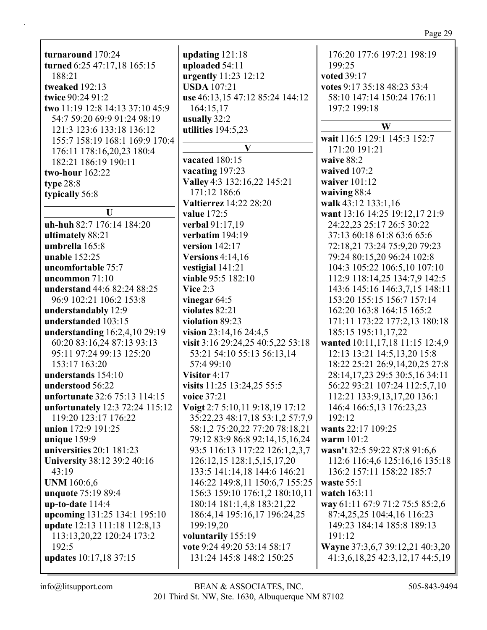| turnaround 170:24                                                                                                       | updating $121:18$                                               | 176:20 177:6 197:21 198:19                                                         |
|-------------------------------------------------------------------------------------------------------------------------|-----------------------------------------------------------------|------------------------------------------------------------------------------------|
| turned 6:25 47:17,18 165:15                                                                                             | uploaded 54:11                                                  | 199:25                                                                             |
| 188:21                                                                                                                  | urgently 11:23 12:12                                            | voted 39:17                                                                        |
| tweaked 192:13                                                                                                          | <b>USDA</b> 107:21                                              | votes 9:17 35:18 48:23 53:4                                                        |
| twice 90:24 91:2                                                                                                        | use 46:13,15 47:12 85:24 144:12                                 | 58:10 147:14 150:24 176:11                                                         |
| two 11:19 12:8 14:13 37:10 45:9                                                                                         | 164:15,17                                                       | 197:2 199:18                                                                       |
| 54:7 59:20 69:9 91:24 98:19<br>121:3 123:6 133:18 136:12<br>155:7 158:19 168:1 169:9 170:4<br>176:11 178:16,20,23 180:4 | usually 32:2<br>utilities 194:5,23<br>$\mathbf{V}$              | W<br>wait 116:5 129:1 145:3 152:7<br>171:20 191:21                                 |
| 182:21 186:19 190:11                                                                                                    | vacated 180:15                                                  | waive 88:2                                                                         |
| two-hour 162:22                                                                                                         | vacating 197:23                                                 | waived 107:2                                                                       |
| type $28:8$                                                                                                             | Valley 4:3 132:16,22 145:21                                     | waiver 101:12                                                                      |
| typically 56:8                                                                                                          | 171:12 186:6                                                    | waiving 88:4                                                                       |
| $\mathbf U$<br>uh-huh 82:7 176:14 184:20                                                                                | <b>Valtierrez</b> 14:22 28:20<br>value 172:5<br>verbal 91:17,19 | walk 43:12 133:1,16<br>want 13:16 14:25 19:12,17 21:9<br>24:22,23 25:17 26:5 30:22 |
| ultimately 88:21                                                                                                        | verbatim 194:19                                                 | 37:13 60:18 61:8 63:6 65:6                                                         |
| umbrella 165:8                                                                                                          | version 142:17                                                  | 72:18,21 73:24 75:9,20 79:23                                                       |
| <b>unable</b> 152:25                                                                                                    | Versions $4:14,16$                                              | 79:24 80:15,20 96:24 102:8                                                         |
| uncomfortable 75:7                                                                                                      | vestigial 141:21                                                | 104:3 105:22 106:5,10 107:10                                                       |
| uncommon $71:10$                                                                                                        | viable 95:5 182:10                                              | 112:9 118:14,25 134:7,9 142:5                                                      |
| understand 44:6 82:24 88:25                                                                                             | Vice $2:3$                                                      | 143:6 145:16 146:3,7,15 148:11                                                     |
| 96:9 102:21 106:2 153:8                                                                                                 | vinegar $64:5$                                                  | 153:20 155:15 156:7 157:14                                                         |
| understandably 12:9                                                                                                     | violates 82:21                                                  | 162:20 163:8 164:15 165:2                                                          |
| understanded 103:15                                                                                                     | violation 89:23                                                 | 171:11 173:22 177:2,13 180:18                                                      |
| understanding 16:2,4,10 29:19                                                                                           | vision $23:14,16$ $24:4,5$                                      | 185:15 195:11,17,22                                                                |
| 60:20 83:16,24 87:13 93:13                                                                                              | visit 3:16 29:24,25 40:5,22 53:18                               | wanted 10:11,17,18 11:15 12:4,9                                                    |
| 95:11 97:24 99:13 125:20                                                                                                | 53:21 54:10 55:13 56:13,14                                      | 12:13 13:21 14:5,13,20 15:8                                                        |
| 153:17 163:20                                                                                                           | 57:4 99:10                                                      | 18:22 25:21 26:9,14,20,25 27:8                                                     |
| understands 154:10                                                                                                      | Visitor 4:17                                                    | 28:14,17,23 29:5 30:5,16 34:11                                                     |
| understood 56:22                                                                                                        | visits 11:25 13:24,25 55:5                                      | 56:22 93:21 107:24 112:5,7,10                                                      |
| unfortunate 32:6 75:13 114:15                                                                                           | voice 37:21                                                     | 112:21 133:9, 13, 17, 20 136:1                                                     |
| unfortunately 12:3 72:24 115:12                                                                                         | Voigt 2:7 5:10,11 9:18,19 17:12                                 | 146:4 166:5,13 176:23,23                                                           |
| 119:20 123:17 176:22                                                                                                    | 35:22,23 48:17,18 53:1,2 57:7,9                                 | 192:12                                                                             |
| union 172:9 191:25                                                                                                      | 58:1,2 75:20,22 77:20 78:18,21                                  | wants 22:17 109:25                                                                 |
| unique $159:9$                                                                                                          | 79:12 83:9 86:8 92:14,15,16,24                                  | warm $101:2$                                                                       |
| universities 20:1 181:23                                                                                                | 93:5 116:13 117:22 126:1,2,3,7                                  | wasn't 32:5 59:22 87:8 91:6,6                                                      |
| University 38:12 39:2 40:16                                                                                             | 126:12,15 128:1,5,15,17,20                                      | 112:6 116:4,6 125:16,16 135:18                                                     |
| 43:19                                                                                                                   | 133:5 141:14,18 144:6 146:21                                    | 136:2 157:11 158:22 185:7                                                          |
| <b>UNM</b> 160:6,6                                                                                                      | 146:22 149:8,11 150:6,7 155:25                                  | waste $55:1$                                                                       |
| unquote 75:19 89:4                                                                                                      | 156:3 159:10 176:1,2 180:10,11                                  | watch 163:11                                                                       |
| $up-to-date 114:4$                                                                                                      | 180:14 181:1,4,8 183:21,22                                      | way 61:11 67:9 71:2 75:5 85:2,6                                                    |
| upcoming 131:25 134:1 195:10                                                                                            | 186:4,14 195:16,17 196:24,25                                    | 87:4,25,25 104:4,16 116:23                                                         |
| update 12:13 111:18 112:8,13                                                                                            | 199:19,20                                                       | 149:23 184:14 185:8 189:13                                                         |
| 113:13,20,22 120:24 173:2                                                                                               | voluntarily 155:19                                              | 191:12                                                                             |
| 192:5                                                                                                                   | vote 9:24 49:20 53:14 58:17                                     | Wayne 37:3,6,7 39:12,21 40:3,20                                                    |
| updates 10:17,18 37:15                                                                                                  | 131:24 145:8 148:2 150:25                                       | 41:3,6,18,25 42:3,12,17 44:5,19                                                    |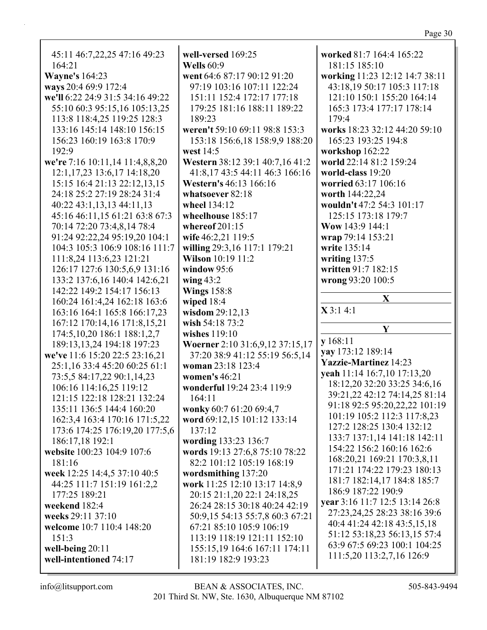| 45:11 46:7,22,25 47:16 49:23     | well-versed 169:25              | worked 81:7 164:4 165:22       |
|----------------------------------|---------------------------------|--------------------------------|
| 164:21                           | <b>Wells</b> 60:9               | 181:15 185:10                  |
| <b>Wayne's</b> 164:23            | went 64:6 87:17 90:12 91:20     | working 11:23 12:12 14:7 38:11 |
|                                  |                                 | 43:18,19 50:17 105:3 117:18    |
| ways 20:4 69:9 172:4             | 97:19 103:16 107:11 122:24      |                                |
| we'll 6:22 24:9 31:5 34:16 49:22 | 151:11 152:4 172:17 177:18      | 121:10 150:1 155:20 164:14     |
| 55:10 60:3 95:15,16 105:13,25    | 179:25 181:16 188:11 189:22     | 165:3 173:4 177:17 178:14      |
| 113:8 118:4,25 119:25 128:3      | 189:23                          | 179:4                          |
| 133:16 145:14 148:10 156:15      | weren't 59:10 69:11 98:8 153:3  | works 18:23 32:12 44:20 59:10  |
| 156:23 160:19 163:8 170:9        | 153:18 156:6,18 158:9,9 188:20  | 165:23 193:25 194:8            |
| 192:9                            | west 14:5                       | workshop 162:22                |
| we're 7:16 10:11,14 11:4,8,8,20  | Western 38:12 39:1 40:7,16 41:2 | world 22:14 81:2 159:24        |
| 12:1, 17, 23 13:6, 17 14:18, 20  | 41:8,17 43:5 44:11 46:3 166:16  | world-class 19:20              |
|                                  |                                 |                                |
| 15:15 16:4 21:13 22:12,13,15     | Western's 46:13 166:16          | worried 63:17 106:16           |
| 24:18 25:2 27:19 28:24 31:4      | whatsoever 82:18                | worth 144:22,24                |
| 40:22 43:1,13,13 44:11,13        | wheel 134:12                    | wouldn't 47:2 54:3 101:17      |
| 45:16 46:11,15 61:21 63:8 67:3   | wheelhouse 185:17               | 125:15 173:18 179:7            |
| 70:14 72:20 73:4,8,14 78:4       | whereof $201:15$                | Wow 143:9 144:1                |
| 91:24 92:22,24 95:19,20 104:1    | wife 46:2,21 119:5              | wrap 79:14 153:21              |
| 104:3 105:3 106:9 108:16 111:7   | willing 29:3,16 117:1 179:21    | write 135:14                   |
| 111:8,24 113:6,23 121:21         | Wilson 10:19 11:2               | writing 137:5                  |
| 126:17 127:6 130:5,6,9 131:16    | window 95:6                     | written 91:7 182:15            |
| 133:2 137:6,16 140:4 142:6,21    | wing $43:2$                     |                                |
|                                  |                                 | wrong 93:20 100:5              |
| 142:22 149:2 154:17 156:13       | <b>Wings 158:8</b>              | X                              |
|                                  |                                 |                                |
| 160:24 161:4,24 162:18 163:6     | wiped 18:4                      |                                |
| 163:16 164:1 165:8 166:17,23     | wisdom 29:12,13                 | X3:14:1                        |
| 167:12 170:14,16 171:8,15,21     | wish 54:18 73:2                 |                                |
| 174:5, 10, 20 186:1 188:1, 2, 7  | wishes $119:10$                 | Y                              |
|                                  |                                 | y 168:11                       |
| 189:13,13,24 194:18 197:23       | Woerner 2:10 31:6,9,12 37:15,17 | yay 173:12 189:14              |
| we've 11:6 15:20 22:5 23:16,21   | 37:20 38:9 41:12 55:19 56:5,14  | <b>Yazzie-Martinez</b> 14:23   |
| 25:1,16 33:4 45:20 60:25 61:1    | woman 23:18 123:4               | yeah 11:14 16:7,10 17:13,20    |
| 73:5,5 84:17,22 90:1,14,23       | women's 46:21                   | 18:12,20 32:20 33:25 34:6,16   |
| 106:16 114:16,25 119:12          | wonderful 19:24 23:4 119:9      |                                |
| 121:15 122:18 128:21 132:24      | 164:11                          | 39:21,22 42:12 74:14,25 81:14  |
| 135:11 136:5 144:4 160:20        | wonky 60:7 61:20 69:4,7         | 91:18 92:5 95:20,22,22 101:19  |
| 162:3,4 163:4 170:16 171:5,22    | word 69:12,15 101:12 133:14     | 101:19 105:2 112:3 117:8,23    |
| 173:6 174:25 176:19,20 177:5,6   | 137:12                          | 127:2 128:25 130:4 132:12      |
| 186:17,18 192:1                  | wording 133:23 136:7            | 133:7 137:1,14 141:18 142:11   |
| website 100:23 104:9 107:6       | words 19:13 27:6,8 75:10 78:22  | 154:22 156:2 160:16 162:6      |
| 181:16                           | 82:2 101:12 105:19 168:19       | 168:20,21 169:21 170:3,8,11    |
|                                  |                                 | 171:21 174:22 179:23 180:13    |
| week 12:25 14:4,5 37:10 40:5     | wordsmithing 137:20             | 181:7 182:14,17 184:8 185:7    |
| 44:25 111:7 151:19 161:2,2       | work 11:25 12:10 13:17 14:8,9   | 186:9 187:22 190:9             |
| 177:25 189:21                    | 20:15 21:1,20 22:1 24:18,25     | year 3:16 11:7 12:5 13:14 26:8 |
| weekend 182:4                    | 26:24 28:15 30:18 40:24 42:19   |                                |
| weeks 29:11 37:10                | 50:9,15 54:13 55:7,8 60:3 67:21 | 27:23,24,25 28:23 38:16 39:6   |
| welcome 10:7 110:4 148:20        | 67:21 85:10 105:9 106:19        | 40:4 41:24 42:18 43:5,15,18    |
| 151:3                            | 113:19 118:19 121:11 152:10     | 51:12 53:18,23 56:13,15 57:4   |
| well-being $20:11$               | 155:15,19 164:6 167:11 174:11   | 63:9 67:5 69:23 100:1 104:25   |
| well-intentioned 74:17           | 181:19 182:9 193:23             | 111:5,20 113:2,7,16 126:9      |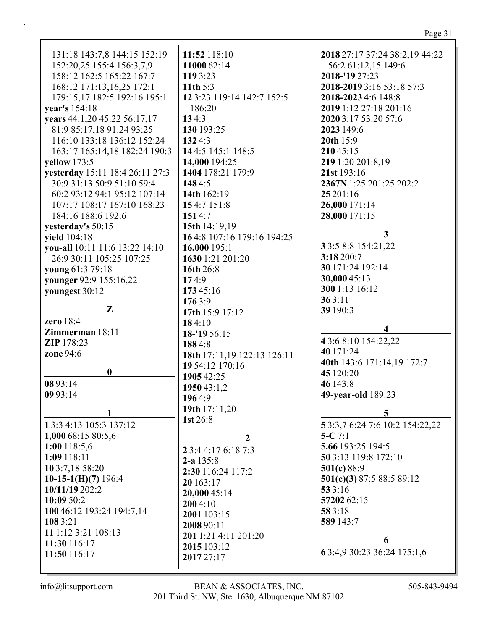| 131:18 143:7,8 144:15 152:19    | 11:52 118:10                | 2018 27:17 37:24 38:2,19 44:22  |
|---------------------------------|-----------------------------|---------------------------------|
| 152:20,25 155:4 156:3,7,9       | 11000 62:14                 | 56:2 61:12,15 149:6             |
| 158:12 162:5 165:22 167:7       | 119 3:23                    | 2018-'19 27:23                  |
| 168:12 171:13,16,25 172:1       | 11th $5:3$                  | 2018-2019 3:16 53:18 57:3       |
| 179:15,17 182:5 192:16 195:1    | 12 3:23 119:14 142:7 152:5  | 2018-2023 4:6 148:8             |
| year's 154:18                   | 186:20                      | 2019 1:12 27:18 201:16          |
| years 44:1,20 45:22 56:17,17    | 134:3                       | 2020 3:17 53:20 57:6            |
| 81:9 85:17,18 91:24 93:25       | 130 193:25                  | 2023 149:6                      |
| 116:10 133:18 136:12 152:24     | 1324:3                      | 20th 15:9                       |
| 163:17 165:14,18 182:24 190:3   | 144:5 145:1 148:5           | 210 45:15                       |
| <b>yellow</b> 173:5             | 14,000 194:25               | 219 1:20 201:8,19               |
| yesterday 15:11 18:4 26:11 27:3 | 1404 178:21 179:9           | 21st 193:16                     |
| 30:9 31:13 50:9 51:10 59:4      | 1484:5                      | 2367N 1:25 201:25 202:2         |
| 60:2 93:12 94:1 95:12 107:14    | 14th 162:19                 | 25 201:16                       |
| 107:17 108:17 167:10 168:23     | 154:7 151:8                 | 26,000 171:14                   |
| 184:16 188:6 192:6              | 1514:7                      | 28,000 171:15                   |
|                                 |                             |                                 |
| yesterday's 50:15               | 15th 14:19,19               | $\mathbf{3}$                    |
| yield 104:18                    | 16 4:8 107:16 179:16 194:25 | 3 3:5 8:8 154:21,22             |
| vou-all 10:11 11:6 13:22 14:10  | 16,000 195:1                | 3:18 200:7                      |
| 26:9 30:11 105:25 107:25        | 1630 1:21 201:20            | 30 171:24 192:14                |
| young 61:3 79:18                | 16th 26:8                   | 30,000 45:13                    |
| younger 92:9 155:16,22          | 174:9                       | 300 1:13 16:12                  |
| youngest 30:12                  | 173 45:16                   | 363:11                          |
| Z                               | 1763:9                      |                                 |
| zero 18:4                       | 17th 15:9 17:12             | 39 190:3                        |
|                                 | 184:10                      | $\overline{\mathbf{4}}$         |
| <b>Zimmerman</b> 18:11          | 18-'19 56:15                | 4 3:6 8:10 154:22,22            |
| <b>ZIP</b> 178:23               | 1884:8                      | 40 171:24                       |
| zone 94:6                       | 18th 17:11,19 122:13 126:11 | 40th 143:6 171:14,19 172:7      |
| $\boldsymbol{0}$                | 19 54:12 170:16             | 45 120:20                       |
| 08 93:14                        | 1905 42:25                  | 46 143:8                        |
| 09 93:14                        | 1950 43:1,2                 | 49-year-old 189:23              |
|                                 | 1964:9                      |                                 |
|                                 | 19th 17:11,20               | 5                               |
| 1 3:3 4:13 105:3 137:12         | 1st 26:8                    | 5 3:3,7 6:24 7:6 10:2 154:22,22 |
| 1,000 68:15 80:5,6              | $\overline{2}$              | 5-C $7:1$                       |
| $1:00$ 118:5,6                  | 2 3:4 4:17 6:18 7:3         | 5.66 193:25 194:5               |
| 1:09 118:11                     |                             | 50 3:13 119:8 172:10            |
| 10 3:7,18 58:20                 | $2-a$ 135:8                 | 501(c) 88:9                     |
| 10-15-1(H)(7) 196:4             | 2:30 116:24 117:2           | 501(c)(3) 87:5 88:5 89:12       |
| 10/11/19 202:2                  | 20 163:17                   | 533:16                          |
| 10:09 50:2                      | 20,000 45:14                | 57202 62:15                     |
| 100 46:12 193:24 194:7,14       | 2004:10                     | 58 3:18                         |
| 108 3:21                        | 2001 103:15                 | 589 143:7                       |
| 11 1:12 3:21 108:13             | 2008 90:11                  |                                 |
| 11:30 116:17                    | 201 1:21 4:11 201:20        | 6                               |
| 11:50 116:17                    | 2015 103:12                 | 63:4,930:2336:24175:1,6         |
|                                 | 2017 27:17                  |                                 |
|                                 |                             |                                 |